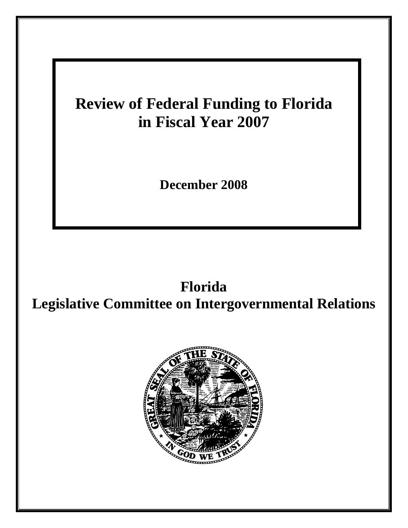# **Review of Federal Funding to Florida in Fiscal Year 2007**

**December 2008** 

# **Florida Legislative Committee on Intergovernmental Relations**

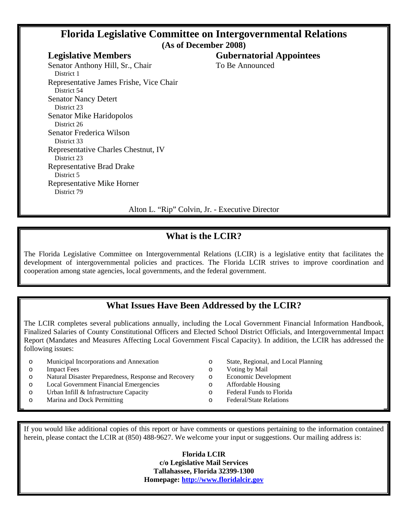#### **Florida Legislative Committee on Intergovernmental Relations (As of December 2008)**  *Cubernatorial Appointees* Gubernatorial Appointees Senator Anthony Hill, Sr., Chair To Be Announced District 1 Representative James Frishe, Vice Chair District 54 Senator Nancy Detert District 23 Senator Mike Haridopolos District 26 Senator Frederica Wilson District 33 Representative Charles Chestnut, IV District 23 Representative Brad Drake District 5 Representative Mike Horner District 79

Alton L. "Rip" Colvin, Jr. - Executive Director

# **What is the LCIR?**

The Florida Legislative Committee on Intergovernmental Relations (LCIR) is a legislative entity that facilitates the development of intergovernmental policies and practices. The Florida LCIR strives to improve coordination and cooperation among state agencies, local governments, and the federal government.

# **What Issues Have Been Addressed by the LCIR?**

The LCIR completes several publications annually, including the Local Government Financial Information Handbook, Finalized Salaries of County Constitutional Officers and Elected School District Officials, and Intergovernmental Impact Report (Mandates and Measures Affecting Local Government Fiscal Capacity). In addition, the LCIR has addressed the following issues:

- o Municipal Incorporations and Annexation
- o Impact Fees
- o Natural Disaster Preparedness, Response and Recovery
- o Local Government Financial Emergencies
- o Urban Infill & Infrastructure Capacity
- o Marina and Dock Permitting
- o State, Regional, and Local Planning
- o Voting by Mail
- o Economic Development
- o Affordable Housing
- o Federal Funds to Florida
- o Federal/State Relations

If you would like additional copies of this report or have comments or questions pertaining to the information contained herein, please contact the LCIR at (850) 488-9627. We welcome your input or suggestions. Our mailing address is:

> **Florida LCIR c/o Legislative Mail Services Tallahassee, Florida 32399-1300 Homepage: http://www.floridalcir.gov**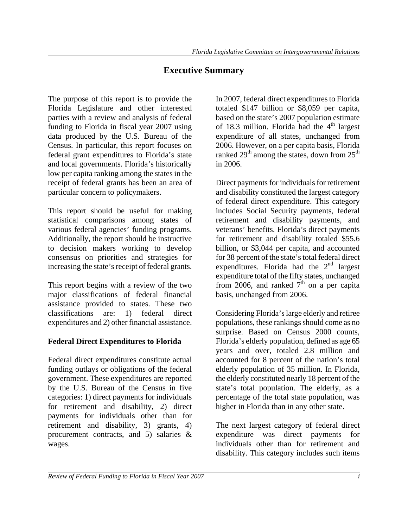# **Executive Summary**

The purpose of this report is to provide the Florida Legislature and other interested parties with a review and analysis of federal funding to Florida in fiscal year 2007 using data produced by the U.S. Bureau of the Census. In particular, this report focuses on federal grant expenditures to Florida's state and local governments. Florida's historically low per capita ranking among the states in the receipt of federal grants has been an area of particular concern to policymakers.

This report should be useful for making statistical comparisons among states of various federal agencies' funding programs. Additionally, the report should be instructive to decision makers working to develop consensus on priorities and strategies for increasing the state's receipt of federal grants.

This report begins with a review of the two major classifications of federal financial assistance provided to states. These two classifications are: 1) federal direct expenditures and 2) other financial assistance.

#### **Federal Direct Expenditures to Florida**

Federal direct expenditures constitute actual funding outlays or obligations of the federal government. These expenditures are reported by the U.S. Bureau of the Census in five categories: 1) direct payments for individuals for retirement and disability, 2) direct payments for individuals other than for retirement and disability, 3) grants, 4) procurement contracts, and 5) salaries & wages.

In 2007, federal direct expenditures to Florida totaled \$147 billion or \$8,059 per capita, based on the state's 2007 population estimate of 18.3 million. Florida had the  $4<sup>th</sup>$  largest expenditure of all states, unchanged from 2006. However, on a per capita basis, Florida ranked  $29<sup>th</sup>$  among the states, down from  $25<sup>th</sup>$ in 2006.

Direct payments for individuals for retirement and disability constituted the largest category of federal direct expenditure. This category includes Social Security payments, federal retirement and disability payments, and veterans' benefits. Florida's direct payments for retirement and disability totaled \$55.6 billion, or \$3,044 per capita, and accounted for 38 percent of the state's total federal direct expenditures. Florida had the  $2<sup>nd</sup>$  largest expenditure total of the fifty states, unchanged from 2006, and ranked  $7<sup>th</sup>$  on a per capita basis, unchanged from 2006.

Considering Florida's large elderly and retiree populations, these rankings should come as no surprise. Based on Census 2000 counts, Florida's elderly population, defined as age 65 years and over, totaled 2.8 million and accounted for 8 percent of the nation's total elderly population of 35 million. In Florida, the elderly constituted nearly 18 percent of the state's total population. The elderly, as a percentage of the total state population, was higher in Florida than in any other state.

The next largest category of federal direct expenditure was direct payments for individuals other than for retirement and disability. This category includes such items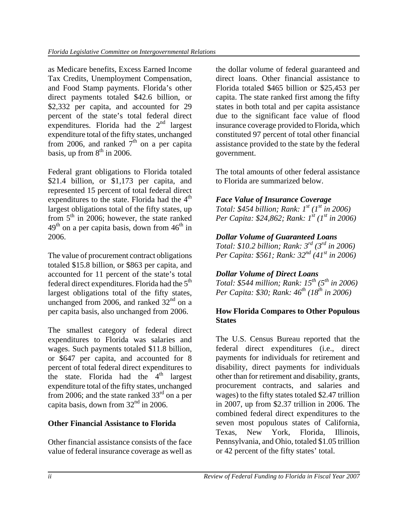as Medicare benefits, Excess Earned Income Tax Credits, Unemployment Compensation, and Food Stamp payments. Florida's other direct payments totaled \$42.6 billion, or \$2,332 per capita, and accounted for 29 percent of the state's total federal direct expenditures. Florida had the 2<sup>nd</sup> largest expenditure total of the fifty states, unchanged from 2006, and ranked  $7<sup>th</sup>$  on a per capita basis, up from  $8<sup>th</sup>$  in 2006.

Federal grant obligations to Florida totaled \$21.4 billion, or \$1,173 per capita, and represented 15 percent of total federal direct expenditures to the state. Florida had the  $4<sup>th</sup>$ largest obligations total of the fifty states, up from  $5<sup>th</sup>$  in 2006; however, the state ranked  $49<sup>th</sup>$  on a per capita basis, down from  $46<sup>th</sup>$  in 2006.

The value of procurement contract obligations totaled \$15.8 billion, or \$863 per capita, and accounted for 11 percent of the state's total federal direct expenditures. Florida had the  $5<sup>th</sup>$ largest obligations total of the fifty states, unchanged from 2006, and ranked  $32<sup>nd</sup>$  on a per capita basis, also unchanged from 2006.

The smallest category of federal direct expenditures to Florida was salaries and wages. Such payments totaled \$11.8 billion, or \$647 per capita, and accounted for 8 percent of total federal direct expenditures to the state. Florida had the  $4<sup>th</sup>$  largest expenditure total of the fifty states, unchanged from 2006; and the state ranked  $33<sup>rd</sup>$  on a per capita basis, down from  $32<sup>nd</sup>$  in 2006.

# **Other Financial Assistance to Florida**

Other financial assistance consists of the face value of federal insurance coverage as well as the dollar volume of federal guaranteed and direct loans. Other financial assistance to Florida totaled \$465 billion or \$25,453 per capita. The state ranked first among the fifty states in both total and per capita assistance due to the significant face value of flood insurance coverage provided to Florida, which constituted 97 percent of total other financial assistance provided to the state by the federal government.

The total amounts of other federal assistance to Florida are summarized below.

#### *Face Value of Insurance Coverage*

*Total: \$454 billion; Rank: 1st (1st in 2006) Per Capita: \$24,862; Rank: 1<sup>st</sup> (1<sup>st</sup> in 2006)* 

# *Dollar Volume of Guaranteed Loans*

*Total: \$10.2 billion; Rank: 3rd (3rd in 2006) Per Capita: \$561; Rank: 32nd (41st in 2006)* 

# *Dollar Volume of Direct Loans*

*Total: \$544 million; Rank: 15th (5th in 2006) Per Capita: \$30; Rank: 46<sup>th</sup> (18<sup>th</sup> in 2006)* 

#### **How Florida Compares to Other Populous States**

The U.S. Census Bureau reported that the federal direct expenditures (i.e., direct payments for individuals for retirement and disability, direct payments for individuals other than for retirement and disability, grants, procurement contracts, and salaries and wages) to the fifty states totaled \$2.47 trillion in 2007, up from \$2.37 trillion in 2006. The combined federal direct expenditures to the seven most populous states of California, Texas, New York, Florida, Illinois, Pennsylvania, and Ohio, totaled \$1.05 trillion or 42 percent of the fifty states' total.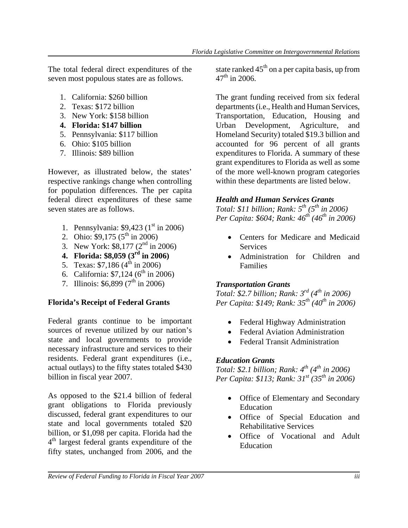The total federal direct expenditures of the seven most populous states are as follows.

- 1. California: \$260 billion
- 2. Texas: \$172 billion
- 3. New York: \$158 billion
- **4. Florida: \$147 billion**
- 5. Pennsylvania: \$117 billion
- 6. Ohio: \$105 billion
- 7. Illinois: \$89 billion

However, as illustrated below, the states' respective rankings change when controlling for population differences. The per capita federal direct expenditures of these same seven states are as follows.

- 1. Pennsylvania:  $$9,423$  (1<sup>st</sup> in 2006)
- 2. Ohio:  $$9,175$  ( $5^{\text{th}}$  in 2006)
- 3. New York:  $$8,177$  ( $2<sup>nd</sup>$  in 2006)
- **4. Florida: \$8,059 (3rd in 2006)**
- 5. Texas:  $$7,186$  (4<sup>th</sup> in 2006)
- 6. California:  $$7,124$  (6<sup>th</sup> in 2006)
- 7. Illinois:  $$6,899$  ( $7^{\text{th}}$  in 2006)

# **Florida's Receipt of Federal Grants**

Federal grants continue to be important sources of revenue utilized by our nation's state and local governments to provide necessary infrastructure and services to their residents. Federal grant expenditures (i.e., actual outlays) to the fifty states totaled \$430 billion in fiscal year 2007.

As opposed to the \$21.4 billion of federal grant obligations to Florida previously discussed, federal grant expenditures to our state and local governments totaled \$20 billion, or \$1,098 per capita. Florida had the 4<sup>th</sup> largest federal grants expenditure of the fifty states, unchanged from 2006, and the

state ranked  $45<sup>th</sup>$  on a per capita basis, up from  $47^{\text{th}}$  in 2006.

The grant funding received from six federal departments (i.e., Health and Human Services, Transportation, Education, Housing and Urban Development, Agriculture, and Homeland Security) totaled \$19.3 billion and accounted for 96 percent of all grants expenditures to Florida. A summary of these grant expenditures to Florida as well as some of the more well-known program categories within these departments are listed below.

#### *Health and Human Services Grants*

*Total: \$11 billion; Rank: 5th (5th in 2006) Per Capita: \$604; Rank: 46<sup>th</sup> (46<sup>th</sup> in 2006)* 

- Centers for Medicare and Medicaid **Services**
- Administration for Children and Families

# *Transportation Grants*

*Total: \$2.7 billion; Rank: 3rd (4th in 2006) Per Capita: \$149; Rank: 35<sup>th</sup> (40<sup>th</sup> in 2006)* 

- Federal Highway Administration
- Federal Aviation Administration
- Federal Transit Administration

# *Education Grants*

*Total: \$2.1 billion; Rank: 4<sup>th</sup> (4<sup>th</sup> in 2006) Per Capita: \$113; Rank: 31<sup>st</sup> (35<sup>th</sup> in 2006)* 

- Office of Elementary and Secondary Education
- Office of Special Education and Rehabilitative Services
- Office of Vocational and Adult Education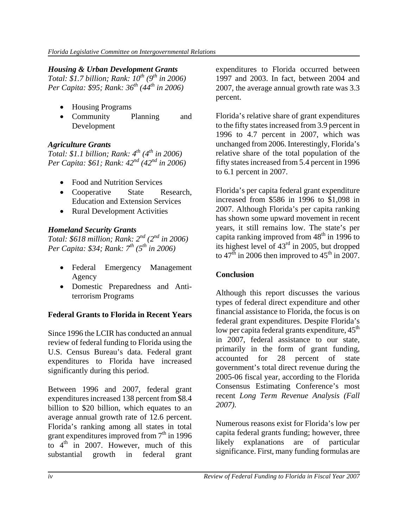#### *Housing & Urban Development Grants*

*Total: \$1.7 billion; Rank: 10th (9th in 2006) Per Capita: \$95; Rank: 36th (44th in 2006)* 

- Housing Programs
- Community Planning and Development

#### *Agriculture Grants*

*Total: \$1.1 billion; Rank: 4<sup>th</sup> (4<sup>th</sup> in 2006) Per Capita: \$61; Rank: 42nd (42nd in 2006)* 

- Food and Nutrition Services
- Cooperative State Research, Education and Extension Services
- Rural Development Activities

# *Homeland Security Grants*

*Total: \$618 million; Rank: 2nd (2nd in 2006) Per Capita: \$34; Rank: 7<sup>th</sup> (5<sup>th</sup> in 2006)* 

- Federal Emergency Management Agency
- Domestic Preparedness and Antiterrorism Programs

# **Federal Grants to Florida in Recent Years**

Since 1996 the LCIR has conducted an annual review of federal funding to Florida using the U.S. Census Bureau's data. Federal grant expenditures to Florida have increased significantly during this period.

Between 1996 and 2007, federal grant expenditures increased 138 percent from \$8.4 billion to \$20 billion, which equates to an average annual growth rate of 12.6 percent. Florida's ranking among all states in total grant expenditures improved from  $7<sup>th</sup>$  in 1996 to  $4<sup>th</sup>$  in 2007. However, much of this substantial growth in federal grant

expenditures to Florida occurred between 1997 and 2003. In fact, between 2004 and 2007, the average annual growth rate was 3.3 percent.

Florida's relative share of grant expenditures to the fifty states increased from 3.9 percent in 1996 to 4.7 percent in 2007, which was unchanged from 2006. Interestingly, Florida's relative share of the total population of the fifty states increased from 5.4 percent in 1996 to 6.1 percent in 2007.

Florida's per capita federal grant expenditure increased from \$586 in 1996 to \$1,098 in 2007. Although Florida's per capita ranking has shown some upward movement in recent years, it still remains low. The state's per capita ranking improved from  $48<sup>th</sup>$  in 1996 to its highest level of 43rd in 2005, but dropped to  $47<sup>th</sup>$  in 2006 then improved to  $45<sup>th</sup>$  in 2007.

# **Conclusion**

Although this report discusses the various types of federal direct expenditure and other financial assistance to Florida, the focus is on federal grant expenditures. Despite Florida's low per capita federal grants expenditure,  $45<sup>th</sup>$ in 2007, federal assistance to our state, primarily in the form of grant funding, accounted for 28 percent of state government's total direct revenue during the 2005-06 fiscal year, according to the Florida Consensus Estimating Conference's most recent *Long Term Revenue Analysis (Fall 2007)*.

Numerous reasons exist for Florida's low per capita federal grants funding; however, three likely explanations are of particular significance. First, many funding formulas are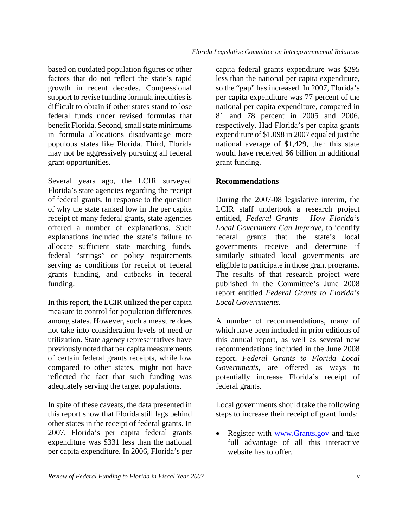based on outdated population figures or other factors that do not reflect the state's rapid growth in recent decades. Congressional support to revise funding formula inequities is difficult to obtain if other states stand to lose federal funds under revised formulas that benefit Florida. Second, small state minimums in formula allocations disadvantage more populous states like Florida. Third, Florida may not be aggressively pursuing all federal grant opportunities.

Several years ago, the LCIR surveyed Florida's state agencies regarding the receipt of federal grants. In response to the question of why the state ranked low in the per capita receipt of many federal grants, state agencies offered a number of explanations. Such explanations included the state's failure to allocate sufficient state matching funds, federal "strings" or policy requirements serving as conditions for receipt of federal grants funding, and cutbacks in federal funding.

In this report, the LCIR utilized the per capita measure to control for population differences among states. However, such a measure does not take into consideration levels of need or utilization. State agency representatives have previously noted that per capita measurements of certain federal grants receipts, while low compared to other states, might not have reflected the fact that such funding was adequately serving the target populations.

In spite of these caveats, the data presented in this report show that Florida still lags behind other states in the receipt of federal grants. In 2007, Florida's per capita federal grants expenditure was \$331 less than the national per capita expenditure. In 2006, Florida's per

capita federal grants expenditure was \$295 less than the national per capita expenditure, so the "gap" has increased. In 2007, Florida's per capita expenditure was 77 percent of the national per capita expenditure, compared in 81 and 78 percent in 2005 and 2006, respectively. Had Florida's per capita grants expenditure of \$1,098 in 2007 equaled just the national average of \$1,429, then this state would have received \$6 billion in additional grant funding.

#### **Recommendations**

During the 2007-08 legislative interim, the LCIR staff undertook a research project entitled, *Federal Grants – How Florida's Local Government Can Improve*, to identify federal grants that the state's local governments receive and determine if similarly situated local governments are eligible to participate in those grant programs. The results of that research project were published in the Committee's June 2008 report entitled *Federal Grants to Florida's Local Governments*.

A number of recommendations, many of which have been included in prior editions of this annual report, as well as several new recommendations included in the June 2008 report, *Federal Grants to Florida Local Governments*, are offered as ways to potentially increase Florida's receipt of federal grants.

Local governments should take the following steps to increase their receipt of grant funds:

• Register with www.Grants.gov and take full advantage of all this interactive website has to offer.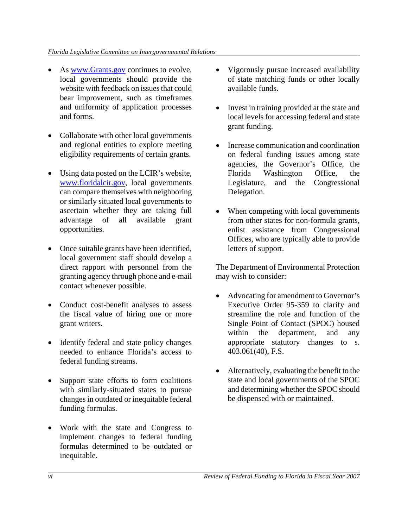#### *Florida Legislative Committee on Intergovernmental Relations*

- As www.Grants.gov continues to evolve, local governments should provide the website with feedback on issues that could bear improvement, such as timeframes and uniformity of application processes and forms.
- Collaborate with other local governments and regional entities to explore meeting eligibility requirements of certain grants.
- Using data posted on the LCIR's website, www.floridalcir.gov, local governments can compare themselves with neighboring or similarly situated local governments to ascertain whether they are taking full advantage of all available grant opportunities.
- Once suitable grants have been identified, local government staff should develop a direct rapport with personnel from the granting agency through phone and e-mail contact whenever possible.
- Conduct cost-benefit analyses to assess the fiscal value of hiring one or more grant writers.
- Identify federal and state policy changes needed to enhance Florida's access to federal funding streams.
- Support state efforts to form coalitions with similarly-situated states to pursue changes in outdated or inequitable federal funding formulas.
- Work with the state and Congress to implement changes to federal funding formulas determined to be outdated or inequitable.
- Vigorously pursue increased availability of state matching funds or other locally available funds.
- Invest in training provided at the state and local levels for accessing federal and state grant funding.
- Increase communication and coordination on federal funding issues among state agencies, the Governor's Office, the Florida Washington Office, the Legislature, and the Congressional Delegation.
- When competing with local governments from other states for non-formula grants, enlist assistance from Congressional Offices, who are typically able to provide letters of support.

The Department of Environmental Protection may wish to consider:

- Advocating for amendment to Governor's Executive Order 95-359 to clarify and streamline the role and function of the Single Point of Contact (SPOC) housed within the department, and any appropriate statutory changes to s. 403.061(40), F.S.
- Alternatively, evaluating the benefit to the state and local governments of the SPOC and determining whether the SPOC should be dispensed with or maintained.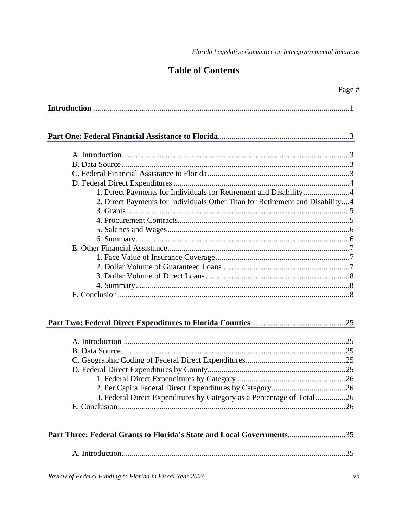# **Table of Contents**

|                                                                              | Page # |
|------------------------------------------------------------------------------|--------|
|                                                                              |        |
|                                                                              |        |
|                                                                              |        |
|                                                                              |        |
|                                                                              |        |
|                                                                              |        |
| 1. Direct Payments for Individuals for Retirement and Disability             |        |
| 2. Direct Payments for Individuals Other Than for Retirement and Disability4 |        |
|                                                                              |        |
|                                                                              |        |
|                                                                              |        |
|                                                                              |        |
|                                                                              |        |
|                                                                              |        |
|                                                                              |        |
|                                                                              |        |
|                                                                              |        |
|                                                                              |        |
|                                                                              |        |
|                                                                              |        |
|                                                                              |        |
|                                                                              |        |
|                                                                              |        |
|                                                                              |        |
|                                                                              |        |
| 3. Federal Direct Expenditures by Category as a Percentage of Total26        |        |
|                                                                              |        |
| Part Three: Federal Grants to Florida's State and Local Governments35        |        |
|                                                                              |        |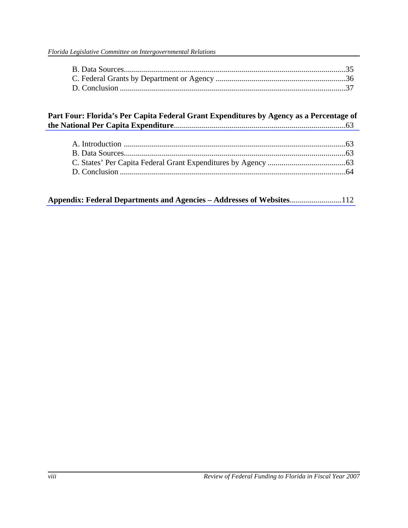| Part Four: Florida's Per Capita Federal Grant Expenditures by Agency as a Percentage of |  |
|-----------------------------------------------------------------------------------------|--|
|                                                                                         |  |

|  |  |  | Appendix: Federal Departments and Agencies – Addresses of Websites112 |  |
|--|--|--|-----------------------------------------------------------------------|--|
|--|--|--|-----------------------------------------------------------------------|--|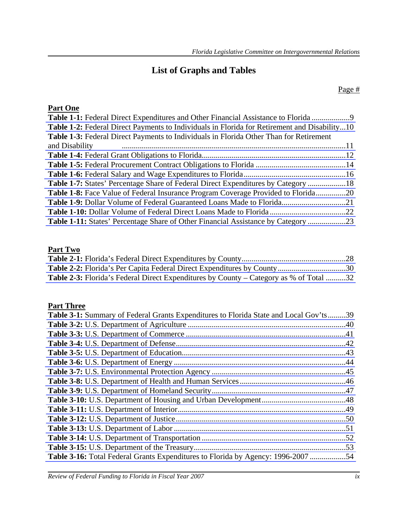# **List of Graphs and Tables**

#### Page #

| <b>Part One</b>                                                                                     |  |
|-----------------------------------------------------------------------------------------------------|--|
|                                                                                                     |  |
| <b>Table 1-2:</b> Federal Direct Payments to Individuals in Florida for Retirement and Disability10 |  |
| Table 1-3: Federal Direct Payments to Individuals in Florida Other Than for Retirement              |  |
| and Disability                                                                                      |  |
|                                                                                                     |  |
|                                                                                                     |  |
|                                                                                                     |  |
| <b>Table 1-7:</b> States' Percentage Share of Federal Direct Expenditures by Category 18            |  |
| <b>Table 1-8:</b> Face Value of Federal Insurance Program Coverage Provided to Florida20            |  |
|                                                                                                     |  |
|                                                                                                     |  |
|                                                                                                     |  |

#### **Part Two**

| <b>Table 2-3:</b> Florida's Federal Direct Expenditures by County – Category as % of Total 32 |  |
|-----------------------------------------------------------------------------------------------|--|

# **Part Three**

| <b>Table 3-1:</b> Summary of Federal Grants Expenditures to Florida State and Local Gov'ts39 |  |
|----------------------------------------------------------------------------------------------|--|
|                                                                                              |  |
|                                                                                              |  |
|                                                                                              |  |
|                                                                                              |  |
|                                                                                              |  |
|                                                                                              |  |
|                                                                                              |  |
|                                                                                              |  |
|                                                                                              |  |
|                                                                                              |  |
|                                                                                              |  |
|                                                                                              |  |
|                                                                                              |  |
|                                                                                              |  |
| Table 3-16: Total Federal Grants Expenditures to Florida by Agency: 1996-2007 54             |  |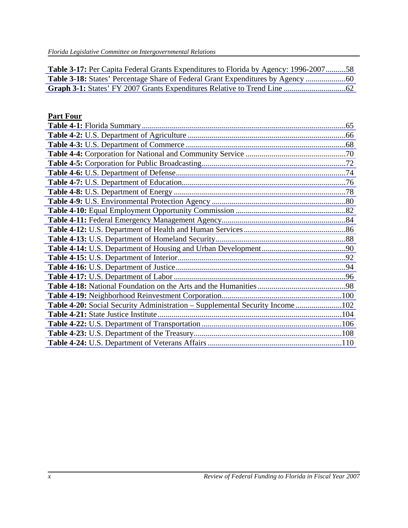**Table 3-17:** [Per Capita Federal Grants Expenditures to Florida by Agency: 1996-2007 ..........58](#page-69-0)  **Table 3-18:** [States' Percentage Share of Federal Grant Expenditures by Agency ....................60](#page-71-0)  **Graph 3-1:** [States' FY 2007 Grants Expenditures Relative to Trend Line ...............................62](#page-73-0) 

#### **Part Four**

| Table 4-20: Social Security Administration - Supplemental Security Income 102 |  |
|-------------------------------------------------------------------------------|--|
|                                                                               |  |
|                                                                               |  |
|                                                                               |  |
|                                                                               |  |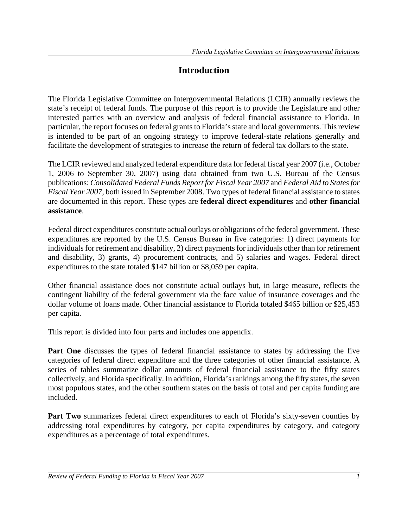# **Introduction**

<span id="page-12-0"></span>The Florida Legislative Committee on Intergovernmental Relations (LCIR) annually reviews the state's receipt of federal funds. The purpose of this report is to provide the Legislature and other interested parties with an overview and analysis of federal financial assistance to Florida. In particular, the report focuses on federal grants to Florida's state and local governments. This review is intended to be part of an ongoing strategy to improve federal-state relations generally and facilitate the development of strategies to increase the return of federal tax dollars to the state.

The LCIR reviewed and analyzed federal expenditure data for federal fiscal year 2007 (i.e., October 1, 2006 to September 30, 2007) using data obtained from two U.S. Bureau of the Census publications: *Consolidated Federal Funds Report for Fiscal Year 2007* and *Federal Aid to States for Fiscal Year 2007*, both issued in September 2008. Two types of federal financial assistance to states are documented in this report. These types are **federal direct expenditures** and **other financial assistance**.

Federal direct expenditures constitute actual outlays or obligations of the federal government. These expenditures are reported by the U.S. Census Bureau in five categories: 1) direct payments for individuals for retirement and disability, 2) direct payments for individuals other than for retirement and disability, 3) grants, 4) procurement contracts, and 5) salaries and wages. Federal direct expenditures to the state totaled \$147 billion or \$8,059 per capita.

Other financial assistance does not constitute actual outlays but, in large measure, reflects the contingent liability of the federal government via the face value of insurance coverages and the dollar volume of loans made. Other financial assistance to Florida totaled \$465 billion or \$25,453 per capita.

This report is divided into four parts and includes one appendix.

Part One discusses the types of federal financial assistance to states by addressing the five categories of federal direct expenditure and the three categories of other financial assistance. A series of tables summarize dollar amounts of federal financial assistance to the fifty states collectively, and Florida specifically. In addition, Florida's rankings among the fifty states, the seven most populous states, and the other southern states on the basis of total and per capita funding are included.

Part Two summarizes federal direct expenditures to each of Florida's sixty-seven counties by addressing total expenditures by category, per capita expenditures by category, and category expenditures as a percentage of total expenditures.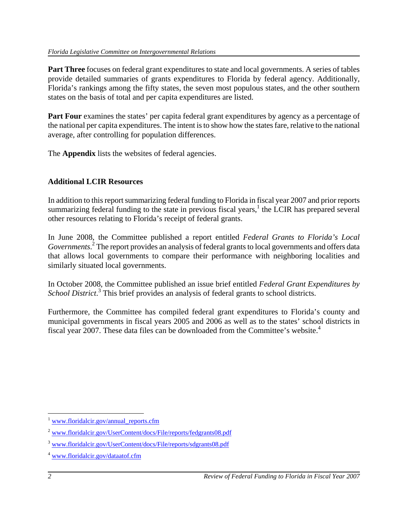**Part Three** focuses on federal grant expenditures to state and local governments. A series of tables provide detailed summaries of grants expenditures to Florida by federal agency. Additionally, Florida's rankings among the fifty states, the seven most populous states, and the other southern states on the basis of total and per capita expenditures are listed.

Part Four examines the states' per capita federal grant expenditures by agency as a percentage of the national per capita expenditures. The intent is to show how the states fare, relative to the national average, after controlling for population differences.

The **Appendix** lists the websites of federal agencies.

# **Additional LCIR Resources**

In addition to this report summarizing federal funding to Florida in fiscal year 2007 and prior reports summarizing federal funding to the state in previous fiscal years, $<sup>1</sup>$  the LCIR has prepared several</sup> other resources relating to Florida's receipt of federal grants.

In June 2008, the Committee published a report entitled *Federal Grants to Florida's Local*  Governments.<sup>2</sup> The report provides an analysis of federal grants to local governments and offers data that allows local governments to compare their performance with neighboring localities and similarly situated local governments.

In October 2008, the Committee published an issue brief entitled *Federal Grant Expenditures by*  School District.<sup>3</sup> This brief provides an analysis of federal grants to school districts.

Furthermore, the Committee has compiled federal grant expenditures to Florida's county and municipal governments in fiscal years 2005 and 2006 as well as to the states' school districts in fiscal year 2007. These data files can be downloaded from the Committee's website.<sup>4</sup>

 $\overline{a}$ www.floridalcir.gov/annual\_reports.cfm

<sup>2</sup> www.floridalcir.gov/UserContent/docs/File/reports/fedgrants08.pdf

<sup>3</sup> www.floridalcir.gov/UserContent/docs/File/reports/sdgrants08.pdf

<sup>4</sup> www.floridalcir.gov/dataatof.cfm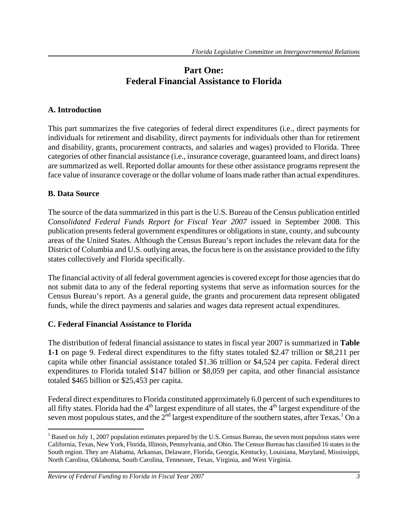# **Part One: Federal Financial Assistance to Florida**

#### <span id="page-14-0"></span>**A. Introduction**

This part summarizes the five categories of federal direct expenditures (i.e., direct payments for individuals for retirement and disability, direct payments for individuals other than for retirement and disability, grants, procurement contracts, and salaries and wages) provided to Florida. Three categories of other financial assistance (i.e., insurance coverage, guaranteed loans, and direct loans) are summarized as well. Reported dollar amounts for these other assistance programs represent the face value of insurance coverage or the dollar volume of loans made rather than actual expenditures.

#### **B. Data Source**

<u>.</u>

The source of the data summarized in this part is the U.S. Bureau of the Census publication entitled *Consolidated Federal Funds Report for Fiscal Year 2007* issued in September 2008. This publication presents federal government expenditures or obligations in state, county, and subcounty areas of the United States. Although the Census Bureau's report includes the relevant data for the District of Columbia and U.S. outlying areas, the focus here is on the assistance provided to the fifty states collectively and Florida specifically.

The financial activity of all federal government agencies is covered except for those agencies that do not submit data to any of the federal reporting systems that serve as information sources for the Census Bureau's report. As a general guide, the grants and procurement data represent obligated funds, while the direct payments and salaries and wages data represent actual expenditures.

#### **C. Federal Financial Assistance to Florida**

The distribution of federal financial assistance to states in fiscal year 2007 is summarized in **Table 1-1** on page 9. Federal direct expenditures to the fifty states totaled \$2.47 trillion or \$8,211 per capita while other financial assistance totaled \$1.36 trillion or \$4,524 per capita. Federal direct expenditures to Florida totaled \$147 billion or \$8,059 per capita, and other financial assistance totaled \$465 billion or \$25,453 per capita.

Federal direct expenditures to Florida constituted approximately 6.0 percent of such expenditures to all fifty states. Florida had the  $4<sup>th</sup>$  largest expenditure of all states, the  $4<sup>th</sup>$  largest expenditure of the seven most populous states, and the  $2^{nd}$  largest expenditure of the southern states, after Texas.<sup>1</sup> On a

 $1$  Based on July 1, 2007 population estimates prepared by the U.S. Census Bureau, the seven most populous states were California, Texas, New York, Florida, Illinois, Pennsylvania, and Ohio. The Census Bureau has classified 16 states in the South region. They are Alabama, Arkansas, Delaware, Florida, Georgia, Kentucky, Louisiana, Maryland, Mississippi, North Carolina, Oklahoma, South Carolina, Tennessee, Texas, Virginia, and West Virginia.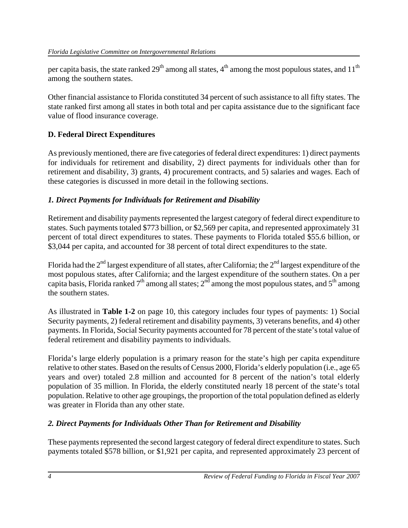per capita basis, the state ranked  $29<sup>th</sup>$  among all states,  $4<sup>th</sup>$  among the most populous states, and  $11<sup>th</sup>$ among the southern states.

Other financial assistance to Florida constituted 34 percent of such assistance to all fifty states. The state ranked first among all states in both total and per capita assistance due to the significant face value of flood insurance coverage.

#### **D. Federal Direct Expenditures**

As previously mentioned, there are five categories of federal direct expenditures: 1) direct payments for individuals for retirement and disability, 2) direct payments for individuals other than for retirement and disability, 3) grants, 4) procurement contracts, and 5) salaries and wages. Each of these categories is discussed in more detail in the following sections.

#### *1. Direct Payments for Individuals for Retirement and Disability*

Retirement and disability payments represented the largest category of federal direct expenditure to states. Such payments totaled \$773 billion, or \$2,569 per capita, and represented approximately 31 percent of total direct expenditures to states. These payments to Florida totaled \$55.6 billion, or \$3,044 per capita, and accounted for 38 percent of total direct expenditures to the state.

Florida had the  $2<sup>nd</sup>$  largest expenditure of all states, after California; the  $2<sup>nd</sup>$  largest expenditure of the most populous states, after California; and the largest expenditure of the southern states. On a per capita basis, Florida ranked  $7<sup>th</sup>$  among all states;  $2<sup>nd</sup>$  among the most populous states, and  $5<sup>th</sup>$  among the southern states.

As illustrated in **Table 1-2** on page 10, this category includes four types of payments: 1) Social Security payments, 2) federal retirement and disability payments, 3) veterans benefits, and 4) other payments. In Florida, Social Security payments accounted for 78 percent of the state's total value of federal retirement and disability payments to individuals.

Florida's large elderly population is a primary reason for the state's high per capita expenditure relative to other states. Based on the results of Census 2000, Florida's elderly population (i.e., age 65 years and over) totaled 2.8 million and accounted for 8 percent of the nation's total elderly population of 35 million. In Florida, the elderly constituted nearly 18 percent of the state's total population. Relative to other age groupings, the proportion of the total population defined as elderly was greater in Florida than any other state.

#### *2. Direct Payments for Individuals Other Than for Retirement and Disability*

These payments represented the second largest category of federal direct expenditure to states. Such payments totaled \$578 billion, or \$1,921 per capita, and represented approximately 23 percent of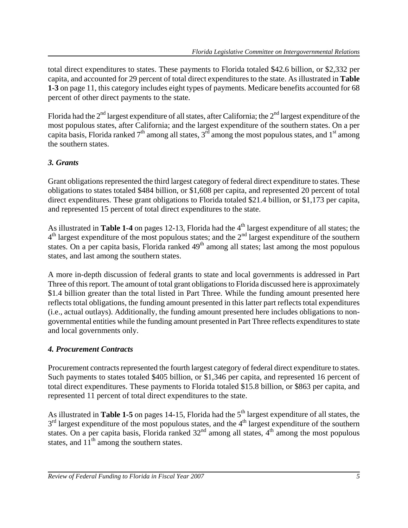total direct expenditures to states. These payments to Florida totaled \$42.6 billion, or \$2,332 per capita, and accounted for 29 percent of total direct expenditures to the state. As illustrated in **Table 1-3** on page 11, this category includes eight types of payments. Medicare benefits accounted for 68 percent of other direct payments to the state.

Florida had the  $2<sup>nd</sup>$  largest expenditure of all states, after California; the  $2<sup>nd</sup>$  largest expenditure of the most populous states, after California; and the largest expenditure of the southern states. On a per capita basis, Florida ranked  $7<sup>th</sup>$  among all states,  $3<sup>rd</sup>$  among the most populous states, and 1<sup>st</sup> among the southern states.

# *3. Grants*

Grant obligations represented the third largest category of federal direct expenditure to states. These obligations to states totaled \$484 billion, or \$1,608 per capita, and represented 20 percent of total direct expenditures. These grant obligations to Florida totaled \$21.4 billion, or \$1,173 per capita, and represented 15 percent of total direct expenditures to the state.

As illustrated in **Table 1-4** on pages 12-13, Florida had the 4<sup>th</sup> largest expenditure of all states; the  $4<sup>th</sup>$  largest expenditure of the most populous states; and the  $2<sup>nd</sup>$  largest expenditure of the southern states. On a per capita basis, Florida ranked  $49<sup>th</sup>$  among all states; last among the most populous states, and last among the southern states.

A more in-depth discussion of federal grants to state and local governments is addressed in Part Three of this report. The amount of total grant obligations to Florida discussed here is approximately \$1.4 billion greater than the total listed in Part Three. While the funding amount presented here reflects total obligations, the funding amount presented in this latter part reflects total expenditures (i.e., actual outlays). Additionally, the funding amount presented here includes obligations to nongovernmental entities while the funding amount presented in Part Three reflects expenditures to state and local governments only.

# *4. Procurement Contracts*

Procurement contracts represented the fourth largest category of federal direct expenditure to states. Such payments to states totaled \$405 billion, or \$1,346 per capita, and represented 16 percent of total direct expenditures. These payments to Florida totaled \$15.8 billion, or \$863 per capita, and represented 11 percent of total direct expenditures to the state.

As illustrated in **Table 1-5** on pages 14-15, Florida had the 5<sup>th</sup> largest expenditure of all states, the  $3<sup>rd</sup>$  largest expenditure of the most populous states, and the  $4<sup>th</sup>$  largest expenditure of the southern states. On a per capita basis, Florida ranked  $32<sup>nd</sup>$  among all states,  $4<sup>th</sup>$  among the most populous states, and  $11<sup>th</sup>$  among the southern states.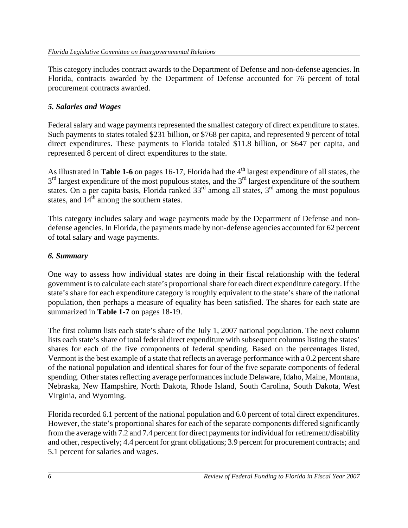This category includes contract awards to the Department of Defense and non-defense agencies. In Florida, contracts awarded by the Department of Defense accounted for 76 percent of total procurement contracts awarded.

#### *5. Salaries and Wages*

Federal salary and wage payments represented the smallest category of direct expenditure to states. Such payments to states totaled \$231 billion, or \$768 per capita, and represented 9 percent of total direct expenditures. These payments to Florida totaled \$11.8 billion, or \$647 per capita, and represented 8 percent of direct expenditures to the state.

As illustrated in **Table 1-6** on pages 16-17, Florida had the 4<sup>th</sup> largest expenditure of all states, the  $3<sup>rd</sup>$  largest expenditure of the most populous states, and the  $3<sup>rd</sup>$  largest expenditure of the southern states. On a per capita basis, Florida ranked  $33<sup>rd</sup>$  among all states,  $3<sup>rd</sup>$  among the most populous states, and  $14<sup>th</sup>$  among the southern states.

This category includes salary and wage payments made by the Department of Defense and nondefense agencies. In Florida, the payments made by non-defense agencies accounted for 62 percent of total salary and wage payments.

#### *6. Summary*

One way to assess how individual states are doing in their fiscal relationship with the federal government is to calculate each state's proportional share for each direct expenditure category. If the state's share for each expenditure category is roughly equivalent to the state's share of the national population, then perhaps a measure of equality has been satisfied. The shares for each state are summarized in **Table 1-7** on pages 18-19.

The first column lists each state's share of the July 1, 2007 national population. The next column lists each state's share of total federal direct expenditure with subsequent columns listing the states' shares for each of the five components of federal spending. Based on the percentages listed, Vermont is the best example of a state that reflects an average performance with a 0.2 percent share of the national population and identical shares for four of the five separate components of federal spending. Other states reflecting average performances include Delaware, Idaho, Maine, Montana, Nebraska, New Hampshire, North Dakota, Rhode Island, South Carolina, South Dakota, West Virginia, and Wyoming.

Florida recorded 6.1 percent of the national population and 6.0 percent of total direct expenditures. However, the state's proportional shares for each of the separate components differed significantly from the average with 7.2 and 7.4 percent for direct payments for individual for retirement/disability and other, respectively; 4.4 percent for grant obligations; 3.9 percent for procurement contracts; and 5.1 percent for salaries and wages.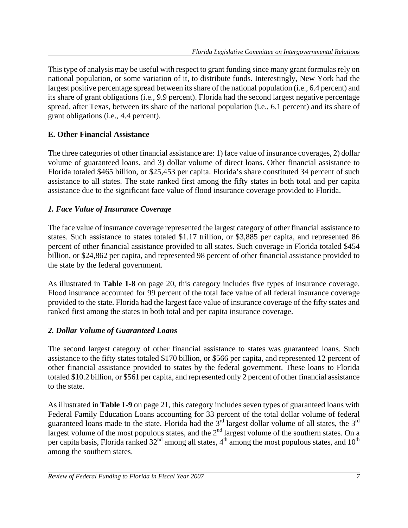This type of analysis may be useful with respect to grant funding since many grant formulas rely on national population, or some variation of it, to distribute funds. Interestingly, New York had the largest positive percentage spread between its share of the national population (i.e., 6.4 percent) and its share of grant obligations (i.e., 9.9 percent). Florida had the second largest negative percentage spread, after Texas, between its share of the national population (i.e., 6.1 percent) and its share of grant obligations (i.e., 4.4 percent).

#### **E. Other Financial Assistance**

The three categories of other financial assistance are: 1) face value of insurance coverages, 2) dollar volume of guaranteed loans, and 3) dollar volume of direct loans. Other financial assistance to Florida totaled \$465 billion, or \$25,453 per capita. Florida's share constituted 34 percent of such assistance to all states. The state ranked first among the fifty states in both total and per capita assistance due to the significant face value of flood insurance coverage provided to Florida.

#### *1. Face Value of Insurance Coverage*

The face value of insurance coverage represented the largest category of other financial assistance to states. Such assistance to states totaled \$1.17 trillion, or \$3,885 per capita, and represented 86 percent of other financial assistance provided to all states. Such coverage in Florida totaled \$454 billion, or \$24,862 per capita, and represented 98 percent of other financial assistance provided to the state by the federal government.

As illustrated in **Table 1-8** on page 20, this category includes five types of insurance coverage. Flood insurance accounted for 99 percent of the total face value of all federal insurance coverage provided to the state. Florida had the largest face value of insurance coverage of the fifty states and ranked first among the states in both total and per capita insurance coverage.

# *2. Dollar Volume of Guaranteed Loans*

The second largest category of other financial assistance to states was guaranteed loans. Such assistance to the fifty states totaled \$170 billion, or \$566 per capita, and represented 12 percent of other financial assistance provided to states by the federal government. These loans to Florida totaled \$10.2 billion, or \$561 per capita, and represented only 2 percent of other financial assistance to the state.

As illustrated in **Table 1-9** on page 21, this category includes seven types of guaranteed loans with Federal Family Education Loans accounting for 33 percent of the total dollar volume of federal guaranteed loans made to the state. Florida had the  $3<sup>rd</sup>$  largest dollar volume of all states, the  $3<sup>rd</sup>$ largest volume of the most populous states, and the  $2<sup>nd</sup>$  largest volume of the southern states. On a per capita basis, Florida ranked  $32<sup>nd</sup>$  among all states,  $4<sup>th</sup>$  among the most populous states, and  $10<sup>th</sup>$ among the southern states.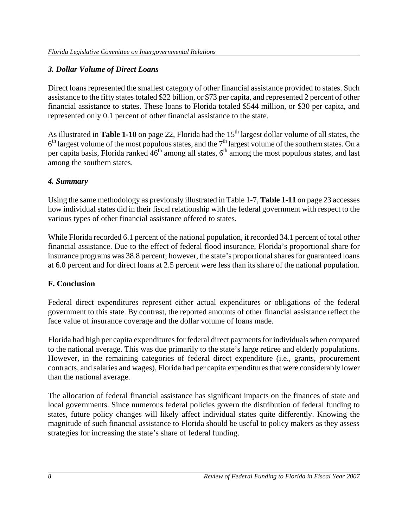#### *3. Dollar Volume of Direct Loans*

Direct loans represented the smallest category of other financial assistance provided to states. Such assistance to the fifty states totaled \$22 billion, or \$73 per capita, and represented 2 percent of other financial assistance to states. These loans to Florida totaled \$544 million, or \$30 per capita, and represented only 0.1 percent of other financial assistance to the state.

As illustrated in **Table 1-10** on page 22, Florida had the 15<sup>th</sup> largest dollar volume of all states, the  $6<sup>th</sup>$  largest volume of the most populous states, and the  $7<sup>th</sup>$  largest volume of the southern states. On a per capita basis, Florida ranked  $46<sup>th</sup>$  among all states,  $6<sup>th</sup>$  among the most populous states, and last among the southern states.

#### *4. Summary*

Using the same methodology as previously illustrated in Table 1-7, **Table 1-11** on page 23 accesses how individual states did in their fiscal relationship with the federal government with respect to the various types of other financial assistance offered to states.

While Florida recorded 6.1 percent of the national population, it recorded 34.1 percent of total other financial assistance. Due to the effect of federal flood insurance, Florida's proportional share for insurance programs was 38.8 percent; however, the state's proportional shares for guaranteed loans at 6.0 percent and for direct loans at 2.5 percent were less than its share of the national population.

#### **F. Conclusion**

Federal direct expenditures represent either actual expenditures or obligations of the federal government to this state. By contrast, the reported amounts of other financial assistance reflect the face value of insurance coverage and the dollar volume of loans made.

Florida had high per capita expenditures for federal direct payments for individuals when compared to the national average. This was due primarily to the state's large retiree and elderly populations. However, in the remaining categories of federal direct expenditure (i.e., grants, procurement contracts, and salaries and wages), Florida had per capita expenditures that were considerably lower than the national average.

The allocation of federal financial assistance has significant impacts on the finances of state and local governments. Since numerous federal policies govern the distribution of federal funding to states, future policy changes will likely affect individual states quite differently. Knowing the magnitude of such financial assistance to Florida should be useful to policy makers as they assess strategies for increasing the state's share of federal funding.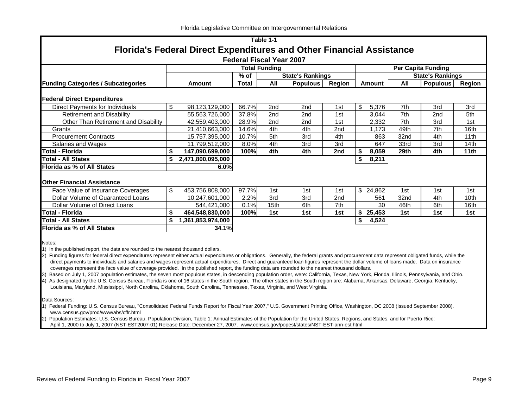<span id="page-20-0"></span>

|                                                                                                                                                                                                                                                                                                                                                                                                                                                                                                                                                                                                                                                                                                                                                                                                                                                       |                                                   |                                                                             |              | Table 1-1                       |                         |                 |    |          |      |                         |                  |
|-------------------------------------------------------------------------------------------------------------------------------------------------------------------------------------------------------------------------------------------------------------------------------------------------------------------------------------------------------------------------------------------------------------------------------------------------------------------------------------------------------------------------------------------------------------------------------------------------------------------------------------------------------------------------------------------------------------------------------------------------------------------------------------------------------------------------------------------------------|---------------------------------------------------|-----------------------------------------------------------------------------|--------------|---------------------------------|-------------------------|-----------------|----|----------|------|-------------------------|------------------|
|                                                                                                                                                                                                                                                                                                                                                                                                                                                                                                                                                                                                                                                                                                                                                                                                                                                       |                                                   |                                                                             |              |                                 |                         |                 |    |          |      |                         |                  |
|                                                                                                                                                                                                                                                                                                                                                                                                                                                                                                                                                                                                                                                                                                                                                                                                                                                       |                                                   | <b>Florida's Federal Direct Expenditures and Other Financial Assistance</b> |              |                                 |                         |                 |    |          |      |                         |                  |
|                                                                                                                                                                                                                                                                                                                                                                                                                                                                                                                                                                                                                                                                                                                                                                                                                                                       |                                                   |                                                                             |              | <b>Federal Fiscal Year 2007</b> |                         |                 |    |          |      |                         |                  |
|                                                                                                                                                                                                                                                                                                                                                                                                                                                                                                                                                                                                                                                                                                                                                                                                                                                       | <b>Total Funding</b><br><b>Per Capita Funding</b> |                                                                             |              |                                 |                         |                 |    |          |      |                         |                  |
|                                                                                                                                                                                                                                                                                                                                                                                                                                                                                                                                                                                                                                                                                                                                                                                                                                                       |                                                   |                                                                             | $%$ of       |                                 | <b>State's Rankings</b> |                 |    |          |      | <b>State's Rankings</b> |                  |
| <b>Funding Categories / Subcategories</b>                                                                                                                                                                                                                                                                                                                                                                                                                                                                                                                                                                                                                                                                                                                                                                                                             |                                                   | Amount                                                                      | <b>Total</b> | All                             | Populous                | Region          |    | Amount   | All  | <b>Populous</b>         | Region           |
| <b>Federal Direct Expenditures</b>                                                                                                                                                                                                                                                                                                                                                                                                                                                                                                                                                                                                                                                                                                                                                                                                                    |                                                   |                                                                             |              |                                 |                         |                 |    |          |      |                         |                  |
| <b>Direct Payments for Individuals</b>                                                                                                                                                                                                                                                                                                                                                                                                                                                                                                                                                                                                                                                                                                                                                                                                                | \$                                                | 98,123,129,000                                                              | 66.7%        | 2nd                             | 2nd                     | 1st             | \$ | 5,376    | 7th  | 3rd                     | 3rd              |
| <b>Retirement and Disability</b>                                                                                                                                                                                                                                                                                                                                                                                                                                                                                                                                                                                                                                                                                                                                                                                                                      |                                                   | 55,563,726,000                                                              | 37.8%        | 2nd                             | 2nd                     | 1st             |    | 3.044    | 7th  | 2 <sub>nd</sub>         | 5th              |
| Other Than Retirement and Disability                                                                                                                                                                                                                                                                                                                                                                                                                                                                                                                                                                                                                                                                                                                                                                                                                  |                                                   | 42,559,403,000                                                              | 28.9%        | 2nd                             | 2nd                     | 1st             |    | 2,332    | 7th  | 3rd                     | 1st              |
| Grants                                                                                                                                                                                                                                                                                                                                                                                                                                                                                                                                                                                                                                                                                                                                                                                                                                                |                                                   | 21,410,663,000                                                              | 14.6%        | 4th                             | 4th                     | 2nd             |    | 1,173    | 49th | 7th                     | 16th             |
| <b>Procurement Contracts</b>                                                                                                                                                                                                                                                                                                                                                                                                                                                                                                                                                                                                                                                                                                                                                                                                                          |                                                   | 15,757,395,000                                                              | 10.7%        | 5th                             | 3rd                     | 4th             |    | 863      | 32nd | 4th                     | 11th             |
| Salaries and Wages                                                                                                                                                                                                                                                                                                                                                                                                                                                                                                                                                                                                                                                                                                                                                                                                                                    |                                                   | 11,799,512,000                                                              | 8.0%         | 4th                             | 3rd                     | 3rd             |    | 647      | 33rd | 3rd                     | 14th             |
| <b>Total - Florida</b>                                                                                                                                                                                                                                                                                                                                                                                                                                                                                                                                                                                                                                                                                                                                                                                                                                | S                                                 | 147,090,699,000                                                             | 100%         | 4th                             | 4th                     | 2nd             |    | 8,059    | 29th | 4th                     | 11 <sub>th</sub> |
| <b>Total - All States</b>                                                                                                                                                                                                                                                                                                                                                                                                                                                                                                                                                                                                                                                                                                                                                                                                                             | \$                                                | 2,471,800,095,000                                                           |              |                                 |                         |                 | \$ | 8,211    |      |                         |                  |
| <b>Florida as % of All States</b>                                                                                                                                                                                                                                                                                                                                                                                                                                                                                                                                                                                                                                                                                                                                                                                                                     |                                                   | 6.0%                                                                        |              |                                 |                         |                 |    |          |      |                         |                  |
| <b>Other Financial Assistance</b>                                                                                                                                                                                                                                                                                                                                                                                                                                                                                                                                                                                                                                                                                                                                                                                                                     |                                                   |                                                                             |              |                                 |                         |                 |    |          |      |                         |                  |
| Face Value of Insurance Coverages                                                                                                                                                                                                                                                                                                                                                                                                                                                                                                                                                                                                                                                                                                                                                                                                                     | \$                                                | 453,756,808,000                                                             | 97.7%        | 1st                             | 1st                     | 1st             |    | \$24,862 | 1st  | 1st                     | 1st              |
| Dollar Volume of Guaranteed Loans                                                                                                                                                                                                                                                                                                                                                                                                                                                                                                                                                                                                                                                                                                                                                                                                                     |                                                   | 10,247,601,000                                                              | 2.2%         | 3rd                             | 3rd                     | 2 <sub>nd</sub> |    | 561      | 32nd | 4th                     | 10th             |
| Dollar Volume of Direct Loans                                                                                                                                                                                                                                                                                                                                                                                                                                                                                                                                                                                                                                                                                                                                                                                                                         |                                                   | 544.421.000                                                                 | 0.1%         | 15th                            | 6th                     | 7th             |    | 30       | 46th | 6th                     | 16th             |
| Total - Florida                                                                                                                                                                                                                                                                                                                                                                                                                                                                                                                                                                                                                                                                                                                                                                                                                                       | \$                                                | 464,548,830,000                                                             | 100%         | 1st                             | 1st                     | 1st             | \$ | 25,453   | 1st  | 1st                     | 1st              |
| <b>Total - All States</b>                                                                                                                                                                                                                                                                                                                                                                                                                                                                                                                                                                                                                                                                                                                                                                                                                             | \$                                                | 1,361,853,974,000                                                           |              |                                 |                         |                 | \$ | 4,524    |      |                         |                  |
| <b>Florida as % of All States</b>                                                                                                                                                                                                                                                                                                                                                                                                                                                                                                                                                                                                                                                                                                                                                                                                                     |                                                   | 34.1%                                                                       |              |                                 |                         |                 |    |          |      |                         |                  |
| Notes:<br>1) In the published report, the data are rounded to the nearest thousand dollars.<br>2) Funding figures for federal direct expenditures represent either actual expenditures or obligations. Generally, the federal grants and procurement data represent obligated funds, while the<br>direct payments to individuals and salaries and wages represent actual expenditures. Direct and guaranteed loan figures represent the dollar volume of loans made. Data on insurance<br>coverages represent the face value of coverage provided. In the published report, the funding data are rounded to the nearest thousand dollars.<br>Based on July 1, 2007 population estimates, the seven most populous states, in descending population order, were: California, Texas, New York, Florida, Illinois, Pennsylvania, and Ohio.<br>$ 3\rangle$ |                                                   |                                                                             |              |                                 |                         |                 |    |          |      |                         |                  |

4) As designated by the U.S. Census Bureau, Florida is one of 16 states in the South region. The other states in the South region are: Alabama, Arkansas, Delaware, Georgia, Kentucky, Louisiana, Maryland, Mississippi, North Carolina, Oklahoma, South Carolina, Tennessee, Texas, Virginia, and West Virginia.

Data Sources:

1) Federal Funding: U.S. Census Bureau, "Consolidated Federal Funds Report for Fiscal Year 2007," U.S. Government Printing Office, Washington, DC 2008 (Issued September 2008). www.census.gov/prod/www/abs/cffr.html

2) Population Estimates: U.S. Census Bureau, Population Division, Table 1: Annual Estimates of the Population for the United States, Regions, and States, and for Puerto Rico:

April 1, 2000 to July 1, 2007 (NST-EST2007-01) Release Date: December 27, 2007. www.census.gov/popest/states/NST-EST-ann-est.html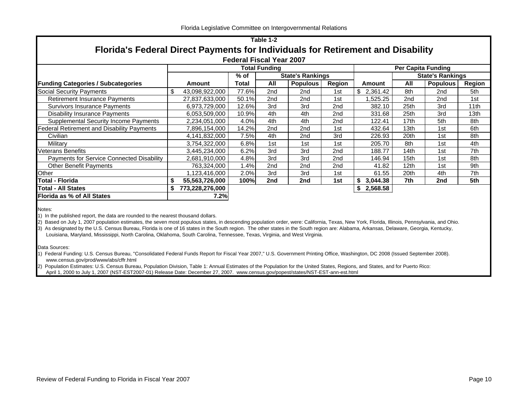<span id="page-21-0"></span>

|                                                                                 | Table 1-2 |                 |       |                                 |                 |               |                |                           |                 |        |
|---------------------------------------------------------------------------------|-----------|-----------------|-------|---------------------------------|-----------------|---------------|----------------|---------------------------|-----------------|--------|
| Florida's Federal Direct Payments for Individuals for Retirement and Disability |           |                 |       |                                 |                 |               |                |                           |                 |        |
|                                                                                 |           |                 |       | <b>Federal Fiscal Year 2007</b> |                 |               |                |                           |                 |        |
|                                                                                 |           |                 |       | <b>Total Funding</b>            |                 |               |                | <b>Per Capita Funding</b> |                 |        |
| $%$ of<br><b>State's Rankings</b><br><b>State's Rankings</b>                    |           |                 |       |                                 |                 |               |                |                           |                 |        |
| <b>Funding Categories / Subcategories</b>                                       |           | <b>Amount</b>   | Total | All                             | <b>Populous</b> | <b>Region</b> | Amount         | All                       | <b>Populous</b> | Region |
| <b>Social Security Payments</b>                                                 | \$        | 43,098,922,000  | 77.6% | 2 <sub>nd</sub>                 | 2nd             | 1st           | \$2,361.42     | 8th                       | 2nd             | 5th    |
| Retirement Insurance Payments                                                   |           | 27,837,633,000  | 50.1% | 2 <sub>nd</sub>                 | 2nd             | 1st           | .525.25        | 2 <sub>nd</sub>           | 2nd             | 1st    |
| <b>Survivors Insurance Payments</b>                                             |           | 6,973,729,000   | 12.6% | 3rd                             | 3rd             | 2nd           | 382.10         | 25th                      | 3rd             | 11th   |
| Disability Insurance Payments                                                   |           | 6,053,509,000   | 10.9% | 4th                             | 4th             | 2nd           | 331.68         | 25th                      | 3rd             | 13th   |
| Supplemental Security Income Payments                                           |           | 2,234,051,000   | 4.0%  | 4th                             | 4th             | 2nd           | 122.41         | 17th                      | 5th             | 8th    |
| <b>Federal Retirement and Disability Payments</b>                               |           | 7,896,154,000   | 14.2% | 2 <sub>nd</sub>                 | 2nd             | 1st           | 432.64         | 13 <sub>th</sub>          | 1st             | 6th    |
| Civilian                                                                        |           | 4,141,832,000   | 7.5%  | 4th                             | 2nd             | 3rd           | 226.93         | 20th                      | 1st             | 8th    |
| Military                                                                        |           | 3,754,322,000   | 6.8%  | 1st                             | 1st             | 1st           | 205.70         | 8th                       | 1st             | 4th    |
| <b>Veterans Benefits</b>                                                        |           | 3,445,234,000   | 6.2%  | 3rd                             | 3rd             | 2nd           | 188.77         | 14th                      | 1st             | 7th    |
| Payments for Service Connected Disability                                       |           | 2,681,910,000   | 4.8%  | 3rd                             | 3rd             | 2nd           | 146.94         | 15 <sub>th</sub>          | 1st             | 8th    |
| <b>Other Benefit Payments</b>                                                   |           | 763,324,000     | 1.4%  | 2 <sub>nd</sub>                 | 2nd             | 2nd           | 41.82          | 12 <sub>th</sub>          | 1st             | 9th    |
| Other                                                                           |           | 1,123,416,000   | 2.0%  | 3rd                             | 3rd             | 1st           | 61.55          | 20th                      | 4th             | 7th    |
| <b>Total - Florida</b>                                                          | \$        | 55,563,726,000  | 100%  | 2nd                             | 2nd             | 1st           | 3,044.38       | 7th                       | 2nd             | 5th    |
| <b>Total - All States</b>                                                       | S         | 773,228,276,000 |       |                                 |                 |               | 2,568.58<br>\$ |                           |                 |        |
| Florida as % of All States                                                      |           | 7.2%            |       |                                 |                 |               |                |                           |                 |        |

1) In the published report, the data are rounded to the nearest thousand dollars.

2) Based on July 1, 2007 population estimates, the seven most populous states, in descending population order, were: California, Texas, New York, Florida, Illinois, Pennsylvania, and Ohio.

3) As designated by the U.S. Census Bureau, Florida is one of 16 states in the South region. The other states in the South region are: Alabama, Arkansas, Delaware, Georgia, Kentucky, Louisiana, Maryland, Mississippi, North Carolina, Oklahoma, South Carolina, Tennessee, Texas, Virginia, and West Virginia.

Data Sources:

1) Federal Funding: U.S. Census Bureau, "Consolidated Federal Funds Report for Fiscal Year 2007," U.S. Government Printing Office, Washington, DC 2008 (Issued September 2008). www.census.gov/prod/www/abs/cffr.html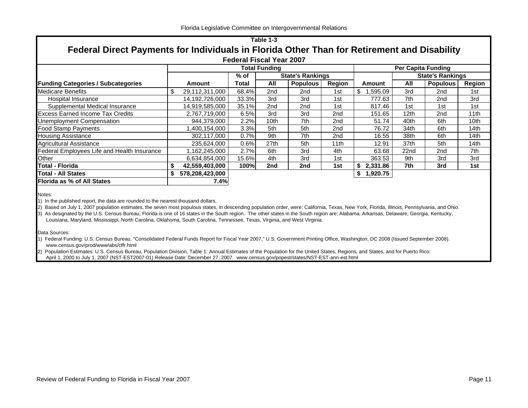<span id="page-22-0"></span>

|                                                                                             |    |                 |        | Table 1-3     |                         |                 |                |                  |                         |        |  |
|---------------------------------------------------------------------------------------------|----|-----------------|--------|---------------|-------------------------|-----------------|----------------|------------------|-------------------------|--------|--|
| Federal Direct Payments for Individuals in Florida Other Than for Retirement and Disability |    |                 |        |               |                         |                 |                |                  |                         |        |  |
| <b>Federal Fiscal Year 2007</b>                                                             |    |                 |        |               |                         |                 |                |                  |                         |        |  |
|                                                                                             |    |                 |        | Total Funding |                         |                 |                |                  | Per Capita Funding      |        |  |
|                                                                                             |    |                 | $%$ of |               | <b>State's Rankings</b> |                 |                |                  | <b>State's Rankings</b> |        |  |
| <b>Funding Categories / Subcategories</b>                                                   |    | Amount          | Total  | All           | <b>Populous</b>         | Region          | Amount         | All              | <b>Populous</b>         | Region |  |
| Medicare Benefits                                                                           | \$ | 29,112,311,000  | 68.4%  | 2nd           | 2nd                     | 1st             | \$.<br>.595.09 | 3rd              | 2nd                     | 1st    |  |
| Hospital Insurance                                                                          |    | 14,192,726,000  | 33.3%  | 3rd           | 3rd                     | 1st             | 777.63         | 7th              | 2nd                     | 3rd    |  |
| Supplemental Medical Insurance                                                              |    | 14,919,585,000  | 35.1%  | 2nd           | 2nd                     | 1st             | 817.46         | 1st              | 1st                     | 1st    |  |
| Excess Earned Income Tax Credits                                                            |    | 2,767,719,000   | 6.5%   | 3rd           | 3rd                     | 2 <sub>nd</sub> | 151.65         | 12 <sub>th</sub> | 2 <sub>nd</sub>         | 11th   |  |
| Unemployment Compensation                                                                   |    | 944.379.000     | 2.2%   | 10th          | 7th                     | 2 <sub>nd</sub> | 51.74          | 40th             | 6th                     | 10th   |  |
| Food Stamp Payments                                                                         |    | ,400,154,000    | 3.3%   | 5th           | 5th                     | 2 <sub>nd</sub> | 76.72          | 34th             | 6th                     | 14th   |  |
| Housing Assistance                                                                          |    | 302,117,000     | 0.7%   | 9th           | 7th                     | 2 <sub>nd</sub> | 16.55          | 38th             | 6th                     | 14th   |  |
| Agricultural Assistance                                                                     |    | 235,624,000     | 0.6%   | 27th          | 5th                     | 11th            | 12.91          | 37th             | 5th                     | 14th   |  |
| Federal Employees Life and Health Insurance                                                 |    | 1,162,245,000   | 2.7%   | 6th           | 3rd                     | 4th             | 63.68          | 22nd             | 2nd                     | 7th    |  |
| Other                                                                                       |    | 6,634,854,000   | 15.6%  | 4th           | 3rd                     | 1st             | 363.53         | 9th              | 3rd                     | 3rd    |  |
| Total - Florida                                                                             | \$ | 42,559,403,000  | 100%   | 2nd           | 2nd                     | 1st             | 2,331.86       | 7th              | 3rd                     | 1st    |  |
| Total - All States                                                                          | S  | 578,208,423,000 |        |               |                         |                 | 1,920.75<br>\$ |                  |                         |        |  |
| Florida as % of All States                                                                  |    | 7.4%            |        |               |                         |                 |                |                  |                         |        |  |

1) In the published report, the data are rounded to the nearest thousand dollars.

2) Based on July 1, 2007 population estimates, the seven most populous states, in descending population order, were: California, Texas, New York, Florida, Illinois, Pennsylvania, and Ohio.

3) As designated by the U.S. Census Bureau, Florida is one of 16 states in the South region. The other states in the South region are: Alabama, Arkansas, Delaware, Georgia, Kentucky, Louisiana, Maryland, Mississippi, North Carolina, Oklahoma, South Carolina, Tennessee, Texas, Virginia, and West Virginia.

Data Sources:

1) Federal Funding: U.S. Census Bureau, "Consolidated Federal Funds Report for Fiscal Year 2007," U.S. Government Printing Office, Washington, DC 2008 (Issued September 2008). www.census.gov/prod/www/abs/cffr.html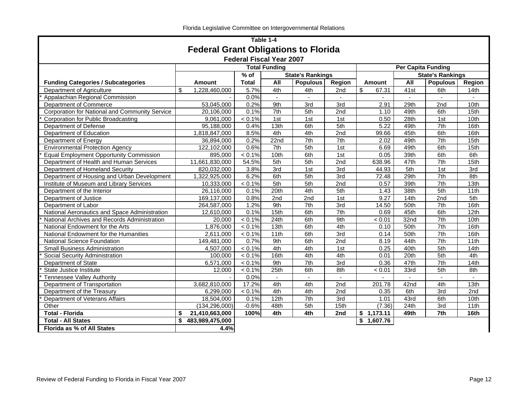<span id="page-23-0"></span>

| Table 1-4                                      |                                                                   |                    |                                 |                         |      |                |                           |                         |                  |  |  |  |
|------------------------------------------------|-------------------------------------------------------------------|--------------------|---------------------------------|-------------------------|------|----------------|---------------------------|-------------------------|------------------|--|--|--|
| <b>Federal Grant Obligations to Florida</b>    |                                                                   |                    |                                 |                         |      |                |                           |                         |                  |  |  |  |
|                                                |                                                                   |                    | <b>Federal Fiscal Year 2007</b> |                         |      |                |                           |                         |                  |  |  |  |
|                                                |                                                                   |                    |                                 |                         |      |                |                           |                         |                  |  |  |  |
|                                                |                                                                   |                    | <b>Total Funding</b>            |                         |      |                | <b>Per Capita Funding</b> |                         |                  |  |  |  |
|                                                |                                                                   | $\overline{\%}$ of |                                 | <b>State's Rankings</b> |      | Amount         |                           | <b>State's Rankings</b> |                  |  |  |  |
| <b>Funding Categories / Subcategories</b>      | All<br><b>Total</b><br><b>Populous</b><br>Region<br><b>Amount</b> |                    |                                 |                         |      |                | All                       | <b>Populous</b>         | <b>Region</b>    |  |  |  |
| Department of Agriculture                      | \$<br>1,228,460,000                                               | 5.7%               | 4th                             | 4th                     | 2nd  | \$<br>67.31    | 41st                      | 6th                     | 14th             |  |  |  |
| Appalachian Regional Commission                |                                                                   | 0.0%               |                                 |                         |      |                |                           |                         |                  |  |  |  |
| <b>Department of Commerce</b>                  | 53,045,000                                                        | 0.2%               | 9th                             | 3rd                     | 3rd  | 2.91           | 29th                      | 2nd                     | 10th             |  |  |  |
| Corporation for National and Community Service | 20,106,000                                                        | 0.1%               | 7th                             | 5th                     | 2nd  | 1.10           | 49th                      | 6th                     | 15th             |  |  |  |
| Corporation for Public Broadcasting            | 9,061,000                                                         | $< 0.1\%$          | 1st                             | 1st                     | 1st  | 0.50           | 28th                      | 1st                     | 10th             |  |  |  |
| Department of Defense                          | 95,188,000                                                        | 0.4%               | 13 <sub>th</sub>                | 6th                     | 5th  | 5.22           | 49th                      | $\overline{7}$ th       | 16th             |  |  |  |
| Department of Education                        | 1,818,847,000                                                     | 8.5%               | 4th                             | 4th                     | 2nd  | 99.66          | 45th                      | 6th                     | 16th             |  |  |  |
| Department of Energy                           | 36,894,000                                                        | 0.2%               | 22 <sub>nd</sub>                | 7th                     | 7th  | 2.02           | 49th                      | 7th                     | 15th             |  |  |  |
| <b>Environmental Protection Agency</b>         | 122,102,000                                                       | 0.6%               | 7th                             | 5th                     | 1st  | 6.69           | 49th                      | 6th                     | 15th             |  |  |  |
| <b>Equal Employment Opportunity Commission</b> | 895,000                                                           | $< 0.1\%$          | 10th                            | 6th                     | 1st  | 0.05           | 39th                      | 6th                     | 6th              |  |  |  |
| Department of Health and Human Services        | 11,661,830,000                                                    | 54.5%              | 5th                             | 5th                     | 2nd  | 638.96         | 47th                      | $\overline{7}$ th       | 15th             |  |  |  |
| Department of Homeland Security                | 820,032,000                                                       | 3.8%               | 3rd                             | 1st                     | 3rd  | 44.93          | 5th                       | 1st                     | 3rd              |  |  |  |
| Department of Housing and Urban Development    | 1,322,925,000                                                     | 6.2%               | 6th                             | 5th                     | 3rd  | 72.48          | 29th                      | 7th                     | 8th              |  |  |  |
| Institute of Museum and Library Services       | 10,333,000                                                        | $< 0.1\%$          | 5th                             | 5th                     | 2nd  | 0.57           | 39th                      | 7th                     | 13th             |  |  |  |
| Department of the Interior                     | 26,116,000                                                        | 0.1%               | 20th                            | 4th                     | 5th  | 1.43           | 38 <sub>th</sub>          | 5th                     | 11th             |  |  |  |
| Department of Justice                          | 169,137,000                                                       | 0.8%               | 2nd                             | 2nd                     | 1st  | 9.27           | 14th                      | 2nd                     | 5th              |  |  |  |
| Department of Labor                            | 264,587,000                                                       | 1.2%               | 9th                             | $\overline{7}$ th       | 3rd  | 14.50          | 50th                      | $\overline{7}$ th       | 16th             |  |  |  |
| National Aeronautics and Space Administration  | 12,610,000                                                        | 0.1%               | 15th                            | 6th                     | 7th  | 0.69           | 45th                      | 6th                     | 12th             |  |  |  |
| National Archives and Records Administration   | 20,000                                                            | $< 0.1\%$          | 24th                            | 6th                     | 9th  | < 0.01         | 32nd                      | 7th                     | 10th             |  |  |  |
| National Endowment for the Arts                | 1,876,000                                                         | $< 0.1\%$          | 13th                            | 6th                     | 4th  | 0.10           | 50th                      | 7th                     | 16th             |  |  |  |
| National Endowment for the Humanities          | 2,611,000                                                         | $< 0.1\%$          | 11th                            | 6th                     | 3rd  | 0.14           | 50th                      | $\overline{7}$ th       | 16th             |  |  |  |
| <b>National Science Foundation</b>             | 149,481,000                                                       | 0.7%               | 9th                             | 6th                     | 2nd  | 8.19           | 44th                      | $\overline{7}$ th       | 11th             |  |  |  |
| <b>Small Business Administration</b>           | 4,507,000                                                         | $< 0.1\%$          | 4th                             | 4th                     | 1st  | 0.25           | 40th                      | 5th                     | 14th             |  |  |  |
| Social Security Administration                 | 100,000                                                           | $< 0.1\%$          | 16th                            | 4th                     | 4th  | 0.01           | 20th                      | 5th                     | 4th              |  |  |  |
| Department of State                            | 6,571,000                                                         | $< 0.1\%$          | 9th                             | 7th                     | 3rd  | 0.36           | 47th                      | $\overline{7}$ th       | 14th             |  |  |  |
| State Justice Institute                        | 12,000                                                            | $< 0.1\%$          | 25th                            | 6th                     | 8th  | < 0.01         | 33rd                      | 5th                     | 8th              |  |  |  |
| <b>Tennessee Valley Authority</b>              |                                                                   | 0.0%               |                                 |                         |      |                |                           |                         |                  |  |  |  |
| Department of Transportation                   | 3,682,810,000                                                     | 17.2%              | 4th                             | 4th                     | 2nd  | 201.78         | 42 <sub>nd</sub>          | 4th                     | 13 <sub>th</sub> |  |  |  |
| Department of the Treasury                     | 6,299,000                                                         | $< 0.1\%$          | 4th                             | 4th                     | 2nd  | 0.35           | 6th                       | 3rd                     | 2nd              |  |  |  |
| Department of Veterans Affairs                 | 18,504,000                                                        | 0.1%               | 12th                            | 7th                     | 3rd  | 1.01           | 43rd                      | 6th                     | 10th             |  |  |  |
| Other                                          | (134, 296, 000)                                                   | $-0.6%$            | 48th                            | 5th                     | 15th | (7.36)         | 24th                      | 3rd                     | 11th             |  |  |  |
| <b>Total - Florida</b>                         | \$<br>21,410,663,000                                              | 100%               | 4th                             | 4th                     | 2nd  | \$1,173.11     | 49th                      | 7th                     | 16th             |  |  |  |
| <b>Total - All States</b>                      | \$<br>483,989,475,000                                             |                    |                                 |                         |      | 1,607.76<br>\$ |                           |                         |                  |  |  |  |
| Florida as % of All States                     | 4.4%                                                              |                    |                                 |                         |      |                |                           |                         |                  |  |  |  |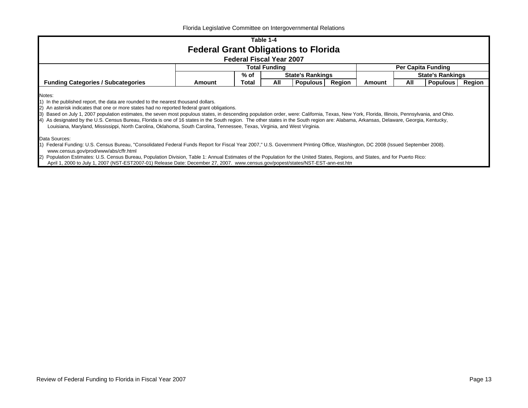|                                                                                                                                                                                                                                                                                                                                                                                                                                                                                                                                                                                          | <b>Federal Grant Obligations to Florida</b>                | <b>Federal Fiscal Year 2007</b> | Table 1-4     |                 |        |        |     |                    |        |  |
|------------------------------------------------------------------------------------------------------------------------------------------------------------------------------------------------------------------------------------------------------------------------------------------------------------------------------------------------------------------------------------------------------------------------------------------------------------------------------------------------------------------------------------------------------------------------------------------|------------------------------------------------------------|---------------------------------|---------------|-----------------|--------|--------|-----|--------------------|--------|--|
|                                                                                                                                                                                                                                                                                                                                                                                                                                                                                                                                                                                          |                                                            |                                 | Total Funding |                 |        |        |     | Per Capita Funding |        |  |
|                                                                                                                                                                                                                                                                                                                                                                                                                                                                                                                                                                                          | <b>State's Rankings</b><br>% of<br><b>State's Rankings</b> |                                 |               |                 |        |        |     |                    |        |  |
| <b>Funding Categories / Subcategories</b>                                                                                                                                                                                                                                                                                                                                                                                                                                                                                                                                                | Amount                                                     | Total                           | All           | <b>Populous</b> | Region | Amount | All | <b>Populous</b>    | Region |  |
| Notes:<br>1) In the published report, the data are rounded to the nearest thousand dollars.<br>2) An asterisk indicates that one or more states had no reported federal grant obligations.<br>3) Based on July 1, 2007 population estimates, the seven most populous states, in descending population order, were: California, Texas, New York, Florida, Illinois, Pennsylvania, and Ohio.<br>A As designated by the U.C. Century Diverse Florida is seen of 40 states in the Couth verice. The other states in the Couth version and Alehanne Ashenaea, Delayerse, Capacita, Kapturala, |                                                            |                                 |               |                 |        |        |     |                    |        |  |

4) As designated by the U.S. Census Bureau, Florida is one of 16 states in the South region. The other states in the South region are: Alabama, Arkansas, Delaware, Georgia, Kentucky, Louisiana, Maryland, Mississippi, North Carolina, Oklahoma, South Carolina, Tennessee, Texas, Virginia, and West Virginia.

Data Sources:

1) Federal Funding: U.S. Census Bureau, "Consolidated Federal Funds Report for Fiscal Year 2007," U.S. Government Printing Office, Washington, DC 2008 (Issued September 2008). www.census.gov/prod/www/abs/cffr.html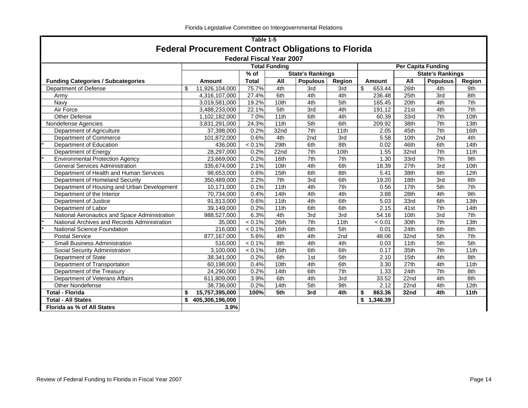<span id="page-25-0"></span>

| Table 1-5                                     |                                                            |                    |                                 |                                            |                   |                          |                           |                         |                   |  |  |
|-----------------------------------------------|------------------------------------------------------------|--------------------|---------------------------------|--------------------------------------------|-------------------|--------------------------|---------------------------|-------------------------|-------------------|--|--|
|                                               | <b>Federal Procurement Contract Obligations to Florida</b> |                    |                                 |                                            |                   |                          |                           |                         |                   |  |  |
|                                               |                                                            |                    |                                 |                                            |                   |                          |                           |                         |                   |  |  |
|                                               |                                                            |                    | <b>Federal Fiscal Year 2007</b> |                                            |                   |                          |                           |                         |                   |  |  |
|                                               |                                                            |                    | <b>Total Funding</b>            |                                            |                   |                          | <b>Per Capita Funding</b> |                         |                   |  |  |
|                                               |                                                            | $\overline{\%}$ of |                                 | <b>State's Rankings</b><br><b>Populous</b> | Region            |                          |                           | <b>State's Rankings</b> |                   |  |  |
| <b>Funding Categories / Subcategories</b>     | Amount                                                     | <b>Total</b>       | All                             | Amount                                     | All               | <b>Populous</b>          | <b>Region</b>             |                         |                   |  |  |
| Department of Defense                         | \$<br>11,926,104,000                                       | 75.7%              | 4th                             | 3rd                                        | 3rd               | $\mathfrak{S}$<br>653.44 | 26th                      | 4th                     | 9th               |  |  |
| Army                                          | 4,316,107,000                                              | 27.4%              | 6th                             | 4th                                        | 4th               | 236.48                   | 25th                      | 3rd                     | 8th               |  |  |
| Navy                                          | 3,019,581,000                                              | 19.2%              | 10th                            | 4th                                        | 5th               | 165.45                   | 20th                      | 4th                     | 7th               |  |  |
| Air Force                                     | 3,488,233,000                                              | 22.1%              | 5th                             | 3rd                                        | 4th               | 191.12                   | 21st                      | 4th                     | 7th               |  |  |
| <b>Other Defense</b>                          | 1,102,182,000                                              | 7.0%               | 11th                            | 6th                                        | 4th               | 60.39                    | 33rd                      | 7th                     | 10th              |  |  |
| Nondefense Agencies                           | 3,831,291,000                                              | 24.3%              | 11th                            | 5th                                        | 6th               | 209.92                   | 38 <sub>th</sub>          | 7th                     | 13th              |  |  |
| Department of Agriculture                     | 37,398,000                                                 | 0.2%               | 32nd                            | $\overline{7}$ th                          | 11th              | 2.05                     | 45th                      | $\overline{7}$ th       | 16th              |  |  |
| Department of Commerce                        | 101,872,000                                                | 0.6%               | 4th                             | 2nd                                        | 3rd               | 5.58                     | 10th                      | 2nd                     | 4th               |  |  |
| Department of Education                       | 436,000                                                    | $< 0.1\%$          | 29th                            | 6th                                        | 8th               | 0.02                     | 46th                      | 6th                     | 14th              |  |  |
| Department of Energy                          | 28,297,000                                                 | 0.2%               | 22 <sub>nd</sub>                | 7th                                        | 10th              | 1.55                     | 32 <sub>nd</sub>          | 7th                     | 11th              |  |  |
| <b>Environmental Protection Agency</b>        | 23,669,000                                                 | 0.2%               | 16th                            | 7th                                        | 7th               | 1.30                     | 33rd                      | 7th                     | 9th               |  |  |
| <b>General Services Administration</b>        | 335,674,000                                                | 2.1%               | 10th                            | 4th                                        | 6th               | 18.39                    | 27th                      | 3rd                     | 10th              |  |  |
| Department of Health and Human Services       | 98,653,000                                                 | 0.6%               | 15th                            | 6th                                        | 8th               | 5.41                     | 38th                      | 6th                     | 12th              |  |  |
| Department of Homeland Security               | 350,489,000                                                | 2.2%               | 7th                             | 3rd                                        | 6th               | 19.20                    | 18th                      | 3rd                     | 8th               |  |  |
| Department of Housing and Urban Development   | 10,171,000                                                 | 0.1%               | 11th                            | 4th                                        | 7th               | 0.56                     | 17th                      | 5th                     | $\overline{7}$ th |  |  |
| Department of the Interior                    | 70,734,000                                                 | 0.4%               | 14th                            | 4th                                        | 4th               | 3.88                     | 28th                      | 4th                     | 9th               |  |  |
| Department of Justice                         | 91,813,000                                                 | 0.6%               | 11th                            | 4th                                        | 6th               | 5.03                     | 33rd                      | 6th                     | 13th              |  |  |
| Department of Labor                           | 39,149,000                                                 | 0.2%               | 11th                            | 6th                                        | 6th               | 2.15                     | 41st                      | $\overline{7}$ th       | 14th              |  |  |
| National Aeronautics and Space Administration | 988,527,000                                                | 6.3%               | 4th                             | 3rd                                        | 3rd               | 54.16                    | 10th                      | 3rd                     | 7th               |  |  |
| National Archives and Records Administration  | 35,000                                                     | $< 0.1\%$          | 26th                            | $\overline{7}$ th                          | 11th              | < 0.01                   | 30 <sub>th</sub>          | $\overline{7}$ th       | 13th              |  |  |
| National Science Foundation                   | 216,000                                                    | $< 0.1\%$          | 16th                            | 6th                                        | 5th               | 0.01                     | 24th                      | 6th                     | 8th               |  |  |
| <b>Postal Service</b>                         | 877,167,000                                                | 5.6%               | 4th                             | 4th                                        | 2nd               | 48.06                    | 32nd                      | 5th                     | 7th               |  |  |
| <b>Small Business Administration</b>          | 516.000                                                    | $< 0.1\%$          | 8th                             | 4th                                        | 4th               | 0.03                     | 11th                      | 5th                     | 5th               |  |  |
| Social Security Administration                | 3,100,000                                                  | $< 0.1\%$          | 16th                            | 6th                                        | 6th               | 0.17                     | 35th                      | 7th                     | 11th              |  |  |
| Department of State                           | 38,341,000                                                 | 0.2%               | 6th                             | 1st                                        | 5th               | 2.10                     | 15th                      | 4th                     | 8th               |  |  |
| Department of Transportation                  | 60,198,000                                                 | 0.4%               | 10th                            | 4th                                        | 6th               | 3.30                     | 27th                      | 4th                     | 11th              |  |  |
| Department of the Treasury                    | 24,290,000                                                 | 0.2%               | 14th                            | 6th                                        | $\overline{7}$ th | 1.33                     | 24th                      | $\overline{7}$ th       | 8th               |  |  |
| Department of Veterans Affairs                | 611,809,000                                                | 3.9%               | 6th                             | 4th                                        | 3rd               | 33.52                    | 22nd                      | 4th                     | 8th               |  |  |
| Other Nondefense                              | 38,736,000                                                 | 0.2%               | 14th                            | 5th                                        | 9th               | 2.12                     | 22nd                      | 4th                     | 12th              |  |  |
| <b>Total - Florida</b>                        | \$<br>15,757,395,000                                       | 100%               | 5th                             | 3rd                                        | 4th               | 863.36<br>\$             | 32nd                      | 4th                     | 11th              |  |  |
| <b>Total - All States</b>                     | 405,306,196,000<br>\$                                      |                    |                                 |                                            |                   | \$<br>1,346.39           |                           |                         |                   |  |  |
| Florida as % of All States                    | 3.9%                                                       |                    |                                 |                                            |                   |                          |                           |                         |                   |  |  |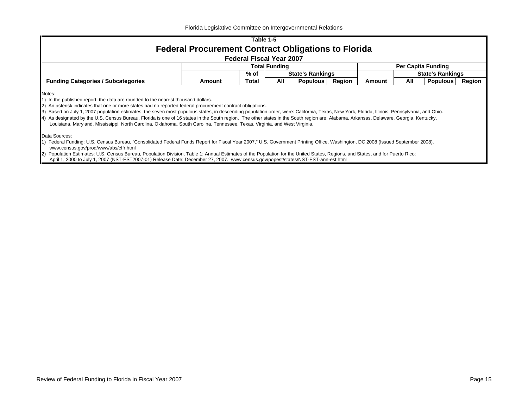| Table 1-5                                                                                                                                                                                                                                                                                                                                                                                                                                                                                                                                                                                                                                                                                                               |  |  |  |  |  |  |  |  |  |  |  |  |
|-------------------------------------------------------------------------------------------------------------------------------------------------------------------------------------------------------------------------------------------------------------------------------------------------------------------------------------------------------------------------------------------------------------------------------------------------------------------------------------------------------------------------------------------------------------------------------------------------------------------------------------------------------------------------------------------------------------------------|--|--|--|--|--|--|--|--|--|--|--|--|
| <b>Federal Procurement Contract Obligations to Florida</b>                                                                                                                                                                                                                                                                                                                                                                                                                                                                                                                                                                                                                                                              |  |  |  |  |  |  |  |  |  |  |  |  |
|                                                                                                                                                                                                                                                                                                                                                                                                                                                                                                                                                                                                                                                                                                                         |  |  |  |  |  |  |  |  |  |  |  |  |
| <b>Federal Fiscal Year 2007</b>                                                                                                                                                                                                                                                                                                                                                                                                                                                                                                                                                                                                                                                                                         |  |  |  |  |  |  |  |  |  |  |  |  |
| <b>Per Capita Funding</b><br><b>Total Funding</b>                                                                                                                                                                                                                                                                                                                                                                                                                                                                                                                                                                                                                                                                       |  |  |  |  |  |  |  |  |  |  |  |  |
| % of<br><b>State's Rankings</b><br><b>State's Rankings</b>                                                                                                                                                                                                                                                                                                                                                                                                                                                                                                                                                                                                                                                              |  |  |  |  |  |  |  |  |  |  |  |  |
| All<br><b>Populous</b><br><b>Funding Categories / Subcategories</b><br><b>Populous</b><br>All<br>Region<br>Region<br>Amount<br>Total<br>Amount                                                                                                                                                                                                                                                                                                                                                                                                                                                                                                                                                                          |  |  |  |  |  |  |  |  |  |  |  |  |
| 1) In the published report, the data are rounded to the nearest thousand dollars.<br>2) An asterisk indicates that one or more states had no reported federal procurement contract obligations.<br>3) Based on July 1, 2007 population estimates, the seven most populous states, in descending population order, were: California, Texas, New York, Florida, Illinois, Pennsylvania, and Ohio.<br>4) As designated by the U.S. Census Bureau, Florida is one of 16 states in the South region. The other states in the South region are: Alabama, Arkansas, Delaware, Georgia, Kentucky,<br>Louisiana, Maryland, Mississippi, North Carolina, Oklahoma, South Carolina, Tennessee, Texas, Virginia, and West Virginia. |  |  |  |  |  |  |  |  |  |  |  |  |
| Data Sources:<br>Federal Funding: U.S. Census Bureau, "Consolidated Federal Funds Report for Fiscal Year 2007," U.S. Government Printing Office, Washington, DC 2008 (Issued September 2008).<br>www.census.gov/prod/www/abs/cffr.html<br>Population Estimates: U.S. Census Bureau, Population Division, Table 1: Annual Estimates of the Population for the United States, Regions, and States, and for Puerto Rico:<br>2)<br>April 1, 2000 to July 1, 2007 (NST-EST2007-01) Release Date: December 27, 2007. www.census.gov/popest/states/NST-EST-ann-est.html                                                                                                                                                        |  |  |  |  |  |  |  |  |  |  |  |  |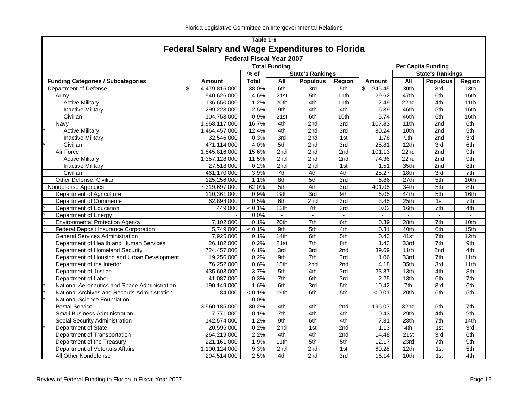<span id="page-27-0"></span>

| Table 1-6                                     |                                                        |              |                                 |                             |        |                   |                  |                           |                             |  |  |
|-----------------------------------------------|--------------------------------------------------------|--------------|---------------------------------|-----------------------------|--------|-------------------|------------------|---------------------------|-----------------------------|--|--|
|                                               | <b>Federal Salary and Wage Expenditures to Florida</b> |              |                                 |                             |        |                   |                  |                           |                             |  |  |
|                                               |                                                        |              | <b>Federal Fiscal Year 2007</b> |                             |        |                   |                  |                           |                             |  |  |
|                                               |                                                        |              | <b>Total Funding</b>            |                             |        |                   |                  | <b>Per Capita Funding</b> |                             |  |  |
|                                               |                                                        | $%$ of       |                                 | <b>State's Rankings</b>     |        |                   |                  | <b>State's Rankings</b>   |                             |  |  |
| <b>Funding Categories / Subcategories</b>     | <b>Amount</b>                                          | <b>Total</b> | <b>All</b>                      | <b>Populous</b>             | Region | Amount            | All              | <b>Populous</b>           | Region                      |  |  |
| <b>Department of Defense</b>                  | \$<br>4,479,815,000                                    | 38.0%        | 6th                             | 3rd                         | 5th    | \$<br>245.45      | 30 <sub>th</sub> | 3rd                       | 13th                        |  |  |
| Army                                          | 540,626,000                                            | 4.6%         | 21st                            | 5th                         | 11th   | 29.62             | 47th             | 6th                       | 16th                        |  |  |
| <b>Active Military</b>                        | 136,650,000                                            | 1.2%         | 20th                            | 4th                         | 11th   | 7.49              | 22 <sub>nd</sub> | 4th                       | 11th                        |  |  |
| <b>Inactive Military</b>                      | 299,223,000                                            | 2.5%         | 9th                             | 4th                         | 4th    | 16.39             | 46th             | 5th                       | 16th                        |  |  |
| Civilian                                      | 104,753,000                                            | 0.9%         | 21st                            | 6th                         | 10th   | 5.74              | 46th             | 6th                       | 16th                        |  |  |
| Navy                                          | 1,968,117,000                                          | 16.7%        | 4th                             | 2nd                         | 3rd    | 107.83            | 11th             | 2nd                       | 6th                         |  |  |
| <b>Active Military</b>                        | 1,464,457,000                                          | 12.4%        | 4th                             | 2nd                         | 3rd    | 80.24             | 10th             | 2nd                       | 5th                         |  |  |
| <b>Inactive Military</b>                      | 32,546,000                                             | 0.3%         | 3rd                             | 2nd                         | 1st    | 1.78              | 9th              | 2nd                       | 3rd                         |  |  |
| Civilian                                      | 471,114,000                                            | 4.0%         | 5th                             | 2nd                         | 3rd    | 25.81             | 12th             | 3rd                       | 6th                         |  |  |
| Air Force                                     | 1,845,816,000                                          | 15.6%        | 2nd                             | 2nd                         | 2nd    | 101.13            | 22nd             | 2nd                       | 9th                         |  |  |
| <b>Active Military</b>                        | 1,357,128,000                                          | 11.5%        | 2nd                             | 2nd                         | 2nd    | 74.36             | 22n <sub>d</sub> | 2nd                       | 9th                         |  |  |
| <b>Inactive Military</b>                      | 27,518,000                                             | 0.2%         | 2nd                             | 2nd                         | 1st    | $\overline{1.51}$ | 35th             | 2nd                       | 8th                         |  |  |
| Civilian                                      | 461,170,000                                            | 3.9%         | 7th                             | 4th                         | 4th    | 25.27             | 18th             | 3rd                       | 7th                         |  |  |
| Other Defense: Civilian                       | 125,256,000                                            | 1.1%         | 8th                             | 5th                         | 3rd    | 6.86              | 27th             | 5th                       | 10th                        |  |  |
| Nondefense Agencies                           | 7,319,697,000                                          | 62.0%        | 5th                             | 4th                         | 3rd    | 401.05            | 34th             | 5th                       | 8th                         |  |  |
| Department of Agriculture                     | 110,361,000                                            | 0.9%         | 19th                            | 3rd                         | 9th    | 6.05              | 44th             | 5th                       | 16th                        |  |  |
| <b>Department of Commerce</b>                 | 62,898,000                                             | 0.5%         | 6th                             | 2nd                         | 3rd    | 3.45              | 25th             | 1st                       | 7th                         |  |  |
| Department of Education                       | 449.000                                                | $< 0.1\%$    | 12th                            | 7th                         | 3rd    | 0.02              | 16th             | 7th                       | 4th                         |  |  |
| Department of Energy                          |                                                        | 0.0%         | $\mathcal{L}^{\mathcal{L}}$     | $\mathcal{L}^{\mathcal{A}}$ | $\sim$ | $\sim$            | $\sim$           | ÷.                        | $\mathcal{L}^{\mathcal{A}}$ |  |  |
| <b>Environmental Protection Agency</b>        | 7,102,000                                              | 0.1%         | 20th                            | 7th                         | 6th    | 0.39              | 28th             | 7th                       | 10th                        |  |  |
| Federal Deposit Insurance Corporation         | 5,749,000                                              | $< 0.1\%$    | 9th                             | 5th                         | 4th    | 0.31              | 40th             | 6th                       | 15th                        |  |  |
| <b>General Services Administration</b>        | 7,925,000                                              | 0.1%         | 14th                            | 6th                         | 5th    | 0.43              | 41st             | 7th                       | 12th                        |  |  |
| Department of Health and Human Services       | 26,182,000                                             | 0.2%         | 21st                            | 7th                         | 8th    | 1.43              | 33rd             | 7th                       | 9th                         |  |  |
| Department of Homeland Security               | 724,457,000                                            | 6.1%         | 3rd                             | 3rd                         | 2nd    | 39.69             | 11th             | 2nd                       | 4th                         |  |  |
| Department of Housing and Urban Development   | 19,256,000                                             | 0.2%         | 9th                             | 7th                         | 3rd    | 1.06              | 33rd             | 7th                       | 11th                        |  |  |
| Department of the Interior                    | 76,252,000                                             | 0.6%         | 15th                            | 2nd                         | 2nd    | 4.18              | 35th             | 3rd                       | 11th                        |  |  |
| Department of Justice                         | 435,603,000                                            | 3.7%         | 5th                             | 4th                         | 3rd    | 23.87             | 13th             | 4th                       | 8th                         |  |  |
| Department of Labor                           | 41,087,000                                             | 0.3%         | 7th                             | 6th                         | 3rd    | 2.25              | 18th             | 6th                       | $\overline{7}$ th           |  |  |
| National Aeronautics and Space Administration | 190,149,000                                            | 1.6%         | 6th                             | 3rd                         | 5th    | 10.42             | 7th              | 3rd                       | 6th                         |  |  |
| National Archives and Records Administration  | 84.000                                                 | $< 0.1\%$    | 19th                            | 6th                         | 5th    | < 0.01            | 20th             | 6th                       | 5th                         |  |  |
| National Science Foundation                   |                                                        | 0.0%         | $\sim$                          | $\blacksquare$              | $\sim$ | $\sim$            | $\sim$           | $\sim$                    | $\sim$                      |  |  |
| Postal Service                                | 3,560,185,000                                          | 30.2%        | 4th                             | 4th                         | 2nd    | 195.07            | 32nd             | 5th                       | 7th                         |  |  |
| <b>Small Business Administration</b>          | 7,771,000                                              | 0.1%         | 7th                             | 4th                         | 4th    | 0.43              | 29th             | 4th                       | 9th                         |  |  |
| Social Security Administration                | 142,574,000                                            | 1.2%         | 9th                             | 6th                         | 4th    | 7.81              | 28th             | 7th                       | 14th                        |  |  |
| Department of State                           | 20,595,000                                             | 0.2%         | 2nd                             | 1st                         | 2nd    | 1.13              | 4th              | 1st                       | 3rd                         |  |  |
| Department of Transportation                  | 264,219,000                                            | 2.2%         | 4th                             | 4th                         | 2nd    | 14.48             | 21st             | 3rd                       | 6th                         |  |  |
| Department of the Treasury                    | 221,161,000                                            | 1.9%         | 11th                            | 5th                         | 5th    | 12.17             | 23rd             | 7th                       | 9th                         |  |  |
| Department of Veterans Affairs                | 1,100,124,000                                          | 9.3%         | 2nd                             | 2nd                         | 1st    | 60.28             | 12th             | 1st                       | 5th                         |  |  |
| All Other Nondefense                          | 294,514,000                                            | 2.5%         | 4th                             | 2nd                         | 3rd    | 16.14             | 10th             | 1st                       | 4th                         |  |  |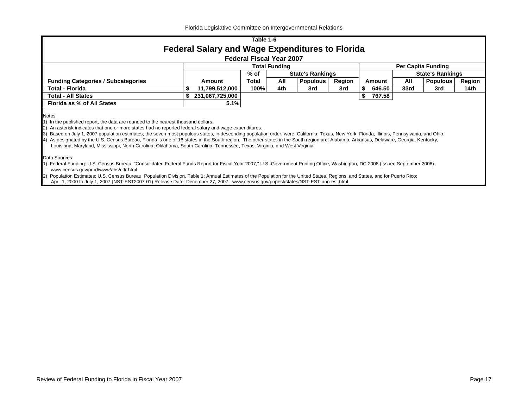| Table 1-6<br><b>Federal Salary and Wage Expenditures to Florida</b> |  |                 |                                 |                      |                         |        |  |        |      |                         |               |  |
|---------------------------------------------------------------------|--|-----------------|---------------------------------|----------------------|-------------------------|--------|--|--------|------|-------------------------|---------------|--|
|                                                                     |  |                 | <b>Federal Fiscal Year 2007</b> |                      |                         |        |  |        |      |                         |               |  |
|                                                                     |  |                 |                                 | <b>Total Funding</b> |                         |        |  |        |      | Per Capita Funding      |               |  |
|                                                                     |  |                 | % of                            |                      | <b>State's Rankings</b> |        |  |        |      | <b>State's Rankings</b> |               |  |
| <b>Funding Categories / Subcategories</b>                           |  | Amount          | Total                           | All                  | <b>Populous</b>         | Region |  | Amount | All  | <b>Populous</b>         | <b>Region</b> |  |
| <b>Total - Florida</b>                                              |  | 11,799,512,000  | 100%                            | 4th                  | 3rd                     | 3rd    |  | 646.50 | 33rd | 3rd                     | 14th          |  |
| <b>Total - All States</b>                                           |  | 231,067,725,000 |                                 |                      |                         |        |  | 767.58 |      |                         |               |  |
| Florida as % of All States                                          |  | 5.1%            |                                 |                      |                         |        |  |        |      |                         |               |  |
| $N = 1 - 1 - 1$                                                     |  |                 |                                 |                      |                         |        |  |        |      |                         |               |  |

1) In the published report, the data are rounded to the nearest thousand dollars.

2) An asterisk indicates that one or more states had no reported federal salary and wage expenditures.

3) Based on July 1, 2007 population estimates, the seven most populous states, in descending population order, were: California, Texas, New York, Florida, Illinois, Pennsylvania, and Ohio.

4) As designated by the U.S. Census Bureau, Florida is one of 16 states in the South region. The other states in the South region are: Alabama, Arkansas, Delaware, Georgia, Kentucky, Louisiana, Maryland, Mississippi, North Carolina, Oklahoma, South Carolina, Tennessee, Texas, Virginia, and West Virginia.

Data Sources:

1) Federal Funding: U.S. Census Bureau, "Consolidated Federal Funds Report for Fiscal Year 2007," U.S. Government Printing Office, Washington, DC 2008 (Issued September 2008). www.census.gov/prod/www/abs/cffr.html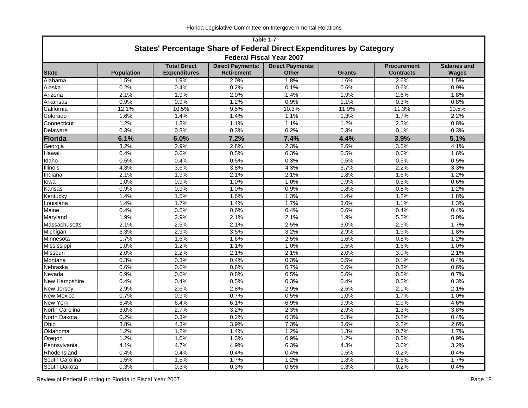<span id="page-29-0"></span>

| Table 1-7            |                                                                                                        |                     |                         |                         |               |                    |                     |  |  |  |  |  |  |  |
|----------------------|--------------------------------------------------------------------------------------------------------|---------------------|-------------------------|-------------------------|---------------|--------------------|---------------------|--|--|--|--|--|--|--|
|                      | States' Percentage Share of Federal Direct Expenditures by Category<br><b>Federal Fiscal Year 2007</b> |                     |                         |                         |               |                    |                     |  |  |  |  |  |  |  |
|                      |                                                                                                        | <b>Total Direct</b> | <b>Direct Payments:</b> | <b>Direct Payments:</b> |               | <b>Procurement</b> | <b>Salaries and</b> |  |  |  |  |  |  |  |
| <b>State</b>         | <b>Population</b>                                                                                      | <b>Expenditures</b> | <b>Retirement</b>       | <b>Other</b>            | <b>Grants</b> | <b>Contracts</b>   | Wages               |  |  |  |  |  |  |  |
| Alabama              | 1.5%                                                                                                   | 1.9%                | 2.0%                    | 1.8%                    | 1.6%          | 2.6%               | 1.5%                |  |  |  |  |  |  |  |
| Alaska               | 0.2%                                                                                                   | 0.4%                | 0.2%                    | 0.1%                    | 0.6%          | 0.6%               | 0.9%                |  |  |  |  |  |  |  |
| Arizona              | 2.1%                                                                                                   | 1.9%                | 2.0%                    | 1.4%                    | 1.9%          | 2.6%               | 1.8%                |  |  |  |  |  |  |  |
| Arkansas             | 0.9%                                                                                                   | 0.9%                | 1.2%                    | 0.9%                    | 1.1%          | 0.3%               | 0.8%                |  |  |  |  |  |  |  |
| California           | 12.1%                                                                                                  | 10.5%               | 9.5%                    | 10.3%                   | 11.9%         | 11.3%              | 10.5%               |  |  |  |  |  |  |  |
| Colorado             | 1.6%                                                                                                   | 1.4%                | 1.4%                    | 1.1%                    | 1.3%          | 1.7%               | 2.2%                |  |  |  |  |  |  |  |
| Connecticut          | 1.2%                                                                                                   | 1.3%                | 1.1%                    | 1.1%                    | 1.2%          | 2.3%               | 0.8%                |  |  |  |  |  |  |  |
| Delaware             | 0.3%                                                                                                   | 0.3%                | 0.3%                    | 0.2%                    | 0.3%          | 0.1%               | 0.3%                |  |  |  |  |  |  |  |
| Florida              | 6.1%                                                                                                   | 6.0%                | 7.2%                    | 7.4%                    | 4.4%          | 3.9%               | 5.1%                |  |  |  |  |  |  |  |
| Georgia              | 3.2%                                                                                                   | 2.9%                | 2.8%                    | 2.3%                    | 2.6%          | 3.5%               | 4.1%                |  |  |  |  |  |  |  |
| Hawaii               | 0.4%                                                                                                   | 0.6%                | 0.5%                    | 0.3%                    | 0.5%          | 0.6%               | 1.6%                |  |  |  |  |  |  |  |
| Idaho                | 0.5%                                                                                                   | 0.4%                | 0.5%                    | 0.3%                    | 0.5%          | 0.5%               | 0.5%                |  |  |  |  |  |  |  |
| Illinois             | 4.3%                                                                                                   | 3.6%                | 3.8%                    | 4.3%                    | 3.7%          | 2.2%               | 3.3%                |  |  |  |  |  |  |  |
| Indiana              | 2.1%                                                                                                   | 1.9%                | 2.1%                    | 2.1%                    | 1.8%          | 1.6%               | 1.2%                |  |  |  |  |  |  |  |
| lowa                 | 1.0%                                                                                                   | 0.9%                | 1.0%                    | 1.0%                    | 0.9%          | 0.5%               | 0.6%                |  |  |  |  |  |  |  |
| Kansas               | 0.9%                                                                                                   | 0.9%                | 1.0%                    | 0.9%                    | 0.8%          | 0.8%               | 1.2%                |  |  |  |  |  |  |  |
| Kentucky             | 1.4%                                                                                                   | 1.5%                | 1.6%                    | 1.3%                    | 1.4%          | 1.2%               | 1.8%                |  |  |  |  |  |  |  |
| Louisiana            | 1.4%                                                                                                   | 1.7%                | 1.4%                    | 1.7%                    | 3.0%          | 1.1%               | 1.3%                |  |  |  |  |  |  |  |
| Maine                | 0.4%                                                                                                   | 0.5%                | 0.6%                    | 0.4%                    | 0.6%          | 0.4%               | 0.4%                |  |  |  |  |  |  |  |
| Maryland             | 1.9%                                                                                                   | 2.9%                | 2.1%                    | 2.1%                    | 1.9%          | 5.2%               | 5.0%                |  |  |  |  |  |  |  |
| <b>Massachusetts</b> | 2.1%                                                                                                   | 2.5%                | 2.1%                    | 2.5%                    | 3.0%          | 2.9%               | 1.7%                |  |  |  |  |  |  |  |
| Michigan             | 3.3%                                                                                                   | 2.9%                | 3.5%                    | 3.2%                    | 2.9%          | 1.9%               | 1.8%                |  |  |  |  |  |  |  |
| Minnesota            | 1.7%                                                                                                   | 1.6%                | 1.6%                    | 2.5%                    | 1.6%          | 0.8%               | 1.2%                |  |  |  |  |  |  |  |
| Mississippi          | 1.0%                                                                                                   | 1.2%                | 1.1%                    | 1.0%                    | 1.5%          | 1.6%               | 1.0%                |  |  |  |  |  |  |  |
| Missouri             | 2.0%                                                                                                   | 2.2%                | 2.1%                    | 2.1%                    | 2.0%          | 3.0%               | 2.1%                |  |  |  |  |  |  |  |
| Montana              | 0.3%                                                                                                   | 0.3%                | 0.4%                    | 0.3%                    | 0.5%          | 0.1%               | 0.4%                |  |  |  |  |  |  |  |
| Nebraska             | 0.6%                                                                                                   | 0.6%                | 0.6%                    | 0.7%                    | 0.6%          | 0.3%               | 0.6%                |  |  |  |  |  |  |  |
| Nevada               | 0.9%                                                                                                   | 0.6%                | 0.8%                    | 0.5%                    | 0.6%          | 0.5%               | 0.7%                |  |  |  |  |  |  |  |
| New Hampshire        | 0.4%                                                                                                   | 0.4%                | 0.5%                    | 0.3%                    | 0.4%          | 0.5%               | 0.3%                |  |  |  |  |  |  |  |
| <b>New Jersey</b>    | 2.9%                                                                                                   | 2.6%                | 2.8%                    | 2.9%                    | 2.5%          | 2.1%               | 2.1%                |  |  |  |  |  |  |  |
| New Mexico           | 0.7%                                                                                                   | 0.9%                | 0.7%                    | 0.5%                    | 1.0%          | 1.7%               | 1.0%                |  |  |  |  |  |  |  |
| New York             | 6.4%                                                                                                   | 6.4%                | 6.1%                    | 6.9%                    | 9.9%          | 2.9%               | 4.6%                |  |  |  |  |  |  |  |
| North Carolina       | 3.0%                                                                                                   | 2.7%                | 3.2%                    | 2.3%                    | 2.9%          | 1.3%               | 3.8%                |  |  |  |  |  |  |  |
| North Dakota         | 0.2%                                                                                                   | 0.3%                | 0.2%                    | 0.3%                    | 0.3%          | 0.2%               | 0.4%                |  |  |  |  |  |  |  |
| Ohio                 | 3.8%                                                                                                   | 4.3%                | 3.9%                    | 7.3%                    | 3.6%          | 2.2%               | 2.6%                |  |  |  |  |  |  |  |
| Oklahoma             | 1.2%                                                                                                   | 1.2%                | 1.4%                    | 1.2%                    | 1.3%          | 0.7%               | 1.7%                |  |  |  |  |  |  |  |
| Oregon               | 1.2%                                                                                                   | 1.0%                | 1.3%                    | 0.9%                    | 1.2%          | 0.5%               | 0.9%                |  |  |  |  |  |  |  |
| Pennsylvania         | 4.1%                                                                                                   | 4.7%                | 4.9%                    | 6.3%                    | 4.3%          | 3.6%               | 3.2%                |  |  |  |  |  |  |  |
| Rhode Island         | 0.4%                                                                                                   | 0.4%                | 0.4%                    | 0.4%                    | 0.5%          | 0.2%               | 0.4%                |  |  |  |  |  |  |  |
| South Carolina       | 1.5%                                                                                                   | 1.5%                | 1.7%                    | 1.2%                    | 1.3%          | 1.6%               | 1.7%                |  |  |  |  |  |  |  |
| South Dakota         | 0.3%                                                                                                   | 0.3%                | 0.3%                    | 0.5%                    | 0.3%          | 0.2%               | 0.4%                |  |  |  |  |  |  |  |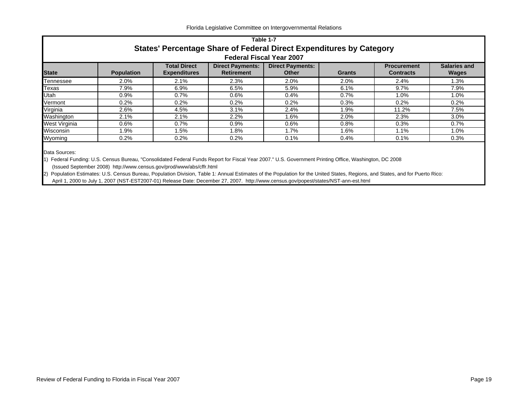| Table 1-7<br>States' Percentage Share of Federal Direct Expenditures by Category<br><b>Federal Fiscal Year 2007</b> |                   |                                            |                                              |                                         |               |                                        |                                     |  |  |  |  |  |  |
|---------------------------------------------------------------------------------------------------------------------|-------------------|--------------------------------------------|----------------------------------------------|-----------------------------------------|---------------|----------------------------------------|-------------------------------------|--|--|--|--|--|--|
| <b>State</b>                                                                                                        | <b>Population</b> | <b>Total Direct</b><br><b>Expenditures</b> | <b>Direct Payments:</b><br><b>Retirement</b> | <b>Direct Payments:</b><br><b>Other</b> | <b>Grants</b> | <b>Procurement</b><br><b>Contracts</b> | <b>Salaries and</b><br><b>Wages</b> |  |  |  |  |  |  |
| Tennessee                                                                                                           | 2.0%              | 2.1%                                       | 2.3%                                         | 2.0%                                    | 2.0%          | 2.4%                                   | $1.3\%$                             |  |  |  |  |  |  |
| Texas                                                                                                               | 7.9%              | 6.9%                                       | 6.5%                                         | 5.9%                                    | 6.1%          | 9.7%                                   | 7.9%                                |  |  |  |  |  |  |
| Utah                                                                                                                | 0.9%              | 0.7%                                       | 0.6%                                         | 0.4%                                    | 0.7%          | 1.0%                                   | 1.0%                                |  |  |  |  |  |  |
| Vermont                                                                                                             | 0.2%              | 0.2%                                       | $0.2\%$                                      | 0.2%                                    | 0.3%          | 0.2%                                   | 0.2%                                |  |  |  |  |  |  |
| Virginia                                                                                                            | 2.6%              | 4.5%                                       | 3.1%                                         | 2.4%                                    | 1.9%          | 11.2%                                  | 7.5%                                |  |  |  |  |  |  |
| Washington                                                                                                          | 2.1%              | 2.1%                                       | 2.2%                                         | 1.6%                                    | 2.0%          | 2.3%                                   | 3.0%                                |  |  |  |  |  |  |
| West Virginia                                                                                                       | 0.6%              | 0.7%                                       | 0.9%                                         | $0.6\%$                                 | $0.8\%$       | 0.3%                                   | 0.7%                                |  |  |  |  |  |  |
| Wisconsin                                                                                                           | ∣.9%              | 1.5%                                       | 1.8%                                         | $1.7\%$                                 | 1.6%          | 1.1%                                   | 1.0%                                |  |  |  |  |  |  |
| Wyoming                                                                                                             | 0.2%              | 0.2%                                       | $0.2\%$                                      | 0.1%                                    | $0.4\%$       | $0.1\%$                                | 0.3%                                |  |  |  |  |  |  |

Data Sources:

1) Federal Funding: U.S. Census Bureau, "Consolidated Federal Funds Report for Fiscal Year 2007." U.S. Government Printing Office, Washington, DC 2008 (Issued September 2008) http://www.census.gov/prod/www/abs/cffr.html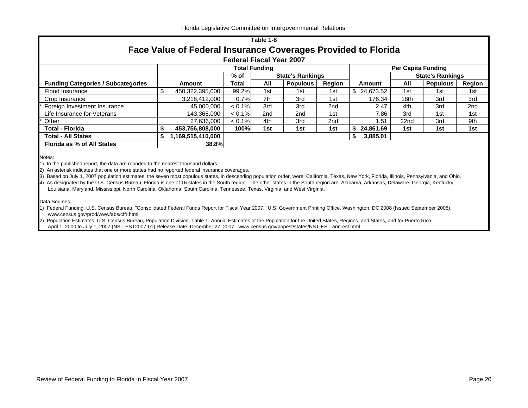<span id="page-31-0"></span>

|                                                                                                  | Table 1-8 |                  |           |     |                 |        |                  |      |                 |        |  |  |  |  |
|--------------------------------------------------------------------------------------------------|-----------|------------------|-----------|-----|-----------------|--------|------------------|------|-----------------|--------|--|--|--|--|
| Face Value of Federal Insurance Coverages Provided to Florida<br><b>Federal Fiscal Year 2007</b> |           |                  |           |     |                 |        |                  |      |                 |        |  |  |  |  |
| <b>Per Capita Funding</b><br>Total Funding                                                       |           |                  |           |     |                 |        |                  |      |                 |        |  |  |  |  |
| $%$ of<br><b>State's Rankings</b><br><b>State's Rankings</b>                                     |           |                  |           |     |                 |        |                  |      |                 |        |  |  |  |  |
| <b>Funding Categories / Subcategories</b>                                                        |           | Amount           | Total     | All | <b>Populous</b> | Region | Amount           | All  | <b>Populous</b> | Region |  |  |  |  |
| Flood Insurance                                                                                  | \$        | 450,322,395,000  | 99.2%     | 1st | 1st             | 1st    | \$.<br>24.673.52 | 1st  | 1st             | 1st    |  |  |  |  |
| Crop Insurance                                                                                   |           | 3.218.412.000    | 0.7%      | 7th | 3rd             | 1st    | 176.34           | 18th | 3rd             | 3rd    |  |  |  |  |
| Foreign Investment Insurance                                                                     |           | 45,000,000       | $< 0.1\%$ | 3rd | 3rd             | 2nd    | 2.47             | 4th  | 3rd             | 2nd    |  |  |  |  |
| Life Insurance for Veterans                                                                      |           | 143,365,000      | $< 0.1\%$ | 2nd | 2nd             | 1st    | 7.86             | 3rd  | 1st             | 1st    |  |  |  |  |
| Other                                                                                            |           | 27,636,000       | $< 0.1\%$ | 4th | 3rd             | 2nd    | .51              | 22nd | 3rd             | 9th    |  |  |  |  |
| <b>Total - Florida</b>                                                                           | \$        | 453,756,808,000  | 100%      | 1st | 1st             | 1st    | 24,861.69        | 1st  | 1st             | 1st    |  |  |  |  |
| <b>Total - All States</b>                                                                        | \$        | .169,515,410,000 |           |     |                 |        | 3,885.01         |      |                 |        |  |  |  |  |
| Florida as % of All States                                                                       |           | 38.8%            |           |     |                 |        |                  |      |                 |        |  |  |  |  |

1) In the published report, the data are rounded to the nearest thousand dollars.

2) An asterisk indicates that one or more states had no reported federal insurance coverages.

3) Based on July 1, 2007 population estimates, the seven most populous states, in descending population order, were: California, Texas, New York, Florida, Illinois, Pennsylvania, and Ohio.

4) As designated by the U.S. Census Bureau, Florida is one of 16 states in the South region. The other states in the South region are: Alabama, Arkansas, Delaware, Georgia, Kentucky, Louisiana, Maryland, Mississippi, North Carolina, Oklahoma, South Carolina, Tennessee, Texas, Virginia, and West Virginia.

Data Sources:

1) Federal Funding: U.S. Census Bureau, "Consolidated Federal Funds Report for Fiscal Year 2007," U.S. Government Printing Office, Washington, DC 2008 (Issued September 2008). www.census.gov/prod/www/abs/cffr.html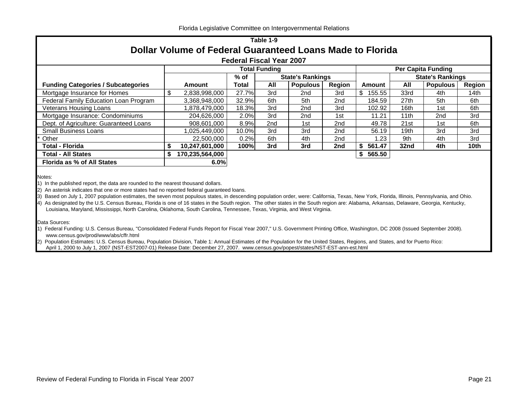<span id="page-32-0"></span>

| Table 1-9                                                         |    |                                                           |        |     |                         |                 |              |                  |                         |                  |  |  |  |  |
|-------------------------------------------------------------------|----|-----------------------------------------------------------|--------|-----|-------------------------|-----------------|--------------|------------------|-------------------------|------------------|--|--|--|--|
|                                                                   |    | Dollar Volume of Federal Guaranteed Loans Made to Florida |        |     |                         |                 |              |                  |                         |                  |  |  |  |  |
| <b>Federal Fiscal Year 2007</b>                                   |    |                                                           |        |     |                         |                 |              |                  |                         |                  |  |  |  |  |
| <b>Total Funding</b><br><b>Per Capita Funding</b>                 |    |                                                           |        |     |                         |                 |              |                  |                         |                  |  |  |  |  |
|                                                                   |    |                                                           | $%$ of |     | <b>State's Rankings</b> |                 |              |                  | <b>State's Rankings</b> |                  |  |  |  |  |
| <b>Funding Categories / Subcategories</b>                         |    | Amount                                                    | Total  | All | <b>Populous</b>         | Region          | Amount       | All              | <b>Populous</b>         | Region           |  |  |  |  |
| Mortgage Insurance for Homes                                      | \$ | 2,838,998,000                                             | 27.7%  | 3rd | 2nd                     | 3rd             | \$<br>155.55 | 33rd             | 4th                     | 14th             |  |  |  |  |
| Federal Family Education Loan Program                             |    | 3.368.948.000                                             | 32.9%  | 6th | 5th                     | 2 <sub>nd</sub> | 184.59       | 27th             | 5th                     | 6th              |  |  |  |  |
| Veterans Housing Loans                                            |    | 1.878.479.000                                             | 18.3%  | 3rd | 2nd                     | 3rd             | 102.92       | 16th             | 1st                     | 6th              |  |  |  |  |
| Mortgage Insurance: Condominiums                                  |    | 204,626,000                                               | 2.0%   | 3rd | 2nd                     | 1st             | 11.21        | 11th             | 2nd                     | 3rd              |  |  |  |  |
| Dept. of Agriculture: Guaranteed Loans                            |    | 908.601.000                                               | 8.9%   | 2nd | 1st                     | 2 <sub>nd</sub> | 49.78        | 21st             | 1st                     | 6th              |  |  |  |  |
| <b>Small Business Loans</b>                                       |    | 1,025,449,000                                             | 10.0%  | 3rd | 3rd                     | 2 <sub>nd</sub> | 56.19        | 19 <sub>th</sub> | 3rd                     | 3rd              |  |  |  |  |
| Other                                                             |    | 22,500,000                                                | 0.2%   | 6th | 4th                     | 2 <sub>nd</sub> | 1.23         | 9th              | 4th                     | 3rd              |  |  |  |  |
| <b>Total - Florida</b>                                            | S  | 10,247,601,000                                            | 100%   | 3rd | 3rd                     | 2nd             | S.<br>561.47 | 32nd             | 4th                     | 10 <sub>th</sub> |  |  |  |  |
| 170,235,564,000<br>565.50<br><b>Total - All States</b><br>\$<br>S |    |                                                           |        |     |                         |                 |              |                  |                         |                  |  |  |  |  |
| 6.0%<br>Florida as % of All States                                |    |                                                           |        |     |                         |                 |              |                  |                         |                  |  |  |  |  |

1) In the published report, the data are rounded to the nearest thousand dollars.

2) An asterisk indicates that one or more states had no reported federal guaranteed loans.

3) Based on July 1, 2007 population estimates, the seven most populous states, in descending population order, were: California, Texas, New York, Florida, Illinois, Pennsylvania, and Ohio.

4) As designated by the U.S. Census Bureau, Florida is one of 16 states in the South region. The other states in the South region are: Alabama, Arkansas, Delaware, Georgia, Kentucky, Louisiana, Maryland, Mississippi, North Carolina, Oklahoma, South Carolina, Tennessee, Texas, Virginia, and West Virginia.

Data Sources:

1) Federal Funding: U.S. Census Bureau, "Consolidated Federal Funds Report for Fiscal Year 2007," U.S. Government Printing Office, Washington, DC 2008 (Issued September 2008). www.census.gov/prod/www/abs/cffr.html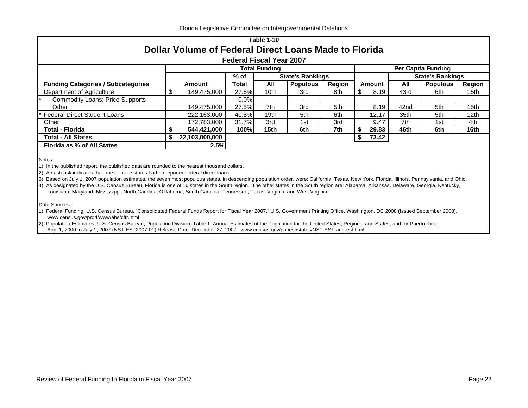<span id="page-33-0"></span>

|                                                   | <b>Table 1-10</b><br>Dollar Volume of Federal Direct Loans Made to Florida |                |         |                          |                         |        |    |                          |      |                         |                  |  |  |  |
|---------------------------------------------------|----------------------------------------------------------------------------|----------------|---------|--------------------------|-------------------------|--------|----|--------------------------|------|-------------------------|------------------|--|--|--|
| <b>Federal Fiscal Year 2007</b>                   |                                                                            |                |         |                          |                         |        |    |                          |      |                         |                  |  |  |  |
| <b>Total Funding</b><br>Per Capita Funding        |                                                                            |                |         |                          |                         |        |    |                          |      |                         |                  |  |  |  |
|                                                   |                                                                            |                | $%$ of  |                          | <b>State's Rankings</b> |        |    |                          |      | <b>State's Rankings</b> |                  |  |  |  |
| <b>Funding Categories / Subcategories</b>         |                                                                            | Amount         | Total   | All                      | <b>Populous</b>         | Region |    | Amount                   | All  | <b>Populous</b>         | Region           |  |  |  |
| Department of Agriculture                         | \$                                                                         | 149.475.000    | 27.5%   | 10th                     | 3rd                     | 8th    |    | 8.19                     | 43rd | 6th                     | 15th             |  |  |  |
| $\star$<br><b>Commodity Loans: Price Supports</b> |                                                                            | $\blacksquare$ | $0.0\%$ | $\overline{\phantom{a}}$ |                         |        |    | $\overline{\phantom{a}}$ |      |                         |                  |  |  |  |
| Other                                             |                                                                            | 149.475.000    | 27.5%   | 7th                      | 3rd                     | 5th    |    | 8.19                     | 42nd | 5th                     | 15 <sub>th</sub> |  |  |  |
| * Federal Direct Student Loans                    |                                                                            | 222.163.000    | 40.8%   | 19th                     | 5th                     | 6th    |    | 12.17                    | 35th | 5th                     | 12 <sub>th</sub> |  |  |  |
| Other                                             |                                                                            | 172.783.000    | 31.7%   | 3rd                      | 1st                     | 3rd    |    | 9.47                     | 7th  | 1st                     | 4th              |  |  |  |
| <b>Total - Florida</b>                            |                                                                            | 544.421.000    | 100%    | 15th                     | 6th                     | 7th    | \$ | 29.83                    | 46th | 6th                     | 16th             |  |  |  |
| <b>Total - All States</b>                         |                                                                            | 22,103,000,000 |         |                          |                         |        | S  | 73.42                    |      |                         |                  |  |  |  |
| Florida as % of All States                        |                                                                            | 2.5%           |         |                          |                         |        |    |                          |      |                         |                  |  |  |  |

1) In the published report, the published data are rounded to the nearest thousand dollars.

2) An asterisk indicates that one or more states had no reported federal direct loans.

3) Based on July 1, 2007 population estimates, the seven most populous states, in descending population order, were: California, Texas, New York, Florida, Illinois, Pennsylvania, and Ohio.

4) As designated by the U.S. Census Bureau, Florida is one of 16 states in the South region. The other states in the South region are: Alabama, Arkansas, Delaware, Georgia, Kentucky, Louisiana, Maryland, Mississippi, North Carolina, Oklahoma, South Carolina, Tennessee, Texas, Virginia, and West Virginia.

Data Sources:

1) Federal Funding: U.S. Census Bureau, "Consolidated Federal Funds Report for Fiscal Year 2007," U.S. Government Printing Office, Washington, DC 2008 (Issued September 2008). www.census.gov/prod/www/abs/cffr.html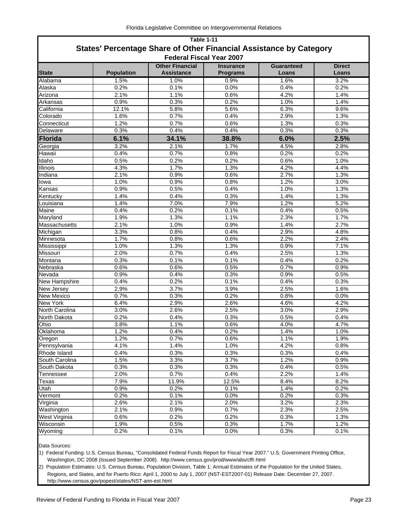<span id="page-34-0"></span>

| <b>Table 1-11</b>    |                   |                                                                    |                  |                   |               |  |  |  |  |  |  |
|----------------------|-------------------|--------------------------------------------------------------------|------------------|-------------------|---------------|--|--|--|--|--|--|
|                      |                   | States' Percentage Share of Other Financial Assistance by Category |                  |                   |               |  |  |  |  |  |  |
|                      |                   | <b>Federal Fiscal Year 2007</b>                                    |                  |                   |               |  |  |  |  |  |  |
|                      |                   | <b>Other Financial</b>                                             | <b>Insurance</b> | <b>Guaranteed</b> | <b>Direct</b> |  |  |  |  |  |  |
| <b>State</b>         | <b>Population</b> | <b>Assistance</b>                                                  | <b>Programs</b>  | Loans             | Loans         |  |  |  |  |  |  |
| Alabama              | 1.5%              | 1.0%                                                               | 0.9%             | 1.6%              | 3.2%          |  |  |  |  |  |  |
| Alaska               | 0.2%              | 0.1%                                                               | 0.0%             | 0.4%              | 0.2%          |  |  |  |  |  |  |
| Arizona              | 2.1%              | 1.1%                                                               | 0.6%             | 4.2%              | 1.4%          |  |  |  |  |  |  |
| Arkansas             | 0.9%              | 0.3%                                                               | 0.2%             | 1.0%              | 1.4%          |  |  |  |  |  |  |
| California           | 12.1%             | 5.8%                                                               | 5.6%             | 6.3%              | 9.6%          |  |  |  |  |  |  |
| Colorado             | 1.6%              | 0.7%                                                               | 0.4%             | 2.9%              | 1.3%          |  |  |  |  |  |  |
| Connecticut          | 1.2%              | 0.7%                                                               | 0.6%             | 1.3%              | 0.3%          |  |  |  |  |  |  |
| Delaware             | 0.3%              | 0.4%                                                               | 0.4%             | 0.3%              | 0.3%          |  |  |  |  |  |  |
| Florida              | 6.1%              | 34.1%                                                              | 38.8%            | 6.0%              | 2.5%          |  |  |  |  |  |  |
| Georgia              | 3.2%              | 2.1%                                                               | 1.7%             | 4.5%              | 2.8%          |  |  |  |  |  |  |
| Hawaii               | 0.4%              | 0.7%                                                               | 0.8%             | 0.2%              | 0.2%          |  |  |  |  |  |  |
| Idaho                | 0.5%              | 0.2%                                                               | 0.2%             | 0.6%              | 1.0%          |  |  |  |  |  |  |
| Illinois             | 4.3%              | 1.7%                                                               | 1.3%             | 4.2%              | 4.4%          |  |  |  |  |  |  |
| Indiana              | 2.1%              | 0.9%                                                               | 0.6%             | 2.7%              | 1.3%          |  |  |  |  |  |  |
| lowa                 | 1.0%              | 0.9%                                                               | 0.8%             | 1.2%              | 3.0%          |  |  |  |  |  |  |
| Kansas               | 0.9%              | 0.5%                                                               | 0.4%             | 1.0%              | 1.3%          |  |  |  |  |  |  |
| Kentucky             | 1.4%              | 0.4%                                                               | 0.3%             | 1.4%              | 1.3%          |  |  |  |  |  |  |
| Louisiana            | 1.4%              | 7.0%                                                               | 7.9%             | 1.2%              | 5.2%          |  |  |  |  |  |  |
| Maine                | 0.4%              | 0.2%                                                               | 0.1%             | 0.4%              | 0.5%          |  |  |  |  |  |  |
| Maryland             | 1.9%              | 1.3%                                                               | 1.1%             | 2.3%              | 1.7%          |  |  |  |  |  |  |
| <b>Massachusetts</b> | 2.1%              | 1.0%                                                               | 0.9%             | 1.4%              | 2.7%          |  |  |  |  |  |  |
| Michigan             | 3.3%              | 0.8%                                                               | 0.4%             | 2.9%              | 4.8%          |  |  |  |  |  |  |
| Minnesota            | 1.7%              | 0.8%                                                               | 0.6%             | 2.2%              | 2.4%          |  |  |  |  |  |  |
| Mississippi          | 1.0%              | 1.3%                                                               | 1.3%             | 0.9%              | 7.1%          |  |  |  |  |  |  |
| Missouri             | 2.0%              | 0.7%                                                               | 0.4%             | 2.5%              | 1.3%          |  |  |  |  |  |  |
| Montana              | 0.3%              | 0.1%                                                               | 0.1%             | 0.4%              | 0.2%          |  |  |  |  |  |  |
| Nebraska             | 0.6%              | 0.6%                                                               | 0.5%             | 0.7%              | 0.9%          |  |  |  |  |  |  |
| Nevada               | 0.9%              | 0.4%                                                               | 0.3%             | 0.9%              | 0.5%          |  |  |  |  |  |  |
| New Hampshire        | 0.4%              | 0.2%                                                               | 0.1%             | 0.4%              | 0.3%          |  |  |  |  |  |  |
| New Jersey           | 2.9%              | 3.7%                                                               | 3.9%             | 2.5%              | 1.6%          |  |  |  |  |  |  |
| <b>New Mexico</b>    | 0.7%              | 0.3%                                                               | 0.2%             | 0.8%              | 0.0%          |  |  |  |  |  |  |
| New York             | 6.4%              | 2.9%                                                               | 2.6%             | 4.6%              | 4.2%          |  |  |  |  |  |  |
| North Carolina       | 3.0%              | 2.6%                                                               | 2.5%             | 3.0%              | 2.9%          |  |  |  |  |  |  |
| North Dakota         | 0.2%              | 0.4%                                                               | 0.3%             | 0.5%              | 0.4%          |  |  |  |  |  |  |
| Ohio                 | 3.8%              | 1.1%                                                               | 0.6%             | 4.0%              | 4.7%          |  |  |  |  |  |  |
| Oklahoma             | 1.2%              | 0.4%                                                               | 0.2%             | 1.4%              | 1.0%          |  |  |  |  |  |  |
| Oregon               | 1.2%              | 0.7%                                                               | 0.6%             | 1.1%              | 1.9%          |  |  |  |  |  |  |
| Pennsylvania         | 4.1%              | 1.4%                                                               | 1.0%             | 4.2%              | 0.8%          |  |  |  |  |  |  |
| Rhode Island         | 0.4%              | 0.3%                                                               | 0.3%             | 0.3%              | 0.4%          |  |  |  |  |  |  |
| South Carolina       | 1.5%              | 3.3%                                                               | 3.7%             | 1.2%              | 0.9%          |  |  |  |  |  |  |
| South Dakota         | 0.3%              | 0.3%                                                               | 0.3%             | 0.4%              | 0.5%          |  |  |  |  |  |  |
| Tennessee            | 2.0%              | 0.7%                                                               | 0.4%             | 2.2%              | 1.4%          |  |  |  |  |  |  |
| Texas                | 7.9%              | 11.9%                                                              | 12.5%            | 8.4%              | 8.2%          |  |  |  |  |  |  |
| Utah                 | 0.9%              | 0.2%                                                               | 0.1%             | 1.4%              | 0.2%          |  |  |  |  |  |  |
| Vermont              | 0.2%              | 0.1%                                                               | 0.0%             | 0.2%              | 0.3%          |  |  |  |  |  |  |
| Virginia             | 2.6%              | 2.1%                                                               | 2.0%             | 3.2%              | 2.3%          |  |  |  |  |  |  |
| Washington           | 2.1%              | 0.9%                                                               | 0.7%             | 2.3%              | 2.5%          |  |  |  |  |  |  |
| West Virginia        | 0.6%              | 0.2%                                                               | 0.2%             | 0.3%              | 1.3%          |  |  |  |  |  |  |
| Wisconsin            | 1.9%              | 0.5%                                                               | 0.3%             | 1.7%              | 1.2%          |  |  |  |  |  |  |
| Wyoming              | 0.2%              | 0.1%                                                               | 0.0%             | 0.3%              | 0.1%          |  |  |  |  |  |  |

Data Sources:

1) Federal Funding: U.S. Census Bureau, "Consolidated Federal Funds Report for Fiscal Year 2007." U.S. Government Printing Office, Washington, DC 2008 (Issued September 2008). http://www.census.gov/prod/www/abs/cffr.html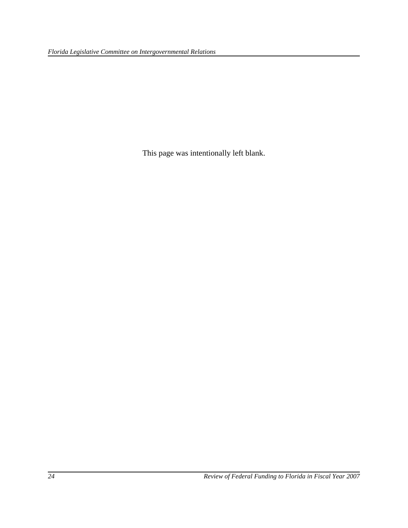This page was intentionally left blank.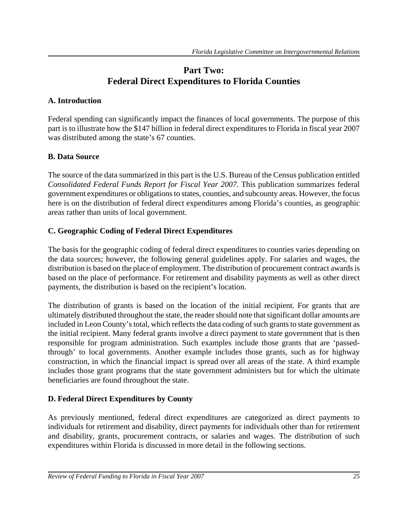# **Part Two: Federal Direct Expenditures to Florida Counties**

### **A. Introduction**

Federal spending can significantly impact the finances of local governments. The purpose of this part is to illustrate how the \$147 billion in federal direct expenditures to Florida in fiscal year 2007 was distributed among the state's 67 counties.

## **B. Data Source**

The source of the data summarized in this part is the U.S. Bureau of the Census publication entitled *Consolidated Federal Funds Report for Fiscal Year 2007*. This publication summarizes federal government expenditures or obligations to states, counties, and subcounty areas. However, the focus here is on the distribution of federal direct expenditures among Florida's counties, as geographic areas rather than units of local government.

## **C. Geographic Coding of Federal Direct Expenditures**

The basis for the geographic coding of federal direct expenditures to counties varies depending on the data sources; however, the following general guidelines apply. For salaries and wages, the distribution is based on the place of employment. The distribution of procurement contract awards is based on the place of performance. For retirement and disability payments as well as other direct payments, the distribution is based on the recipient's location.

The distribution of grants is based on the location of the initial recipient. For grants that are ultimately distributed throughout the state, the reader should note that significant dollar amounts are included in Leon County's total, which reflects the data coding of such grants to state government as the initial recipient. Many federal grants involve a direct payment to state government that is then responsible for program administration. Such examples include those grants that are 'passedthrough' to local governments. Another example includes those grants, such as for highway construction, in which the financial impact is spread over all areas of the state. A third example includes those grant programs that the state government administers but for which the ultimate beneficiaries are found throughout the state.

## **D. Federal Direct Expenditures by County**

As previously mentioned, federal direct expenditures are categorized as direct payments to individuals for retirement and disability, direct payments for individuals other than for retirement and disability, grants, procurement contracts, or salaries and wages. The distribution of such expenditures within Florida is discussed in more detail in the following sections.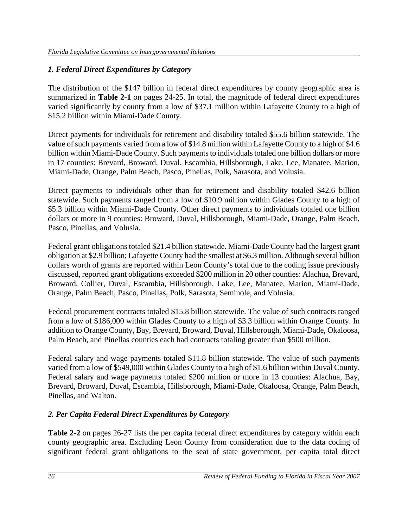# *1. Federal Direct Expenditures by Category*

The distribution of the \$147 billion in federal direct expenditures by county geographic area is summarized in **Table 2-1** on pages 24-25. In total, the magnitude of federal direct expenditures varied significantly by county from a low of \$37.1 million within Lafayette County to a high of \$15.2 billion within Miami-Dade County.

Direct payments for individuals for retirement and disability totaled \$55.6 billion statewide. The value of such payments varied from a low of \$14.8 million within Lafayette County to a high of \$4.6 billion within Miami-Dade County. Such payments to individuals totaled one billion dollars or more in 17 counties: Brevard, Broward, Duval, Escambia, Hillsborough, Lake, Lee, Manatee, Marion, Miami-Dade, Orange, Palm Beach, Pasco, Pinellas, Polk, Sarasota, and Volusia.

Direct payments to individuals other than for retirement and disability totaled \$42.6 billion statewide. Such payments ranged from a low of \$10.9 million within Glades County to a high of \$5.3 billion within Miami-Dade County. Other direct payments to individuals totaled one billion dollars or more in 9 counties: Broward, Duval, Hillsborough, Miami-Dade, Orange, Palm Beach, Pasco, Pinellas, and Volusia.

Federal grant obligations totaled \$21.4 billion statewide. Miami-Dade County had the largest grant obligation at \$2.9 billion; Lafayette County had the smallest at \$6.3 million. Although several billion dollars worth of grants are reported within Leon County's total due to the coding issue previously discussed, reported grant obligations exceeded \$200 million in 20 other counties: Alachua, Brevard, Broward, Collier, Duval, Escambia, Hillsborough, Lake, Lee, Manatee, Marion, Miami-Dade, Orange, Palm Beach, Pasco, Pinellas, Polk, Sarasota, Seminole, and Volusia.

Federal procurement contracts totaled \$15.8 billion statewide. The value of such contracts ranged from a low of \$186,000 within Glades County to a high of \$3.3 billion within Orange County. In addition to Orange County, Bay, Brevard, Broward, Duval, Hillsborough, Miami-Dade, Okaloosa, Palm Beach, and Pinellas counties each had contracts totaling greater than \$500 million.

Federal salary and wage payments totaled \$11.8 billion statewide. The value of such payments varied from a low of \$549,000 within Glades County to a high of \$1.6 billion within Duval County. Federal salary and wage payments totaled \$200 million or more in 13 counties: Alachua, Bay, Brevard, Broward, Duval, Escambia, Hillsborough, Miami-Dade, Okaloosa, Orange, Palm Beach, Pinellas, and Walton.

## *2. Per Capita Federal Direct Expenditures by Category*

**Table 2-2** on pages 26-27 lists the per capita federal direct expenditures by category within each county geographic area. Excluding Leon County from consideration due to the data coding of significant federal grant obligations to the seat of state government, per capita total direct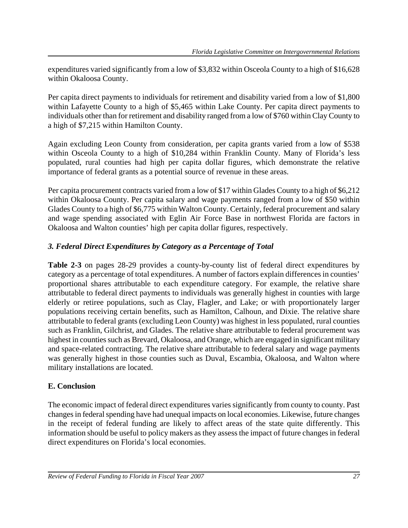expenditures varied significantly from a low of \$3,832 within Osceola County to a high of \$16,628 within Okaloosa County.

Per capita direct payments to individuals for retirement and disability varied from a low of \$1,800 within Lafayette County to a high of \$5,465 within Lake County. Per capita direct payments to individuals other than for retirement and disability ranged from a low of \$760 within Clay County to a high of \$7,215 within Hamilton County.

Again excluding Leon County from consideration, per capita grants varied from a low of \$538 within Osceola County to a high of \$10,284 within Franklin County. Many of Florida's less populated, rural counties had high per capita dollar figures, which demonstrate the relative importance of federal grants as a potential source of revenue in these areas.

Per capita procurement contracts varied from a low of \$17 within Glades County to a high of \$6,212 within Okaloosa County. Per capita salary and wage payments ranged from a low of \$50 within Glades County to a high of \$6,775 within Walton County. Certainly, federal procurement and salary and wage spending associated with Eglin Air Force Base in northwest Florida are factors in Okaloosa and Walton counties' high per capita dollar figures, respectively.

## *3. Federal Direct Expenditures by Category as a Percentage of Total*

**Table 2-3** on pages 28-29 provides a county-by-county list of federal direct expenditures by category as a percentage of total expenditures. A number of factors explain differences in counties' proportional shares attributable to each expenditure category. For example, the relative share attributable to federal direct payments to individuals was generally highest in counties with large elderly or retiree populations, such as Clay, Flagler, and Lake; or with proportionately larger populations receiving certain benefits, such as Hamilton, Calhoun, and Dixie. The relative share attributable to federal grants (excluding Leon County) was highest in less populated, rural counties such as Franklin, Gilchrist, and Glades. The relative share attributable to federal procurement was highest in counties such as Brevard, Okaloosa, and Orange, which are engaged in significant military and space-related contracting. The relative share attributable to federal salary and wage payments was generally highest in those counties such as Duval, Escambia, Okaloosa, and Walton where military installations are located.

### **E. Conclusion**

The economic impact of federal direct expenditures varies significantly from county to county. Past changes in federal spending have had unequal impacts on local economies. Likewise, future changes in the receipt of federal funding are likely to affect areas of the state quite differently. This information should be useful to policy makers as they assess the impact of future changes in federal direct expenditures on Florida's local economies.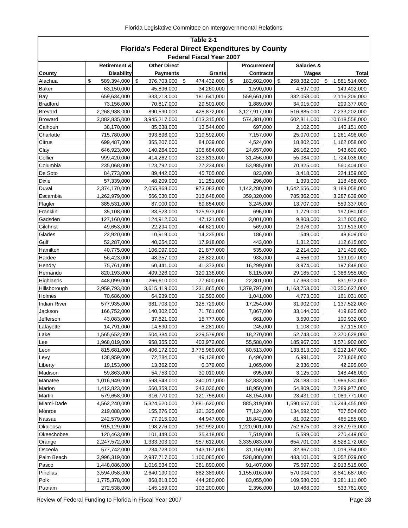| Table 2-1           |                         |                     |                                 |                                                        |                   |                     |  |  |  |
|---------------------|-------------------------|---------------------|---------------------------------|--------------------------------------------------------|-------------------|---------------------|--|--|--|
|                     |                         |                     | <b>Federal Fiscal Year 2007</b> | <b>Florida's Federal Direct Expenditures by County</b> |                   |                     |  |  |  |
|                     | <b>Retirement &amp;</b> | <b>Other Direct</b> |                                 | Procurement                                            | Salaries &        |                     |  |  |  |
| County              | <b>Disability</b>       | <b>Payments</b>     | Grants                          | <b>Contracts</b>                                       | <b>Wages</b>      | Total               |  |  |  |
| Alachua             | \$<br>589,394,000       | \$<br>376,703,000   | \$<br>474,432,000               | \$<br>182,602,000                                      | \$<br>258,382,000 | \$<br>1,881,514,000 |  |  |  |
| Baker               | 63,150,000              | 45,896,000          | 34,260,000                      | 1,590,000                                              | 4,597,000         | 149,492,000         |  |  |  |
| Bay                 | 659,634,000             | 333,213,000         | 181,641,000                     | 559,661,000                                            | 382,058,000       | 2,116,206,000       |  |  |  |
| <b>Bradford</b>     | 73,156,000              | 70,817,000          | 29,501,000                      | 1,889,000                                              | 34,015,000        | 209,377,000         |  |  |  |
| <b>Brevard</b>      | 2,268,938,000           | 890,590,000         | 428,872,000                     | 3,127,917,000                                          | 516,885,000       | 7,233,202,000       |  |  |  |
| <b>Broward</b>      | 3,882,835,000           | 3,945,217,000       | 1,613,315,000                   | 574,381,000                                            | 602,811,000       | 10,618,558,000      |  |  |  |
| Calhoun             | 38,170,000              | 85,638,000          | 13,544,000                      | 697,000                                                | 2,102,000         | 140,151,000         |  |  |  |
| Charlotte           | 715,780,000             | 393,896,000         | 119,592,000                     | 7,157,000                                              | 25,070,000        | 1,261,496,000       |  |  |  |
| <b>Citrus</b>       | 699,487,000             | 355,207,000         | 84,039,000                      | 4,524,000                                              | 18,802,000        | 1,162,058,000       |  |  |  |
| Clay                | 646,923,000             | 140,264,000         | 105,684,000                     | 24,657,000                                             | 26,162,000        | 943,690,000         |  |  |  |
| Collier             | 999,420,000             | 414,262,000         | 223,813,000                     | 31,456,000                                             | 55,084,000        | 1,724,036,000       |  |  |  |
| Columbia            | 235,068,000             | 123,792,000         | 77,234,000                      | 53,985,000                                             | 70,325,000        | 560,404,000         |  |  |  |
| De Soto             | 84,773,000              | 89,442,000          | 45,705,000                      | 823,000                                                | 3,418,000         | 224,159,000         |  |  |  |
| <b>Dixie</b>        | 57,339,000              | 48,209,000          | 11,251,000                      | 296,000                                                | 1,393,000         | 118,488,000         |  |  |  |
| Duval               | 2,374,170,000           | 2,055,868,000       | 973,083,000                     | 1,142,280,000                                          | 1,642,656,000     | 8,188,058,000       |  |  |  |
| Escambia            | 1,262,979,000           | 566,530,000         | 313,648,000                     | 359,320,000                                            | 785,362,000       | 3,287,839,000       |  |  |  |
| Flagler             | 385,531,000             | 87,000,000          | 69,854,000                      | 3,245,000                                              | 13,707,000        | 559,337,000         |  |  |  |
| Franklin            | 35,108,000              | 33,523,000          | 125,973,000                     | 696,000                                                | 1,779,000         | 197,080,000         |  |  |  |
| Gadsden             | 127,160,000             | 124,912,000         | 47,121,000                      | 3,001,000                                              | 9,808,000         | 312,000,000         |  |  |  |
| Gilchrist           | 49,653,000              | 22,294,000          | 44,621,000                      | 569,000                                                | 2,376,000         | 119,513,000         |  |  |  |
| Glades              | 22,920,000              | 10,919,000          | 14,235,000                      | 186,000                                                | 549,000           | 48,809,000          |  |  |  |
| Gulf                | 52,287,000              | 40,654,000          | 17,918,000                      | 443,000                                                | 1,312,000         | 112,615,000         |  |  |  |
| Hamilton            | 40,775,000              | 106,097,000         | 21,877,000                      | 535,000                                                | 2,214,000         | 171,499,000         |  |  |  |
| Hardee              | 56,423,000              | 48,357,000          | 28,822,000                      | 938,000                                                | 4,556,000         | 139,097,000         |  |  |  |
| Hendry              | 75,761,000              | 60,441,000          | 41,373,000                      | 16,299,000                                             | 3,974,000         | 197,848,000         |  |  |  |
| Hernando            | 820,193,000             | 409,326,000         | 120,136,000                     | 8,115,000                                              | 29,185,000        | 1,386,955,000       |  |  |  |
| Highlands           | 448,099,000             | 266,610,000         | 77,600,000                      | 22,301,000                                             | 17,363,000        | 831,972,000         |  |  |  |
| Hillsborough        | 2,959,793,000           | 3,615,419,000       | 1,231,865,000                   | 1,379,797,000                                          | 1,163,753,000     | 10,350,627,000      |  |  |  |
| Holmes              | 70,686,000              | 64,939,000          | 19,593,000                      | 1,041,000                                              | 4,773,000         | 161,031,000         |  |  |  |
| <b>Indian River</b> | 577,935,000             | 381,703,000         | 128,729,000                     | 17,254,000                                             | 31,902,000        | 1,137,522,000       |  |  |  |
| Jackson             | 166,752,000             | 140,302,000         | 71,761,000                      | 7,867,000                                              | 33,144,000        | 419,825,000         |  |  |  |
| Jefferson           | 43,083,000              | 37,821,000          | 15,777,000                      | 661,000                                                | 3,590,000         | 100,932,000         |  |  |  |
| Lafayette           | 14,791,000              | 14,690,000          | 6,281,000                       | 245,000                                                | 1,108,000         | 37,115,000          |  |  |  |
| Lake                | 1,565,652,000           | 504,384,000         | 229,579,000                     | 18,270,000                                             | 52,743,000        | 2,370,628,000       |  |  |  |
| Lee                 | 1,968,019,000           | 958,355,000         | 403,972,000                     | 55,588,000                                             | 185,967,000       | 3,571,902,000       |  |  |  |
| Leon                | 815,681,000             | 406,172,000         | 3,775,969,000                   | 80,513,000                                             | 133,813,000       | 5,212,147,000       |  |  |  |
| Levy                | 138,959,000             | 72,284,000          | 49,138,000                      | 6,496,000                                              | 6,991,000         | 273,868,000         |  |  |  |
| Liberty             | 19,153,000              | 13,362,000          | 6,379,000                       | 1,065,000                                              | 2,336,000         | 42,295,000          |  |  |  |
| Madison             | 59,863,000              | 54,753,000          | 30,010,000                      | 695,000                                                | 3,125,000         | 148,446,000         |  |  |  |
| Manatee             | 1,016,949,000           | 598,543,000         | 240,017,000                     | 52,833,000                                             | 78,188,000        | 1,986,530,000       |  |  |  |
| Marion              | 1,412,823,000           | 560,359,000         | 243,036,000                     | 18,950,000                                             | 54,809,000        | 2,289,977,000       |  |  |  |
| Martin              | 579,658,000             | 316,770,000         | 121,758,000                     | 48,154,000                                             | 23,431,000        | 1,089,771,000       |  |  |  |
| Miami-Dade          | 4,562,240,000           | 5,324,620,000       | 2,881,620,000                   | 885,319,000                                            | 1,590,657,000     | 15,244,455,000      |  |  |  |
| Monroe              | 219,088,000             | 155,276,000         | 121,325,000                     | 77,124,000                                             | 134,692,000       | 707,504,000         |  |  |  |
| Nassau              | 242,579,000             | 77,915,000          | 44,947,000                      | 18,842,000                                             | 81,002,000        | 465,285,000         |  |  |  |
| Okaloosa            | 915,129,000             | 198,276,000         | 180,992,000                     | 1,220,901,000                                          | 752,675,000       | 3,267,973,000       |  |  |  |
| Okeechobee          | 120,463,000             | 101,449,000         | 35,418,000                      | 7,519,000                                              | 5,599,000         | 270,449,000         |  |  |  |
| Orange              | 2,247,572,000           | 1,333,303,000       | 957,612,000                     | 3,335,083,000                                          | 654,701,000       | 8,528,272,000       |  |  |  |
| Osceola             | 577,742,000             | 234,728,000         | 143,167,000                     | 31,150,000                                             | 32,967,000        | 1,019,754,000       |  |  |  |
| Palm Beach          | 3,996,319,000           | 2,937,717,000       | 1,106,085,000                   | 528,808,000                                            | 483,101,000       | 9,052,029,000       |  |  |  |
| Pasco               | 1,448,086,000           | 1,016,534,000       | 281,890,000                     | 91,407,000                                             | 75,597,000        | 2,913,515,000       |  |  |  |
| Pinellas            | 3,594,058,000           | 2,640,190,000       | 882,389,000                     | 1,155,016,000                                          | 570,034,000       | 8,841,687,000       |  |  |  |
| Polk                | 1,775,378,000           | 868,818,000         | 444,280,000                     | 83,055,000                                             | 109,580,000       | 3,281,111,000       |  |  |  |
| Putnam              | 272,538,000             | 145,159,000         | 103,200,000                     | 2,396,000                                              | 10,468,000        | 533,761,000         |  |  |  |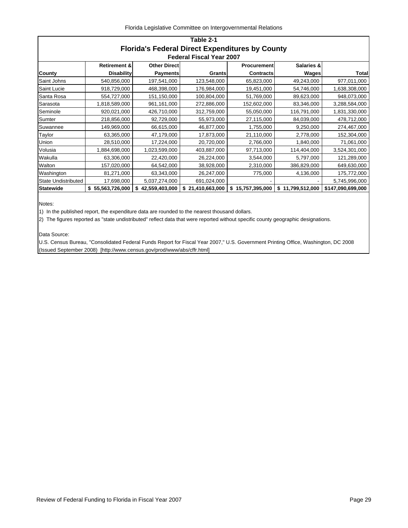|                            |                                                        |                      | Table 2-1        |                    |                  |                   |  |  |  |  |
|----------------------------|--------------------------------------------------------|----------------------|------------------|--------------------|------------------|-------------------|--|--|--|--|
|                            | <b>Florida's Federal Direct Expenditures by County</b> |                      |                  |                    |                  |                   |  |  |  |  |
|                            | <b>Federal Fiscal Year 2007</b>                        |                      |                  |                    |                  |                   |  |  |  |  |
|                            | <b>Retirement &amp;</b>                                | <b>Other Direct</b>  |                  | <b>Procurement</b> | Salaries &       |                   |  |  |  |  |
| <b>County</b>              | <b>Disability</b>                                      | <b>Payments</b>      | Grants           | <b>Contracts</b>   | Wages            | Total             |  |  |  |  |
| Saint Johns                | 540,856,000                                            | 197,541,000          | 123,548,000      | 65,823,000         | 49,243,000       | 977,011,000       |  |  |  |  |
| Saint Lucie                | 918,729,000                                            | 468,398,000          | 176,984,000      | 19,451,000         | 54,746,000       | 1,638,308,000     |  |  |  |  |
| Santa Rosa                 | 554,727,000                                            | 151,150,000          | 100,804,000      | 51,769,000         | 89,623,000       | 948,073,000       |  |  |  |  |
| Sarasota                   | 1,818,589,000                                          | 961,161,000          | 272,886,000      | 152,602,000        | 83,346,000       | 3,288,584,000     |  |  |  |  |
| Seminole                   | 920,021,000                                            | 426,710,000          | 312,759,000      | 55,050,000         | 116,791,000      | 1,831,330,000     |  |  |  |  |
| Sumter                     | 218,856,000                                            | 92,729,000           | 55,973,000       | 27,115,000         | 84,039,000       | 478,712,000       |  |  |  |  |
| Suwannee                   | 149,969,000                                            | 66,615,000           | 46,877,000       | 1,755,000          | 9,250,000        | 274,467,000       |  |  |  |  |
| Taylor                     | 63,365,000                                             | 47,179,000           | 17,873,000       | 21,110,000         | 2,778,000        | 152,304,000       |  |  |  |  |
| Union                      | 28,510,000                                             | 17,224,000           | 20,720,000       | 2,766,000          | 1,840,000        | 71,061,000        |  |  |  |  |
| Volusia                    | 1,884,698,000                                          | 1,023,599,000        | 403,887,000      | 97,713,000         | 114,404,000      | 3,524,301,000     |  |  |  |  |
| Wakulla                    | 63,306,000                                             | 22,420,000           | 26,224,000       | 3,544,000          | 5,797,000        | 121,289,000       |  |  |  |  |
| Walton                     | 157,020,000                                            | 64,542,000           | 38,928,000       | 2,310,000          | 386,829,000      | 649,630,000       |  |  |  |  |
| Washington                 | 81,271,000                                             | 63,343,000           | 26,247,000       | 775,000            | 4,136,000        | 175,772,000       |  |  |  |  |
| <b>State Undistributed</b> | 17,698,000                                             | 5,037,274,000        | 691,024,000      |                    |                  | 5,745,996,000     |  |  |  |  |
| Statewide                  | 55,563,726,000<br>S                                    | 42,559,403,000<br>\$ | \$21,410,663,000 | \$15,757,395,000   | \$11,799,512,000 | \$147,090,699,000 |  |  |  |  |

Notes:

1) In the published report, the expenditure data are rounded to the nearest thousand dollars.

2) The figures reported as "state undistributed" reflect data that were reported without specific county geographic designations.

Data Source:

U.S. Census Bureau, "Consolidated Federal Funds Report for Fiscal Year 2007," U.S. Government Printing Office, Washington, DC 2008 (Issued September 2008) [http://www.census.gov/prod/www/abs/cffr.html]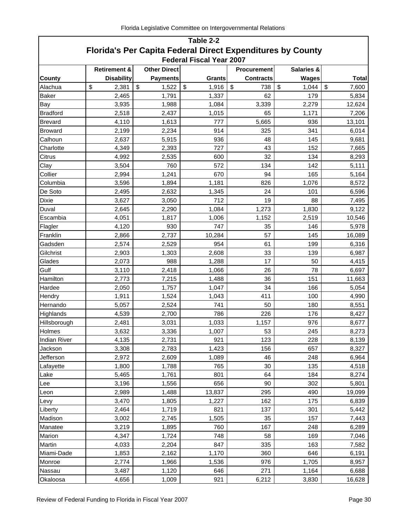|                     |                                                                   |                                    | Table 2-2                       |                                |              |              |  |  |  |  |
|---------------------|-------------------------------------------------------------------|------------------------------------|---------------------------------|--------------------------------|--------------|--------------|--|--|--|--|
|                     | <b>Florida's Per Capita Federal Direct Expenditures by County</b> |                                    |                                 |                                |              |              |  |  |  |  |
|                     |                                                                   |                                    | <b>Federal Fiscal Year 2007</b> |                                |              |              |  |  |  |  |
|                     | <b>Retirement &amp;</b>                                           | <b>Other Direct</b>                |                                 | <b>Procurement</b>             | Salaries &   |              |  |  |  |  |
| <b>County</b>       | <b>Disability</b>                                                 | <b>Payments</b>                    | <b>Grants</b>                   | <b>Contracts</b>               | <b>Wages</b> | <b>Total</b> |  |  |  |  |
| Alachua             | \$<br>2,381                                                       | $\boldsymbol{\mathsf{S}}$<br>1,522 | \$<br>1,916                     | $\sqrt[6]{\frac{1}{2}}$<br>738 | \$<br>1,044  | \$<br>7,600  |  |  |  |  |
| <b>Baker</b>        | 2,465                                                             | 1,791                              | 1,337                           | 62                             | 179          | 5,834        |  |  |  |  |
| Bay                 | 3,935                                                             | 1,988                              | 1,084                           | 3,339                          | 2,279        | 12,624       |  |  |  |  |
| <b>Bradford</b>     | 2,518                                                             | 2,437                              | 1,015                           | 65                             | 1,171        | 7,206        |  |  |  |  |
| <b>Brevard</b>      | 4,110                                                             | 1,613                              | 777                             | 5,665                          | 936          | 13,101       |  |  |  |  |
| <b>Broward</b>      | 2,199                                                             | 2,234                              | 914                             | 325                            | 341          | 6,014        |  |  |  |  |
| Calhoun             | 2,637                                                             | 5,915                              | 936                             | 48                             | 145          | 9,681        |  |  |  |  |
| Charlotte           | 4,349                                                             | 2,393                              | 727                             | 43                             | 152          | 7,665        |  |  |  |  |
| Citrus              | 4,992                                                             | 2,535                              | 600                             | 32                             | 134          | 8,293        |  |  |  |  |
| Clay                | 3,504                                                             | 760                                | 572                             | 134                            | 142          | 5,111        |  |  |  |  |
| Collier             | 2,994                                                             | 1,241                              | 670                             | 94                             | 165          | 5,164        |  |  |  |  |
| Columbia            | 3,596                                                             | 1,894                              | 1,181                           | 826                            | 1,076        | 8,572        |  |  |  |  |
| De Soto             | 2,495                                                             | 2,632                              | 1,345                           | 24                             | 101          | 6,596        |  |  |  |  |
| <b>Dixie</b>        | 3,627                                                             | 3,050                              | 712                             | 19                             | 88           | 7,495        |  |  |  |  |
| Duval               | 2,645                                                             | 2,290                              | 1,084                           | 1,273                          | 1,830        | 9,122        |  |  |  |  |
| Escambia            | 4,051                                                             | 1,817                              | 1,006                           | 1,152                          | 2,519        | 10,546       |  |  |  |  |
| Flagler             | 4,120                                                             | 930                                | 747                             | 35                             | 146          | 5,978        |  |  |  |  |
| Franklin            | 2,866                                                             | 2,737                              | 10,284                          | 57                             | 145          | 16,089       |  |  |  |  |
| Gadsden             | 2,574                                                             | 2,529                              | 954                             | 61                             | 199          | 6,316        |  |  |  |  |
| Gilchrist           | 2,903                                                             | 1,303                              | 2,608                           | 33                             | 139          | 6,987        |  |  |  |  |
| Glades              | 2,073                                                             | 988                                | 1,288                           | 17                             | 50           | 4,415        |  |  |  |  |
| Gulf                | 3,110                                                             | 2,418                              | 1,066                           | 26                             | 78           | 6,697        |  |  |  |  |
| Hamilton            | 2,773                                                             | 7,215                              | 1,488                           | 36                             | 151          | 11,663       |  |  |  |  |
| Hardee              | 2,050                                                             | 1,757                              | 1,047                           | 34                             | 166          | 5,054        |  |  |  |  |
| Hendry              | 1,911                                                             | 1,524                              | 1,043                           | 411                            | 100          | 4,990        |  |  |  |  |
| Hernando            | 5,057                                                             | 2,524                              | 741                             | 50                             | 180          | 8,551        |  |  |  |  |
| Highlands           | 4,539                                                             | 2,700                              | 786                             | 226                            | 176          | 8,427        |  |  |  |  |
| Hillsborough        | 2,481                                                             | 3,031                              | 1,033                           | 1,157                          | 976          | 8,677        |  |  |  |  |
| Holmes              | 3,632                                                             | 3,336                              | 1,007                           | 53                             | 245          | 8,273        |  |  |  |  |
| <b>Indian River</b> | 4,135                                                             | 2,731                              | 921                             | 123                            | 228          | 8,139        |  |  |  |  |
| Jackson             | 3,308                                                             | 2,783                              | 1,423                           | 156                            | 657          | 8,327        |  |  |  |  |
| Jefferson           | 2,972                                                             | 2,609                              | 1,089                           | 46                             | 248          | 6,964        |  |  |  |  |
| Lafayette           | 1,800                                                             | 1,788                              | 765                             | 30                             | 135          | 4,518        |  |  |  |  |
| Lake                | 5,465                                                             | 1,761                              | 801                             | 64                             | 184          | 8,274        |  |  |  |  |
| Lee                 | 3,196                                                             | 1,556                              | 656                             | 90                             | 302          | 5,801        |  |  |  |  |
| Leon                | 2,989                                                             | 1,488                              | 13,837                          | 295                            | 490          | 19,099       |  |  |  |  |
| Levy                | 3,470                                                             | 1,805                              | 1,227                           | 162                            | 175          | 6,839        |  |  |  |  |
| Liberty             | 2,464                                                             | 1,719                              | 821                             | 137                            | 301          | 5,442        |  |  |  |  |
| Madison             | 3,002                                                             | 2,745                              | 1,505                           | 35                             | 157          | 7,443        |  |  |  |  |
| Manatee             | 3,219                                                             | 1,895                              | 760                             | 167                            | 248          | 6,289        |  |  |  |  |
| Marion              | 4,347                                                             | 1,724                              | 748                             | 58                             | 169          | 7,046        |  |  |  |  |
| Martin              | 4,033                                                             | 2,204                              | 847                             | 335                            | 163          | 7,582        |  |  |  |  |
| Miami-Dade          | 1,853                                                             | 2,162                              | 1,170                           | 360                            | 646          | 6,191        |  |  |  |  |
| Monroe              | 2,774                                                             | 1,966                              | 1,536                           | 976                            | 1,705        | 8,957        |  |  |  |  |
| Nassau              | 3,487                                                             | 1,120                              | 646                             | 271                            | 1,164        | 6,688        |  |  |  |  |
| Okaloosa            | 4,656                                                             | 1,009                              | 921                             | 6,212                          | 3,830        | 16,628       |  |  |  |  |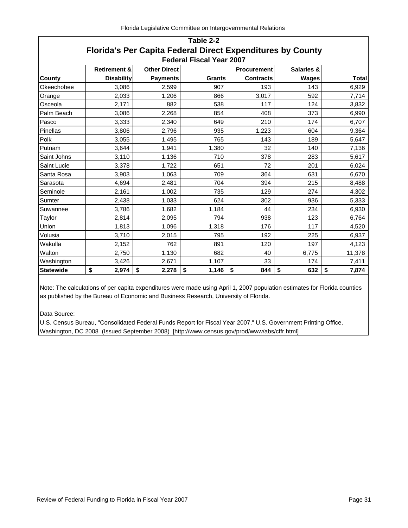|                    |                                                                   |                     | Table 2-2                       |                    |              |              |
|--------------------|-------------------------------------------------------------------|---------------------|---------------------------------|--------------------|--------------|--------------|
|                    | <b>Florida's Per Capita Federal Direct Expenditures by County</b> |                     |                                 |                    |              |              |
|                    |                                                                   |                     | <b>Federal Fiscal Year 2007</b> |                    |              |              |
|                    | <b>Retirement &amp;</b>                                           | <b>Other Direct</b> |                                 | <b>Procurement</b> | Salaries &   |              |
| <b>County</b>      | <b>Disability</b>                                                 | <b>Payments</b>     | <b>Grants</b>                   | <b>Contracts</b>   | <b>Wages</b> | <b>Total</b> |
| Okeechobee         | 3,086                                                             | 2,599               | 907                             | 193                | 143          | 6,929        |
| Orange             | 2,033                                                             | 1,206               | 866                             | 3,017              | 592          | 7,714        |
| Osceola            | 2,171                                                             | 882                 | 538                             | 117                | 124          | 3,832        |
| Palm Beach         | 3,086                                                             | 2,268               | 854                             | 408                | 373          | 6,990        |
| Pasco              | 3,333                                                             | 2,340               | 649                             | 210                | 174          | 6,707        |
| Pinellas           | 3,806                                                             | 2,796               | 935                             | 1,223              | 604          | 9,364        |
| Polk               | 3,055                                                             | 1,495               | 765                             | 143                | 189          | 5,647        |
| Putnam             | 3,644                                                             | 1,941               | 1,380                           | 32                 | 140          | 7,136        |
| Saint Johns        | 3,110                                                             | 1,136               | 710                             | 378                | 283          | 5,617        |
| <b>Saint Lucie</b> | 3,378                                                             | 1,722               | 651                             | 72                 | 201          | 6,024        |
| Santa Rosa         | 3,903                                                             | 1,063               | 709                             | 364                | 631          | 6,670        |
| Sarasota           | 4,694                                                             | 2,481               | 704                             | 394                | 215          | 8,488        |
| Seminole           | 2,161                                                             | 1.002               | 735                             | 129                | 274          | 4,302        |
| Sumter             | 2,438                                                             | 1,033               | 624                             | 302                | 936          | 5,333        |
| Suwannee           | 3,786                                                             | 1.682               | 1,184                           | 44                 | 234          | 6,930        |
| Taylor             | 2,814                                                             | 2,095               | 794                             | 938                | 123          | 6,764        |
| Union              | 1,813                                                             | 1,096               | 1,318                           | 176                | 117          | 4,520        |
| Volusia            | 3,710                                                             | 2,015               | 795                             | 192                | 225          | 6,937        |
| Wakulla            | 2,152                                                             | 762                 | 891                             | 120                | 197          | 4,123        |
| Walton             | 2,750                                                             | 1,130               | 682                             | 40                 | 6,775        | 11,378       |
| Washington         | 3,426                                                             | 2,671               | 1,107                           | 33                 | 174          | 7,411        |
| <b>Statewide</b>   | \$<br>2,974                                                       | \$<br>2,278         | \$<br>1,146                     | \$<br>844          | \$<br>632    | \$<br>7,874  |

Note: The calculations of per capita expenditures were made using April 1, 2007 population estimates for Florida counties as published by the Bureau of Economic and Business Research, University of Florida.

Data Source:

U.S. Census Bureau, "Consolidated Federal Funds Report for Fiscal Year 2007," U.S. Government Printing Office, Washington, DC 2008 (Issued September 2008) [http://www.census.gov/prod/www/abs/cffr.html]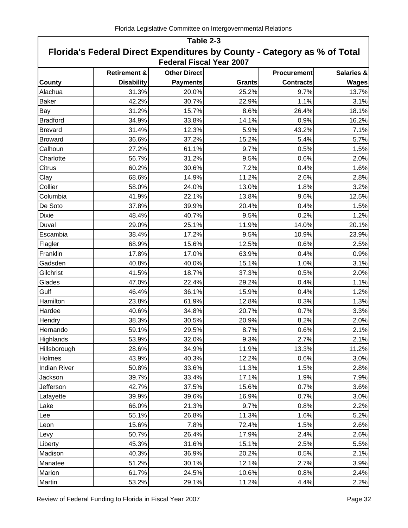|                     |                                                                          | Table 2-3                       |               |                    |                       |
|---------------------|--------------------------------------------------------------------------|---------------------------------|---------------|--------------------|-----------------------|
|                     | Florida's Federal Direct Expenditures by County - Category as % of Total |                                 |               |                    |                       |
|                     |                                                                          | <b>Federal Fiscal Year 2007</b> |               |                    |                       |
|                     | <b>Retirement &amp;</b>                                                  | <b>Other Direct</b>             |               | <b>Procurement</b> | <b>Salaries &amp;</b> |
| <b>County</b>       | <b>Disability</b>                                                        | <b>Payments</b>                 | <b>Grants</b> | <b>Contracts</b>   | <b>Wages</b>          |
| Alachua             | 31.3%                                                                    | 20.0%                           | 25.2%         | 9.7%               | 13.7%                 |
| <b>Baker</b>        | 42.2%                                                                    | 30.7%                           | 22.9%         | 1.1%               | 3.1%                  |
| Bay                 | 31.2%                                                                    | 15.7%                           | 8.6%          | 26.4%              | 18.1%                 |
| <b>Bradford</b>     | 34.9%                                                                    | 33.8%                           | 14.1%         | 0.9%               | 16.2%                 |
| <b>Brevard</b>      | 31.4%                                                                    | 12.3%                           | 5.9%          | 43.2%              | 7.1%                  |
| <b>Broward</b>      | 36.6%                                                                    | 37.2%                           | 15.2%         | 5.4%               | 5.7%                  |
| Calhoun             | 27.2%                                                                    | 61.1%                           | 9.7%          | 0.5%               | 1.5%                  |
| Charlotte           | 56.7%                                                                    | 31.2%                           | 9.5%          | 0.6%               | 2.0%                  |
| Citrus              | 60.2%                                                                    | 30.6%                           | 7.2%          | 0.4%               | 1.6%                  |
| Clay                | 68.6%                                                                    | 14.9%                           | 11.2%         | 2.6%               | 2.8%                  |
| Collier             | 58.0%                                                                    | 24.0%                           | 13.0%         | 1.8%               | 3.2%                  |
| Columbia            | 41.9%                                                                    | 22.1%                           | 13.8%         | 9.6%               | 12.5%                 |
| De Soto             | 37.8%                                                                    | 39.9%                           | 20.4%         | 0.4%               | 1.5%                  |
| <b>Dixie</b>        | 48.4%                                                                    | 40.7%                           | 9.5%          | 0.2%               | 1.2%                  |
| Duval               | 29.0%                                                                    | 25.1%                           | 11.9%         | 14.0%              | 20.1%                 |
| Escambia            | 38.4%                                                                    | 17.2%                           | 9.5%          | 10.9%              | 23.9%                 |
| Flagler             | 68.9%                                                                    | 15.6%                           | 12.5%         | 0.6%               | 2.5%                  |
| Franklin            | 17.8%                                                                    | 17.0%                           | 63.9%         | 0.4%               | 0.9%                  |
| Gadsden             | 40.8%                                                                    | 40.0%                           | 15.1%         | 1.0%               | 3.1%                  |
| Gilchrist           | 41.5%                                                                    | 18.7%                           | 37.3%         | 0.5%               | 2.0%                  |
| Glades              | 47.0%                                                                    | 22.4%                           | 29.2%         | 0.4%               | 1.1%                  |
| Gulf                | 46.4%                                                                    | 36.1%                           | 15.9%         | 0.4%               | 1.2%                  |
| Hamilton            | 23.8%                                                                    | 61.9%                           | 12.8%         | 0.3%               | 1.3%                  |
| Hardee              | 40.6%                                                                    | 34.8%                           | 20.7%         | 0.7%               | 3.3%                  |
| Hendry              | 38.3%                                                                    | 30.5%                           | 20.9%         | 8.2%               | 2.0%                  |
| Hernando            | 59.1%                                                                    | 29.5%                           | 8.7%          | 0.6%               | 2.1%                  |
| Highlands           | 53.9%                                                                    | 32.0%                           | 9.3%          | 2.7%               | 2.1%                  |
| Hillsborough        | 28.6%                                                                    | 34.9%                           | 11.9%         | 13.3%              | 11.2%                 |
| Holmes              | 43.9%                                                                    | 40.3%                           | 12.2%         | 0.6%               | 3.0%                  |
| <b>Indian River</b> | 50.8%                                                                    | 33.6%                           | 11.3%         | 1.5%               | 2.8%                  |
| Jackson             | 39.7%                                                                    | 33.4%                           | 17.1%         | 1.9%               | 7.9%                  |
| Jefferson           | 42.7%                                                                    | 37.5%                           | 15.6%         | 0.7%               | 3.6%                  |
| Lafayette           | 39.9%                                                                    | 39.6%                           | 16.9%         | 0.7%               | 3.0%                  |
| Lake                | 66.0%                                                                    | 21.3%                           | 9.7%          | 0.8%               | 2.2%                  |
| Lee                 | 55.1%                                                                    | 26.8%                           | 11.3%         | 1.6%               | 5.2%                  |
| Leon                | 15.6%                                                                    | 7.8%                            | 72.4%         | 1.5%               | 2.6%                  |
| Levy                | 50.7%                                                                    | 26.4%                           | 17.9%         | 2.4%               | 2.6%                  |
| Liberty             | 45.3%                                                                    | 31.6%                           | 15.1%         | 2.5%               | 5.5%                  |
| Madison             | 40.3%                                                                    | 36.9%                           | 20.2%         | 0.5%               | 2.1%                  |
| Manatee             | 51.2%                                                                    | 30.1%                           | 12.1%         | 2.7%               | 3.9%                  |
| Marion              | 61.7%                                                                    | 24.5%                           | 10.6%         | 0.8%               | 2.4%                  |
| Martin              | 53.2%                                                                    | 29.1%                           | 11.2%         | 4.4%               | 2.2%                  |
|                     |                                                                          |                                 |               |                    |                       |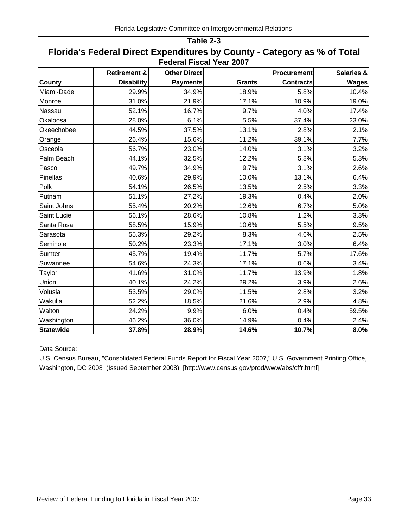|                  |                                                                          | Table 2-3                       |               |                    |                       |
|------------------|--------------------------------------------------------------------------|---------------------------------|---------------|--------------------|-----------------------|
|                  | Florida's Federal Direct Expenditures by County - Category as % of Total |                                 |               |                    |                       |
|                  |                                                                          | <b>Federal Fiscal Year 2007</b> |               |                    |                       |
|                  | <b>Retirement &amp;</b>                                                  | <b>Other Direct</b>             |               | <b>Procurement</b> | <b>Salaries &amp;</b> |
| <b>County</b>    | <b>Disability</b>                                                        | <b>Payments</b>                 | <b>Grants</b> | <b>Contracts</b>   | <b>Wages</b>          |
| Miami-Dade       | 29.9%                                                                    | 34.9%                           | 18.9%         | 5.8%               | 10.4%                 |
| Monroe           | 31.0%                                                                    | 21.9%                           | 17.1%         | 10.9%              | 19.0%                 |
| Nassau           | 52.1%                                                                    | 16.7%                           | 9.7%          | 4.0%               | 17.4%                 |
| Okaloosa         | 28.0%                                                                    | 6.1%                            | 5.5%          | 37.4%              | 23.0%                 |
| Okeechobee       | 44.5%                                                                    | 37.5%                           | 13.1%         | 2.8%               | 2.1%                  |
| Orange           | 26.4%                                                                    | 15.6%                           | 11.2%         | 39.1%              | 7.7%                  |
| Osceola          | 56.7%                                                                    | 23.0%                           | 14.0%         | 3.1%               | 3.2%                  |
| Palm Beach       | 44.1%                                                                    | 32.5%                           | 12.2%         | 5.8%               | 5.3%                  |
| Pasco            | 49.7%                                                                    | 34.9%                           | 9.7%          | 3.1%               | 2.6%                  |
| Pinellas         | 40.6%                                                                    | 29.9%                           | 10.0%         | 13.1%              | 6.4%                  |
| Polk             | 54.1%                                                                    | 26.5%                           | 13.5%         | 2.5%               | 3.3%                  |
| Putnam           | 51.1%                                                                    | 27.2%                           | 19.3%         | 0.4%               | 2.0%                  |
| Saint Johns      | 55.4%                                                                    | 20.2%                           | 12.6%         | 6.7%               | 5.0%                  |
| Saint Lucie      | 56.1%                                                                    | 28.6%                           | 10.8%         | 1.2%               | 3.3%                  |
| Santa Rosa       | 58.5%                                                                    | 15.9%                           | 10.6%         | 5.5%               | 9.5%                  |
| Sarasota         | 55.3%                                                                    | 29.2%                           | 8.3%          | 4.6%               | 2.5%                  |
| Seminole         | 50.2%                                                                    | 23.3%                           | 17.1%         | 3.0%               | 6.4%                  |
| Sumter           | 45.7%                                                                    | 19.4%                           | 11.7%         | 5.7%               | 17.6%                 |
| Suwannee         | 54.6%                                                                    | 24.3%                           | 17.1%         | 0.6%               | 3.4%                  |
| Taylor           | 41.6%                                                                    | 31.0%                           | 11.7%         | 13.9%              | 1.8%                  |
| Union            | 40.1%                                                                    | 24.2%                           | 29.2%         | 3.9%               | 2.6%                  |
| Volusia          | 53.5%                                                                    | 29.0%                           | 11.5%         | 2.8%               | 3.2%                  |
| Wakulla          | 52.2%                                                                    | 18.5%                           | 21.6%         | 2.9%               | 4.8%                  |
| Walton           | 24.2%                                                                    | 9.9%                            | 6.0%          | 0.4%               | 59.5%                 |
| Washington       | 46.2%                                                                    | 36.0%                           | 14.9%         | 0.4%               | 2.4%                  |
| <b>Statewide</b> | 37.8%                                                                    | 28.9%                           | 14.6%         | 10.7%              | 8.0%                  |

Data Source:

U.S. Census Bureau, "Consolidated Federal Funds Report for Fiscal Year 2007," U.S. Government Printing Office, Washington, DC 2008 (Issued September 2008) [http://www.census.gov/prod/www/abs/cffr.html]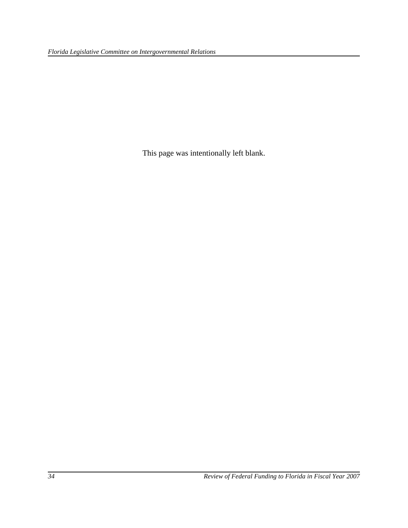This page was intentionally left blank.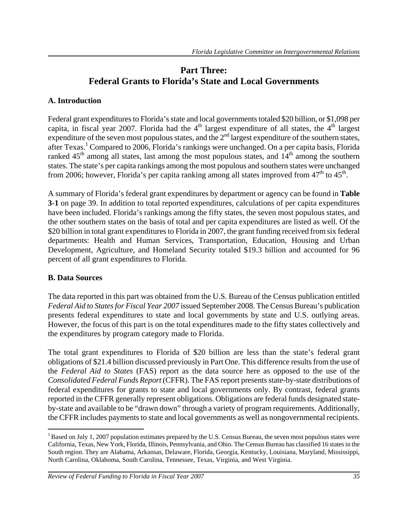## **Part Three: Federal Grants to Florida's State and Local Governments**

### **A. Introduction**

Federal grant expenditures to Florida's state and local governments totaled \$20 billion, or \$1,098 per capita, in fiscal year 2007. Florida had the  $4<sup>th</sup>$  largest expenditure of all states, the  $4<sup>th</sup>$  largest expenditure of the seven most populous states, and the  $2<sup>nd</sup>$  largest expenditure of the southern states, after Texas.<sup>1</sup> Compared to 2006, Florida's rankings were unchanged. On a per capita basis, Florida ranked  $45<sup>th</sup>$  among all states, last among the most populous states, and  $14<sup>th</sup>$  among the southern states. The state's per capita rankings among the most populous and southern states were unchanged from 2006; however, Florida's per capita ranking among all states improved from  $47<sup>th</sup>$  to  $45<sup>th</sup>$ .

A summary of Florida's federal grant expenditures by department or agency can be found in **Table 3-1** on page 39. In addition to total reported expenditures, calculations of per capita expenditures have been included. Florida's rankings among the fifty states, the seven most populous states, and the other southern states on the basis of total and per capita expenditures are listed as well. Of the \$20 billion in total grant expenditures to Florida in 2007, the grant funding received from six federal departments: Health and Human Services, Transportation, Education, Housing and Urban Development, Agriculture, and Homeland Security totaled \$19.3 billion and accounted for 96 percent of all grant expenditures to Florida.

### **B. Data Sources**

 $\overline{a}$ 

The data reported in this part was obtained from the U.S. Bureau of the Census publication entitled *Federal Aid to States for Fiscal Year 2007* issued September 2008. The Census Bureau's publication presents federal expenditures to state and local governments by state and U.S. outlying areas. However, the focus of this part is on the total expenditures made to the fifty states collectively and the expenditures by program category made to Florida.

The total grant expenditures to Florida of \$20 billion are less than the state's federal grant obligations of \$21.4 billion discussed previously in Part One. This difference results from the use of the *Federal Aid to States* (FAS) report as the data source here as opposed to the use of the *Consolidated Federal Funds Report* (CFFR). The FAS report presents state-by-state distributions of federal expenditures for grants to state and local governments only. By contrast, federal grants reported in the CFFR generally represent obligations. Obligations are federal funds designated stateby-state and available to be "drawn down" through a variety of program requirements. Additionally, the CFFR includes payments to state and local governments as well as nongovernmental recipients.

 $1$  Based on July 1, 2007 population estimates prepared by the U.S. Census Bureau, the seven most populous states were California, Texas, New York, Florida, Illinois, Pennsylvania, and Ohio. The Census Bureau has classified 16 states in the South region. They are Alabama, Arkansas, Delaware, Florida, Georgia, Kentucky, Louisiana, Maryland, Mississippi, North Carolina, Oklahoma, South Carolina, Tennessee, Texas, Virginia, and West Virginia.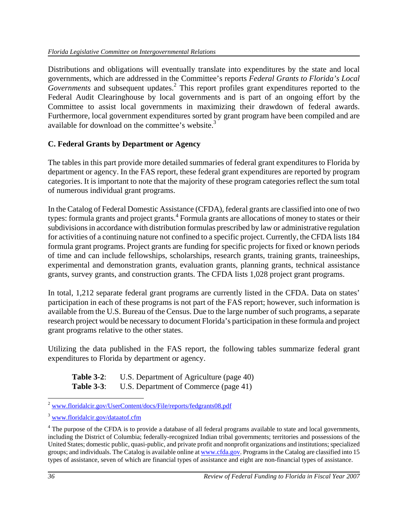Distributions and obligations will eventually translate into expenditures by the state and local governments, which are addressed in the Committee's reports *Federal Grants to Florida's Local*  Governments and subsequent updates.<sup>2</sup> This report profiles grant expenditures reported to the Federal Audit Clearinghouse by local governments and is part of an ongoing effort by the Committee to assist local governments in maximizing their drawdown of federal awards. Furthermore, local government expenditures sorted by grant program have been compiled and are available for download on the committee's website.<sup>3</sup>

### **C. Federal Grants by Department or Agency**

The tables in this part provide more detailed summaries of federal grant expenditures to Florida by department or agency. In the FAS report, these federal grant expenditures are reported by program categories. It is important to note that the majority of these program categories reflect the sum total of numerous individual grant programs.

In the Catalog of Federal Domestic Assistance (CFDA), federal grants are classified into one of two types: formula grants and project grants.<sup>4</sup> Formula grants are allocations of money to states or their subdivisions in accordance with distribution formulas prescribed by law or administrative regulation for activities of a continuing nature not confined to a specific project. Currently, the CFDA lists 184 formula grant programs. Project grants are funding for specific projects for fixed or known periods of time and can include fellowships, scholarships, research grants, training grants, traineeships, experimental and demonstration grants, evaluation grants, planning grants, technical assistance grants, survey grants, and construction grants. The CFDA lists 1,028 project grant programs.

In total, 1,212 separate federal grant programs are currently listed in the CFDA. Data on states' participation in each of these programs is not part of the FAS report; however, such information is available from the U.S. Bureau of the Census. Due to the large number of such programs, a separate research project would be necessary to document Florida's participation in these formula and project grant programs relative to the other states.

Utilizing the data published in the FAS report, the following tables summarize federal grant expenditures to Florida by department or agency.

**Table 3-2**: U.S. Department of Agriculture (page 40) **Table 3-3**: U.S. Department of Commerce (page 41)

 $\overline{a}$ 

<sup>&</sup>lt;sup>2</sup> www.floridalcir.gov/UserContent/docs/File/reports/fedgrants08.pdf

<sup>3</sup> www.floridalcir.gov/dataatof.cfm

<sup>&</sup>lt;sup>4</sup> The purpose of the CFDA is to provide a database of all federal programs available to state and local governments, including the District of Columbia; federally-recognized Indian tribal governments; territories and possessions of the United States; domestic public, quasi-public, and private profit and nonprofit organizations and institutions; specialized groups; and individuals. The Catalog is available online at www.cfda.gov. Programs in the Catalog are classified into 15 types of assistance, seven of which are financial types of assistance and eight are non-financial types of assistance.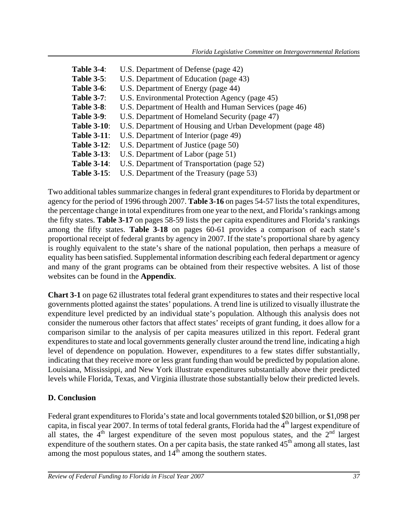| <b>Table 3-4:</b>  | U.S. Department of Defense (page 42)                       |
|--------------------|------------------------------------------------------------|
| <b>Table 3-5:</b>  | U.S. Department of Education (page 43)                     |
| <b>Table 3-6:</b>  | U.S. Department of Energy (page 44)                        |
| <b>Table 3-7:</b>  | U.S. Environmental Protection Agency (page 45)             |
| <b>Table 3-8:</b>  | U.S. Department of Health and Human Services (page 46)     |
| <b>Table 3-9:</b>  | U.S. Department of Homeland Security (page 47)             |
| <b>Table 3-10:</b> | U.S. Department of Housing and Urban Development (page 48) |
| <b>Table 3-11:</b> | U.S. Department of Interior (page 49)                      |
| <b>Table 3-12:</b> | U.S. Department of Justice (page 50)                       |
| <b>Table 3-13:</b> | U.S. Department of Labor (page 51)                         |
| <b>Table 3-14:</b> | U.S. Department of Transportation (page 52)                |
| <b>Table 3-15:</b> | U.S. Department of the Treasury (page 53)                  |

Two additional tables summarize changes in federal grant expenditures to Florida by department or agency for the period of 1996 through 2007. **Table 3-16** on pages 54-57 lists the total expenditures, the percentage change in total expenditures from one year to the next, and Florida's rankings among the fifty states. **Table 3-17** on pages 58-59 lists the per capita expenditures and Florida's rankings among the fifty states. **Table 3-18** on pages 60-61 provides a comparison of each state's proportional receipt of federal grants by agency in 2007. If the state's proportional share by agency is roughly equivalent to the state's share of the national population, then perhaps a measure of equality has been satisfied. Supplemental information describing each federal department or agency and many of the grant programs can be obtained from their respective websites. A list of those websites can be found in the **Appendix**.

**Chart 3-1** on page 62 illustrates total federal grant expenditures to states and their respective local governments plotted against the states' populations. A trend line is utilized to visually illustrate the expenditure level predicted by an individual state's population. Although this analysis does not consider the numerous other factors that affect states' receipts of grant funding, it does allow for a comparison similar to the analysis of per capita measures utilized in this report. Federal grant expenditures to state and local governments generally cluster around the trend line, indicating a high level of dependence on population. However, expenditures to a few states differ substantially, indicating that they receive more or less grant funding than would be predicted by population alone. Louisiana, Mississippi, and New York illustrate expenditures substantially above their predicted levels while Florida, Texas, and Virginia illustrate those substantially below their predicted levels.

### **D. Conclusion**

Federal grant expenditures to Florida's state and local governments totaled \$20 billion, or \$1,098 per capita, in fiscal year 2007. In terms of total federal grants, Florida had the 4<sup>th</sup> largest expenditure of all states, the  $4<sup>th</sup>$  largest expenditure of the seven most populous states, and the  $2<sup>nd</sup>$  largest expenditure of the southern states. On a per capita basis, the state ranked  $45<sup>th</sup>$  among all states, last among the most populous states, and  $14<sup>th</sup>$  among the southern states.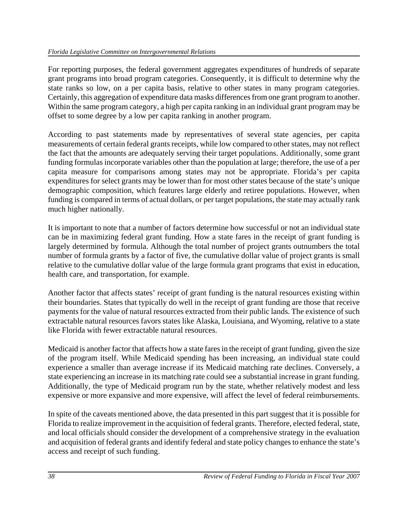For reporting purposes, the federal government aggregates expenditures of hundreds of separate grant programs into broad program categories. Consequently, it is difficult to determine why the state ranks so low, on a per capita basis, relative to other states in many program categories. Certainly, this aggregation of expenditure data masks differences from one grant program to another. Within the same program category, a high per capita ranking in an individual grant program may be offset to some degree by a low per capita ranking in another program.

According to past statements made by representatives of several state agencies, per capita measurements of certain federal grants receipts, while low compared to other states, may not reflect the fact that the amounts are adequately serving their target populations. Additionally, some grant funding formulas incorporate variables other than the population at large; therefore, the use of a per capita measure for comparisons among states may not be appropriate. Florida's per capita expenditures for select grants may be lower than for most other states because of the state's unique demographic composition, which features large elderly and retiree populations. However, when funding is compared in terms of actual dollars, or per target populations, the state may actually rank much higher nationally.

It is important to note that a number of factors determine how successful or not an individual state can be in maximizing federal grant funding. How a state fares in the receipt of grant funding is largely determined by formula. Although the total number of project grants outnumbers the total number of formula grants by a factor of five, the cumulative dollar value of project grants is small relative to the cumulative dollar value of the large formula grant programs that exist in education, health care, and transportation, for example.

Another factor that affects states' receipt of grant funding is the natural resources existing within their boundaries. States that typically do well in the receipt of grant funding are those that receive payments for the value of natural resources extracted from their public lands. The existence of such extractable natural resources favors states like Alaska, Louisiana, and Wyoming, relative to a state like Florida with fewer extractable natural resources.

Medicaid is another factor that affects how a state fares in the receipt of grant funding, given the size of the program itself. While Medicaid spending has been increasing, an individual state could experience a smaller than average increase if its Medicaid matching rate declines. Conversely, a state experiencing an increase in its matching rate could see a substantial increase in grant funding. Additionally, the type of Medicaid program run by the state, whether relatively modest and less expensive or more expansive and more expensive, will affect the level of federal reimbursements.

In spite of the caveats mentioned above, the data presented in this part suggest that it is possible for Florida to realize improvement in the acquisition of federal grants. Therefore, elected federal, state, and local officials should consider the development of a comprehensive strategy in the evaluation and acquisition of federal grants and identify federal and state policy changes to enhance the state's access and receipt of such funding.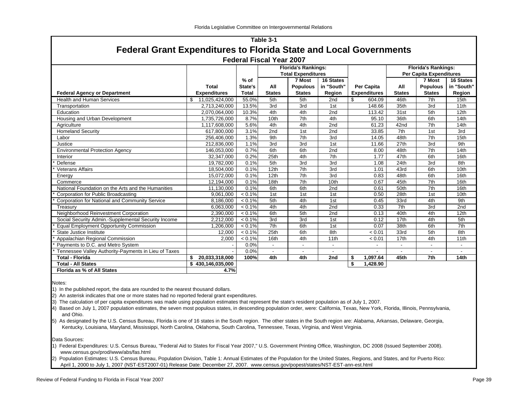|                                                                          |                       |              | Table 3-1                       |                            |                |                          |                                |                            |             |
|--------------------------------------------------------------------------|-----------------------|--------------|---------------------------------|----------------------------|----------------|--------------------------|--------------------------------|----------------------------|-------------|
| <b>Federal Grant Expenditures to Florida State and Local Governments</b> |                       |              |                                 |                            |                |                          |                                |                            |             |
|                                                                          |                       |              |                                 |                            |                |                          |                                |                            |             |
|                                                                          |                       |              | <b>Federal Fiscal Year 2007</b> |                            |                |                          |                                |                            |             |
|                                                                          |                       |              |                                 | <b>Florida's Rankings:</b> |                |                          |                                | <b>Florida's Rankings:</b> |             |
|                                                                          |                       |              |                                 | <b>Total Expenditures</b>  |                |                          | <b>Per Capita Expenditures</b> |                            |             |
|                                                                          |                       | $%$ of       |                                 | 7 Most                     | 16 States      |                          |                                | 7 Most                     | 16 States   |
|                                                                          | Total                 | State's      | All                             | <b>Populous</b>            | in "South"     | Per Capita               | All                            | <b>Populous</b>            | in "South"  |
| <b>Federal Agency or Department</b>                                      | <b>Expenditures</b>   | <b>Total</b> | <b>States</b>                   | <b>States</b>              | Region         | <b>Expenditures</b>      | <b>States</b>                  | <b>States</b>              | Region      |
| <b>Health and Human Services</b>                                         | 11,025,424,000<br>\$. | 55.0%        | 5th                             | 5th                        | 2nd            | \$<br>604.09             | 46th                           | 7th                        | 15th        |
| Transportation                                                           | 2,713,240,000         | 13.5%        | 3rd                             | 3rd                        | 1st            | 148.66                   | 35th                           | 3rd                        | 11th        |
| Education                                                                | 2,070,064,000         | 10.3%        | 4th                             | 4th                        | 2nd            | 113.42                   | 31st                           | 5th                        | 12th        |
| Housing and Urban Development                                            | 1,735,726,000         | 8.7%         | 10th                            | 7th                        | 4th            | 95.10                    | 36th                           | 6th                        | 14th        |
| Agriculture                                                              | 1,117,608,000         | 5.6%         | 4th                             | 4th                        | 2nd            | 61.23                    | 42nd                           | 7th                        | 14th        |
| <b>Homeland Security</b>                                                 | 617.800.000           | 3.1%         | 2 <sub>nd</sub>                 | 1st                        | 2nd            | 33.85                    | 7th                            | 1st                        | 3rd         |
| Labor                                                                    | 256,406,000           | 1.3%         | 9th                             | 7th                        | 3rd            | 14.05                    | 48th                           | 7th                        | 15th        |
| Justice                                                                  | 212,836,000           | 1.1%         | 3rd                             | 3rd                        | 1st            | 11.66                    | 27th                           | 3rd                        | 9th         |
| <b>Environmental Protection Agency</b>                                   | 146,053,000           | 0.7%         | 6th                             | 6th                        | 2nd            | 8.00                     | 48th                           | 7th                        | 14th        |
| Interior                                                                 | 32,347,000            | 0.2%         | 25th                            | 4th                        | 7th            | 1.77                     | 47th                           | 6th                        | 16th        |
| Defense                                                                  | 19,782,000            | 0.1%         | 5th                             | 3rd                        | 3rd            | 1.08                     | 24th                           | 3rd                        | 8th         |
| <b>Veterans Affairs</b>                                                  | 18,504,000            | 0.1%         | 12th                            | 7th                        | 3rd            | 1.01                     | 43rd                           | 6th                        | 10th        |
| Enerav                                                                   | 15.072.000            | 0.1%         | 12 <sub>th</sub>                | 7th                        | 3rd            | 0.83                     | 48th                           | 6th                        | 16th        |
| Commerce                                                                 | 12,194,000            | 0.1%         | 18th                            | 7th                        | 10th           | 0.67                     | 45th                           | 7th                        | 16th        |
| National Foundation on the Arts and the Humanities                       | 11,130,000            | 0.1%         | 6th                             | 6th                        | 2nd            | 0.61                     | 50th                           | 7th                        | 16th        |
| Corporation for Public Broadcasting                                      | 9,061,000             | $< 0.1\%$    | 1st                             | 1st                        | 1st            | 0.50                     | 28th                           | 1st                        | 10th        |
| Corporation for National and Community Service                           | 8,186,000             | $< 0.1\%$    | 5th                             | 4th                        | 1st            | 0.45                     | 33rd                           | 4th                        | 9th         |
| Treasury                                                                 | 6,063,000             | $< 0.1\%$    | 4th                             | 4th                        | 2nd            | 0.33                     | 7th                            | 3rd                        | 2nd         |
| Neighborhood Reinvestment Corporation                                    | 2,390,000             | $< 0.1\%$    | 6th                             | 5th                        | 2nd            | 0.13                     | 40th                           | 4th                        | 12th        |
| Social Security Admin.-Supplemental Security Income                      | 2,212,000             | $< 0.1\%$    | 3rd                             | 3rd                        | 1st            | 0.12                     | 17th                           | 4th                        | 5th         |
| <b>Equal Employment Opportunity Commission</b>                           | 1,206,000             | $< 0.1\%$    | 7th                             | 6th                        | 1st            | 0.07                     | 38th                           | 6th                        | 7th         |
| <b>State Justice Institute</b>                                           | 12,000                | $< 0.1\%$    | 25th                            | 6th                        | 8th            | < 0.01                   | 33rd                           | 5th                        | 8th         |
| Appalachian Regional Commission                                          | 2,000                 | $< 0.1\%$    | 16th                            | 4th                        | 11th           | < 0.01                   | 17th                           | 4th                        | 11th        |
| Payments to D.C. and Metro System                                        |                       | 0.0%         | $\blacksquare$                  | $\blacksquare$             | $\blacksquare$ |                          |                                | $\overline{\phantom{a}}$   |             |
| Tennessee Valley Authority-Payments in Lieu of Taxes                     |                       | 0.0%         | $\overline{\phantom{a}}$        | $\overline{\phantom{a}}$   | $\blacksquare$ | $\overline{\phantom{a}}$ |                                | $\overline{\phantom{a}}$   |             |
| <b>Total - Florida</b>                                                   | 20,033,318,000<br>\$  | 100%         | 4th                             | 4th                        | 2nd            | 1,097.64<br>\$           | 45th                           | 7th                        | <b>14th</b> |
| <b>Total - All States</b>                                                | \$430,146,035,000     |              |                                 |                            |                | \$<br>1,428.90           |                                |                            |             |
| Florida as % of All States                                               | 4.7%                  |              |                                 |                            |                |                          |                                |                            |             |

Notes:

1) In the published report, the data are rounded to the nearest thousand dollars.

2) An asterisk indicates that one or more states had no reported federal grant expenditures.

3) The calculation of per capita expenditures was made using population estimates that represent the state's resident population as of July 1, 2007.

4) Based on July 1, 2007 population estimates, the seven most populous states, in descending population order, were: California, Texas, New York, Florida, Illinois, Pennsylvania, and Ohio.

5) As designated by the U.S. Census Bureau, Florida is one of 16 states in the South region. The other states in the South region are: Alabama, Arkansas, Delaware, Georgia, Kentucky, Louisiana, Maryland, Mississippi, North Carolina, Oklahoma, South Carolina, Tennessee, Texas, Virginia, and West Virginia.

Data Sources:

1) Federal Expenditures: U.S. Census Bureau, "Federal Aid to States for Fiscal Year 2007," U.S. Government Printing Office, Washington, DC 2008 (Issued September 2008). www.census.gov/prod/www/abs/fas.html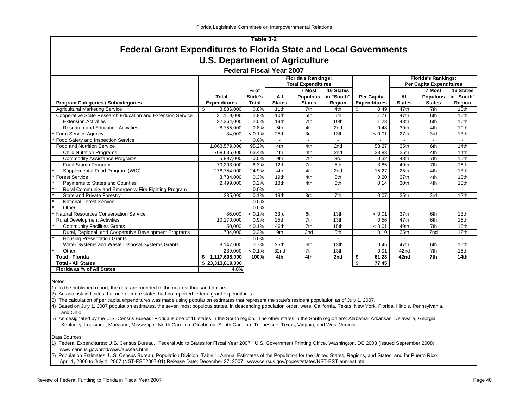|                                                                          |                                       | Table 3-2    |                          |                            |                  |                     |                          |                                |                  |  |
|--------------------------------------------------------------------------|---------------------------------------|--------------|--------------------------|----------------------------|------------------|---------------------|--------------------------|--------------------------------|------------------|--|
|                                                                          |                                       |              |                          |                            |                  |                     |                          |                                |                  |  |
| <b>Federal Grant Expenditures to Florida State and Local Governments</b> |                                       |              |                          |                            |                  |                     |                          |                                |                  |  |
|                                                                          | <b>U.S. Department of Agriculture</b> |              |                          |                            |                  |                     |                          |                                |                  |  |
| <b>Federal Fiscal Year 2007</b>                                          |                                       |              |                          |                            |                  |                     |                          |                                |                  |  |
|                                                                          |                                       |              |                          | <b>Florida's Rankings:</b> |                  |                     |                          | <b>Florida's Rankings:</b>     |                  |  |
|                                                                          |                                       |              |                          | <b>Total Expenditures</b>  |                  |                     |                          | <b>Per Capita Expenditures</b> |                  |  |
|                                                                          |                                       | $%$ of       |                          | 7 Most                     | 16 States        |                     |                          | 7 Most                         | 16 States        |  |
|                                                                          | Total                                 | State's      | All                      | <b>Populous</b>            | in "South"       | Per Capita          | All                      | <b>Populous</b>                | in "South"       |  |
| <b>Program Categories / Subcategories</b>                                | <b>Expenditures</b>                   | <b>Total</b> | <b>States</b>            | <b>States</b>              | Region           | <b>Expenditures</b> | <b>States</b>            | <b>States</b>                  | Region           |  |
| <b>Agricultural Marketing Service</b>                                    | 8.886.000<br>\$.                      | 0.8%         | 11th                     | 7th                        | 4th              | \$<br>0.49          | 47th                     | 7th                            | 15th             |  |
| Cooperative State Research Education and Extension Service               | 31,119,000                            | $2.8\%$      | 10th                     | 5th                        | 5th              | 1.71                | 47th                     | 6th                            | 16th             |  |
| <b>Extension Activities</b>                                              | 22,364,000                            | 2.0%         | 19th                     | 7th                        | 10th             | 1.23                | 48th                     | 6th                            | 16th             |  |
| <b>Research and Education Activities</b>                                 | 8.755.000                             | 0.8%         | 5th                      | 4th                        | 2 <sub>nd</sub>  | 0.48                | 39th                     | 4th                            | 10th             |  |
| Farm Service Agency                                                      | 34,000                                | $< 0.1\%$    | 25th                     | 3rd                        | 13 <sub>th</sub> | < 0.01              | 27th                     | 3rd                            | 13 <sub>th</sub> |  |
| Food Safety and Inspection Service                                       |                                       | 0.0%         | $\overline{\phantom{a}}$ | $\blacksquare$             | $\blacksquare$   |                     | $\overline{\phantom{a}}$ |                                |                  |  |
| <b>Food and Nutrition Service</b>                                        | 1,063,579,000                         | 95.2%        | 4th                      | 4th                        | 2 <sub>nd</sub>  | 58.27               | 35th                     | 6th                            | 14th             |  |
| <b>Child Nutrition Programs</b>                                          | 708,635,000                           | 63.4%        | 4th                      | 4th                        | 2 <sub>nd</sub>  | 38.83               | 25th                     | 4th                            | 14th             |  |
| <b>Commodity Assistance Programs</b>                                     | 5,897,000                             | 0.5%         | 9th                      | 7th                        | 3rd              | 0.32                | 48th                     | 7th                            | 15th             |  |
| Food Stamp Program                                                       | 70,293,000                            | 6.3%         | 12th                     | 7th                        | 5th              | 3.85                | 49th                     | 7th                            | 16th             |  |
| Supplemental Food Program (WIC)                                          | 278,754,000                           | 24.9%        | 4th                      | 4th                        | 2nd              | 15.27               | 25th                     | 4th                            | 13 <sub>th</sub> |  |
| <b>Forest Service</b>                                                    | 3,734,000                             | 0.3%         | 19th                     | 4th                        | 6th              | 0.20                | 37th                     | 4th                            | 13th             |  |
| Payments to States and Counties                                          | 2,499,000                             | 0.2%         | 18th                     | 4th                        | 6th              | 0.14                | 30 <sub>th</sub>         | 4th                            | 10th             |  |
| Rural Community and Emergency Fire Fighting Program                      |                                       | 0.0%         |                          |                            |                  |                     |                          |                                |                  |  |
| <b>State and Private Forestry</b>                                        | 1.235.000                             | 0.1%         | 18th                     | 3rd                        | 7th              | 0.07                | 25th                     | 3rd                            | 12 <sub>th</sub> |  |
| <b>National Forest Service</b>                                           |                                       | 0.0%         | L.                       |                            |                  |                     |                          |                                |                  |  |
| Other                                                                    |                                       | 0.0%         | $\mathbf{r}$             | $\overline{\phantom{a}}$   | $\sim$           |                     | $\overline{a}$           | $\sim$                         |                  |  |
| <b>Natural Resources Conservation Service</b>                            | 86.000                                | < 0.1%       | 33rd                     | 6th                        | 13th             | < 0.01              | 37th                     | 6th                            | 13th             |  |
| <b>Rural Development Activities</b>                                      | 10,170,000                            | 0.9%         | 25th                     | 7th                        | 13 <sub>th</sub> | 0.56                | 47th                     | 6th                            | 15th             |  |
| <b>Community Facilities Grants</b>                                       | 50,000                                | $< 0.1\%$    | 46th                     | 7th                        | 15th             | < 0.01              | 49th                     | 7th                            | 16th             |  |
| Rural, Regional, and Cooperative Development Programs                    | 1,734,000                             | 0.2%         | 9th                      | 2nd                        | 5th              | 0.10                | 35th                     | 2nd                            | 12th             |  |
| <b>Housing Preservation Grants</b>                                       |                                       | 0.0%         | $\overline{\phantom{a}}$ | $\blacksquare$             |                  |                     |                          |                                |                  |  |
| Water Systems and Waste Disposal Systems Grants                          | 8,147,000                             | 0.7%         | 25th                     | 6th                        | 13th             | 0.45                | 47th                     | 6th                            | 15th             |  |
| Other                                                                    | 239,000                               | $< 0.1\%$    | 32nd                     | 7th                        | 13 <sub>th</sub> | 0.01                | 42nd                     | 7th                            | 15th             |  |
| <b>Total - Florida</b>                                                   | \$1,117,608,000                       | 100%         | 4th                      | 4th                        | 2nd              | 61.23<br>\$         | 42nd                     | 7th                            | <b>14th</b>      |  |
| <b>Total - All States</b>                                                | \$23,313,819,000                      |              |                          |                            |                  | \$<br>77.45         |                          |                                |                  |  |
| Florida as % of All States                                               | 4.8%                                  |              |                          |                            |                  |                     |                          |                                |                  |  |

Notes:

1) In the published report, the data are rounded to the nearest thousand dollars.

2) An asterisk indicates that one or more states had no reported federal grant expenditures.

3) The calculation of per capita expenditures was made using population estimates that represent the state's resident population as of July 1, 2007.

4) Based on July 1, 2007 population estimates, the seven most populous states, in descending population order, were: California, Texas, New York, Florida, Illinois, Pennsylvania, and Ohio.

5) As designated by the U.S. Census Bureau, Florida is one of 16 states in the South region. The other states in the South region are: Alabama, Arkansas, Delaware, Georgia, Kentucky, Louisiana, Maryland, Mississippi, North Carolina, Oklahoma, South Carolina, Tennessee, Texas, Virginia, and West Virginia.

Data Sources:

1) Federal Expenditures: U.S. Census Bureau, "Federal Aid to States for Fiscal Year 2007," U.S. Government Printing Office, Washington, DC 2008 (Issued September 2008). www.census.gov/prod/www/abs/fas.html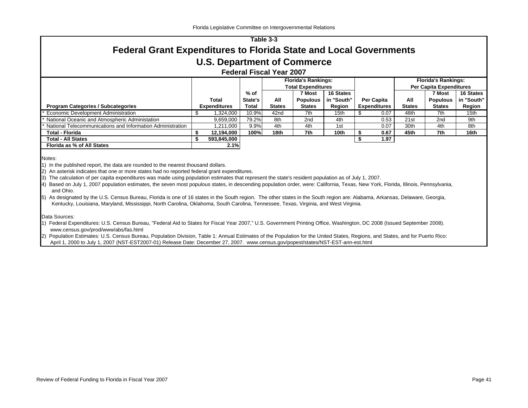# **Table 3-3U.S. Department of Commerce Federal Grant Expenditures to Florida State and Local Governments**

### **Federal Fiscal Year 2007**

|                                                            |                     |         | <b>Florida's Rankings:</b> |                           |            |                     | <b>Florida's Rankings:</b>     |                 |                  |
|------------------------------------------------------------|---------------------|---------|----------------------------|---------------------------|------------|---------------------|--------------------------------|-----------------|------------------|
|                                                            |                     |         |                            | <b>Total Expenditures</b> |            |                     | <b>Per Capita Expenditures</b> |                 |                  |
|                                                            |                     | % of    |                            | 7 Most                    | 16 States  |                     |                                | 7 Most          | <b>16 States</b> |
|                                                            | Total               | State's | All                        | <b>Populous</b>           | in "South" | <b>Per Capita</b>   | All                            | <b>Populous</b> | in "South"       |
| <b>Program Categories / Subcategories</b>                  | <b>Expenditures</b> | Total   | States                     | <b>States</b>             | Region     | <b>Expenditures</b> | <b>States</b>                  | <b>States</b>   | Region           |
| Economic Development Administration                        | 1,324,000           | 10.9%   | 42nd                       | 7th                       | 15th       | 0.07                | 48th                           | 7th             | 15th             |
| * National Oceanic and Atmospheric Administation           | 9,659,000           | 79.2%   | 8th                        | 2 <sub>nd</sub>           | 4th        | 0.53                | 21st                           | 2 <sub>nd</sub> | 9th              |
| National Telecommunications and Information Administration | 1.211.000           | 9.9%    | 4th                        | 4th                       | 1st        | 0.07                | 30th                           | 4th             | 8th              |
| <b>Total - Florida</b>                                     | 12.194.000          | 100%    | 18th                       | 7th                       | 10th       | 0.67                | 45th                           | 7th             | 16th             |
| <b>Total - All States</b>                                  | 593.845.000         |         |                            |                           |            | 1.97                |                                |                 |                  |
| Florida as % of All States                                 | 2.1%                |         |                            |                           |            |                     |                                |                 |                  |

Notes:

1) In the published report, the data are rounded to the nearest thousand dollars.

2) An asterisk indicates that one or more states had no reported federal grant expenditures.

3) The calculation of per capita expenditures was made using population estimates that represent the state's resident population as of July 1, 2007.

4) Based on July 1, 2007 population estimates, the seven most populous states, in descending population order, were: California, Texas, New York, Florida, Illinois, Pennsylvania, and Ohio.

5) As designated by the U.S. Census Bureau, Florida is one of 16 states in the South region. The other states in the South region are: Alabama, Arkansas, Delaware, Georgia, Kentucky, Louisiana, Maryland, Mississippi, North Carolina, Oklahoma, South Carolina, Tennessee, Texas, Virginia, and West Virginia.

Data Sources:

1) Federal Expenditures: U.S. Census Bureau, "Federal Aid to States for Fiscal Year 2007," U.S. Government Printing Office, Washington, DC 2008 (Issued September 2008). www.census.gov/prod/www/abs/fas.html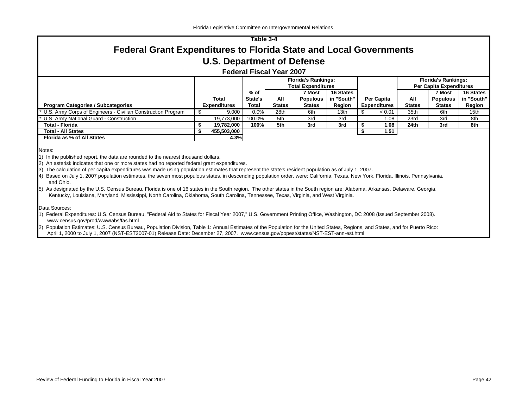# **Table 3-4U.S. Department of Defense Federal Grant Expenditures to Florida State and Local Governments**

### **Federal Fiscal Year 2007**

|                                                                |                              |                          | <b>Florida's Rankings:</b><br><b>Total Expenditures</b> |                                            |                                   |                                          | <b>Florida's Rankings:</b><br><b>Per Capita Expenditures</b> |                                            |                                   |
|----------------------------------------------------------------|------------------------------|--------------------------|---------------------------------------------------------|--------------------------------------------|-----------------------------------|------------------------------------------|--------------------------------------------------------------|--------------------------------------------|-----------------------------------|
| <b>Program Categories / Subcategories</b>                      | Total<br><b>Expenditures</b> | % of<br>State's<br>Total | All<br><b>States</b>                                    | 7 Most<br><b>Populous</b><br><b>States</b> | 16 States<br>in "South"<br>Region | <b>Per Capita</b><br><b>Expenditures</b> | All<br><b>States</b>                                         | 7 Most<br><b>Populous</b><br><b>States</b> | 16 States<br>in "South"<br>Region |
| * U.S. Army Corps of Engineers - Civilian Construction Program | 9,000                        | 0.0%                     | 28th                                                    | 6th                                        | 13th                              | < 0.01                                   | 35th                                                         | 6th                                        | 15th                              |
| U.S. Army National Guard - Construction                        | 19,773,000                   | 100.0%                   | 5th                                                     | 3rd                                        | 3rd                               | 1.08                                     | 23rd                                                         | 3rd                                        | 8th                               |
| <b>Total - Florida</b>                                         | 19.782.000                   | 100%                     | 5th                                                     | 3rd                                        | 3rd                               | 1.08                                     | 24th                                                         | 3rd                                        | 8th                               |
| <b>Total - All States</b>                                      | 455,503,000                  |                          |                                                         |                                            |                                   | 1.51                                     |                                                              |                                            |                                   |
| Florida as % of All States                                     | 4.3%                         |                          |                                                         |                                            |                                   |                                          |                                                              |                                            |                                   |

Notes:

1) In the published report, the data are rounded to the nearest thousand dollars.

2) An asterisk indicates that one or more states had no reported federal grant expenditures.

3) The calculation of per capita expenditures was made using population estimates that represent the state's resident population as of July 1, 2007.

4) Based on July 1, 2007 population estimates, the seven most populous states, in descending population order, were: California, Texas, New York, Florida, Illinois, Pennsylvania, and Ohio.

5) As designated by the U.S. Census Bureau, Florida is one of 16 states in the South region. The other states in the South region are: Alabama, Arkansas, Delaware, Georgia, Kentucky, Louisiana, Maryland, Mississippi, North Carolina, Oklahoma, South Carolina, Tennessee, Texas, Virginia, and West Virginia.

Data Sources:

1) Federal Expenditures: U.S. Census Bureau, "Federal Aid to States for Fiscal Year 2007," U.S. Government Printing Office, Washington, DC 2008 (Issued September 2008). www.census.gov/prod/www/abs/fas.html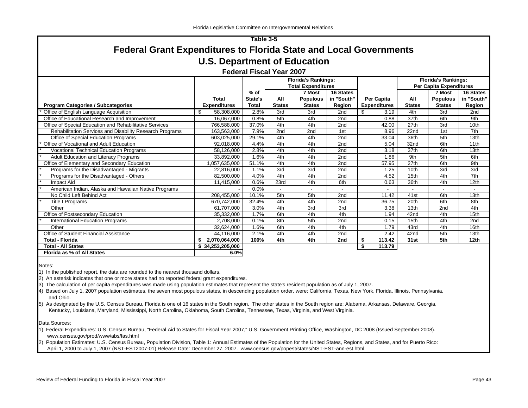| Table $3-5$                                                              |
|--------------------------------------------------------------------------|
| <b>Federal Grant Expenditures to Florida State and Local Governments</b> |
| <b>U.S. Department of Education</b>                                      |

### **Federal Fiscal Year 2007**

| . Cacia: 1.00a. 1.0a. 2007                               |                     |              |                          |                            |                  |                     |                            |                                |                          |  |  |  |  |
|----------------------------------------------------------|---------------------|--------------|--------------------------|----------------------------|------------------|---------------------|----------------------------|--------------------------------|--------------------------|--|--|--|--|
|                                                          |                     |              |                          | <b>Florida's Rankings:</b> |                  |                     | <b>Florida's Rankings:</b> |                                |                          |  |  |  |  |
|                                                          |                     |              |                          | <b>Total Expenditures</b>  |                  |                     |                            | <b>Per Capita Expenditures</b> |                          |  |  |  |  |
|                                                          |                     | $%$ of       |                          | 7 Most                     | <b>16 States</b> |                     |                            | 7 Most                         | 16 States                |  |  |  |  |
|                                                          | Total               | State's      | All                      | <b>Populous</b>            | in "South"       | Per Capita          | All                        | <b>Populous</b>                | in "South"               |  |  |  |  |
| <b>Program Categories / Subcategories</b>                | <b>Expenditures</b> | <b>Total</b> | <b>States</b>            | <b>States</b>              | Region           | <b>Expenditures</b> | <b>States</b>              | <b>States</b>                  | Region                   |  |  |  |  |
| Office of English Language Acquisition                   | 58,308,000<br>\$    | 2.8%         | 3rd                      | 3rd                        | 2nd              | 3.19<br>\$          | 4th                        | 3rd                            | 2nd                      |  |  |  |  |
| Office of Educational Research and Improvement           | 16,067,000          | 0.8%         | 5th                      | 4th                        | 2 <sub>nd</sub>  | 0.88                | 37th                       | 6th                            | 9th                      |  |  |  |  |
| Office of Special Education and Rehabilitative Services  | 766,588,000         | 37.0%        | 4th                      | 4th                        | 2nd              | 42.00               | 27th                       | 3rd                            | 10th                     |  |  |  |  |
| Rehabilitation Services and Disability Research Programs | 163,563,000         | 7.9%         | 2 <sub>nd</sub>          | 2nd                        | 1st              | 8.96                | 22 <sub>nd</sub>           | 1st                            | 7th                      |  |  |  |  |
| Office of Special Education Programs                     | 603,025,000         | 29.1%        | 4th                      | 4th                        | 2nd              | 33.04               | 36th                       | 5th                            | 13 <sub>th</sub>         |  |  |  |  |
| Office of Vocational and Adult Education                 | 92.018.000          | 4.4%         | 4th                      | 4th                        | 2 <sub>nd</sub>  | 5.04                | 32nd                       | 6th                            | 11th                     |  |  |  |  |
| <b>Vocational Technical Education Programs</b>           | 58,126,000          | 2.8%         | 4th                      | 4th                        | 2nd              | 3.18                | 37th                       | 6th                            | 13 <sub>th</sub>         |  |  |  |  |
| Adult Education and Literacy Programs                    | 33,892,000          | 1.6%         | 4th                      | 4th                        | 2nd              | 1.86                | 9th                        | 5th                            | 6th                      |  |  |  |  |
| Office of Elementary and Secondary Education             | ,057,635,000        | 51.1%        | 4th                      | 4th                        | 2 <sub>nd</sub>  | 57.95               | 27th                       | 6th                            | 9th                      |  |  |  |  |
| Programs for the Disadvantaged - Migrants                | 22,816,000          | 1.1%         | 3rd                      | 3rd                        | 2 <sub>nd</sub>  | 1.25                | 10th                       | 3rd                            | 3rd                      |  |  |  |  |
| Programs for the Disadvantaged - Others                  | 82,500,000          | 4.0%         | 4th                      | 4th                        | 2nd              | 4.52                | 15th                       | 4th                            | 7th                      |  |  |  |  |
| Impact Aid                                               | 11,415,000          | 0.6%         | 23rd                     | 4th                        | 6th              | 0.63                | 36th                       | 4th                            | 12th                     |  |  |  |  |
| American Indian, Alaska and Hawaiian Native Programs     |                     | 0.0%         | $\overline{\phantom{a}}$ |                            |                  |                     |                            |                                | $\overline{\phantom{a}}$ |  |  |  |  |
| No Child Left Behind Act                                 | 208,455,000         | 10.1%        | 5th                      | 5th                        | 2 <sub>nd</sub>  | 11.42               | 41st                       | 6th                            | 13th                     |  |  |  |  |
| Title I Programs                                         | 670,742,000         | 32.4%        | 4th                      | 4th                        | 2nd              | 36.75               | 20th                       | 6th                            | 8th                      |  |  |  |  |
| Other                                                    | 61,707,000          | 3.0%         | 4th                      | 3rd                        | 3rd              | 3.38                | 13th                       | 2 <sub>nd</sub>                | 4th                      |  |  |  |  |
| Office of Postsecondary Education                        | 35,332,000          | 1.7%         | 6th                      | 4th                        | 4th              | 1.94                | 42nd                       | 4th                            | 15th                     |  |  |  |  |
| International Education Programs                         | 2.708.000           | 0.1%         | 8th                      | 5th                        | 2nd              | 0.15                | 15th                       | 4th                            | 2nd                      |  |  |  |  |
| Other                                                    | 32,624,000          | 1.6%         | 6th                      | 4th                        | 4th              | 1.79                | 43rd                       | 4th                            | 16th                     |  |  |  |  |
| Office of Student Financial Assistance                   | 44,116,000          | 2.1%         | 4th                      | 4th                        | 2nd              | 2.42                | 42nd                       | 5th                            | 13 <sub>th</sub>         |  |  |  |  |
| Total - Florida                                          | 2,070,064,000       | 100%         | 4th                      | 4th                        | 2nd              | 113.42              | 31st                       | 5th                            | 12th                     |  |  |  |  |
| <b>Total - All States</b>                                | \$34,253,205,000    |              |                          |                            |                  | \$<br>113.79        |                            |                                |                          |  |  |  |  |
| Florida as % of All States                               | 6.0%                |              |                          |                            |                  |                     |                            |                                |                          |  |  |  |  |

Notes:

1) In the published report, the data are rounded to the nearest thousand dollars.

2) An asterisk indicates that one or more states had no reported federal grant expenditures.

3) The calculation of per capita expenditures was made using population estimates that represent the state's resident population as of July 1, 2007.

4) Based on July 1, 2007 population estimates, the seven most populous states, in descending population order, were: California, Texas, New York, Florida, Illinois, Pennsylvania, and Ohio.

5) As designated by the U.S. Census Bureau, Florida is one of 16 states in the South region. The other states in the South region are: Alabama, Arkansas, Delaware, Georgia, Kentucky, Louisiana, Maryland, Mississippi, North Carolina, Oklahoma, South Carolina, Tennessee, Texas, Virginia, and West Virginia.

Data Sources:

1) Federal Expenditures: U.S. Census Bureau, "Federal Aid to States for Fiscal Year 2007," U.S. Government Printing Office, Washington, DC 2008 (Issued September 2008). www.census.gov/prod/www/abs/fas.html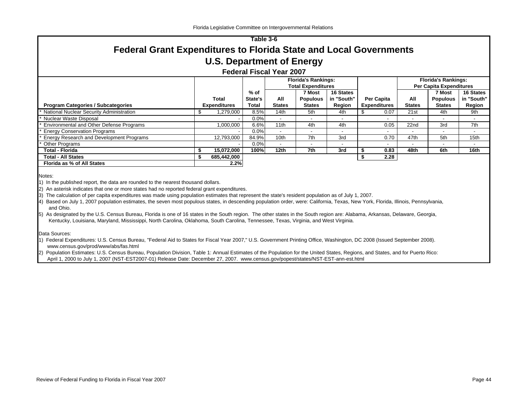# **Table 3-6U.S. Department of Energy Federal Grant Expenditures to Florida State and Local Governments**

#### **% of 7 Most 16 States 7 Most 16 StatesTotal State's All Populous in "South" Per Capita All Populous in "South"** Program Categories / Subcategories | States | Total | States | States | Region | Expenditures | States | States | Region National Nuclear Security Administration 1,28 (1,279,000 | 8.5% 14th 5th 14th 1 \$ 0.07 | 21st | 4th 9th 9th Nuclear Waste Disposal and the contract of the contract of the contract of the contract of the contract of the contract of the contract of the contract of the contract of the contract of the contract of the contract of the Environmental and Other Defense Programs 1,000,000 | 1,000,000 | 6.6% | 11th | 4th | 4th | 0.05 | 22nd | 3rd | 7th Energy Conservation Programs - 0.0% - - - - - - - Energy Research and Development Programs 12,793,000 84.9% 10th 7th 3rd 0.70 47th 5th 15th 15th Other Programs - | 0.0%| - | - | - | - | - | - | -**Total - Florida 15,072,000 \$ 100% 12th 7th 3rd 0.83 \$ 48th 6th 16th Total - All States 685,442,000 \$ \$ 2.28 Florida as % of All States 2.2%Total Expenditures Per Capita Expenditures Federal Fiscal Year 2007 Florida's Rankings: Florida's Rankings:**

Notes:

\*

\*

\*

\*

\*

\*

1) In the published report, the data are rounded to the nearest thousand dollars.

2) An asterisk indicates that one or more states had no reported federal grant expenditures.

3) The calculation of per capita expenditures was made using population estimates that represent the state's resident population as of July 1, 2007.

4) Based on July 1, 2007 population estimates, the seven most populous states, in descending population order, were: California, Texas, New York, Florida, Illinois, Pennsylvania, and Ohio.

5) As designated by the U.S. Census Bureau, Florida is one of 16 states in the South region. The other states in the South region are: Alabama, Arkansas, Delaware, Georgia, Kentucky, Louisiana, Maryland, Mississippi, North Carolina, Oklahoma, South Carolina, Tennessee, Texas, Virginia, and West Virginia.

Data Sources:

1) Federal Expenditures: U.S. Census Bureau, "Federal Aid to States for Fiscal Year 2007," U.S. Government Printing Office, Washington, DC 2008 (Issued September 2008). www.census.gov/prod/www/abs/fas.html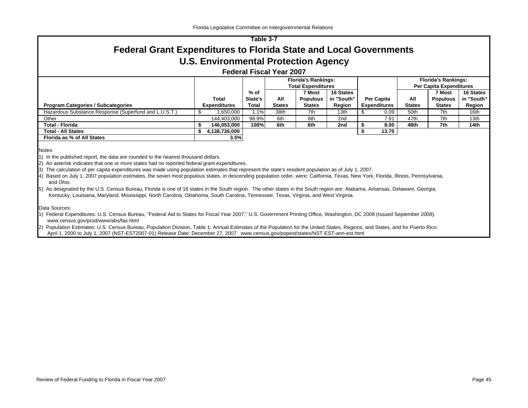## **Table 3-7U.S. Environmental Protection Agency Federal Grant Expenditures to Florida State and Local Governments**

### **Federal Fiscal Year 2007**

|                                                       |                     |         | <b>Florida's Rankings:</b><br><b>Total Expenditures</b> |                 |                 |  |                     |               | <b>Florida's Rankings:</b><br><b>Per Capita Expenditures</b> |            |
|-------------------------------------------------------|---------------------|---------|---------------------------------------------------------|-----------------|-----------------|--|---------------------|---------------|--------------------------------------------------------------|------------|
|                                                       |                     | $%$ of  |                                                         | 7 Most          | 16 States       |  |                     |               | 7 Most                                                       | 16 States  |
|                                                       | Total               | State's | All                                                     | <b>Populous</b> | in "South"      |  | Per Capita          | All           | <b>Populous</b>                                              | in "South" |
| <b>Program Categories / Subcategories</b>             | <b>Expenditures</b> | Total   | <b>States</b>                                           | <b>States</b>   | Region          |  | <b>Expenditures</b> | <b>States</b> | <b>States</b>                                                | Region     |
| Hazardous Substance Response (Superfund and L.U.S.T.) | 1,650,000           | 1.1%    | 38th                                                    | 7th             | 13th            |  | 0.09                | 50th          | 7th                                                          | 16th       |
| Other                                                 | 144.403.000         | 98.9%   | 6th                                                     | 6th             | 2 <sub>nd</sub> |  | 7.91                | 47th          | 7th                                                          | 13th       |
| <b>Total - Florida</b>                                | 146.053.000         | 100%    | 6th                                                     | 6th             | 2nd             |  | 8.00                | 48th          | 7th                                                          | 14th       |
| <b>Total - All States</b>                             | 4.138.736.000       |         |                                                         |                 |                 |  | 13.75               |               |                                                              |            |
| Florida as % of All States                            | 3.5%                |         |                                                         |                 |                 |  |                     |               |                                                              |            |

Notes:

1) In the published report, the data are rounded to the nearest thousand dollars.

2) An asterisk indicates that one or more states had no reported federal grant expenditures.

3) The calculation of per capita expenditures was made using population estimates that represent the state's resident population as of July 1, 2007.

4) Based on July 1, 2007 population estimates, the seven most populous states, in descending population order, were: California, Texas, New York, Florida, Illinois, Pennsylvania, and Ohio.

5) As designated by the U.S. Census Bureau, Florida is one of 16 states in the South region. The other states in the South region are: Alabama, Arkansas, Delaware, Georgia, Kentucky, Louisiana, Maryland, Mississippi, North Carolina, Oklahoma, South Carolina, Tennessee, Texas, Virginia, and West Virginia.

Data Sources:

1) Federal Expenditures: U.S. Census Bureau, "Federal Aid to States for Fiscal Year 2007," U.S. Government Printing Office, Washington, DC 2008 (Issued September 2008). www.census.gov/prod/www/abs/fas.html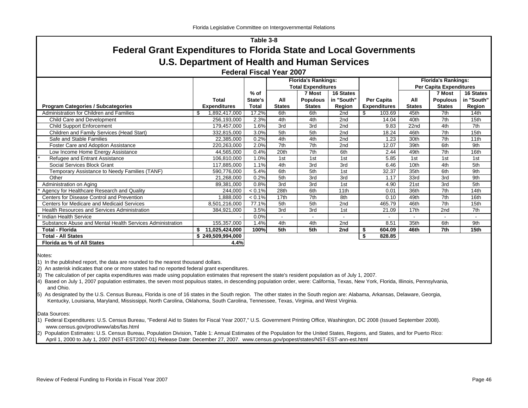## **Table 3-8U.S. Department of Health and Human Services Federal Grant Expenditures to Florida State and Local Governments**

### **Federal Fiscal Year 2007**

|                                                           | 1 GUGIUI 1 13641 1 GUI 2007 |              |               |                            |                 |   |                     |                |                                |                  |  |  |  |
|-----------------------------------------------------------|-----------------------------|--------------|---------------|----------------------------|-----------------|---|---------------------|----------------|--------------------------------|------------------|--|--|--|
|                                                           |                             |              |               | <b>Florida's Rankings:</b> |                 |   |                     |                | <b>Florida's Rankings:</b>     |                  |  |  |  |
|                                                           |                             |              |               | <b>Total Expenditures</b>  |                 |   |                     |                | <b>Per Capita Expenditures</b> |                  |  |  |  |
|                                                           |                             | $%$ of       |               | 7 Most                     | 16 States       |   |                     |                | 7 Most                         | <b>16 States</b> |  |  |  |
|                                                           | Total                       | State's      | All           | <b>Populous</b>            | in "South"      |   | Per Capita          | All            | <b>Populous</b>                | in "South"       |  |  |  |
| <b>Program Categories / Subcategories</b>                 | <b>Expenditures</b>         | <b>Total</b> | <b>States</b> | <b>States</b>              | Region          |   | <b>Expenditures</b> | <b>States</b>  | <b>States</b>                  | Region           |  |  |  |
| Administration for Children and Families                  | 1,892,417,000<br>\$         | 17.2%        | 6th           | 6th                        | 2 <sub>nd</sub> |   | 103.69              | 45th           | 7th                            | 14th             |  |  |  |
| Child Care and Development                                | 256,193,000                 | 2.3%         | 4th           | 4th                        | 2nd             |   | 14.04               | 40th           | 7th                            | 15th             |  |  |  |
| <b>Child Support Enforcement</b>                          | 179,457,000                 | 1.6%         | 3rd           | 3rd                        | 2nd             |   | 9.83                | 22nd           | 4th                            | 7th              |  |  |  |
| Children and Family Services (Head Start)                 | 332,815,000                 | 3.0%         | 5th           | 5th                        | 2nd             |   | 18.24               | 46th           | 7th                            | 15th             |  |  |  |
| Safe and Stable Families                                  | 22,385,000                  | 0.2%         | 4th           | 4th                        | 2 <sub>nd</sub> |   | 1.23                | 30th           | 7th                            | 11th             |  |  |  |
| Foster Care and Adoption Assistance                       | 220,263,000                 | 2.0%         | 7th           | 7th                        | 2 <sub>nd</sub> |   | 12.07               | 39th           | 6th                            | 9th              |  |  |  |
| Low Income Home Energy Assistance                         | 44,565,000                  | 0.4%         | 20th          | 7th                        | 6th             |   | 2.44                | 49th           | 7th                            | 16th             |  |  |  |
| Refugee and Entrant Assistance                            | 106,810,000                 | 1.0%         | 1st           | 1st                        | 1st             |   | 5.85                | 1st            | 1st                            | 1st              |  |  |  |
| Social Services Block Grant                               | 117,885,000                 | 1.1%         | 4th           | 3rd                        | 3rd             |   | 6.46                | 10th           | 4th                            | 5th              |  |  |  |
| Temporary Assistance to Needy Families (TANF)             | 590,776,000                 | 5.4%         | 6th           | 5th                        | 1st             |   | 32.37               | 35th           | 6th                            | 9th              |  |  |  |
| Other                                                     | 21,268,000                  | 0.2%         | 5th           | 3rd                        | 3rd             |   | 1.17                | 33rd           | 3rd                            | 9th              |  |  |  |
| Administration on Aging                                   | 89,381,000                  | 0.8%         | 3rd           | 3rd                        | 1 <sub>st</sub> |   | 4.90                | 21st           | 3rd                            | 5th              |  |  |  |
| Agency for Healthcare Research and Quality                | 244,000                     | $< 0.1\%$    | 28th          | 6th                        | 11th            |   | 0.01                | 36th           | 7th                            | 14th             |  |  |  |
| Centers for Disease Control and Prevention                | 1,888,000                   | $< 0.1\%$    | 17th          | 7th                        | 8th             |   | 0.10                | 49th           | 7th                            | 16th             |  |  |  |
| <b>Centers for Medicare and Medicaid Services</b>         | 8,501,216,000               | 77.1%        | 5th           | 5th                        | 2 <sub>nd</sub> |   | 465.79              | 46th           | 7th                            | 15 <sub>th</sub> |  |  |  |
| Health Resources and Services Administration              | 384,921,000                 | 3.5%         | 3rd           | 3rd                        | 1st             |   | 21.09               | 17th           | 2nd                            | 7th              |  |  |  |
| Indian Health Service                                     |                             | 0.0%         | $\sim$        | $\blacksquare$             | $\blacksquare$  |   |                     | $\blacksquare$ | $\overline{\phantom{a}}$       | $\blacksquare$   |  |  |  |
| Substance Abuse and Mental Health Services Administration | 155,357,000                 | 1.4%         | 4th           | 4th                        | 2nd             |   | 8.51                | 35th           | 6th                            | 9th              |  |  |  |
| <b>Total - Florida</b>                                    | 11,025,424,000              | 100%         | 5th           | 5th                        | 2nd             |   | 604.09              | 46th           | 7th                            | 15 <sub>th</sub> |  |  |  |
| <b>Total - All States</b>                                 | \$249,509,994,000           |              |               |                            |                 | S | 828.85              |                |                                |                  |  |  |  |
| Florida as % of All States                                | 4.4%                        |              |               |                            |                 |   |                     |                |                                |                  |  |  |  |

Notes:

1) In the published report, the data are rounded to the nearest thousand dollars.

2) An asterisk indicates that one or more states had no reported federal grant expenditures.

3) The calculation of per capita expenditures was made using population estimates that represent the state's resident population as of July 1, 2007.

4) Based on July 1, 2007 population estimates, the seven most populous states, in descending population order, were: California, Texas, New York, Florida, Illinois, Pennsylvania, and Ohio.

5) As designated by the U.S. Census Bureau, Florida is one of 16 states in the South region. The other states in the South region are: Alabama, Arkansas, Delaware, Georgia, Kentucky, Louisiana, Maryland, Mississippi, North Carolina, Oklahoma, South Carolina, Tennessee, Texas, Virginia, and West Virginia.

Data Sources:

1) Federal Expenditures: U.S. Census Bureau, "Federal Aid to States for Fiscal Year 2007," U.S. Government Printing Office, Washington, DC 2008 (Issued September 2008). www.census.gov/prod/www/abs/fas.html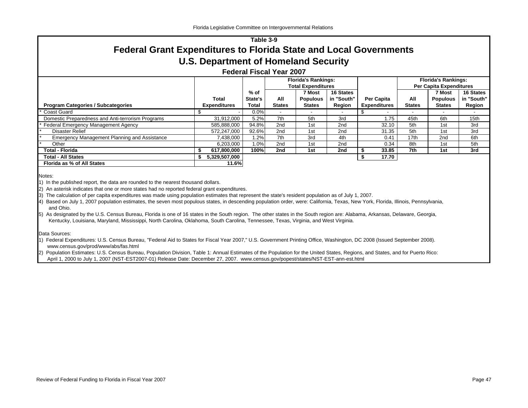## **Table 3-9U.S. Department of Homeland Security Federal Grant Expenditures to Florida State and Local Governments**

### **Federal Fiscal Year 2007**

|                                                         |                     |         |                 | <b>Florida's Rankings:</b> |                 |                     |               | <b>Florida's Rankings:</b>     |                  |
|---------------------------------------------------------|---------------------|---------|-----------------|----------------------------|-----------------|---------------------|---------------|--------------------------------|------------------|
|                                                         |                     |         |                 | <b>Total Expenditures</b>  |                 |                     |               | <b>Per Capita Expenditures</b> |                  |
|                                                         |                     | % of    |                 | 7 Most                     | 16 States       |                     |               | 7 Most                         | 16 States        |
|                                                         | Total               | State's | All             | <b>Populous</b>            | in "South'      | <b>Per Capita</b>   | All           | <b>Populous</b>                | in "South"       |
| <b>Program Categories / Subcategories</b>               | <b>Expenditures</b> | Total   | <b>States</b>   | <b>States</b>              | Region          | <b>Expenditures</b> | <b>States</b> | <b>States</b>                  | Region           |
| * Coast Guard                                           |                     | 0.0%    |                 |                            | ٠               |                     |               |                                |                  |
| Domestic Preparedness and Anti-terrorism Programs       | 31,912,000          | 5.2%    | 7th             | 5th                        | 3rd             | 1.75                | 45th          | 6th                            | 15 <sub>th</sub> |
| * Federal Emergency Management Agency                   | 585,888,000         | 94.8%   | 2 <sub>nd</sub> | 1st                        | 2 <sub>nd</sub> | 32.10               | 5th           | 1st                            | 3rd              |
| <b>Disaster Relief</b>                                  | 572.247.000         | 92.6%   | 2nd             | 1st                        | 2 <sub>nd</sub> | 31.35               | 5th           | 1st                            | 3rd              |
| $\star$<br>Emergency Management Planning and Assistance | 7,438,000           | 1.2%    | 7th             | 3rd                        | 4th             | 0.41                | 17th          | 2 <sub>nd</sub>                | 6th              |
| $\star$<br>Other                                        | 6,203,000           | 1.0%    | 2nd             | 1st                        | 2 <sub>nd</sub> | 0.34                | 8th           | 1st                            | 5th              |
| Total - Florida                                         | 617.800.000         | 100%    | 2nd             | 1st                        | 2nd             | 33.85               | 7th           | 1st                            | 3rd              |
| <b>Total - All States</b>                               | 5,329,507,000       |         |                 |                            |                 | 17.70               |               |                                |                  |
| Florida as % of All States                              | 11.6%               |         |                 |                            |                 |                     |               |                                |                  |

Notes:

1) In the published report, the data are rounded to the nearest thousand dollars.

2) An asterisk indicates that one or more states had no reported federal grant expenditures.

3) The calculation of per capita expenditures was made using population estimates that represent the state's resident population as of July 1, 2007.

4) Based on July 1, 2007 population estimates, the seven most populous states, in descending population order, were: California, Texas, New York, Florida, Illinois, Pennsylvania, and Ohio.

5) As designated by the U.S. Census Bureau, Florida is one of 16 states in the South region. The other states in the South region are: Alabama, Arkansas, Delaware, Georgia, Kentucky, Louisiana, Maryland, Mississippi, North Carolina, Oklahoma, South Carolina, Tennessee, Texas, Virginia, and West Virginia.

Data Sources:

1) Federal Expenditures: U.S. Census Bureau, "Federal Aid to States for Fiscal Year 2007," U.S. Government Printing Office, Washington, DC 2008 (Issued September 2008). www.census.gov/prod/www/abs/fas.html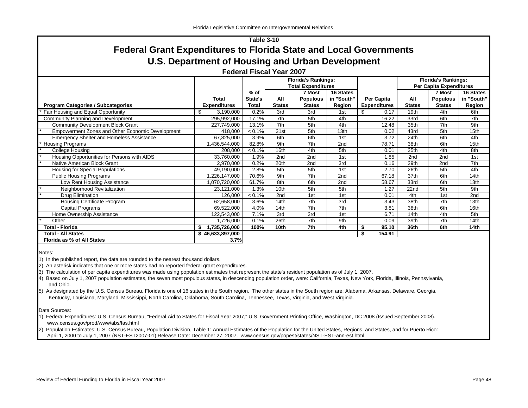## **Table 3-10U.S. Department of Housing and Urban Development Federal Grant Expenditures to Florida State and Local Governments**

### **Federal Fiscal Year 2007**

| . vuviui 1 1994. Toul 2007                              |                     |              |                  |                                                         |                  |                     |                                                       |                 |                 |  |  |  |  |
|---------------------------------------------------------|---------------------|--------------|------------------|---------------------------------------------------------|------------------|---------------------|-------------------------------------------------------|-----------------|-----------------|--|--|--|--|
|                                                         |                     |              |                  | <b>Florida's Rankings:</b><br><b>Total Expenditures</b> |                  |                     | <b>Florida's Rankings:</b><br>Per Capita Expenditures |                 |                 |  |  |  |  |
|                                                         |                     | $%$ of       |                  | 7 Most                                                  | <b>16 States</b> |                     |                                                       | 7 Most          | 16 States       |  |  |  |  |
|                                                         | <b>Total</b>        | State's      | All              | <b>Populous</b>                                         | in "South"       | Per Capita          | All                                                   | <b>Populous</b> | in "South"      |  |  |  |  |
| <b>Program Categories / Subcategories</b>               | <b>Expenditures</b> | <b>Total</b> | <b>States</b>    | <b>States</b>                                           | Region           | <b>Expenditures</b> | <b>States</b>                                         | <b>States</b>   | Region          |  |  |  |  |
| Fair Housing and Equal Opportunity                      | 3,190,000<br>\$     | 0.2%         | 3rd              | 3rd                                                     | 1st              | \$<br>0.17          | 19 <sub>th</sub>                                      | 4th             | 6th             |  |  |  |  |
| Community Planning and Development                      | 295,992,000         | 17.1%        | 7th              | 5th                                                     | 4th              | 16.22               | 33rd                                                  | 6th             | 7th             |  |  |  |  |
| <b>Community Development Block Grant</b>                | 227,749,000         | 13.1%        | 7th              | 5th                                                     | 4th              | 12.48               | 35th                                                  | 7th             | 9th             |  |  |  |  |
| <b>Empowerment Zones and Other Economic Development</b> | 418,000             | $< 0.1\%$    | 31st             | 5th                                                     | 13th             | 0.02                | 43rd                                                  | 5th             | 15th            |  |  |  |  |
| <b>Emergency Shelter and Homeless Assistance</b>        | 67,825,000          | 3.9%         | 6th              | 6th                                                     | 1st              | 3.72                | 24th                                                  | 6th             | 4th             |  |  |  |  |
| Housing Programs                                        | 436,544,000         | 82.8%        | 9th              | 7th                                                     | 2nd              | 78.71               | 38th                                                  | 6th             | 15th            |  |  |  |  |
| College Housing                                         | 208,000             | $< 0.1\%$    | 16th             | 4th                                                     | 5th              | 0.01                | 25th                                                  | 4th             | 8th             |  |  |  |  |
| Housing Opportunities for Persons with AIDS             | 33,760,000          | 1.9%         | 2nd              | 2nd                                                     | 1st              | 1.85                | 2nd                                                   | 2nd             | 1st             |  |  |  |  |
| Native American Block Grant                             | 2,970,000           | 0.2%         | 20th             | 2nd                                                     | 3rd              | 0.16                | 29th                                                  | 2 <sub>nd</sub> | 7th             |  |  |  |  |
| Housing for Special Populations                         | 49,190,000          | 2.8%         | 5th              | 5th                                                     | 1st              | 2.70                | 26th                                                  | 5th             | 4th             |  |  |  |  |
| <b>Public Housing Programs</b>                          | ,226,147,000        | 70.6%        | 9th              | 7th                                                     | 2nd              | 67.18               | 37th                                                  | 6th             | 14th            |  |  |  |  |
| Low Rent Housing Assistance                             | 1,070,720,000       | 61.7%        | 8th              | 6th                                                     | 2 <sub>nd</sub>  | 58.67               | 33rd                                                  | 6th             | 13th            |  |  |  |  |
| Neighborhood Revitalization                             | 23,121,000          | 1.3%         | 10 <sub>th</sub> | 5th                                                     | 5th              | 1.27                | 22 <sub>nd</sub>                                      | 5th             | 9th             |  |  |  |  |
| Drug Elimination                                        | 126,000             | $< 0.1\%$    | 2nd              | 1st                                                     | 1st              | 0.01                | 4th                                                   | 1st             | 2 <sub>nd</sub> |  |  |  |  |
| Housing Certificate Program                             | 62,658,000          | 3.6%         | 14th             | 7th                                                     | 3rd              | 3.43                | 38th                                                  | 7th             | 13th            |  |  |  |  |
| Capital Programs                                        | 69,522,000          | 4.0%         | 14th             | 7th                                                     | 7th              | 3.81                | 38th                                                  | 6th             | 16th            |  |  |  |  |
| Home Ownership Assistance                               | 122,543,000         | 7.1%         | 3rd              | 3rd                                                     | 1st              | 6.71                | 14th                                                  | 4th             | 5th             |  |  |  |  |
| Other                                                   | 1,726,000           | 0.1%         | 26th             | 7th                                                     | 9th              | 0.09                | 39th                                                  | 7th             | 14th            |  |  |  |  |
| <b>Total - Florida</b>                                  | 1,735,726,000       | 100%         | 10th             | 7th                                                     | 4th              | 95.10               | 36th                                                  | 6th             | 14th            |  |  |  |  |
| Total - All States                                      | 46,633,897,000      |              |                  |                                                         |                  | \$<br>154.91        |                                                       |                 |                 |  |  |  |  |
| Florida as % of All States                              | 3.7%                |              |                  |                                                         |                  |                     |                                                       |                 |                 |  |  |  |  |

Notes:

1) In the published report, the data are rounded to the nearest thousand dollars.

2) An asterisk indicates that one or more states had no reported federal grant expenditures.

3) The calculation of per capita expenditures was made using population estimates that represent the state's resident population as of July 1, 2007.

4) Based on July 1, 2007 population estimates, the seven most populous states, in descending population order, were: California, Texas, New York, Florida, Illinois, Pennsylvania, and Ohio.

5) As designated by the U.S. Census Bureau, Florida is one of 16 states in the South region. The other states in the South region are: Alabama, Arkansas, Delaware, Georgia, Kentucky, Louisiana, Maryland, Mississippi, North Carolina, Oklahoma, South Carolina, Tennessee, Texas, Virginia, and West Virginia.

Data Sources:

1) Federal Expenditures: U.S. Census Bureau, "Federal Aid to States for Fiscal Year 2007," U.S. Government Printing Office, Washington, DC 2008 (Issued September 2008). www.census.gov/prod/www/abs/fas.html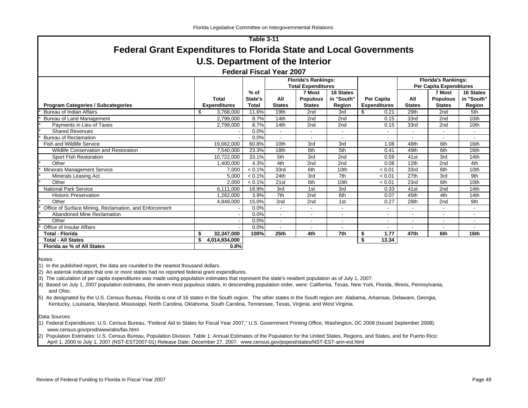| Table 3-11                                                               |
|--------------------------------------------------------------------------|
| <b>Federal Grant Expenditures to Florida State and Local Governments</b> |
| U.S. Department of the Interior                                          |

### **Federal Fiscal Year 2007**

|                                                        |                     |              | Feueral Fiscal Teal Zuu <i>l</i> |                            |                          |                          |                          |                            |                          |
|--------------------------------------------------------|---------------------|--------------|----------------------------------|----------------------------|--------------------------|--------------------------|--------------------------|----------------------------|--------------------------|
|                                                        |                     |              |                                  | <b>Florida's Rankings:</b> |                          |                          |                          | <b>Florida's Rankings:</b> |                          |
|                                                        |                     |              |                                  | <b>Total Expenditures</b>  |                          |                          |                          | Per Capita Expenditures    |                          |
|                                                        |                     | $%$ of       |                                  | 7 Most                     | 16 States                |                          |                          | 7 Most                     | 16 States                |
|                                                        | Total               | State's      | All                              | <b>Populous</b>            | in "South"               | Per Capita               | All                      | <b>Populous</b>            | in "South"               |
| <b>Program Categories / Subcategories</b>              | <b>Expenditures</b> | <b>Total</b> | <b>States</b>                    | <b>States</b>              | Region                   | <b>Expenditures</b>      | <b>States</b>            | <b>States</b>              | Region                   |
| <b>Bureau of Indian Affairs</b>                        | 3,768,000           | 11.6%        | 19 <sub>th</sub>                 | 2nd                        | 3rd                      | \$<br>0.21               | 29th                     | 2nd                        | 5th                      |
| <b>Bureau of Land Management</b>                       | 2,799,000           | 8.7%         | 14th                             | 2nd                        | 2nd                      | 0.15                     | 33rd                     | 2nd                        | 10th                     |
| Payments in Lieu of Taxes                              | 2,799,000           | 8.7%         | 14th                             | 2nd                        | 2nd                      | 0.15                     | 33rd                     | 2 <sub>nd</sub>            | 10th                     |
| <b>Shared Revenues</b>                                 |                     | 0.0%         |                                  |                            | $\overline{\phantom{0}}$ |                          |                          |                            |                          |
| <b>Bureau of Reclamation</b>                           |                     | 0.0%         | $\blacksquare$                   | $\overline{\phantom{a}}$   | $\blacksquare$           | $\overline{\phantom{0}}$ | $\overline{\phantom{a}}$ | $\overline{\phantom{0}}$   | $\overline{\phantom{a}}$ |
| <b>Fish and Wildlife Service</b>                       | 19,662,000          | 60.8%        | 10th                             | 3rd                        | 3rd                      | 1.08                     | 48th                     | 6th                        | 16th                     |
| Wildlife Conservation and Restoration                  | 7,540,000           | 23.3%        | 18th                             | 6th                        | 5th                      | 0.41                     | 49th                     | 6th                        | 16th                     |
| Sport Fish Restoration                                 | 10,722,000          | 33.1%        | 5th                              | 3rd                        | 2 <sub>nd</sub>          | 0.59                     | 41st                     | 3rd                        | 14th                     |
| Other                                                  | 1,400,000           | 4.3%         | 4th                              | 2nd                        | 2 <sub>nd</sub>          | 0.08                     | 12th                     | 2nd                        | 4th                      |
| Minerals Management Service                            | 7,000               | $< 0.1\%$    | 33rd                             | 6th                        | 10th                     | < 0.01                   | 33rd                     | 6th                        | 10th                     |
| Minerals Leasing Act                                   | 5,000               | $< 0.1\%$    | 24th                             | 3rd                        | 7th                      | < 0.01                   | 27th                     | 3rd                        | 9th                      |
| Other                                                  | 2,000               | $< 0.1\%$    | 21st                             | 6th                        | 10th                     | < 0.01                   | 23rd                     | 6th                        | 10th                     |
| <b>National Park Service</b>                           | 6,111,000           | 18.9%        | 3rd                              | 1st                        | 3rd                      | 0.33                     | 41 <sub>st</sub>         | 2nd                        | 14th                     |
| <b>Historic Preservation</b>                           | 1,262,000           | 3.9%         | 7th                              | 2nd                        | 6th                      | 0.07                     | 45th                     | 4th                        | 14th                     |
| Other                                                  | 4,849,000           | 15.0%        | 2nd                              | 2nd                        | 1st                      | 0.27                     | 28th                     | 2nd                        | 9th                      |
| Office of Surface Mining, Reclamation, and Enforcement |                     | 0.0%         | $\blacksquare$                   |                            | $\overline{\phantom{a}}$ | $\overline{\phantom{a}}$ | $\overline{\phantom{a}}$ | $\overline{\phantom{a}}$   | $\overline{\phantom{a}}$ |
| Abandoned Mine Reclamation                             |                     | 0.0%         | $\overline{\phantom{a}}$         |                            | $\overline{\phantom{a}}$ | $\overline{\phantom{a}}$ | ٠                        | -                          | $\sim$                   |
| Other                                                  |                     | 0.0%         | $\sim$                           |                            | $\blacksquare$           | $\overline{\phantom{a}}$ |                          | ٠                          | $\sim$                   |
| Office of Insular Affairs                              |                     | 0.0%         |                                  |                            |                          |                          |                          |                            |                          |
| <b>Total - Florida</b>                                 | 32,347,000          | 100%         | 25th                             | 4th                        | 7th                      | \$<br>1.77               | 47th                     | 6th                        | 16th                     |
| <b>Total - All States</b>                              | 4,014,934,000       |              |                                  |                            |                          | \$<br>13.34              |                          |                            |                          |
| Florida as % of All States                             | 0.8%                |              |                                  |                            |                          |                          |                          |                            |                          |

Notes:

1) In the published report, the data are rounded to the nearest thousand dollars.

2) An asterisk indicates that one or more states had no reported federal grant expenditures.

3) The calculation of per capita expenditures was made using population estimates that represent the state's resident population as of July 1, 2007.

4) Based on July 1, 2007 population estimates, the seven most populous states, in descending population order, were: California, Texas, New York, Florida, Illinois, Pennsylvania, and Ohio.

5) As designated by the U.S. Census Bureau, Florida is one of 16 states in the South region. The other states in the South region are: Alabama, Arkansas, Delaware, Georgia, Kentucky, Louisiana, Maryland, Mississippi, North Carolina, Oklahoma, South Carolina, Tennessee, Texas, Virginia, and West Virginia.

Data Sources:

1) Federal Expenditures: U.S. Census Bureau, "Federal Aid to States for Fiscal Year 2007," U.S. Government Printing Office, Washington, DC 2008 (Issued September 2008). www.census.gov/prod/www/abs/fas.html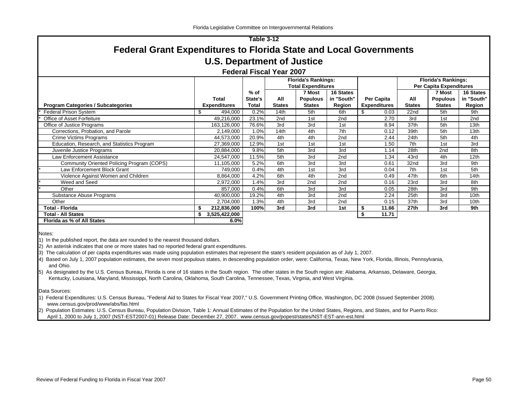# **Table 3-12U.S. Department of Justice Federal Grant Expenditures to Florida State and Local Governments**

#### **% of 7 Most 16 States 7 Most 16 StatesTotal State's All Populous in "South" Per Capita All Populous in "South"** Program Categories / Subcategories | Expenditures | Total | States | States | Region | Expenditures | States | States | Region \* Federal Prison System 494,000 \$ 0.2% 14th 5th 6th 0.03 \$ 22nd 5th 9th \*Office of Asset Forfeiture **19,216,000** 23.1% 2nd 1st 2nd 2.70 3rd 1st 2nd Office of Justice Programs 163,126,000 | 163,126,000 | 76.6% 3rd | 3rd | 1st | 168,94 37th | 5th | 13th 13th Corrections, Probation, and Parole 2000 1000 1000 1000 14th 4th 7th 7th 0.12 39th 5th 13th Crime Victims Programs<br>
Crime Victims Programs<br>
Education, Research, and Statistics Program (27.369.000 12.9%) 1st 1st 1st 1st 1st 1.50 7th 1st 3rd Education, Research, and Statistics Program 27,369,000 12.9% 1st 1st 1st 1st 1st 1.50 7th 1st 3rd Juvenile Justice Programs 20,884,000 9.8% 5th 3rd 3rd 1.14 28th 2nd 8th Law Enforcement Assistance 2000 124,547,000 | 11.5% 3th 1.3d | 2nd | 2nd | 1.34 43rd | 4th | 12th Community Oriented Policing Program (COPS) 11,105,000 5.2% 6th 3rd 3rd 3rd 0.61 32nd 3rd 9th \* Law Enforcement Block Grant 749,000 0.4% 4th 1st 3rd 0.04 7th 1st 5th Violence Against Women and Children 14th 8,864,000 4.2% 6th 4th 2nd 0.49 47th 6th 6th 14th \* Weed and Seed 2,972,000 1.4% 3rd 2nd 2nd 0.16 23rd 3rd 8th \* Other 857,000 0.4% 6th 3rd 3rd 0.05 28th 3rd 9th Substance Abuse Programs **40,900,000** 19.2% 4th 3rd 2nd 2nd 2.24 25th 3rd 10th Other 2,704,000 1.3% 4th 3rd 2nd 0.15 37th 3rd 10th **Total - Florida 212,836,000 \$ 100% 3rd 3rd 1st 11.66 \$ 27th 3rd 9th Total - All States 3,525,422,000 \$ \$ 11.71 Florida as % of All States 6.0%Total Expenditures Per Capita Expenditures Federal Fiscal Year 2007 Florida's Rankings: Florida's Rankings:**

Notes:

1) In the published report, the data are rounded to the nearest thousand dollars.

2) An asterisk indicates that one or more states had no reported federal grant expenditures.

3) The calculation of per capita expenditures was made using population estimates that represent the state's resident population as of July 1, 2007.

4) Based on July 1, 2007 population estimates, the seven most populous states, in descending population order, were: California, Texas, New York, Florida, Illinois, Pennsylvania, and Ohio.

5) As designated by the U.S. Census Bureau, Florida is one of 16 states in the South region. The other states in the South region are: Alabama, Arkansas, Delaware, Georgia, Kentucky, Louisiana, Maryland, Mississippi, North Carolina, Oklahoma, South Carolina, Tennessee, Texas, Virginia, and West Virginia.

Data Sources:

1) Federal Expenditures: U.S. Census Bureau, "Federal Aid to States for Fiscal Year 2007," U.S. Government Printing Office, Washington, DC 2008 (Issued September 2008). www.census.gov/prod/www/abs/fas.html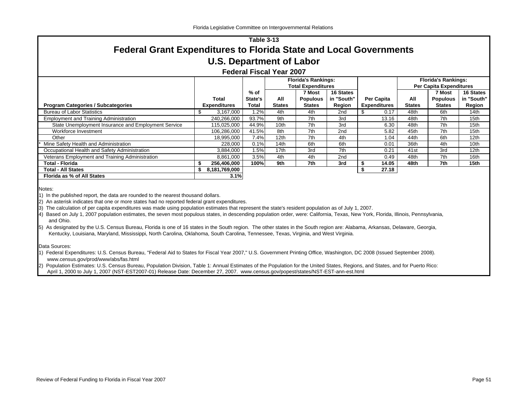# **Table 3-13U.S. Department of Labor Federal Grant Expenditures to Florida State and Local Governments**

# **Federal Fiscal Year 2007**

|                                                     |                     |         | <b>Florida's Rankings:</b> |                           |                  |  |                     |                  | <b>Florida's Rankings:</b>     |                  |
|-----------------------------------------------------|---------------------|---------|----------------------------|---------------------------|------------------|--|---------------------|------------------|--------------------------------|------------------|
|                                                     |                     |         |                            | <b>Total Expenditures</b> |                  |  |                     |                  | <b>Per Capita Expenditures</b> |                  |
|                                                     |                     | % of    |                            | 7 Most                    | <b>16 States</b> |  |                     |                  | 7 Most                         | <b>16 States</b> |
|                                                     | Total               | State's | All                        | <b>Populous</b>           | in "South"       |  | <b>Per Capita</b>   | All              | <b>Populous</b>                | in "South"       |
| <b>Program Categories / Subcategories</b>           | <b>Expenditures</b> | Total   | <b>States</b>              | <b>States</b>             | Region           |  | <b>Expenditures</b> | <b>States</b>    | <b>States</b>                  | Region           |
| <b>Bureau of Labor Statistics</b>                   | 3,167,000<br>\$     | 1.2%    | 4th                        | 4th                       | 2 <sub>nd</sub>  |  | 0.17                | 48th             | 6th                            | 14th             |
| <b>Employment and Training Administration</b>       | 240,266,000         | 93.7%   | 9th                        | 7th                       | 3rd              |  | 13.16               | 48th             | 7th                            | 15 <sub>th</sub> |
| State Unemployment Insurance and Employment Service | 115,025,000         | 44.9%   | 10th                       | 7th                       | 3rd              |  | 6.30                | 48th             | 7th                            | 15th             |
| Workforce Investment                                | 106,286,000         | 41.5%   | 8th                        | 7th                       | 2 <sub>nd</sub>  |  | 5.82                | 45th             | 7th                            | 15th             |
| Other                                               | 18,995,000          | 7.4%    | 12 <sub>th</sub>           | 7th                       | 4th              |  | 1.04                | 44th             | 6th                            | 12 <sub>th</sub> |
| Mine Safety Health and Administration               | 228.000             | 0.1%    | 14 <sub>th</sub>           | 6th                       | 6th              |  | 0.01                | 36th             | 4th                            | 10th             |
| Occupational Health and Safety Administration       | 3,884,000           | 1.5%    | 17th                       | 3rd                       | 7th              |  | 0.21                | 41 <sub>st</sub> | 3rd                            | 12 <sub>th</sub> |
| Veterans Employment and Training Administration     | 8,861,000           | 3.5%    | 4th                        | 4th                       | 2nd              |  | 0.49                | 48th             | 7th                            | 16th             |
| <b>Total - Florida</b>                              | 256.406.000<br>-55  | 100%    | 9th                        | 7th                       | 3rd              |  | 14.05               | 48th             | 7th                            | 15 <sub>th</sub> |
| <b>Total - All States</b>                           | 8,181,769,000<br>-S |         |                            |                           |                  |  | 27.18               |                  |                                |                  |
| Florida as % of All States                          | 3.1%                |         |                            |                           |                  |  |                     |                  |                                |                  |

Notes:

1) In the published report, the data are rounded to the nearest thousand dollars.

2) An asterisk indicates that one or more states had no reported federal grant expenditures.

3) The calculation of per capita expenditures was made using population estimates that represent the state's resident population as of July 1, 2007.

4) Based on July 1, 2007 population estimates, the seven most populous states, in descending population order, were: California, Texas, New York, Florida, Illinois, Pennsylvania, and Ohio.

5) As designated by the U.S. Census Bureau, Florida is one of 16 states in the South region. The other states in the South region are: Alabama, Arkansas, Delaware, Georgia, Kentucky, Louisiana, Maryland, Mississippi, North Carolina, Oklahoma, South Carolina, Tennessee, Texas, Virginia, and West Virginia.

Data Sources:

1) Federal Expenditures: U.S. Census Bureau, "Federal Aid to States for Fiscal Year 2007," U.S. Government Printing Office, Washington, DC 2008 (Issued September 2008). www.census.gov/prod/www/abs/fas.html

2) Population Estimates: U.S. Census Bureau, Population Division, Table 1: Annual Estimates of the Population for the United States, Regions, and States, and for Puerto Rico:

April 1, 2000 to July 1, 2007 (NST-EST2007-01) Release Date: December 27, 2007. www.census.gov/popest/states/NST-EST-ann-est.html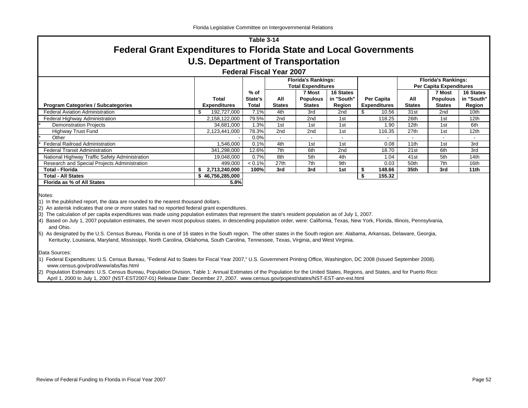# **Table 3-14U.S. Department of Transportation Federal Grant Expenditures to Florida State and Local Governments**

### **Federal Fiscal Year 2007**

|                                                |                     |           | <b>Florida's Rankings:</b><br><b>Total Expenditures</b> |                          |                          |  |                     |                  | <b>Florida's Rankings:</b><br><b>Per Capita Expenditures</b> |                  |
|------------------------------------------------|---------------------|-----------|---------------------------------------------------------|--------------------------|--------------------------|--|---------------------|------------------|--------------------------------------------------------------|------------------|
|                                                |                     | $%$ of    |                                                         | 7 Most                   | 16 States                |  |                     |                  | 7 Most                                                       | 16 States        |
|                                                | <b>Total</b>        | State's   | All                                                     | <b>Populous</b>          | in "South"               |  | Per Capita          | All              | <b>Populous</b>                                              | in "South"       |
| <b>Program Categories / Subcategories</b>      | <b>Expenditures</b> | Total     | <b>States</b>                                           | <b>States</b>            | Region                   |  | <b>Expenditures</b> | <b>States</b>    | <b>States</b>                                                | Region           |
| <b>Federal Aviation Administration</b>         | \$<br>192,727,000   | 7.1%      | 4th                                                     | 3rd                      | 2nd                      |  | 10.56               | 31st             | 2 <sub>nd</sub>                                              | 10 <sub>th</sub> |
| Federal Highway Administration                 | 2,158,122,000       | 79.5%     | 2nd                                                     | 2 <sub>nd</sub>          | 1st                      |  | 118.25              | 26th             | 1st                                                          | 12 <sub>th</sub> |
| <b>Demonstration Projects</b>                  | 34,681,000          | 1.3%      | 1st                                                     | 1st                      | 1st                      |  | 1.90                | 12 <sub>th</sub> | 1st                                                          | 6th              |
| <b>Highway Trust Fund</b>                      | 2,123,441,000       | 78.3%     | 2 <sub>nd</sub>                                         | 2 <sub>nd</sub>          | 1st                      |  | 116.35              | 27th             | 1st                                                          | 12 <sub>th</sub> |
| Other                                          |                     | 0.0%      | $\overline{\phantom{0}}$                                | $\overline{\phantom{a}}$ | $\overline{\phantom{a}}$ |  |                     |                  | $\overline{\phantom{a}}$                                     |                  |
| <b>Federal Railroad Administration</b>         | 1,546,000           | 0.1%      | 4th                                                     | 1st                      | 1st                      |  | 0.08                | 11th             | 1st                                                          | 3rd              |
| <b>Federal Transit Administration</b>          | 341,298,000         | 12.6%     | 7th                                                     | 6th                      | 2 <sub>nd</sub>          |  | 18.70               | 21st             | 6th                                                          | 3rd              |
| National Highway Traffic Safety Administration | 19,048,000          | 0.7%      | 8th                                                     | 5th                      | 4th                      |  | 1.04                | 41 <sub>st</sub> | 5th                                                          | 14th             |
| Research and Special Projects Administration   | 499.000             | $< 0.1\%$ | 27th                                                    | 7th                      | 9th                      |  | 0.03                | 50th             | 7th                                                          | 16th             |
| Total - Florida                                | 2,713,240,000       | 100%      | 3rd                                                     | 3rd                      | 1st                      |  | 148.66              | 35th             | 3rd                                                          | 11th             |
| <b>Total - All States</b>                      | \$46,756,285,000    |           |                                                         |                          |                          |  | 155.32              |                  |                                                              |                  |
| Florida as % of All States                     | 5.8%                |           |                                                         |                          |                          |  |                     |                  |                                                              |                  |

Notes:

1) In the published report, the data are rounded to the nearest thousand dollars.

2) An asterisk indicates that one or more states had no reported federal grant expenditures.

3) The calculation of per capita expenditures was made using population estimates that represent the state's resident population as of July 1, 2007.

4) Based on July 1, 2007 population estimates, the seven most populous states, in descending population order, were: California, Texas, New York, Florida, Illinois, Pennsylvania, and Ohio.

5) As designated by the U.S. Census Bureau, Florida is one of 16 states in the South region. The other states in the South region are: Alabama, Arkansas, Delaware, Georgia, Kentucky, Louisiana, Maryland, Mississippi, North Carolina, Oklahoma, South Carolina, Tennessee, Texas, Virginia, and West Virginia.

Data Sources:

1) Federal Expenditures: U.S. Census Bureau, "Federal Aid to States for Fiscal Year 2007," U.S. Government Printing Office, Washington, DC 2008 (Issued September 2008). www.census.gov/prod/www/abs/fas.html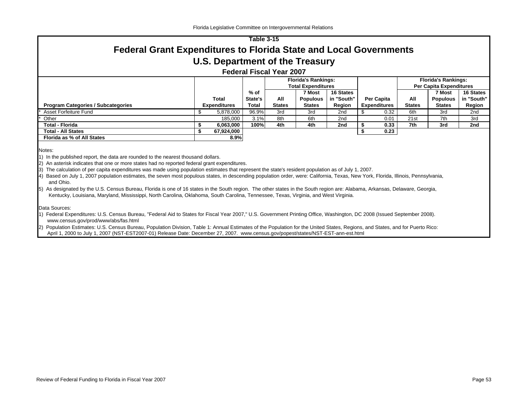# **Table 3-15U.S. Department of the Treasury Federal Grant Expenditures to Florida State and Local Governments**

### **Federal Fiscal Year 2007**

|                                           |                              |                            | <b>Florida's Rankings:</b><br><b>Total Expenditures</b> |                                            |                                   |                                   |                      | <b>Florida's Rankings:</b><br><b>Per Capita Expenditures</b> |                                   |
|-------------------------------------------|------------------------------|----------------------------|---------------------------------------------------------|--------------------------------------------|-----------------------------------|-----------------------------------|----------------------|--------------------------------------------------------------|-----------------------------------|
| <b>Program Categories / Subcategories</b> | Total<br><b>Expenditures</b> | $%$ of<br>State's<br>Total | All<br><b>States</b>                                    | 7 Most<br><b>Populous</b><br><b>States</b> | 16 States<br>in "South"<br>Region | Per Capita<br><b>Expenditures</b> | All<br><b>States</b> | 7 Most<br><b>Populous</b><br><b>States</b>                   | 16 States<br>in "South"<br>Region |
| Asset Forfeiture Fund                     | 5,878,000                    | 96.9%                      | 3rd                                                     | 3rd                                        | 2nd                               | 0.32                              | 6th                  | 3rd                                                          | 2 <sub>nd</sub>                   |
| Other                                     | 185.000                      | 3.1%                       | 8th                                                     | 6th                                        | 2 <sub>nd</sub>                   | 0.01                              | 21st                 | 7th                                                          | 3rd                               |
| <b>Total - Florida</b>                    | 6.063.000                    | 100%                       | 4th                                                     | 4th                                        | 2nd                               | 0.33                              | 7th                  | 3rd                                                          | 2nd                               |
| <b>Total - All States</b>                 | 67,924,000                   |                            |                                                         |                                            |                                   | 0.23                              |                      |                                                              |                                   |
| Florida as % of All States                | 8.9%                         |                            |                                                         |                                            |                                   |                                   |                      |                                                              |                                   |

Notes:

1) In the published report, the data are rounded to the nearest thousand dollars.

2) An asterisk indicates that one or more states had no reported federal grant expenditures.

3) The calculation of per capita expenditures was made using population estimates that represent the state's resident population as of July 1, 2007.

4) Based on July 1, 2007 population estimates, the seven most populous states, in descending population order, were: California, Texas, New York, Florida, Illinois, Pennsylvania, and Ohio.

5) As designated by the U.S. Census Bureau, Florida is one of 16 states in the South region. The other states in the South region are: Alabama, Arkansas, Delaware, Georgia, Kentucky, Louisiana, Maryland, Mississippi, North Carolina, Oklahoma, South Carolina, Tennessee, Texas, Virginia, and West Virginia.

Data Sources:

1) Federal Expenditures: U.S. Census Bureau, "Federal Aid to States for Fiscal Year 2007," U.S. Government Printing Office, Washington, DC 2008 (Issued September 2008). www.census.gov/prod/www/abs/fas.html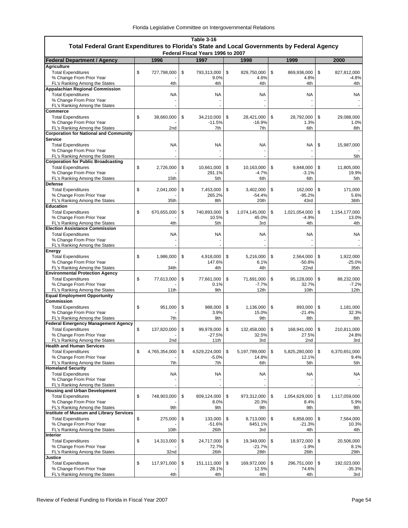| Table 3-16<br>Total Federal Grant Expenditures to Florida's State and Local Governments by Federal Agency |    |               |    |                                   |    |                       |    |                      |    |                         |  |  |  |
|-----------------------------------------------------------------------------------------------------------|----|---------------|----|-----------------------------------|----|-----------------------|----|----------------------|----|-------------------------|--|--|--|
|                                                                                                           |    |               |    | Federal Fiscal Years 1996 to 2007 |    |                       |    |                      |    |                         |  |  |  |
| <b>Federal Department / Agency</b>                                                                        |    | 1996          |    | 1997                              |    | 1998                  |    | 1999                 |    | 2000                    |  |  |  |
| <b>Agriculture</b>                                                                                        |    |               |    |                                   |    |                       |    |                      |    |                         |  |  |  |
| <b>Total Expenditures</b>                                                                                 | \$ | 727,798,000   | \$ | 793,313,000<br>9.0%               | \$ | 829,750,000           | \$ | 869,936,000          | \$ | 827,812,000<br>$-4.8%$  |  |  |  |
| % Change From Prior Year<br>FL's Ranking Among the States                                                 |    | 4th           |    | 4th                               |    | 4.6%<br>4th           |    | 4.8%<br>4th          |    | 4th                     |  |  |  |
| <b>Appalachian Regional Commission</b>                                                                    |    |               |    |                                   |    |                       |    |                      |    |                         |  |  |  |
| <b>Total Expenditures</b>                                                                                 |    | NA            |    | NA                                |    | <b>NA</b>             |    | NA                   |    | <b>NA</b>               |  |  |  |
| % Change From Prior Year                                                                                  |    |               |    |                                   |    |                       |    |                      |    |                         |  |  |  |
| FL's Ranking Among the States                                                                             |    |               |    |                                   |    |                       |    |                      |    |                         |  |  |  |
| <b>Commerce</b><br><b>Total Expenditures</b>                                                              | \$ | 38,660,000    | \$ | 34,210,000                        | \$ | 28,421,000            | \$ | 28,792,000           | \$ | 29,088,000              |  |  |  |
| % Change From Prior Year                                                                                  |    |               |    | $-11.5%$                          |    | $-16.9%$              |    | 1.3%                 |    | 1.0%                    |  |  |  |
| FL's Ranking Among the States                                                                             |    | 2nd           |    | 7th                               |    | 7th                   |    | 6th                  |    | 8th                     |  |  |  |
| <b>Corporation for National and Community</b>                                                             |    |               |    |                                   |    |                       |    |                      |    |                         |  |  |  |
| <b>Service</b>                                                                                            |    |               |    |                                   |    |                       |    |                      |    |                         |  |  |  |
| <b>Total Expenditures</b>                                                                                 |    | NA            |    | NA                                |    | NA                    |    | NA                   | \$ | 15,987,000              |  |  |  |
| % Change From Prior Year<br>FL's Ranking Among the States                                                 |    |               |    |                                   |    |                       |    |                      |    | 5th                     |  |  |  |
| <b>Corporation for Public Broadcasting</b>                                                                |    |               |    |                                   |    |                       |    |                      |    |                         |  |  |  |
| <b>Total Expenditures</b>                                                                                 | \$ | 2,726,000     | \$ | 10,661,000                        | \$ | 10,163,000            | \$ | 9,848,000            | \$ | 11,805,000              |  |  |  |
| % Change From Prior Year                                                                                  |    |               |    | 291.1%                            |    | $-4.7%$               |    | $-3.1%$              |    | 19.9%                   |  |  |  |
| FL's Ranking Among the States                                                                             |    | 15th          |    | 5th                               |    | 6th                   |    | 6th                  |    | 5th                     |  |  |  |
| <b>Defense</b>                                                                                            |    |               |    |                                   |    |                       |    |                      |    |                         |  |  |  |
| <b>Total Expenditures</b><br>% Change From Prior Year                                                     | \$ | 2,041,000     | \$ | 7,453,000<br>265.2%               | \$ | 3,402,000<br>$-54.4%$ | \$ | 162,000<br>$-95.2%$  | \$ | 171,000<br>5.6%         |  |  |  |
| FL's Ranking Among the States                                                                             |    | 35th          |    | 8th                               |    | 20th                  |    | 43rd                 |    | 36th                    |  |  |  |
| Education                                                                                                 |    |               |    |                                   |    |                       |    |                      |    |                         |  |  |  |
| <b>Total Expenditures</b>                                                                                 | \$ | 670,655,000   | \$ | 740,893,000                       | \$ | 1,074,145,000         | \$ | 1,021,054,000        | \$ | 1,154,177,000           |  |  |  |
| % Change From Prior Year                                                                                  |    |               |    | 10.5%                             |    | 45.0%                 |    | $-4.9%$              |    | 13.0%                   |  |  |  |
| FL's Ranking Among the States                                                                             |    | 4th           |    | 5th                               |    | 3rd                   |    | 4th                  |    | 4th                     |  |  |  |
| <b>Election Assistance Commission</b><br><b>Total Expenditures</b>                                        |    | NA            |    | NA                                |    | NA                    |    | NA                   |    | NA.                     |  |  |  |
| % Change From Prior Year                                                                                  |    |               |    |                                   |    |                       |    |                      |    |                         |  |  |  |
| FL's Ranking Among the States                                                                             |    |               |    |                                   |    |                       |    |                      |    |                         |  |  |  |
| Energy                                                                                                    |    |               |    |                                   |    |                       |    |                      |    |                         |  |  |  |
| <b>Total Expenditures</b>                                                                                 | \$ | 1,986,000     | \$ | 4,918,000                         | \$ | 5,216,000             | \$ | 2,564,000            | \$ | 1,922,000               |  |  |  |
| % Change From Prior Year                                                                                  |    |               |    | 147.6%                            |    | 6.1%                  |    | $-50.8%$             |    | $-25.0%$                |  |  |  |
| FL's Ranking Among the States<br><b>Environmental Protection Agency</b>                                   |    | 34th          |    | 4th                               |    | 4th                   |    | 22nd                 |    | 35th                    |  |  |  |
| <b>Total Expenditures</b>                                                                                 | \$ | 77,613,000    | \$ | 77,661,000                        | \$ | 71,691,000            | \$ | 95,128,000           | \$ | 88,232,000              |  |  |  |
| % Change From Prior Year                                                                                  |    |               |    | 0.1%                              |    | $-7.7%$               |    | 32.7%                |    | $-7.2%$                 |  |  |  |
| FL's Ranking Among the States                                                                             |    | 11th          |    | 9th                               |    | 12 <sub>th</sub>      |    | 10th                 |    | 12th                    |  |  |  |
| <b>Equal Employment Opportunity</b>                                                                       |    |               |    |                                   |    |                       |    |                      |    |                         |  |  |  |
| <b>Commission</b>                                                                                         |    |               |    |                                   |    |                       |    |                      |    |                         |  |  |  |
| <b>Total Expenditures</b><br>% Change From Prior Year                                                     | \$ | 951,000       | \$ | 988.000<br>3.9%                   | \$ | 1,136,000<br>15.0%    | \$ | 893,000<br>$-21.4%$  | \$ | 1,181,000<br>32.3%      |  |  |  |
| FL's Ranking Among the States                                                                             |    | 7th           |    | 9th                               |    | 9th                   |    | 8th                  |    | 8th                     |  |  |  |
| <b>Federal Emergency Management Agency</b>                                                                |    |               |    |                                   |    |                       |    |                      |    |                         |  |  |  |
| <b>Total Expenditures</b>                                                                                 | \$ | 137,820,000   | \$ | 99,978,000                        | \$ | 132,458,000           | \$ | 168,941,000          | \$ | 210,811,000             |  |  |  |
| % Change From Prior Year                                                                                  |    |               |    | $-27.5%$                          |    | 32.5%                 |    | 27.5%                |    | 24.8%                   |  |  |  |
| FL's Ranking Among the States<br><b>Health and Human Services</b>                                         |    | 2nd           |    | 11th                              |    | 3rd                   |    | 2nd                  |    | 3rd                     |  |  |  |
| <b>Total Expenditures</b>                                                                                 | \$ | 4,765,354,000 | \$ | 4,529,224,000                     | \$ | 5,197,789,000         | \$ | 5,825,280,000        | \$ | 6,370,651,000           |  |  |  |
| % Change From Prior Year                                                                                  |    |               |    | $-5.0%$                           |    | 14.8%                 |    | 12.1%                |    | 9.4%                    |  |  |  |
| FL's Ranking Among the States                                                                             |    | 7th           |    | 7th                               |    | 6th                   |    | 5th                  |    | 5th                     |  |  |  |
| <b>Homeland Security</b>                                                                                  |    |               |    |                                   |    |                       |    |                      |    |                         |  |  |  |
| <b>Total Expenditures</b>                                                                                 |    | <b>NA</b>     |    | <b>NA</b>                         |    | NA.                   |    | NA                   |    | NA                      |  |  |  |
| % Change From Prior Year                                                                                  |    |               |    |                                   |    |                       |    |                      |    |                         |  |  |  |
| FL's Ranking Among the States<br><b>Housing and Urban Development</b>                                     |    |               |    |                                   |    |                       |    |                      |    |                         |  |  |  |
| <b>Total Expenditures</b>                                                                                 | \$ | 748,903,000   | \$ | 809,124,000                       | \$ | 973,312,000           | \$ | 1,054,629,000        | \$ | 1,117,059,000           |  |  |  |
| % Change From Prior Year                                                                                  |    |               |    | 8.0%                              |    | 20.3%                 |    | 8.4%                 |    | 5.9%                    |  |  |  |
| FL's Ranking Among the States                                                                             |    | 9th           |    | 9th                               |    | 9th                   |    | 9th                  |    | 9th                     |  |  |  |
| <b>Institute of Museum and Library Services</b>                                                           |    |               |    |                                   |    |                       |    |                      |    |                         |  |  |  |
| <b>Total Expenditures</b>                                                                                 | \$ | 275,000       | \$ | 133,000                           | \$ | 8,713,000             | \$ | 6,858,000            | \$ | 7,564,000               |  |  |  |
| % Change From Prior Year<br>FL's Ranking Among the States                                                 |    | 10th          |    | $-51.6%$<br>26th                  |    | 6451.1%<br>3rd        |    | $-21.3%$<br>4th      |    | 10.3%<br>4th            |  |  |  |
| <b>Interior</b>                                                                                           |    |               |    |                                   |    |                       |    |                      |    |                         |  |  |  |
| <b>Total Expenditures</b>                                                                                 | \$ | 14,313,000    | \$ | 24,717,000                        | \$ | 19,349,000            | \$ | 18,972,000           | \$ | 20,506,000              |  |  |  |
| % Change From Prior Year                                                                                  |    |               |    | 72.7%                             |    | $-21.7%$              |    | $-1.9%$              |    | 8.1%                    |  |  |  |
| FL's Ranking Among the States                                                                             |    | 32nd          |    | 26th                              |    | 28th                  |    | 26th                 |    | 29th                    |  |  |  |
| <b>Justice</b>                                                                                            |    |               |    |                                   |    |                       |    |                      |    |                         |  |  |  |
| <b>Total Expenditures</b><br>% Change From Prior Year                                                     | \$ | 117,971,000   | \$ | 151,111,000<br>28.1%              | \$ | 169,972,000<br>12.5%  | \$ | 296,751,000<br>74.6% | \$ | 192,023,000<br>$-35.3%$ |  |  |  |
| FL's Ranking Among the States                                                                             |    | 4th           |    | 4th                               |    | 4th                   |    | 4th                  |    | 3rd                     |  |  |  |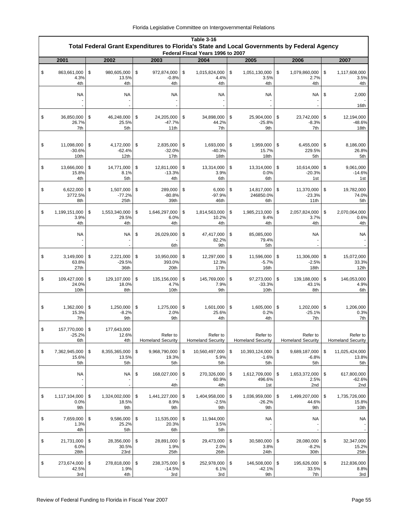| Table 3-16<br>Total Federal Grant Expenditures to Florida's State and Local Governments by Federal Agency<br>Federal Fiscal Years 1996 to 2007 |    |                               |    |                                      |    |                                      |      |                                      |    |                                      |    |                                         |  |
|------------------------------------------------------------------------------------------------------------------------------------------------|----|-------------------------------|----|--------------------------------------|----|--------------------------------------|------|--------------------------------------|----|--------------------------------------|----|-----------------------------------------|--|
| 2001                                                                                                                                           |    | 2002                          |    | 2003                                 |    | 2004                                 |      | 2005                                 |    | 2006                                 |    | 2007                                    |  |
| \$<br>863,661,000<br>4.3%<br>4th                                                                                                               | \$ | 980,605,000<br>13.5%<br>4th   | \$ | 972,874,000<br>$-0.8%$<br>4th        | \$ | 1,015,824,000<br>4.4%<br>4th         | \$   | 1,051,130,000<br>3.5%<br>4th         | \$ | 1,079,860,000<br>2.7%<br>4th         | \$ | 1,117,608,000<br>3.5%<br>4th            |  |
| <b>NA</b>                                                                                                                                      |    | <b>NA</b>                     |    | <b>NA</b>                            |    | <b>NA</b>                            |      | <b>NA</b>                            |    | <b>NA</b>                            | \$ | 2,000<br>16th                           |  |
| \$<br>36,850,000<br>26.7%<br>7th                                                                                                               | \$ | 46,248,000<br>25.5%<br>5th    | \$ | 24,205,000<br>$-47.7%$<br>11th       | \$ | 34,898,000<br>44.2%<br>7th           | \$   | 25,904,000<br>$-25.8%$<br>9th        | \$ | 23,742,000<br>$-8.3%$<br>7th         | \$ | 12,194,000<br>$-48.6%$<br>18th          |  |
| \$<br>11,098,000<br>$-30.6%$<br>10th                                                                                                           | \$ | 4,172,000<br>$-62.4%$<br>12th | \$ | 2,835,000<br>$-32.0%$<br>17th        | \$ | 1,693,000<br>$-40.3%$<br>18th        | \$   | 1,959,000<br>15.7%<br>18th           | \$ | 6,455,000<br>229.5%<br>5th           | \$ | 8,186,000<br>26.8%<br>5th               |  |
| \$<br>13,666,000<br>15.8%<br>4th                                                                                                               | \$ | 14,771,000<br>8.1%<br>5th     | \$ | 12,811,000<br>$-13.3%$<br>4th        | \$ | 13,314,000<br>3.9%<br>6th            | \$   | 13,314,000<br>0.0%<br>6th            | \$ | 10,614,000<br>$-20.3%$<br>1st        | \$ | 9,061,000<br>$-14.6%$<br>1st            |  |
| \$<br>6,622,000<br>3772.5%<br>8th                                                                                                              | \$ | 1,507,000<br>$-77.2%$<br>25th | \$ | 289,000<br>$-80.8%$<br>39th          | \$ | 6,000<br>-97.9%<br>46th              | \$   | 14,817,000<br>246850.0%<br>6th       | \$ | 11,370,000<br>$-23.3%$<br>11th       | \$ | 19,782,000<br>74.0%<br>5th              |  |
| \$<br>1,199,151,000<br>3.9%<br>4th                                                                                                             | \$ | 1,553,340,000<br>29.5%<br>4th | \$ | 1,646,297,000<br>6.0%<br>4th         | \$ | 1,814,563,000<br>10.2%<br>4th        | \$   | 1,985,213,000<br>9.4%<br>4th         | \$ | 2,057,824,000<br>3.7%<br>4th         | \$ | 2,070,064,000<br>0.6%<br>4th            |  |
| <b>NA</b>                                                                                                                                      |    | <b>NA</b>                     | \$ | 26,029,000<br>6th                    | \$ | 47,417,000<br>82.2%<br>9th           | \$   | 85,085,000<br>79.4%<br>5th           |    | <b>NA</b>                            |    | <b>NA</b>                               |  |
| \$<br>3,149,000<br>63.8%<br>27th                                                                                                               | \$ | 2,221,000<br>$-29.5%$<br>36th | \$ | 10,950,000<br>393.0%<br>20th         | \$ | 12,297,000<br>12.3%<br>17th          | \$   | 11,596,000<br>$-5.7%$<br>16th        | \$ | 11,306,000<br>$-2.5%$<br>18th        | \$ | 15,072,000<br>33.3%<br>12 <sub>th</sub> |  |
| \$<br>109,427,000<br>24.0%<br>10th                                                                                                             | \$ | 129,107,000<br>18.0%<br>8th   | \$ | 135,156,000<br>4.7%<br>10th          | \$ | 145,769,000<br>7.9%<br>9th           | \$   | 97,273,000<br>$-33.3%$<br>10th       | \$ | 139,188,000<br>43.1%<br>8th          | \$ | 146,053,000<br>4.9%<br>6th              |  |
| \$<br>1,362,000<br>15.3%<br>7th                                                                                                                | \$ | 1,250,000<br>$-8.2%$<br>9th   | \$ | 1,275,000<br>2.0%<br>9th             | \$ | 1,601,000<br>25.6%<br>4th            | \$   | 1,605,000<br>0.2%<br>4th             | \$ | 1,202,000<br>$-25.1%$<br>7th         | \$ | 1,206,000<br>0.3%<br>7th                |  |
| \$<br>157,770,000<br>-25.2%<br>6th                                                                                                             | \$ | 177,643,000<br>12.6%<br>4th   |    | Refer to<br><b>Homeland Security</b> |    | Refer to<br><b>Homeland Security</b> |      | Refer to<br><b>Homeland Security</b> |    | Refer to<br><b>Homeland Security</b> |    | Refer to<br><b>Homeland Security</b>    |  |
| \$<br>7,362,945,000<br>15.6%<br>5th                                                                                                            | \$ | 8,355,365,000<br>13.5%<br>5th | \$ | 9,968,790,000<br>19.3%<br>5th        | \$ | 10,560,497,000<br>5.9%<br>5th        | \$   | 10,393,124,000<br>$-1.6%$<br>5th     | \$ | 9,689,187,000<br>$-6.8%$<br>5th      | \$ | 11,025,424,000<br>13.8%<br>5th          |  |
| <b>NA</b>                                                                                                                                      |    | <b>NA</b>                     | \$ | 168,027,000<br>4th                   | \$ | 270,326,000<br>60.9%<br>4th          | \$   | 1,612,709,000<br>496.6%<br>1st       | \$ | 1,653,372,000<br>2.5%<br>2nd         | \$ | 617,800,000<br>$-62.6%$<br>2nd          |  |
| \$<br>1,117,104,000<br>0.0%<br>9th                                                                                                             | \$ | 1,324,002,000<br>18.5%<br>9th | \$ | 1,441,227,000<br>8.9%<br>9th         | \$ | 1,404,958,000<br>$-2.5%$<br>9th      | \$   | 1,036,959,000<br>$-26.2%$<br>9th     | \$ | 1,499,207,000<br>44.6%<br>9th        | \$ | 1,735,726,000<br>15.8%<br>10th          |  |
| \$<br>7,659,000<br>1.3%<br>4th                                                                                                                 | \$ | 9,586,000<br>25.2%<br>5th     | \$ | 11,535,000<br>20.3%<br>6th           | \$ | 11,944,000<br>3.5%<br>5th            |      | NA.<br>$\blacksquare$                |    | <b>NA</b>                            |    | <b>NA</b>                               |  |
| \$<br>21,731,000<br>6.0%<br>28th                                                                                                               | \$ | 28,356,000<br>30.5%<br>23rd   | \$ | 28,891,000<br>1.9%<br>25th           | \$ | 29,473,000<br>2.0%<br>26th           | l \$ | 30,580,000<br>3.8%<br>24th           | \$ | 28,080,000<br>$-8.2%$<br>30th        | \$ | 32,347,000<br>15.2%<br>25th             |  |
| \$<br>273,674,000<br>42.5%<br>3rd                                                                                                              | \$ | 278,818,000<br>1.9%<br>4th    | \$ | 238,375,000<br>$-14.5%$<br>3rd       | \$ | 252,978,000<br>6.1%<br>3rd           | \$   | 146,508,000<br>$-42.1%$<br>9th       | \$ | 195,626,000<br>33.5%<br>7th          | \$ | 212,836,000<br>8.8%<br>3rd              |  |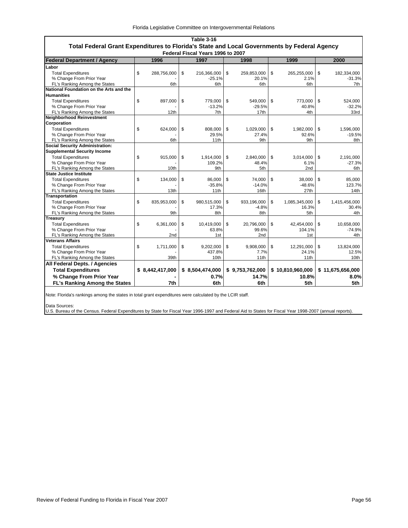|                                                                                             |                   |               | Table 3-16                        |                   |                     |                     |
|---------------------------------------------------------------------------------------------|-------------------|---------------|-----------------------------------|-------------------|---------------------|---------------------|
| Total Federal Grant Expenditures to Florida's State and Local Governments by Federal Agency |                   |               | Federal Fiscal Years 1996 to 2007 |                   |                     |                     |
| <b>Federal Department / Agency</b>                                                          | 1996              |               | 1997                              | 1998              | 1999                | 2000                |
| Labor                                                                                       |                   |               |                                   |                   |                     |                     |
| <b>Total Expenditures</b>                                                                   | \$<br>288,756,000 | \$            | 216,366,000                       | \$<br>259,853,000 | \$<br>265,255,000   | \$<br>182,334,000   |
| % Change From Prior Year                                                                    |                   |               | $-25.1%$                          | 20.1%             | 2.1%                | $-31.3%$            |
| FL's Ranking Among the States                                                               | 6th               |               | 6th                               | 6th               | 6th                 | 7th                 |
| National Foundation on the Arts and the                                                     |                   |               |                                   |                   |                     |                     |
| <b>Humanities</b>                                                                           |                   |               |                                   |                   |                     |                     |
| <b>Total Expenditures</b>                                                                   | \$<br>897,000     | <sup>\$</sup> | 779.000                           | \$<br>549.000     | \$<br>773.000       | \$<br>524,000       |
| % Change From Prior Year                                                                    |                   |               | $-13.2%$                          | $-29.5%$          | 40.8%               | $-32.2%$            |
| FL's Ranking Among the States                                                               | 12 <sub>th</sub>  |               | 7th                               | 17 <sub>th</sub>  | 4th                 | 33rd                |
| <b>Neighborhood Reinvestment</b>                                                            |                   |               |                                   |                   |                     |                     |
| Corporation                                                                                 |                   |               |                                   |                   |                     |                     |
| <b>Total Expenditures</b>                                                                   | \$<br>624,000     | \$            | 808,000                           | \$<br>1,029,000   | \$<br>1,982,000     | \$<br>1,596,000     |
| % Change From Prior Year                                                                    |                   |               | 29.5%                             | 27.4%             | 92.6%               | $-19.5%$            |
| FL's Ranking Among the States                                                               | 6th               |               | 11th                              | 9th               | 9th                 | 8th                 |
| <b>Social Security Administration:</b>                                                      |                   |               |                                   |                   |                     |                     |
| <b>Supplemental Security Income</b>                                                         |                   |               |                                   |                   |                     |                     |
| <b>Total Expenditures</b>                                                                   | \$<br>915.000     | \$            | 1.914.000                         | \$<br>2.840.000   | \$<br>3.014.000     | \$<br>2.191.000     |
| % Change From Prior Year                                                                    |                   |               | 109.2%                            | 48.4%             | 6.1%                | $-27.3%$            |
| FL's Ranking Among the States                                                               | 10th              |               | 9th                               | 5th               | 2nd                 | 6th                 |
| <b>State Justice Institute</b>                                                              |                   |               |                                   |                   |                     |                     |
| <b>Total Expenditures</b>                                                                   | \$<br>134,000     | \$            | 86.000                            | \$<br>74.000      | \$<br>38,000        | \$<br>85.000        |
| % Change From Prior Year                                                                    |                   |               | $-35.8%$                          | $-14.0%$          | $-48.6%$            | 123.7%              |
| FL's Ranking Among the States                                                               | 13th              |               | 11th                              | 16th              | 27th                | 14th                |
| <b>Transportation</b>                                                                       |                   |               |                                   |                   |                     |                     |
| <b>Total Expenditures</b>                                                                   | \$<br>835,953,000 | \$            | 980,515,000                       | \$<br>933,196,000 | \$<br>1,085,345,000 | \$<br>1,415,456,000 |
| % Change From Prior Year                                                                    |                   |               | 17.3%                             | $-4.8%$           | 16.3%               | 30.4%               |
| FL's Ranking Among the States                                                               | 9th               |               | 8th                               | 8th               | 5th                 | 4th                 |
| <b>Treasury</b>                                                                             |                   |               |                                   |                   |                     |                     |
| <b>Total Expenditures</b>                                                                   | \$<br>6,361,000   | \$            | 10,419,000                        | \$<br>20,796,000  | \$<br>42,454,000    | \$<br>10,658,000    |
| % Change From Prior Year                                                                    |                   |               | 63.8%                             | 99.6%             | 104.1%              | $-74.9%$<br>4th     |
| FL's Ranking Among the States<br><b>Veterans Affairs</b>                                    | 2nd               |               | 1st                               | 2nd               | 1st                 |                     |
| <b>Total Expenditures</b>                                                                   | \$<br>1,711,000   | \$            | 9,202,000                         | \$<br>9,908,000   | \$<br>12,291,000    | \$<br>13,824,000    |
| % Change From Prior Year                                                                    |                   |               | 437.8%                            | 7.7%              | 24.1%               | 12.5%               |
| FL's Ranking Among the States                                                               | 39th              |               | 10th                              | 11th              | 11th                | 10th                |
| All Federal Depts. / Agencies                                                               |                   |               |                                   |                   |                     |                     |
| <b>Total Expenditures</b>                                                                   |                   |               | \$8,504,474,000                   |                   |                     | \$11,675,656,000    |
|                                                                                             | \$8,442,417,000   |               |                                   | \$9,753,762,000   | \$10,810,960,000    |                     |
| % Change From Prior Year                                                                    |                   |               | 0.7%                              | 14.7%             | 10.8%               | 8.0%                |
| <b>FL's Ranking Among the States</b>                                                        | 7th               |               | 6th                               | 6th               | 5th                 | 5th                 |

Note: Florida's rankings among the states in total grant expenditures were calculated by the LCIR staff.

Data Sources:

U.S. Bureau of the Census. Federal Expenditures by State for Fiscal Year 1996-1997 and Federal Aid to States for Fiscal Year 1998-2007 (annual reports).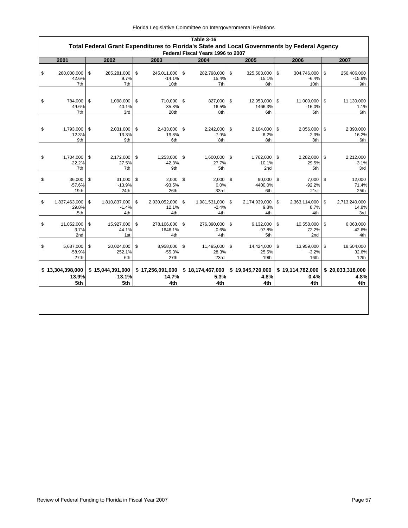|                                             |                                       |                                       | Table 3-16<br>Federal Fiscal Years 1996 to 2007 |                                    | Total Federal Grant Expenditures to Florida's State and Local Governments by Federal Agency |    |                                 |
|---------------------------------------------|---------------------------------------|---------------------------------------|-------------------------------------------------|------------------------------------|---------------------------------------------------------------------------------------------|----|---------------------------------|
| 2001                                        | 2002                                  | 2003                                  | 2004                                            | 2005                               | 2006                                                                                        |    | 2007                            |
| \$<br>260,008,000<br>42.6%<br>7th           | \$<br>285,281,000<br>9.7%<br>7th      | \$<br>245,011,000<br>$-14.1%$<br>10th | \$<br>282,798,000<br>15.4%<br>7th               | \$<br>325,503,000<br>15.1%<br>8th  | \$<br>304,746,000<br>$-6.4%$<br>10th                                                        | \$ | 256,406,000<br>$-15.9%$<br>9th  |
| \$<br>784,000<br>49.6%<br>7th               | \$<br>1,098,000<br>40.1%<br>3rd       | \$<br>710,000<br>$-35.3%$<br>20th     | \$<br>827,000<br>16.5%<br>8th                   | \$<br>12,953,000<br>1466.3%<br>6th | \$<br>11,009,000<br>$-15.0%$<br>6th                                                         | \$ | 11,130,000<br>1.1%<br>6th       |
| \$<br>1,793,000<br>12.3%<br>9th             | \$<br>2,031,000<br>13.3%<br>9th       | \$<br>2,433,000<br>19.8%<br>6th       | \$<br>2,242,000<br>$-7.9%$<br>8th               | \$<br>2,104,000<br>$-6.2%$<br>8th  | \$<br>2,056,000<br>$-2.3%$<br>8th                                                           | \$ | 2,390,000<br>16.2%<br>6th       |
| \$<br>1,704,000<br>$-22.2%$<br>7th          | \$<br>2,172,000<br>27.5%<br>7th       | \$<br>1,253,000<br>$-42.3%$<br>9th    | \$<br>1,600,000<br>27.7%<br>5th                 | \$<br>1,762,000<br>10.1%<br>2nd    | \$<br>2,282,000<br>29.5%<br>5th                                                             | \$ | 2,212,000<br>$-3.1%$<br>3rd     |
| \$<br>36,000<br>$-57.6%$<br>19th            | \$<br>31,000<br>$-13.9%$<br>24th      | \$<br>2,000<br>$-93.5%$<br>26th       | \$<br>2,000<br>0.0%<br>33rd                     | \$<br>90,000<br>4400.0%<br>6th     | \$<br>7,000<br>$-92.2%$<br>21st                                                             | \$ | 12,000<br>71.4%<br>25th         |
| \$<br>1,837,463,000<br>29.8%<br>5th         | \$<br>1,810,837,000<br>$-1.4%$<br>4th | \$<br>2,030,052,000<br>12.1%<br>4th   | \$<br>1,981,531,000<br>$-2.4%$<br>4th           | \$<br>2,174,939,000<br>9.8%<br>4th | \$<br>2,363,114,000<br>8.7%<br>4th                                                          | \$ | 2,713,240,000<br>14.8%<br>3rd   |
| \$<br>11,052,000<br>3.7%<br>2 <sub>nd</sub> | \$<br>15,927,000<br>44.1%<br>1st      | \$<br>278,106,000<br>1646.1%<br>4th   | \$<br>276,390,000<br>$-0.6%$<br>4th             | \$<br>6,132,000<br>$-97.8%$<br>5th | \$<br>10,558,000<br>72.2%<br>2nd                                                            | \$ | 6,063,000<br>$-42.6%$<br>4th    |
| \$<br>5,687,000<br>$-58.9%$<br>27th         | \$<br>20,024,000<br>252.1%<br>6th     | \$<br>8,958,000<br>$-55.3%$<br>27th   | \$<br>11,495,000<br>28.3%<br>23rd               | \$<br>14,424,000<br>25.5%<br>19th  | \$<br>13,959,000<br>$-3.2%$<br>16th                                                         | \$ | 18,504,000<br>32.6%<br>12th     |
| \$13,304,398,000<br>13.9%<br>5th            | \$15,044,391,000<br>13.1%<br>5th      | \$17,256,091,000<br>14.7%<br>4th      | \$18,174,467,000<br>5.3%<br>4th                 | \$19,045,720,000<br>4.8%<br>4th    | \$19,114,782,000<br>0.4%<br>4th                                                             |    | \$20,033,318,000<br>4.8%<br>4th |
|                                             |                                       |                                       |                                                 |                                    |                                                                                             |    |                                 |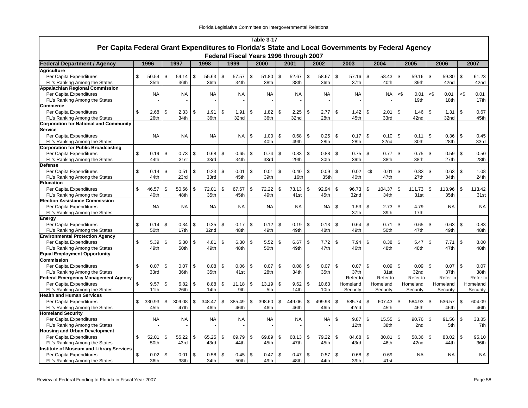|                                                                                                  |                |           |                |              |              |                                        | Table 3-17    |                           |              |              |                |              |        |                  |                |                |     |              |
|--------------------------------------------------------------------------------------------------|----------------|-----------|----------------|--------------|--------------|----------------------------------------|---------------|---------------------------|--------------|--------------|----------------|--------------|--------|------------------|----------------|----------------|-----|--------------|
| Per Capita Federal Grant Expenditures to Florida's State and Local Governments by Federal Agency |                |           |                |              |              | Federal Fiscal Years 1996 through 2007 |               |                           |              |              |                |              |        |                  |                |                |     |              |
| <b>Federal Department / Agency</b>                                                               |                | 1996      |                | 1997         | 1998         | 1999                                   | 2000          | 2001                      | 2002         | 2003         |                | 2004         |        | 2005             |                | 2006           |     | 2007         |
| <b>Agriculture</b>                                                                               |                |           |                |              |              |                                        |               |                           |              |              |                |              |        |                  |                |                |     |              |
| Per Capita Expenditures                                                                          | \$             | 50.54     | $\mathfrak{S}$ | 54.14        | \$<br>55.63  | \$<br>57.57                            | \$<br>51.80   | \$<br>52.67               | \$<br>58.67  | \$<br>57.16  | $\mathfrak{S}$ | 58.43        | \$     | 59.16            | $\mathsf{\$}$  | 59.80          | \$  | 61.23        |
| FL's Ranking Among the States                                                                    |                | 35th      |                | 36th         | 36th         | 34th                                   | 38th          | 38th                      | 36th         | 37th         |                | 40th         |        | 39th             |                | 42nd           |     | 42nd         |
| <b>Appalachian Regional Commission</b>                                                           |                |           |                |              |              |                                        |               |                           |              |              |                |              |        |                  |                |                |     |              |
| Per Capita Expenditures                                                                          |                | <b>NA</b> |                | <b>NA</b>    | NA           | <b>NA</b>                              | <b>NA</b>     | NA                        | NA           | NA           |                | <b>NA</b>    | $<$ \$ | 0.01             | $<$ \$         | 0.01           | -\$ | 0.01         |
| FL's Ranking Among the States                                                                    |                |           |                |              |              |                                        |               |                           |              |              |                |              |        | 19th             |                | 18th           |     | 17th         |
| Commerce                                                                                         |                |           |                |              |              |                                        |               |                           |              |              |                |              |        |                  |                |                |     |              |
| Per Capita Expenditures                                                                          | \$             | 2.68      | \$             | 2.33         | \$<br>1.91   | \$<br>1.91                             | \$<br>1.82    | \$<br>2.25                | \$<br>2.77   | \$<br>1.42   | \$             | 2.01         | \$     | 1.46             | \$             | 1.31           | \$  | 0.67         |
| FL's Ranking Among the States                                                                    |                | 26th      |                | 34th         | 36th         | 32nd                                   | 36th          | 32nd                      | 28th         | 45th         |                | 33rd         |        | 42nd             |                | 32nd           |     | 45th         |
| <b>Corporation for National and Community</b>                                                    |                |           |                |              |              |                                        |               |                           |              |              |                |              |        |                  |                |                |     |              |
| <b>Service</b>                                                                                   |                |           |                |              |              |                                        |               |                           |              |              |                |              |        |                  |                |                |     |              |
| Per Capita Expenditures                                                                          |                | <b>NA</b> |                | <b>NA</b>    | <b>NA</b>    | <b>NA</b>                              | \$<br>1.00    | \$<br>0.68                | \$<br>0.25   | \$<br>0.17   | \$             | 0.10         | \$     | 0.11             | \$             | 0.36           | \$  | 0.45         |
| FL's Ranking Among the States                                                                    |                |           |                |              |              |                                        | 40th          | 49th                      | 28th         | 28th         |                | 32nd         |        | 30th             |                | 28th           |     | 33rd         |
| <b>Corporation for Public Broadcasting</b>                                                       |                |           |                |              |              |                                        |               |                           |              |              |                |              |        |                  |                |                |     |              |
| Per Capita Expenditures                                                                          | \$             | 0.19      | \$             | 0.73         | \$<br>0.68   | \$<br>0.65                             | \$<br>0.74    | \$<br>0.83                | \$<br>0.88   | \$<br>0.75   | \$             | 0.77         | \$     | 0.75             | \$             | 0.59           | \$  | 0.50         |
| FL's Ranking Among the States                                                                    |                | 44th      |                | 31st         | 33rd         | 34th                                   | 33rd          | 29th                      | 30th         | 39th         |                | 38th         |        | 38th             |                | 27th           |     | 28th         |
| Defense                                                                                          |                |           |                |              |              |                                        |               |                           |              |              |                |              |        |                  |                |                |     |              |
| Per Capita Expenditures                                                                          | \$             | 0.14      | \$             | 0.51         | \$<br>0.23   | \$<br>0.01                             | \$<br>0.01    | \$<br>0.40                | \$<br>0.09   | \$<br>0.02   | $\leq$         | 0.01         | \$     | 0.83             | \$             | 0.63           | \$  | 1.08         |
| FL's Ranking Among the States                                                                    |                | 44th      |                | 23rd         | 33rd         | 45th                                   | 39th          | 16th                      | 35th         | 40th         |                | 47th         |        | 27th             |                | 34th           |     | 24th         |
| <b>Education</b>                                                                                 |                |           |                |              |              |                                        |               |                           |              |              |                |              |        |                  |                |                |     |              |
|                                                                                                  | \$             | 46.57     | \$             | 50.56        | \$<br>72.01  | \$<br>67.57                            | \$            | \$                        | \$<br>92.94  | \$<br>96.73  | \$             | 104.37       | \$     | 111.73           | \$             |                | \$  | 113.42       |
| Per Capita Expenditures<br>FL's Ranking Among the States                                         |                | 40th      |                | 48th         | 35th         | 45th                                   | 72.22<br>49th | 73.13<br>41 <sub>st</sub> | 45th         | 32nd         |                | 34th         |        | 31 <sub>st</sub> |                | 113.96<br>35th |     | 31st         |
| <b>Election Assistance Commission</b>                                                            |                |           |                |              |              |                                        |               |                           |              |              |                |              |        |                  |                |                |     |              |
|                                                                                                  |                |           |                |              |              | <b>NA</b>                              |               |                           |              | \$           |                | 2.73         | \$     |                  |                |                |     |              |
| Per Capita Expenditures                                                                          |                | <b>NA</b> |                | <b>NA</b>    | <b>NA</b>    |                                        | <b>NA</b>     | <b>NA</b>                 | NA           | 1.53<br>37th | \$             | 39th         |        | 4.79<br>17th     |                | <b>NA</b>      |     | NA           |
| FL's Ranking Among the States<br>Energy                                                          |                |           |                |              |              |                                        |               |                           |              |              |                |              |        |                  |                |                |     |              |
| Per Capita Expenditures                                                                          | $$\mathbb{S}$$ | 0.14      | \$             |              | \$           | 0.17                                   | \$            | \$                        | 0.13         | \$           | \$             |              | \$     |                  | $\mathfrak{S}$ | 0.63           | \$  |              |
| FL's Ranking Among the States                                                                    |                | 50th      |                | 0.34<br>17th | 0.35<br>32nd | \$<br>48th                             | 0.12<br>49th  | 0.19<br>49th              | \$<br>48th   | 0.64<br>49th |                | 0.71<br>50th |        | 0.65<br>47th     |                | 49th           |     | 0.83<br>48th |
| <b>Environmental Protection Agency</b>                                                           |                |           |                |              |              |                                        |               |                           |              |              |                |              |        |                  |                |                |     |              |
| Per Capita Expenditures                                                                          | \$             | 5.39      | \$             | 5.30         | \$<br>4.81   | \$<br>6.30                             | \$<br>5.52    | \$<br>6.67                | \$<br>7.72   | \$<br>7.94   | \$             | 8.38         | \$     | 5.47             | \$             | 7.71           | \$  | 8.00         |
| FL's Ranking Among the States                                                                    |                | 49th      |                | 50th         | 49th         | 48th                                   | 50th          | 49th                      | 47th         | 46th         |                | 48th         |        | 48th             |                | 47th           |     | 48th         |
| <b>Equal Employment Opportunity</b>                                                              |                |           |                |              |              |                                        |               |                           |              |              |                |              |        |                  |                |                |     |              |
|                                                                                                  |                |           |                |              |              |                                        |               |                           |              |              |                |              |        |                  |                |                |     |              |
| Commission                                                                                       | \$             |           |                |              | \$           | \$                                     | \$            | \$                        | \$           | \$           | $\mathfrak{S}$ |              |        |                  | $\mathsf{\$}$  |                | \$  |              |
| Per Capita Expenditures                                                                          |                | 0.07      | \$             | 0.07         | 0.08         | 0.06                                   | 0.07          | 0.08                      | 0.07         | 0.07         |                | 0.09         | \$     | 0.09             |                | 0.07           |     | 0.07         |
| FL's Ranking Among the States                                                                    |                | 33rd      |                | 36th         | 35th         | 41st                                   | 28th          | 34th                      | 35th         | 37th         |                | 31st         |        | 32nd             |                | 37th           |     | 38th         |
| <b>Federal Emergency Management Agency</b>                                                       |                |           |                |              |              |                                        |               |                           |              | Refer to     |                | Refer to     |        | Refer to         |                | Refer to       |     | Refer to     |
| Per Capita Expenditures                                                                          | \$             | 9.57      | \$             | 6.82         | \$<br>8.88   | \$<br>11.18                            | \$<br>13.19   | \$<br>9.62                | \$<br>10.63  | Homeland     |                | Homeland     |        | Homeland         |                | Homeland       |     | Homeland     |
| FL's Ranking Among the States                                                                    |                | 11th      |                | 26th         | 14th         | 9th                                    | 5th           | 14th                      | 10th         | Security     |                | Security     |        | Security         |                | Security       |     | Security     |
| <b>Health and Human Services</b>                                                                 | \$             |           |                |              |              |                                        |               |                           |              | \$           |                |              |        |                  |                |                |     |              |
| Per Capita Expenditures                                                                          |                | 330.93    | \$             | 309.08       | \$<br>348.47 | \$<br>385.49                           | \$<br>398.60  | \$<br>449.06              | \$<br>499.93 | 585.74       | \$             | 607.43       | \$     | 584.93           | \$             | 536.57         | \$  | 604.09       |
| FL's Ranking Among the States                                                                    |                | 45th      |                | 47th         | 46th         | 46th                                   | 46th          | 46th                      | 46th         | 42nd         |                | 45th         |        | 46th             |                | 46th           |     | 46th         |
| <b>Homeland Security</b>                                                                         |                |           |                |              |              |                                        |               |                           |              |              |                |              |        |                  |                |                |     |              |
| Per Capita Expenditures                                                                          |                | <b>NA</b> |                | <b>NA</b>    | <b>NA</b>    | <b>NA</b>                              | <b>NA</b>     | <b>NA</b>                 | NA           | \$<br>9.87   | \$             | 15.55        | \$     | 90.76            | \$             | 91.56          | \$  | 33.85        |
| FL's Ranking Among the States                                                                    |                |           |                |              |              |                                        |               |                           |              | 12th         |                | 38th         |        | 2nd              |                | 5th            |     | 7th          |
| <b>Housing and Urban Development</b>                                                             |                |           |                |              |              |                                        |               |                           |              |              |                |              |        |                  |                |                |     |              |
| Per Capita Expenditures                                                                          | \$             | 52.01     | \$             | 55.22        | \$<br>65.25  | \$<br>69.79                            | \$<br>69.89   | \$<br>68.13               | \$<br>79.22  | \$<br>84.68  | \$             | 80.81        | \$     | 58.36            | \$             | 83.02          | \$  | 95.10        |
| FL's Ranking Among the States                                                                    |                | 50th      |                | 43rd         | 43rd         | 44th                                   | 45th          | 47th                      | 45th         | 43rd         |                | 46th         |        | 42nd             |                | 44th           |     | 36th         |
| <b>Institute of Museum and Library Services</b>                                                  |                |           |                |              |              |                                        |               |                           |              |              |                |              |        |                  |                |                |     |              |
| Per Capita Expenditures                                                                          | \$             | 0.02      | \$             | 0.01         | \$<br>0.58   | \$<br>0.45                             | \$<br>0.47    | \$<br>0.47                | \$<br>0.57   | \$<br>0.68   | $\mathfrak{S}$ | 0.69         |        | <b>NA</b>        |                | NA             |     | NA           |
| FL's Ranking Among the States                                                                    |                | 36th      |                | 38th         | 34th         | 50th                                   | 49th          | 48th                      | 44th         | 39th         |                | 41st         |        |                  |                |                |     |              |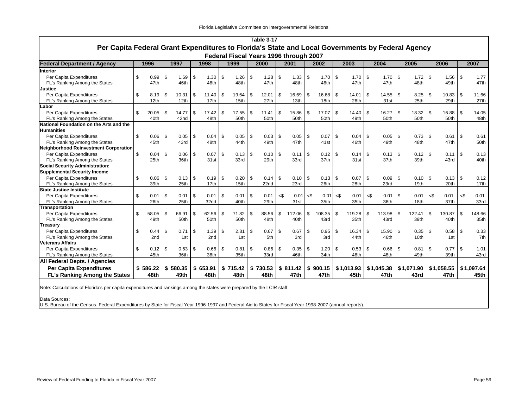|                                              |                                                                                                                                            |                 |                |          |    |          |    |          |                | Table 3-17 |           |          |        |          |                |            |    |            |      |            |        |            |        |            |
|----------------------------------------------|--------------------------------------------------------------------------------------------------------------------------------------------|-----------------|----------------|----------|----|----------|----|----------|----------------|------------|-----------|----------|--------|----------|----------------|------------|----|------------|------|------------|--------|------------|--------|------------|
|                                              | Per Capita Federal Grant Expenditures to Florida's State and Local Governments by Federal Agency<br>Federal Fiscal Years 1996 through 2007 |                 |                |          |    |          |    |          |                |            |           |          |        |          |                |            |    |            |      |            |        |            |        |            |
|                                              |                                                                                                                                            |                 |                |          |    |          |    |          |                |            |           |          |        |          |                |            |    |            |      |            |        |            |        |            |
| <b>Federal Department / Agency</b>           |                                                                                                                                            | 1996            |                | 1997     |    | 1998     |    | 1999     |                | 2000       |           | 2001     |        | 2002     |                | 2003       |    | 2004       |      | 2005       |        | 2006       |        | 2007       |
| Interior                                     |                                                                                                                                            |                 |                |          |    |          |    |          |                |            |           |          |        |          |                |            |    |            |      |            |        |            |        |            |
| Per Capita Expenditures                      | $\mathfrak{S}$                                                                                                                             | 0.99            | \$             | 1.69     | \$ | 1.30     | \$ | 1.26     | \$             | 1.28       | \$        | 1.33     | \$     | 1.70     | \$             | 1.70       | \$ | 1.70       | \$   | 1.72       | \$     | 1.56       | \$     | 1.77       |
| FL's Ranking Among the States                |                                                                                                                                            | 47th            |                | 46th     |    | 46th     |    | 48th     |                | 47th       |           | 48th     |        | 46th     |                | 47th       |    | 47th       |      | 48th       |        | 49th       |        | 47th       |
| <b>Justice</b>                               |                                                                                                                                            |                 |                |          |    |          |    |          |                |            |           |          |        |          |                |            |    |            |      |            |        |            |        |            |
| Per Capita Expenditures                      | $\mathfrak{S}$                                                                                                                             | 8.19            | \$             | 10.31    | \$ | 11.40    | \$ | 19.64    | \$             | 12.01      | \$        | 16.69    | \$     | 16.68    | $\mathfrak{s}$ | 14.01      | \$ | 14.55      | -\$  | 8.25       | \$     | 10.83      | \$     | 11.66      |
| FL's Ranking Among the States                |                                                                                                                                            | 12th            |                | 12th     |    | 17th     |    | 15th     |                | 27th       |           | 13th     |        | 18th     |                | 26th       |    | 31st       |      | 25th       |        | 29th       |        | 27th       |
| Labor                                        |                                                                                                                                            |                 |                |          |    |          |    |          |                |            |           |          |        |          |                |            |    |            |      |            |        |            |        |            |
| Per Capita Expenditures                      | $\mathfrak{s}$                                                                                                                             | 20.05           | \$             | 14.77    | \$ | 17.42    | \$ | 17.55    | \$             | 11.41      | \$        | 15.86    | \$     | 17.07    | $\mathfrak{L}$ | 14.40      | \$ | 16.27      |      | 18.32      | \$     | 16.88      | -S     | 14.05      |
| FL's Ranking Among the States                |                                                                                                                                            | 40th            |                | 42nd     |    | 48th     |    | 50th     |                | 50th       |           | 50th     |        | 50th     |                | 49th       |    | 50th       |      | 50th       |        | 50th       |        | 48th       |
| National Foundation on the Arts and the      |                                                                                                                                            |                 |                |          |    |          |    |          |                |            |           |          |        |          |                |            |    |            |      |            |        |            |        |            |
| <b>Humanities</b>                            |                                                                                                                                            |                 |                |          |    |          |    |          |                |            |           |          |        |          |                |            |    |            |      |            |        |            |        |            |
| Per Capita Expenditures                      | \$                                                                                                                                         | 0.06            | \$             | 0.05     | \$ | 0.04     | \$ | 0.05     | - \$           | 0.03       | \$        | 0.05     | - \$   | 0.07     | \$             | 0.04       | \$ | 0.05       | \$   | 0.73       | \$     | 0.61       | -\$    | 0.61       |
| FL's Ranking Among the States                |                                                                                                                                            | 45th            |                | 43rd     |    | 48th     |    | 44th     |                | 49th       |           | 47th     |        | 41st     |                | 46th       |    | 49th       |      | 48th       |        | 47th       |        | 50th       |
| <b>Neighborhood Reinvestment Corporation</b> |                                                                                                                                            |                 |                |          |    |          |    |          |                |            |           |          |        |          |                |            |    |            |      |            |        |            |        |            |
| Per Capita Expenditures                      | $\mathbf{s}$                                                                                                                               | 0.04            | $\mathfrak{S}$ | 0.06     | \$ | 0.07     | \$ | 0.13     | - \$           | 0.10       | \$        | 0.11     | \$     | 0.12     | $\mathfrak{s}$ | 0.14       | \$ | 0.13       | -S   | 0.12       | \$     | 0.11       | \$     | 0.13       |
| FL's Ranking Among the States                |                                                                                                                                            | 25th            |                | 36th     |    | 31st     |    | 33rd     |                | 29th       |           | 33rd     |        | 37th     |                | 31st       |    | 37th       |      | 39th       |        | 43rd       |        | 40th       |
| <b>Social Security Administration:</b>       |                                                                                                                                            |                 |                |          |    |          |    |          |                |            |           |          |        |          |                |            |    |            |      |            |        |            |        |            |
| <b>Supplemental Security Income</b>          |                                                                                                                                            |                 |                |          |    |          |    |          |                |            |           |          |        |          |                |            |    |            |      |            |        |            |        |            |
| Per Capita Expenditures                      | \$                                                                                                                                         | 0.06            | \$             | 0.13     | \$ | 0.19     | \$ | 0.20     | <b>S</b>       | 0.14       | \$        | 0.10     | - \$   |          |                | 0.07       | \$ | 0.09       | - \$ | 0.10       | - \$   | 0.13       | \$     | 0.12       |
| FL's Ranking Among the States                |                                                                                                                                            | 39th            |                | 25th     |    | 17th     |    | 15th     |                | 22nd       |           | 23rd     |        | 26th     |                | 28th       |    | 23rd       |      | 19th       |        | 20th       |        | 17th       |
| <b>State Justice Institute</b>               |                                                                                                                                            |                 |                |          |    |          |    |          |                |            |           |          |        |          |                |            |    |            |      |            |        |            |        |            |
| Per Capita Expenditures                      | \$                                                                                                                                         | 0.01            | \$             | 0.01     | \$ | 0.01     | \$ | 0.01     | $\mathfrak{s}$ | 0.01       | $\leq$ \$ | 0.01     | $<$ \$ | 0.01     | $<$ \$         | 0.01       | <  | 0.01       | \$.  | 0.01       | $\leq$ | 0.01       | $\leq$ | 0.01       |
| FL's Ranking Among the States                |                                                                                                                                            | 26th            |                | 25th     |    | 32nd     |    | 40th     |                | 29th       |           | 31st     |        | 35th     |                | 35th       |    | 36th       |      | 18th       |        | 37th       |        | 33rd       |
| <b>Transportation</b>                        |                                                                                                                                            |                 |                |          |    |          |    |          |                |            |           |          |        |          |                |            |    |            |      |            |        |            |        |            |
| Per Capita Expenditures                      | \$                                                                                                                                         | 58.05           | \$             | 66.91    | \$ | 62.56    | \$ | 71.82    | -\$            | 88.56      | \$        | 112.06   | \$     | 108.35   | \$             | 119.28     | \$ | 113.98     | \$   | 122.41     | \$     | 130.87     | \$     | 148.66     |
| FL's Ranking Among the States                |                                                                                                                                            | 49th            |                | 50th     |    | 50th     |    | 50th     |                | 48th       |           | 40th     |        | 43rd     |                | 35th       |    | 43rd       |      | 39th       |        | 40th       |        | 35th       |
| <b>Treasury</b>                              |                                                                                                                                            |                 |                |          |    |          |    |          |                |            |           |          |        |          |                |            |    |            |      |            |        |            |        |            |
| Per Capita Expenditures                      | $\mathfrak{s}$                                                                                                                             | 0.44            | \$             | 0.71     | \$ | 1.39     | \$ | 2.81     | \$             | 0.67       | \$        | 0.67     | \$     | 0.95     | \$             | 16.34      | \$ | 15.90      | \$.  | 0.35       | \$     | 0.58       | \$     | 0.33       |
| FL's Ranking Among the States                |                                                                                                                                            | 2 <sub>nd</sub> |                | 1st      |    | 2nd      |    | 1st      |                | 5th        |           | 3rd      |        | 3rd      |                | 44th       |    | 46th       |      | 10th       |        | 1st        |        | 7th        |
| <b>Veterans Affairs</b>                      |                                                                                                                                            |                 |                |          |    |          |    |          |                |            |           |          |        |          |                |            |    |            |      |            |        |            |        |            |
| Per Capita Expenditures                      | \$                                                                                                                                         | 0.12            | \$             | 0.63     | \$ | 0.66     | \$ | 0.81     | \$             | 0.86       | \$        | 0.35     | \$     | 1.20     | \$             | 0.53       | \$ | 0.66       | \$.  | 0.81       | \$     | 0.77       | -S     | 1.01       |
| FL's Ranking Among the States                |                                                                                                                                            | 45th            |                | 36th     |    | 36th     |    | 35th     |                | 33rd       |           | 46th     |        | 34th     |                | 46th       |    | 48th       |      | 49th       |        | 39th       |        | 43rd       |
| All Federal Depts. / Agencies                |                                                                                                                                            |                 |                |          |    |          |    |          |                |            |           |          |        |          |                |            |    |            |      |            |        |            |        |            |
| <b>Per Capita Expenditures</b>               |                                                                                                                                            | \$586.22        |                | \$580.35 |    | \$653.91 |    | \$715.42 |                | \$730.53   |           | \$811.42 |        | \$900.15 |                | \$1,013.93 |    | \$1,045.38 |      | \$1,071.90 |        | \$1,058.55 |        | \$1,097.64 |
| FL's Ranking Among the States                |                                                                                                                                            | 48th            |                | 49th     |    | 48th     |    | 48th     |                | 48th       |           | 47th     |        | 47th     |                | 45th       |    | 47th       |      | 43rd       |        | 47th       |        | 45th       |
|                                              |                                                                                                                                            |                 |                |          |    |          |    |          |                |            |           |          |        |          |                |            |    |            |      |            |        |            |        |            |

Note: Calculations of Florida's per capita expenditures and rankings among the states were prepared by the LCIR staff.

Data Sources:

U.S. Bureau of the Census. Federal Expenditures by State for Fiscal Year 1996-1997 and Federal Aid to States for Fiscal Year 1998-2007 (annual reports).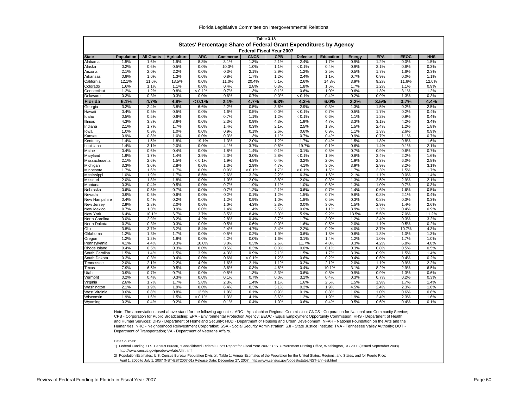| Table 3-18<br>States' Percentage Share of Federal Grant Expenditures by Agency                                                                                                                   |              |                   |                    |              |                 |                                 |              |                |                  |                |              |              |              |
|--------------------------------------------------------------------------------------------------------------------------------------------------------------------------------------------------|--------------|-------------------|--------------------|--------------|-----------------|---------------------------------|--------------|----------------|------------------|----------------|--------------|--------------|--------------|
|                                                                                                                                                                                                  |              |                   |                    |              |                 | <b>Federal Fiscal Year 2007</b> |              |                |                  |                |              |              |              |
| <b>State</b>                                                                                                                                                                                     | Population   | <b>All Grants</b> | <b>Agriculture</b> | <b>ARC</b>   | <b>Commerce</b> | <b>CNCS</b>                     | <b>CPB</b>   | <b>Defense</b> | <b>Education</b> |                | <b>EPA</b>   | EEOC         | <b>HHS</b>   |
| Alabama                                                                                                                                                                                          | 1.5%         | 1.6%              | 1.9%               | 8.3%         | 3.1%            | 1.3%                            | 2.1%         | 2.4%           | 1.7%             | Energy<br>0.9% | 1.2%         | 0.0%         | 1.5%         |
| Alaska                                                                                                                                                                                           | 0.2%         | 0.6%              | 0.5%               | 0.0%         | 10.3%           | 1.0%                            | 1.1%         | $< 0.1\%$      | 0.4%             | 0.9%           | 2.1%         | 0.6%         | 0.3%         |
| Arizona                                                                                                                                                                                          | 2.1%         | 2.0%              | 2.2%               | 0.0%         | 0.3%            | 2.1%                            | 2.9%         | 1.2%           | 2.5%             | 0.5%           | 1.7%         | 1.6%         | 2.3%         |
| Arkansas                                                                                                                                                                                         | 0.9%         | 1.0%              | 1.3%               | 0.0%         | 0.8%            | 1.7%                            | 1.2%         | 2.4%           | 1.1%             | 0.7%           | 0.9%         | 0.0%         | 1.1%         |
| California                                                                                                                                                                                       | 12.1%        | 11.6%             | 13.5%              | 0.0%         | 11.0%           | 20.4%                           | 5.1%         | 2.6%           | 14.3%            | 3.9%           | 9.2%         | 11.6%        | 12.0%        |
| Colorado                                                                                                                                                                                         | 1.6%         | 1.1%              | 1.1%               | 0.0%         | 0.4%            | 2.8%                            | 0.3%         | 1.8%           | 1.6%             | 1.7%           | 1.2%         | 1.1%         | 0.9%         |
| Connecticut                                                                                                                                                                                      | 1.2%         | 1.2%              | 0.8%               | $< 0.1\%$    | 0.7%            | 1.3%                            | 0.1%         | 0.6%           | 1.0%             | 0.6%           | 1.3%         | 3.1%         | 1.2%         |
| Delaware                                                                                                                                                                                         | 0.3%         | 0.3%              | 0.3%               | 0.0%         | 0.6%            | 0.7%                            | 0.0%         | $< 0.1\%$      | 0.4%             | 0.2%           | 0.9%         | 1.3%         | 0.3%         |
|                                                                                                                                                                                                  | 6.1%         | 4.7%              | 4.8%               |              | 2.1%            | 4.7%                            | 6.3%         | 4.3%           | 6.0%             | 2.2%           | 3.5%         | 3.7%         | 4.4%         |
| Florida                                                                                                                                                                                          |              |                   |                    | $< 0.1\%$    |                 |                                 |              |                |                  |                |              |              |              |
| Georgia                                                                                                                                                                                          | 3.2%         | 2.4%              | 3.8%               | 6.6%         | 2.2%            | 0.5%                            | 3.6%         | 2.9%           | 0.3%             | 1.3%           | 1.5%         | 0.2%         | 2.5%         |
| Hawaii                                                                                                                                                                                           | 0.4%         | 0.5%              | 0.5%               | 0.0%         | 1.6%            | 0.5%                            | 0.0%         | $< 0.1\%$      | 0.7%             | 0.5%           | 1.7%         | 0.2%         | 0.4%         |
| Idaho                                                                                                                                                                                            | 0.5%         | 0.5%              | 0.6%               | 0.0%         | 0.7%            | 1.1%                            | 1.2%         | < 0.1%         | 0.6%             | 1.1%           | 1.2%         | 0.9%         | 0.4%         |
| llinois                                                                                                                                                                                          | 4.3%         | 3.8%              | 3.6%               | 0.0%         | 2.3%            | 0.9%                            | 4.3%         | 1.9%           | 4.7%             | 3.3%           | 3.1%         | 4.2%         | 3.4%         |
| ndiana                                                                                                                                                                                           | 2.1%         | 1.7%              | 1.7%               | 0.0%         | 1.4%            | 0.3%                            | 2.1%         | 2.5%           | 1.8%             | 1.5%           | 2.4%         | 1.2%         | 1.8%         |
| owa                                                                                                                                                                                              | 1.0%         | 0.9%              | 1.0%               | 0.0%         | 0.9%            | 0.1%                            | 2.6%         | 0.6%           | 0.9%             | 1.1%           | 1.3%         | 2.6%         | 0.9%         |
| <ansas< td=""><td>0.9%</td><td>0.8%</td><td>1.0%</td><td>0.0%</td><td>0.3%</td><td>1.3%</td><td>1.1%</td><td>0.7%</td><td>0.4%</td><td>0.9%</td><td>0.7%</td><td>1.1%</td><td>0.7%</td></ansas<> | 0.9%         | 0.8%              | 1.0%               | 0.0%         | 0.3%            | 1.3%                            | 1.1%         | 0.7%           | 0.4%             | 0.9%           | 0.7%         | 1.1%         | 0.7%         |
| Kentucky                                                                                                                                                                                         | 1.4%         | 1.5%              | 1.8%               | 19.1%        | 1.3%            | 2.0%                            | 1.2%         | 1.7%           | 0.4%             | 1.5%           | 1.8%         | 0.8%         | 1.6%         |
| Louisiana                                                                                                                                                                                        | 1.4%         | 3.1%              | 2.0%               | 0.0%         | 4.1%            | 3.7%                            | 0.6%         | 19.7%          | 0.1%             | 0.6%           | 1.4%         | 0.1%         | 2.1%         |
| Maine                                                                                                                                                                                            | 0.4%         | 0.6%              | 0.4%               | 0.0%         | 1.8%            | 1.4%                            | 0.1%         | 0.1%           | 0.5%             | 0.7%           | 0.9%         | 0.6%         | 0.7%         |
| Maryland                                                                                                                                                                                         | 1.9%         | 1.7%              | 1.4%               | 3.9%         | 2.3%            | 3.0%                            | 2.8%         | < 0.1%         | 1.9%             | 0.8%           | 2.4%         | 2.2%         | 1.6%         |
| Massachusetts                                                                                                                                                                                    | 2.1%         | 2.6%              | 1.5%               | < 0.1%       | 1.9%            | 4.8%                            | 0.4%         | 3.2%           | 2.0%             | 1.9%           | 2.3%         | 6.0%         | 2.8%         |
| Michigan                                                                                                                                                                                         | 3.3%         | 3.0%              | 2.8%               | 0.0%         | 1.3%            | 2.9%                            | 4.7%         | 4.1%           | 3.6%             | 3.9%           | 2.9%         | 3.2%         | 3.1%<br>1.7% |
| Minnesota                                                                                                                                                                                        | 1.7%         | 1.6%              | 1.7%               | 0.0%         | 0.9%            | < 0.1%<br>3.2%                  | 1.7%         | < 0.1%         | 1.5%             | 1.7%<br>2.1%   | 2.3%         | 1.5%         |              |
| Mississippi                                                                                                                                                                                      | 1.0%<br>2.0% | 1.9%<br>1.8%      | 1.7%<br>1.8%       | 8.6%<br>0.0% | 2.6%<br>1.0%    | 2.0%                            | 2.2%<br>3.8% | 6.3%<br>2.0%   | 1.6%<br>0.3%     | 1.3%           | 1.1%<br>2.5% | 0.0%<br>2.9% | 1.4%<br>2.1% |
| Missouri                                                                                                                                                                                         |              |                   |                    |              |                 |                                 |              |                |                  |                |              |              |              |
| Montana<br>Nebraska                                                                                                                                                                              | 0.3%<br>0.6% | 0.4%<br>0.5%      | 0.5%<br>0.7%       | 0.0%<br>0.0% | 0.7%<br>0.7%    | 1.9%<br>1.2%                    | 1.1%<br>2.1% | 1.0%<br>0.6%   | 0.6%<br>0.7%     | 1.3%<br>1.4%   | 1.0%<br>0.6% | 0.7%<br>1.6% | 0.3%<br>0.5% |
|                                                                                                                                                                                                  | 0.9%         | 0.5%              | 0.6%               | 0.0%         | 0.2%            | 0.1%                            | 1.2%         | 1.5%           | 0.7%             | 9.8%           | 0.8%         | 2.1%         | 0.4%         |
| Nevada<br>New Hampshire                                                                                                                                                                          | 0.4%         | 0.4%              | 0.2%               | 0.0%         | 1.2%            | 0.9%                            | 1.0%         | 1.8%           | 0.5%             | 0.3%           | 0.8%         | 0.3%         | 0.3%         |
| New Jersey                                                                                                                                                                                       | 2.9%         | 2.8%              | 2.0%               | 0.0%         | 1.0%            | 4.3%                            | 2.3%         | 0.0%           | 3.0%             | 1.5%           | 2.9%         | 1.4%         | 2.6%         |
| New Mexico                                                                                                                                                                                       | 0.7%         | 1.0%              | 0.9%               | 0.0%         | 1.4%            | 1.4%                            | 2.5%         | 0.0%           | 1.1%             | 3.9%           | 1.3%         | 0.4%         | 0.9%         |
| New York                                                                                                                                                                                         | 6.4%         | 10.1%             | 6.7%               | 3.7%         | 3.5%            | 8.4%                            | 3.3%         | 5.9%           | 9.2%             | 13.5%          | 5.5%         | 7.0%         | 11.2%        |
| North Carolina                                                                                                                                                                                   | 3.0%         | 2.9%              | 3.2%               | 4.2%         | 2.8%            | 0.4%                            | 3.7%         | 1.7%           | 3.0%             | 1.2%           | 2.4%         | 0.3%         | 3.2%         |
| North Dakota                                                                                                                                                                                     | 0.2%         | 0.3%              | 0.3%               | 0.0%         | 0.5%            | 0.6%                            | 0.0%         | 1.6%           | 0.5%             | 2.0%           | 1.1%         | 0.5%         | 0.2%         |
| Ohio                                                                                                                                                                                             | 3.8%         | 3.7%              | 3.2%               | 8.4%         | 2.4%            | 4.7%                            | 3.4%         | 2.2%           | 0.2%             | 4.0%           | 3.7%         | 10.7%        | 4.3%         |
| Oklahoma                                                                                                                                                                                         | 1.2%         | 1.3%              | 1.7%               | 0.0%         | 0.5%            | 0.2%                            | 1.9%         | 0.6%           | 1.8%             | 0.6%           | 1.8%         | 1.0%         | 1.3%         |
| Oregon                                                                                                                                                                                           | 1.2%         | 1.2%              | 1.9%               | 0.0%         | 4.2%            | 0.0%                            | 1.6%         | 0.1%           | 1.4%             | 1.2%           | 1.0%         | 1.7%         | 1.0%         |
| Pennsylvania                                                                                                                                                                                     | 4.1%         | 4.4%              | 3.3%               | 10.0%        | 3.0%            | 0.3%                            | 2.6%         | 11.7%          | 4.0%             | 3.3%           | 4.2%         | 6.8%         | 4.8%         |
| Rhode Island                                                                                                                                                                                     | 0.4%         | 0.5%              | 0.3%               | 0.0%         | 0.5%            | 0.3%                            | 0.0%         | 0.0%           | 0.1%             | 0.3%           | 0.8%         | 0.5%         | 0.5%         |
| South Carolina                                                                                                                                                                                   | 1.5%         | 1.4%              | 1.5%               | 3.9%         | 4.3%            | 0.9%                            | 2.1%         | 1.5%           | 1.7%             | 3.3%           | 0.9%         | 1.5%         | 1.4%         |
| South Dakota                                                                                                                                                                                     | 0.3%         | 0.3%              | 0.4%               | 0.0%         | 0.6%            | $< 0.1\%$                       | 1.2%         | 0.6%           | 0.2%             | 0.4%           | 0.6%         | 0.4%         | 0.2%         |
| Tennessee                                                                                                                                                                                        | 2.0%         | 2.1%              | 2.2%               | 4.9%         | 1.6%            | 2.1%                            | 1.1%         | 0.2%           | 2.1%             | 2.0%           | 1.1%         | 0.9%         | 2.2%         |
| Texas                                                                                                                                                                                            | 7.9%         | 6.5%              | 9.5%               | 0.0%         | 3.6%            | 0.3%                            | 4.6%         | 0.4%           | 10.1%            | 3.1%           | 8.2%         | 2.9%         | 6.5%         |
| Utah                                                                                                                                                                                             | 0.9%         | 0.7%              | 0.7%               | 0.0%         | 0.5%            | 1.3%                            | 3.3%         | 0.6%           | 0.8%             | 0.9%           | 0.9%         | 1.3%         | 0.6%         |
| /ermont                                                                                                                                                                                          | 0.2%         | 0.4%              | 0.3%               | 0.0%         | 0.1%            | 0.7%                            | 0.0%         | 3.2%           | 0.4%             | 0.3%           | 0.7%         | 0.2%         | 0.3%         |
| Virginia                                                                                                                                                                                         | 2.6%         | 1.7%              | 1.7%               | 5.8%         | 2.3%            | 1.4%                            | 1.1%         | 1.6%           | 2.5%             | 1.5%           | 1.9%         | 1.7%         | 1.4%         |
| Washington                                                                                                                                                                                       | 2.1%         | 1.9%              | 1.9%               | 0.0%         | 6.4%            | 0.3%                            | 3.1%         | 0.2%           | 1.9%             | 4.5%           | 2.4%         | 2.3%         | 1.8%         |
| <b>Nest Virginia</b>                                                                                                                                                                             | 0.6%         | 0.8%              | 0.8%               | 12.5%        | 1.0%            | 0.1%                            | 0.9%         | 0.1%           | 0.8%             | 1.6%           | 1.0%         | 0.6%         | 0.8%         |
| Wisconsin                                                                                                                                                                                        | 1.9%         | 1.6%              | 1.5%               | < 0.1%       | 1.3%            | 4.1%                            | 3.6%         | 1.2%           | 1.9%             | 1.9%           | 2.4%         | 2.3%         | 1.6%         |
| Wyoming                                                                                                                                                                                          | 0.2%         | 0.4%              | 0.2%               | 0.0%         | 0.1%            | 0.4%                            | 1.0%         | 0.6%           | 0.4%             | 0.5%           | 0.6%         | 0.4%         | 0.1%         |
|                                                                                                                                                                                                  |              |                   |                    |              |                 |                                 |              |                |                  |                |              |              |              |

Note: The abbreviations used above stand for the following agencies: ARC - Appalachian Regional Commission; CNCS - Corporation for National and Community Service; CPB - Corporation for Public Broadcasting; EPA - Environmental Protection Agency; EEOC - Equal Employment Opportunity Commission; HHS - Department of Health and Human Services; DHS - Department of Homeland Security; HUD - Department of Housing and Urban Development; NFAH - National Foundation on the Arts and the Humanities; NRC - Neighborhood Reinvestment Corporation; SSA - Social Security Administration; SJI - State Justice Institute; TVA - Tennessee Valley Authority; DOT - Department of Transportation; VA - Department of Veterans Affairs.

Data Sources:

 1) Federal Funding: U.S. Census Bureau, "Consolidated Federal Funds Report for Fiscal Year 2007." U.S. Government Printing Office, Washington, DC 2008 (Issued September 2008) http://www.census.gov/prod/www/abs/cffr.html

2) Population Estimates: U.S. Census Bureau, Population Division, Table 1: Annual Estimates of the Population for the United States, Regions, and States, and for Puerto Rico:

April 1, 2000 to July 1, 2007 (NST-EST2007-01) Release Date: December 27, 2007. http://www.census.gov/popest/states/NST-ann-est.html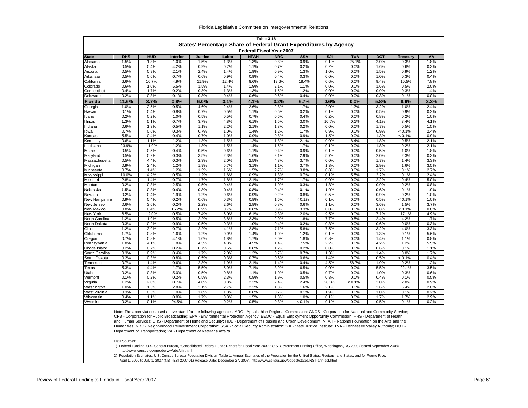|                    |              |              |              |                |              |                                                | Table 3-18   |              |                                                                  |              |              |                         |              |
|--------------------|--------------|--------------|--------------|----------------|--------------|------------------------------------------------|--------------|--------------|------------------------------------------------------------------|--------------|--------------|-------------------------|--------------|
|                    |              |              |              |                |              |                                                |              |              | States' Percentage Share of Federal Grant Expenditures by Agency |              |              |                         |              |
|                    | <b>DHS</b>   | <b>HUD</b>   | Interior     |                | Labor        | <b>Federal Fiscal Year 2007</b><br><b>NFAH</b> | <b>NRC</b>   | <b>SSA</b>   | SJI                                                              | <b>TVA</b>   | <b>DOT</b>   |                         | VA           |
| <b>State</b>       | 1.5%         | 1.3%         | 1.0%         | <b>Justice</b> |              | 1.3%                                           |              | 0.9%         | 0.1%                                                             | 25.1%        | 2.0%         | <b>Treasury</b><br>0.3% | 1.8%         |
| Alabama<br>Alaska  | 0.5%         | 0.4%         | 4.2%         | 1.5%<br>0.9%   | 1.3%<br>0.7% | 1.1%                                           | 0.3%<br>0.7% | 0.2%         | 0.2%                                                             | 0.0%         | 1.6%         | 0.6%                    | 0.3%         |
| Arizona            | 0.5%         | 0.9%         | 2.1%         | 2.4%           | 1.4%         | 1.9%                                           | 0.9%         | 1.3%         | 1.0%                                                             | 0.0%         | 1.5%         | 0.9%                    | 1.2%         |
| Arkansas           | 0.5%         | 0.6%         | 0.7%         | 0.6%           | 0.9%         | 0.9%                                           | 0.4%         | 0.3%         | 0.0%                                                             | 0.0%         | 1.0%         | 0.3%                    | 0.4%         |
| California         | 6.6%         | 10.7%        | 4.9%         | 11.9%          | 12.4%        | 8.6%                                           | 19.6%        | 18.4%        | 0.6%                                                             | 0.0%         | 9.4%         | 10.5%                   | 7.8%         |
| Colorado           | 0.6%         | 1.0%         | 5.5%         | 1.5%           | 1.4%         | 1.9%                                           | 2.1%         | 1.1%         | 0.0%                                                             | 0.0%         | 1.6%         | 0.5%                    | 2.0%         |
| Connecticut        | 0.4%         | 1.7%         | 0.2%         | 0.8%           | 1.3%         | 1.3%                                           | 1.5%         | 1.2%         | 0.0%                                                             | 0.0%         | 0.9%         | 0.3%                    | 1.4%         |
| Delaware           | 0.2%         | 0.3%         | 0.1%         | 0.3%           | 0.4%         | 0.6%                                           | 0.6%         | 0.4%         | 0.0%                                                             | 0.0%         | 0.3%         | 0.1%                    | 0.0%         |
| Florida            | 11.6%        | 3.7%         | 0.8%         | 6.0%           | 3.1%         | 4.1%                                           | 3.2%         | 6.7%         | 0.6%                                                             | 0.0%         | 5.8%         | 8.9%                    | 3.3%         |
|                    |              |              |              |                |              |                                                |              |              |                                                                  |              |              |                         |              |
| Georgia            | 1.0%         | 2.5%         | 0.5%         | 4.6%           | 2.4%         | 2.6%                                           | 2.8%         | 1.7%         | 2.0%                                                             | 1.7%         | 3.2%         | 1.0%                    | 2.4%         |
| Hawaii             | 0.1%         | 0.4%         | 0.8%         | 0.7%           | 0.5%         | 1.1%                                           | 0.5%         | 0.2%         | 0.1%                                                             | 0.0%         | 0.5%         | 0.9%                    | 0.2%         |
| Idaho              | 0.2%<br>1.3% | 0.2%<br>5.1% | 1.0%<br>0.7% | 0.5%           | 0.5%<br>4.8% | 0.7%<br>6.1%                                   | 0.6%         | 0.4%<br>3.0% | 0.2%<br>10.7%                                                    | 0.0%<br>0.1% | 0.8%<br>4.1% | 0.2%<br>3.4%            | 1.0%<br>4.1% |
| Illinois           | 0.6%         | 1.3%         | 0.5%         | 3.7%           | 2.2%         | 2.1%                                           | 1.5%         |              |                                                                  | 0.0%         |              | 0.5%                    | 1.5%         |
| Indiana            | 0.7%         | 0.6%         | 0.3%         | 1.1%<br>0.7%   | 1.0%         | 1.4%                                           | 1.3%<br>1.2% | 0.2%<br>1.7% | 0.0%<br>0.9%                                                     | 0.0%         | 1.7%<br>0.9% | $< 0.1\%$               | 2.4%         |
| lowa               | 5.5%         | 0.4%         | 0.4%         | 0.7%           | 1.0%         | 0.9%                                           | 0.8%         | 0.9%         | 1.5%                                                             | 0.0%         | 1.3%         | $< 0.1\%$               | 0.9%         |
| Kansas<br>Kentucky | 0.6%         | 1.1%         | 1.2%         | 1.3%           | 1.5%         | 1.2%                                           | 1.8%         | 2.1%         | 0.0%                                                             | 8.4%         | 1.8%         | 0.5%                    | 2.1%         |
| Louisiana          | 23.9%        | 11.0%        | 1.2%         | 1.3%           | 1.5%         | 1.4%                                           | 1.5%         | 1.7%         | 0.1%                                                             | 0.0%         | 1.8%         | 0.2%                    | 2.1%         |
| Maine              | 0.5%         | 0.5%         | 0.4%         | 0.5%           | 0.6%         | 1.1%                                           | 0.4%         | 0.9%         | 0.1%                                                             | 0.0%         | 0.5%         | 1.0%                    | 1.8%         |
| Maryland           | 0.5%         | 0.2%         | 0.3%         | 3.5%           | 2.3%         | 1.6%                                           | 2.1%         | 2.9%         | 5.7%                                                             | 0.0%         | 2.0%         | 2.3%                    | 0.3%         |
| Massachusetts      | 0.5%         | 4.4%         | 0.3%         | 2.3%           | 2.0%         | 2.5%                                           | 4.3%         | 3.7%         | 0.0%                                                             | 0.0%         | 1.7%         | 1.4%                    | 3.3%         |
| Michigan           | 0.9%         | 2.4%         | 1.2%         | 1.9%           | 5.7%         | 3.1%                                           | 1.1%         | 3.7%         | 1.3%                                                             | 0.0%         | 2.9%         | 1.6%                    | 3.5%         |
| Minnesota          | 0.7%         | 1.4%         | 1.2%         | 1.3%           | 1.6%         | 1.5%                                           | 2.7%         | 3.8%         | 0.8%                                                             | 0.0%         | 1.7%         | 0.1%                    | 2.7%         |
| Mississippi        | 10.0%        | 4.2%         | 0.5%         | 1.2%           | 1.6%         | 0.9%                                           | 1.3%         | 0.7%         | 0.1%                                                             | 5.5%         | 2.2%         | 0.1%                    | 2.4%         |
| Missouri           | 2.8%         | 1.4%         | 0.7%         | 1.7%           | 1.8%         | 2.1%                                           | 1.7%         | 1.7%         | 0.0%                                                             | 0.0%         | 2.2%         | 0.4%                    | 5.0%         |
| Montana            | 0.2%         | 0.3%         | 2.5%         | 0.5%           | 0.4%         | 0.8%                                           | 1.0%         | 0.3%         | 1.8%                                                             | 0.0%         | 0.9%         | 0.2%                    | 0.8%         |
| Nebraska           | 1.5%         | 0.3%         | 0.4%         | 0.8%           | 0.4%         | 0.8%                                           | 0.4%         | 0.1%         | 1.9%                                                             | 0.0%         | 0.6%         | 0.1%                    | 1.9%         |
| Nevada             | 0.2%         | 0.4%         | 1.9%         | 1.2%           | 0.6%         | 0.9%                                           | 0.2%         | 0.8%         | 0.5%                                                             | 0.0%         | 0.9%         | 0.2%                    | 1.0%         |
| New Hampshire      | 0.9%         | 0.4%         | 0.2%         | 0.6%           | 0.3%         | 0.8%                                           | 1.6%         | $< 0.1\%$    | 0.1%                                                             | 0.0%         | 0.5%         | < 0.1%                  | 1.0%         |
| New Jersey         | 0.6%         | 3.6%         | 0.2%         | 2.2%           | 2.6%         | 2.8%                                           | 0.8%         | 0.6%         | 1.1%                                                             | 0.0%         | 3.6%         | 1.5%                    | 3.7%         |
| New Mexico         | 0.8%         | 0.4%         | 15.2%        | 0.9%           | 0.7%         | 0.8%                                           | 0.9%         | 3.3%         | 0.0%                                                             | 0.0%         | 0.8%         | < 0.1%                  | 0.8%         |
| New York           | 6.5%         | 12.0%        | 0.5%         | 7.4%           | 6.0%         | 6.1%                                           | 9.3%         | 2.0%         | 9.5%                                                             | 0.0%         | 7.1%         | 17.1%                   | 4.9%         |
| North Carolina     | 1.2%         | 1.9%         | 0.5%         | 2.2%           | 3.8%         | 2.3%                                           | 2.0%         | 1.8%         | 7.7%                                                             | 0.5%         | 2.4%         | 4.2%                    | 1.7%         |
| North Dakota       | 0.3%         | 0.2%         | 0.9%         | 0.5%           | 0.3%         | 1.0%                                           | 0.4%         | 0.2%         | 0.3%                                                             | 0.0%         | 0.6%         | 0.0%                    | 0.3%         |
| Ohio               | 1.2%         | 3.9%         | 0.7%         | 2.2%           | 4.1%         | 2.8%                                           | 7.1%         | 5.8%         | 7.5%                                                             | 0.0%         | 3.2%         | 4.0%                    | 3.3%         |
| Oklahoma           | 1.7%         | 0.8%         | 1.6%         | 1.2%           | 0.9%         | 1.4%                                           | 1.0%         | 1.2%         | 0.1%                                                             | 0.0%         | 1.3%         | 0.1%                    | 5.6%         |
| Oregon             | 0.7%         | 0.8%         | 4.1%         | 1.0%           | 1.8%         | 1.7%                                           | 2.0%         | 1.8%         | 0.8%                                                             | 0.0%         | 1.4%         | 1.1%                    | 0.8%         |
| Pennsylvania       | 1.8%         | 4.1%         | 1.8%         | 4.3%           | 4.3%         | 4.5%                                           | 1.4%         | 7.5%         | 2.2%                                                             | 0.0%         | 4.2%         | 1.2%                    | 5.5%         |
| Rhode Island       | 0.2%         | 0.7%         | 0.2%         | 0.7%           | 0.5%         | 0.8%                                           | 1.2%         | 0.2%         | 0.0%                                                             | 0.0%         | 0.6%         | 0.1%                    | 1.1%         |
| South Carolina     | 0.3%         | 0.9%         | 0.4%         | 1.7%           | 2.0%         | 1.3%                                           | 0.7%         | 0.7%         | 1.3%                                                             | 0.0%         | 1.4%         | 0.8%                    | 1.7%         |
| South Dakota       | 0.2%         | 0.3%         | 0.8%         | 0.5%           | 0.3%         | 0.7%                                           | 0.5%         | 0.6%         | 1.4%                                                             | 0.0%         | 0.5%         | < 0.1%                  | 0.4%         |
| Tennessee          | 0.7%         | 1.4%         | 0.6%         | 2.8%           | 1.9%         | 2.1%                                           | 1.4%         | 0.4%         | 4.5%                                                             | 58.7%        | 1.9%         | 0.2%                    | 1.2%         |
| Texas              | 5.3%         | 4.4%         | 1.7%         | 5.5%           | 5.9%         | 7.1%                                           | 3.9%         | 6.5%         | 0.0%                                                             | 0.0%         | 5.5%         | 22.1%                   | 3.5%         |
| Utah               | 0.2%         | 0.3%         | 5.0%         | 0.5%           | 0.8%         | 1.1%                                           | 1.0%         | 0.5%         | 0.7%                                                             | 0.0%         | 1.0%         | 0.3%                    | 0.6%         |
| Vermont            | 0.1%         | 0.2%         | 0.2%         | 0.5%           | 2.3%         | 0.8%                                           | 1.9%         | 0.5%         | 0.3%                                                             | 0.0%         | 0.4%         | 0.1%                    | 0.5%         |
| Virginia           | 1.2%         | 2.0%         | 0.7%         | 4.0%           | 0.8%         | 2.3%                                           | 2.4%         | 2.4%         | 28.3%                                                            | < 0.1%       | 2.0%         | 2.8%                    | 0.9%         |
| Washington         | 1.0%         | 1.5%         | 2.8%         | 2.1%           | 2.7%         | 2.2%                                           | 1.8%         | 1.6%         | 2.1%                                                             | 0.0%         | 2.6%         | 6.4%                    | 2.0%         |
| West Virginia      | 0.3%         | 0.5%         | 1.0%         | 1.8%           | 1.8%         | 0.8%                                           | 0.7%         | 0.1%         | 1.9%                                                             | 0.0%         | 1.0%         | 0.1%                    | 0.2%         |
| Wisconsin          | 0.4%         | 1.1%         | 0.8%         | 1.7%           | 0.8%         | 1.5%                                           | 1.3%         | 1.0%         | 0.1%                                                             | 0.0%         | 1.7%         | 1.7%                    | 2.9%         |
| Wyoming            | 0.2%         | 0.1%         | 24.5%        | 0.2%           | 0.2%         | 0.5%                                           | 0.3%         | $< 0.1\%$    | 0.1%                                                             | 0.0%         | 0.5%         | 0.1%                    | 0.2%         |

Note: The abbreviations used above stand for the following agencies: ARC - Appalachian Regional Commission; CNCS - Corporation for National and Community Service; CPB - Corporation for Public Broadcasting; EPA - Environmental Protection Agency; EEOC - Equal Employment Opportunity Commission; HHS - Department of Health and Human Services; DHS - Department of Homeland Security; HUD - Department of Housing and Urban Development; NFAH - National Foundation on the Arts and the Humanities; NRC - Neighborhood Reinvestment Corporation; SSA - Social Security Administration; SJI - State Justice Institute; TVA - Tennessee Valley Authority; DOT - Department of Transportation; VA - Department of Veterans Affairs.

#### Data Sources:

 1) Federal Funding: U.S. Census Bureau, "Consolidated Federal Funds Report for Fiscal Year 2007." U.S. Government Printing Office, Washington, DC 2008 (Issued September 2008) http://www.census.gov/prod/www/abs/cffr.html

2) Population Estimates: U.S. Census Bureau, Population Division, Table 1: Annual Estimates of the Population for the United States, Regions, and States, and for Puerto Rico:

April 1, 2000 to July 1, 2007 (NST-EST2007-01) Release Date: December 27, 2007. http://www.census.gov/popest/states/NST-ann-est.html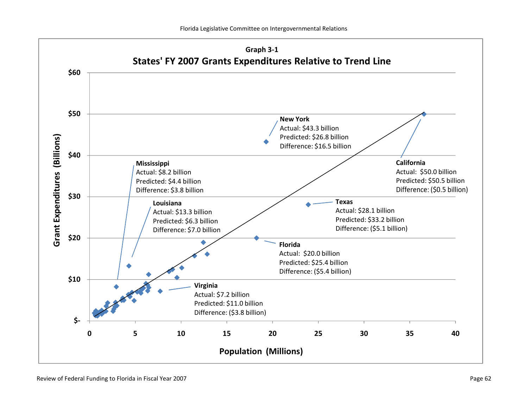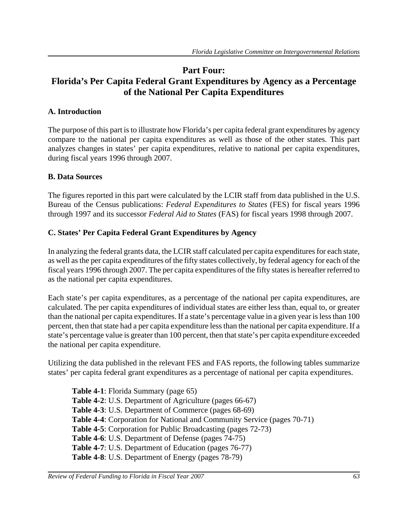# **Part Four: Florida's Per Capita Federal Grant Expenditures by Agency as a Percentage of the National Per Capita Expenditures**

## **A. Introduction**

The purpose of this part is to illustrate how Florida's per capita federal grant expenditures by agency compare to the national per capita expenditures as well as those of the other states. This part analyzes changes in states' per capita expenditures, relative to national per capita expenditures, during fiscal years 1996 through 2007.

#### **B. Data Sources**

The figures reported in this part were calculated by the LCIR staff from data published in the U.S. Bureau of the Census publications: *Federal Expenditures to States* (FES) for fiscal years 1996 through 1997 and its successor *Federal Aid to States* (FAS) for fiscal years 1998 through 2007.

### **C. States' Per Capita Federal Grant Expenditures by Agency**

In analyzing the federal grants data, the LCIR staff calculated per capita expenditures for each state, as well as the per capita expenditures of the fifty states collectively, by federal agency for each of the fiscal years 1996 through 2007. The per capita expenditures of the fifty states is hereafter referred to as the national per capita expenditures.

Each state's per capita expenditures, as a percentage of the national per capita expenditures, are calculated. The per capita expenditures of individual states are either less than, equal to, or greater than the national per capita expenditures. If a state's percentage value in a given year is less than 100 percent, then that state had a per capita expenditure less than the national per capita expenditure. If a state's percentage value is greater than 100 percent, then that state's per capita expenditure exceeded the national per capita expenditure.

Utilizing the data published in the relevant FES and FAS reports, the following tables summarize states' per capita federal grant expenditures as a percentage of national per capita expenditures.

**Table 4-1**: Florida Summary (page 65) **Table 4-2**: U.S. Department of Agriculture (pages 66-67) **Table 4-3**: U.S. Department of Commerce (pages 68-69) **Table 4-4**: Corporation for National and Community Service (pages 70-71) **Table 4-5**: Corporation for Public Broadcasting (pages 72-73) **Table 4-6**: U.S. Department of Defense (pages 74-75) **Table 4-7**: U.S. Department of Education (pages 76-77) **Table 4-8**: U.S. Department of Energy (pages 78-79)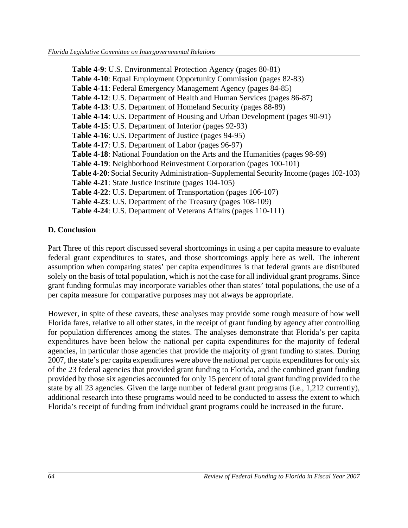**Table 4-9**: U.S. Environmental Protection Agency (pages 80-81) **Table 4-10**: Equal Employment Opportunity Commission (pages 82-83) **Table 4-11**: Federal Emergency Management Agency (pages 84-85) **Table 4-12**: U.S. Department of Health and Human Services (pages 86-87) **Table 4-13**: U.S. Department of Homeland Security (pages 88-89) **Table 4-14**: U.S. Department of Housing and Urban Development (pages 90-91) **Table 4-15**: U.S. Department of Interior (pages 92-93) **Table 4-16**: U.S. Department of Justice (pages 94-95) **Table 4-17**: U.S. Department of Labor (pages 96-97) **Table 4-18**: National Foundation on the Arts and the Humanities (pages 98-99) **Table 4-19**: Neighborhood Reinvestment Corporation (pages 100-101) **Table 4-20**: Social Security Administration–Supplemental Security Income (pages 102-103) **Table 4-21**: State Justice Institute (pages 104-105) **Table 4-22**: U.S. Department of Transportation (pages 106-107) **Table 4-23**: U.S. Department of the Treasury (pages 108-109) **Table 4-24**: U.S. Department of Veterans Affairs (pages 110-111)

# **D. Conclusion**

Part Three of this report discussed several shortcomings in using a per capita measure to evaluate federal grant expenditures to states, and those shortcomings apply here as well. The inherent assumption when comparing states' per capita expenditures is that federal grants are distributed solely on the basis of total population, which is not the case for all individual grant programs. Since grant funding formulas may incorporate variables other than states' total populations, the use of a per capita measure for comparative purposes may not always be appropriate.

However, in spite of these caveats, these analyses may provide some rough measure of how well Florida fares, relative to all other states, in the receipt of grant funding by agency after controlling for population differences among the states. The analyses demonstrate that Florida's per capita expenditures have been below the national per capita expenditures for the majority of federal agencies, in particular those agencies that provide the majority of grant funding to states. During 2007, the state's per capita expenditures were above the national per capita expenditures for only six of the 23 federal agencies that provided grant funding to Florida, and the combined grant funding provided by those six agencies accounted for only 15 percent of total grant funding provided to the state by all 23 agencies. Given the large number of federal grant programs (i.e., 1,212 currently), additional research into these programs would need to be conducted to assess the extent to which Florida's receipt of funding from individual grant programs could be increased in the future.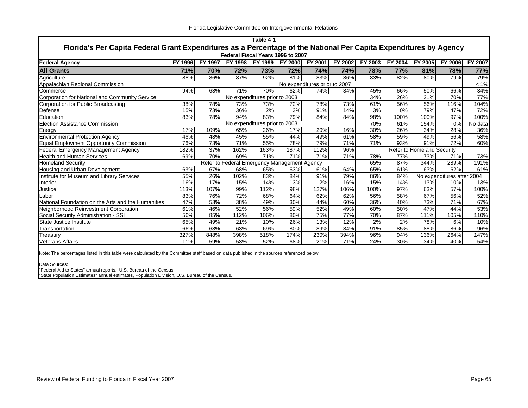|                                                                                                                   |                |            |                | Table 4-1                     |                                              |                               |         |         |            |                                   |                            |                   |
|-------------------------------------------------------------------------------------------------------------------|----------------|------------|----------------|-------------------------------|----------------------------------------------|-------------------------------|---------|---------|------------|-----------------------------------|----------------------------|-------------------|
| Florida's Per Capita Federal Grant Expenditures as a Percentage of the National Per Capita Expenditures by Agency |                |            |                |                               |                                              |                               |         |         |            |                                   |                            |                   |
|                                                                                                                   |                |            |                |                               | Federal Fiscal Years 1996 to 2007            |                               |         |         |            |                                   |                            |                   |
| <b>Federal Agency</b>                                                                                             | <b>FY 1996</b> | FY 1997    | <b>FY 1998</b> | FY 1999                       | FY 2000                                      | FY 2001                       | FY 2002 | FY 2003 | FY 2004    | FY 2005                           | FY 2006                    | <b>FY</b><br>2007 |
| <b>All Grants</b>                                                                                                 | <b>71%</b>     | <b>70%</b> | 72%            | 73%                           | 72%                                          | 74%                           | 74%     | 78%     | <b>77%</b> | 81%                               | <b>78%</b>                 | 77%               |
| Agriculture                                                                                                       | 88%            | 86%        | 87%            | 92%                           | 81%                                          | 83%                           | 86%     | 83%     | 82%        | 80%                               | 79%                        | 79%               |
| Appalachian Regional Commission                                                                                   |                |            |                |                               |                                              | No expenditures prior to 2007 |         |         |            |                                   |                            | $< 1\%$           |
| Commerce                                                                                                          | 94%            | 68%        | 71%            | 70%                           | 62%                                          | 74%                           | 84%     | 45%     | 66%        | 50%                               | 66%                        | 34%               |
| Corporation for National and Community Service                                                                    |                |            |                | No expenditures prior to 2003 |                                              |                               |         | 34%     | 26%        | 21%                               | 70%                        | 77%               |
| Corporation for Public Broadcasting                                                                               | 38%            | 78%        | 73%            | 73%                           | 72%                                          | 78%                           | 73%     | 61%     | 56%        | 56%                               | 116%                       | 104%              |
| Defense                                                                                                           | 15%            | 73%        | 36%            | 2%                            | 3%                                           | 91%                           | 14%     | 3%      | 0%         | 79%                               | 47%                        | 72%               |
| Education                                                                                                         | 83%            | 78%        | 94%            | 83%                           | 79%                                          | 84%                           | 84%     | 98%     | 100%       | 100%                              | 97%                        | 100%              |
| <b>Election Assistance Commission</b>                                                                             |                |            |                | No expenditures prior to 2003 |                                              |                               |         | 70%     | 61%        | 154%                              | 0%                         | No data           |
| Energy                                                                                                            | 17%            | 109%       | 65%            | 26%                           | 17%                                          | 20%                           | 16%     | 30%     | 26%        | 34%                               | 28%                        | 36%               |
| <b>Environmental Protection Agency</b>                                                                            | 46%            | 48%        | 45%            | 55%                           | 44%                                          | 49%                           | 61%     | 58%     | 59%        | 49%                               | 56%                        | 58%               |
| <b>Equal Employment Opportunity Commission</b>                                                                    | 76%            | 73%        | 71%            | 55%                           | 78%                                          | 79%                           | 71%     | 71%     | 93%        | 91%                               | 72%                        | 60%               |
| Federal Emergency Management Agency                                                                               | 182%           | 37%        | 162%           | 163%                          | 187%                                         | 112%                          | 96%     |         |            | <b>Refer to Homeland Security</b> |                            |                   |
| <b>Health and Human Services</b>                                                                                  | 69%            | 70%        | 69%            | 71%                           | 71%                                          | 71%                           | 71%     | 78%     | 77%        | 73%                               | 71%                        | 73%               |
| <b>Homeland Security</b>                                                                                          |                |            |                |                               | Refer to Federal Emergency Management Agency |                               |         | 65%     | 87%        | 344%                              | 289%                       | 191%              |
| Housing and Urban Development                                                                                     | 63%            | 67%        | 68%            | 65%                           | 63%                                          | 61%                           | 64%     | 65%     | 61%        | 63%                               | 62%                        | 61%               |
| Institute for Museum and Library Services                                                                         | 55%            | 26%        | 102%           | 83%                           | 84%                                          | 91%                           | 79%     | 86%     | 84%        |                                   | No expenditures after 2004 |                   |
| Interior                                                                                                          | 16%            | 17%        | 15%            | 14%                           | 13%                                          | 12%                           | 16%     | 15%     | 14%        | 13%                               | 10%                        | 13%               |
| Justice                                                                                                           | 113%           | 107%       | 99%            | 112%                          | 98%                                          | 127%                          | 106%    | 100%    | 97%        | 63%                               | 57%                        | 100%              |
| Labor                                                                                                             | 83%            | 76%        | 72%            | 68%                           | 64%                                          | 62%                           | 62%     | 56%     | 58%        | 67%                               | 56%                        | 52%               |
| National Foundation on the Arts and the Humanities                                                                | 47%            | 53%        | 38%            | 49%                           | 30%                                          | 44%                           | 60%     | 36%     | 40%        | 73%                               | 71%                        | 67%               |
| Neighborhood Reinvestment Corporation                                                                             | 61%            | 46%        | 52%            | 56%                           | 59%                                          | 52%                           | 49%     | 60%     | 50%        | 47%                               | 44%                        | 53%               |
| Social Security Administration - SSI                                                                              | 56%            | 85%        | 112%           | 106%                          | 80%                                          | 75%                           | 77%     | 70%     | 87%        | 111%                              | 105%                       | 110%              |
| State Justice Institute                                                                                           | 65%            | 49%        | 21%            | 10%                           | 26%                                          | 13%                           | 12%     | 2%      | 2%         | 78%                               | 6%                         | 10%               |
| Transportation                                                                                                    | 66%            | 68%        | 63%            | 69%                           | 80%                                          | 89%                           | 84%     | 91%     | 85%        | 88%                               | 86%                        | 96%               |
| Treasury                                                                                                          | 327%           | 848%       | 398%           | 518%                          | 174%                                         | 230%                          | 394%    | 96%     | 94%        | 136%                              | 264%                       | 147%              |
| <b>Veterans Affairs</b>                                                                                           | 11%            | 59%        | 53%            | 52%                           | 68%                                          | 21%                           | 71%     | 24%     | 30%        | 34%                               | 40%                        | 54%               |

Data Sources:

"Federal Aid to States" annual reports. U.S. Bureau of the Census.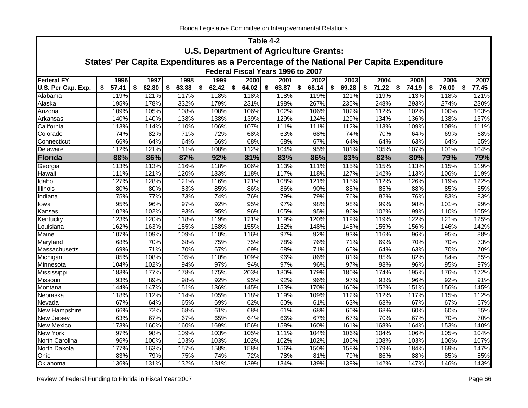|                      |       |             |             |             | Table 4-2   |                                               |             |             |             |                                                                                        |             |             |
|----------------------|-------|-------------|-------------|-------------|-------------|-----------------------------------------------|-------------|-------------|-------------|----------------------------------------------------------------------------------------|-------------|-------------|
|                      |       |             |             |             |             | <b>U.S. Department of Agriculture Grants:</b> |             |             |             |                                                                                        |             |             |
|                      |       |             |             |             |             |                                               |             |             |             | States' Per Capita Expenditures as a Percentage of the National Per Capita Expenditure |             |             |
|                      |       |             |             |             |             |                                               |             |             |             |                                                                                        |             |             |
|                      |       |             |             |             |             | Federal Fiscal Years 1996 to 2007             |             |             |             |                                                                                        |             |             |
| <b>Federal FY</b>    | 1996  | 1997        | 1998        | 1999        | 2000        | 2001                                          | 2002        | 2003        | 2004        | 2005                                                                                   | 2006        | 2007        |
| U.S. Per Cap. Exp.   | 57.41 | \$<br>62.80 | \$<br>63.88 | \$<br>62.42 | \$<br>64.02 | \$<br>63.87                                   | \$<br>68.14 | \$<br>69.28 | \$<br>71.22 | \$<br>74.19                                                                            | \$<br>76.00 | \$<br>77.45 |
| Alabama              | 119%  | 121%        | 117%        | 118%        | 118%        | 118%                                          | 119%        | 121%        | 119%        | 113%                                                                                   | 118%        | 121%        |
| Alaska               | 195%  | 178%        | 332%        | 179%        | 231%        | 198%                                          | 267%        | 235%        | 248%        | 293%                                                                                   | 274%        | 230%        |
| Arizona              | 109%  | 105%        | 108%        | 108%        | 106%        | 102%                                          | 106%        | 102%        | 112%        | 102%                                                                                   | 100%        | 103%        |
| Arkansas             | 140%  | 140%        | 138%        | 138%        | 139%        | 129%                                          | 124%        | 129%        | 134%        | 136%                                                                                   | 138%        | 137%        |
| California           | 113%  | 114%        | 110%        | 106%        | 107%        | 111%                                          | 111%        | 112%        | 113%        | 109%                                                                                   | 108%        | 111%        |
| Colorado             | 74%   | 82%         | 71%         | 72%         | 68%         | 63%                                           | 68%         | 74%         | 70%         | 64%                                                                                    | 69%         | 68%         |
| Connecticut          | 66%   | 64%         | 64%         | 66%         | 68%         | 68%                                           | 67%         | 64%         | 64%         | 63%                                                                                    | 64%         | 65%         |
| Delaware             | 112%  | 121%        | 111%        | 108%        | 112%        | 104%                                          | 95%         | 101%        | 105%        | 107%                                                                                   | 101%        | 104%        |
| Florida              | 88%   | 86%         | 87%         | 92%         | 81%         | 83%                                           | 86%         | 83%         | 82%         | 80%                                                                                    | 79%         | 79%         |
| Georgia              | 113%  | 113%        | 116%        | 118%        | 106%        | 113%                                          | 111%        | 115%        | 115%        | 113%                                                                                   | 115%        | 119%        |
| Hawaii               | 111%  | 121%        | 120%        | 133%        | 118%        | 117%                                          | 118%        | 127%        | 142%        | 113%                                                                                   | 106%        | 119%        |
| Idaho                | 127%  | 128%        | 121%        | 116%        | 121%        | 108%                                          | 121%        | 115%        | 112%        | 126%                                                                                   | 119%        | 122%        |
| <b>Illinois</b>      | 80%   | 80%         | 83%         | 85%         | 86%         | 86%                                           | 90%         | 88%         | 85%         | 88%                                                                                    | 85%         | 85%         |
| Indiana              | 75%   | 77%         | 73%         | 74%         | 76%         | 79%                                           | 79%         | 76%         | 82%         | 76%                                                                                    | 83%         | 83%         |
| lowa                 | 95%   | 96%         | 97%         | 92%         | 95%         | 97%                                           | 98%         | 98%         | 99%         | 98%                                                                                    | 101%        | 99%         |
| ≺ansas               | 102%  | 102%        | 93%         | 95%         | 96%         | 105%                                          | 95%         | 96%         | 102%        | 99%                                                                                    | 110%        | 105%        |
| Kentucky             | 123%  | 120%        | 118%        | 119%        | 121%        | 119%                                          | 120%        | 119%        | 119%        | 122%                                                                                   | 121%        | 125%        |
| ouisiana.            | 162%  | 163%        | 155%        | 158%        | 155%        | 152%                                          | 148%        | 145%        | 155%        | 156%                                                                                   | 146%        | 142%        |
| <b>Maine</b>         | 107%  | 109%        | 109%        | 110%        | 116%        | 97%                                           | 92%         | 93%         | 116%        | 96%                                                                                    | 95%         | 88%         |
| Maryland             | 68%   | 70%         | 68%         | 75%         | 75%         | 78%                                           | 76%         | 71%         | 69%         | 70%                                                                                    | 70%         | 73%         |
| Massachusetts        | 69%   | 71%         | 70%         | 67%         | 69%         | 68%                                           | 71%         | 65%         | 64%         | 63%                                                                                    | 70%         | 70%         |
| Michigan             | 85%   | 108%        | 105%        | 110%        | 109%        | 96%                                           | 86%         | 81%         | 85%         | 82%                                                                                    | 84%         | 85%         |
| Minnesota            | 104%  | 102%        | 94%         | 97%         | 94%         | 97%                                           | 96%         | 97%         | 98%         | 96%                                                                                    | 95%         | 97%         |
| Mississippi          | 183%  | 177%        | 178%        | 175%        | 203%        | 180%                                          | 179%        | 180%        | 174%        | 195%                                                                                   | 176%        | 172%        |
| Missouri             | 93%   | 89%         | 98%         | 92%         | 95%         | 92%                                           | 96%         | 97%         | 93%         | 96%                                                                                    | 92%         | 91%         |
| Montana              | 144%  | 147%        | 151%        | 136%        | 145%        | 153%                                          | 170%        | 160%        | 152%        | 151%                                                                                   | 156%        | 145%        |
| Nebraska             | 118%  | 112%        | 114%        | 105%        | 118%        | 119%                                          | 109%        | 112%        | 112%        | 117%                                                                                   | 115%        | 112%        |
| Nevada               | 67%   | 64%         | 65%         | 69%         | 62%         | 60%                                           | 61%         | 63%         | 68%         | 67%                                                                                    | 67%         | 67%         |
| <b>New Hampshire</b> | 66%   | 72%         | 68%         | 61%         | 68%         | 61%                                           | 68%         | 60%         | 68%         | 60%                                                                                    | 60%         | 55%         |
| <b>New Jersey</b>    | 63%   | 67%         | 67%         | 65%         | 64%         | 66%                                           | 67%         | 67%         | 70%         | 67%                                                                                    | 70%         | 70%         |
| <b>New Mexico</b>    | 173%  | 160%        | 160%        | 169%        | 156%        | 158%                                          | 160%        | 161%        | 168%        | 164%                                                                                   | 153%        | 140%        |
| <b>New York</b>      | 97%   | 98%         | 109%        | 103%        | 105%        | 111%                                          | 104%        | 106%        | 104%        | 106%                                                                                   | 105%        | 104%        |
| North Carolina       | 96%   | 100%        | 103%        | 103%        | 102%        | 102%                                          | 102%        | 106%        | 108%        | 103%                                                                                   | 106%        | 107%        |
| North Dakota         | 177%  | 163%        | 157%        | 158%        | 158%        | 156%                                          | 150%        | 158%        | 179%        | 184%                                                                                   | 169%        | 147%        |
| Ohio                 | 83%   | 79%         | 75%         | 74%         | 72%         | 78%                                           | 81%         | 79%         | 86%         | 88%                                                                                    | 85%         | 85%         |
| Oklahoma             | 136%  | 131%        | 132%        | 131%        | 139%        | 134%                                          | 139%        | 139%        | 142%        | 147%                                                                                   | 146%        | 143%        |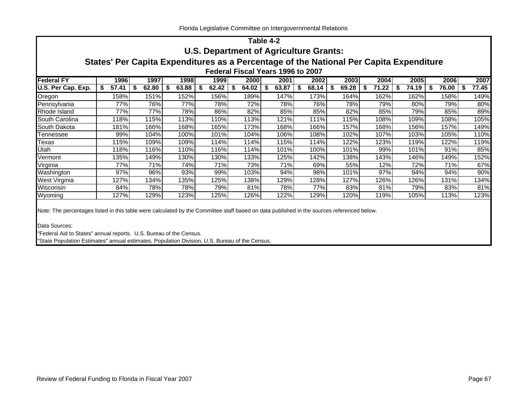|                                                                                                              |                                                                                                                                                                          |       |                                                                                        |       |        | Table 4-2                         |                                               |             |       |              |       |       |  |  |  |
|--------------------------------------------------------------------------------------------------------------|--------------------------------------------------------------------------------------------------------------------------------------------------------------------------|-------|----------------------------------------------------------------------------------------|-------|--------|-----------------------------------|-----------------------------------------------|-------------|-------|--------------|-------|-------|--|--|--|
|                                                                                                              |                                                                                                                                                                          |       |                                                                                        |       |        |                                   | <b>U.S. Department of Agriculture Grants:</b> |             |       |              |       |       |  |  |  |
|                                                                                                              |                                                                                                                                                                          |       |                                                                                        |       |        |                                   |                                               |             |       |              |       |       |  |  |  |
|                                                                                                              |                                                                                                                                                                          |       | States' Per Capita Expenditures as a Percentage of the National Per Capita Expenditure |       |        |                                   |                                               |             |       |              |       |       |  |  |  |
|                                                                                                              |                                                                                                                                                                          |       |                                                                                        |       |        | Federal Fiscal Years 1996 to 2007 |                                               |             |       |              |       |       |  |  |  |
| <b>Federal FY</b>                                                                                            | 1996                                                                                                                                                                     | 1997  | 1998                                                                                   | 19991 | 2000 l | 2001                              | 2002                                          | 2003        | 2004  | 2005         | 2006  | 2007  |  |  |  |
| U.S. Per Cap. Exp.                                                                                           | 57.41                                                                                                                                                                    | 62.80 | 63.88<br>S                                                                             | 62.42 | 64.02  | 63.87<br>- 5                      | 68.14<br>S                                    | 69.28<br>-S | 71.22 | 74.19<br>-22 | 76.00 | 77.45 |  |  |  |
| Oregon                                                                                                       | 158%                                                                                                                                                                     | 151%  | 152%                                                                                   | 156%  | 189%   | 147%                              | 173%                                          | 164%        | 162%  | 162%         | 158%  | 149%  |  |  |  |
| Pennsylvania                                                                                                 | 77%                                                                                                                                                                      | 76%   | 77%                                                                                    | 78%   | 72%    | 78%                               | 76%                                           | 78%         | 79%   | 80%          | 79%   | 80%   |  |  |  |
| IRhode Island                                                                                                | 77%<br>77%<br>89%<br>78%<br>86%<br>82%<br>85%<br>82%<br>85%<br>79%<br>85%<br>85%<br>115%<br>113%<br>118%<br>113%<br>110%<br>121%<br>115%<br>108%<br>109%<br>108%<br>111% |       |                                                                                        |       |        |                                   |                                               |             |       |              |       |       |  |  |  |
| South Carolina                                                                                               |                                                                                                                                                                          |       |                                                                                        |       |        |                                   |                                               |             |       |              |       | 105%  |  |  |  |
| 173%<br>149%<br>166%<br>168%<br>168%<br>166%<br>157%<br>168%<br>156%<br>157%<br>South Dakota<br>181%<br>165% |                                                                                                                                                                          |       |                                                                                        |       |        |                                   |                                               |             |       |              |       |       |  |  |  |
| <b>Tennessee</b>                                                                                             | 99%                                                                                                                                                                      | 104%  | 100%                                                                                   | 101%  | 104%   | 106%                              | 108%                                          | 102%        | 107%  | 103%         | 105%  | 110%  |  |  |  |
| Texas                                                                                                        | 115%                                                                                                                                                                     | 109%  | 109%                                                                                   | 114%  | 114%   | 115%                              | 114%                                          | 122%        | 123%  | 119%         | 122%  | 119%  |  |  |  |
| Utah                                                                                                         | 118%                                                                                                                                                                     | 116%  | 110%                                                                                   | 116%  | 114%   | 101%                              | 100%                                          | 101%        | 99%   | 101%         | 91%   | 85%   |  |  |  |
| Vermont                                                                                                      | 135%                                                                                                                                                                     | 149%  | 130%                                                                                   | 130%  | 133%   | 125%                              | 142%                                          | 138%        | 143%  | 146%         | 149%  | 152%  |  |  |  |
| Virginia                                                                                                     | 77%                                                                                                                                                                      | 71%   | 74%                                                                                    | 71%   | 73%    | 71%                               | 69%                                           | 55%         | 12%   | 72%          | 71%   | 67%   |  |  |  |
| Washington                                                                                                   | 97%                                                                                                                                                                      | 96%   | 93%                                                                                    | 99%   | 103%   | 94%                               | 98%                                           | 101%        | 97%   | 94%          | 94%   | 90%   |  |  |  |
| West Virginia                                                                                                | 127%                                                                                                                                                                     | 134%  | 135%                                                                                   | 125%  | 138%   | 129%                              | 128%                                          | 127%        | 126%  | 126%         | 131%  | 134%  |  |  |  |
| Wisconsin                                                                                                    | 84%                                                                                                                                                                      | 78%   | 78%                                                                                    | 79%   | 81%    | 78%                               | 77%                                           | 83%         | 81%   | 79%          | 83%   | 81%   |  |  |  |
| Wyoming                                                                                                      | 127%                                                                                                                                                                     | 129%  | 123%                                                                                   | 125%  | 126%   | 122%                              | 129%                                          | 120%        | 119%  | 105%         | 113%  | 123%  |  |  |  |

Data Sources:

"Federal Aid to States" annual reports. U.S. Bureau of the Census.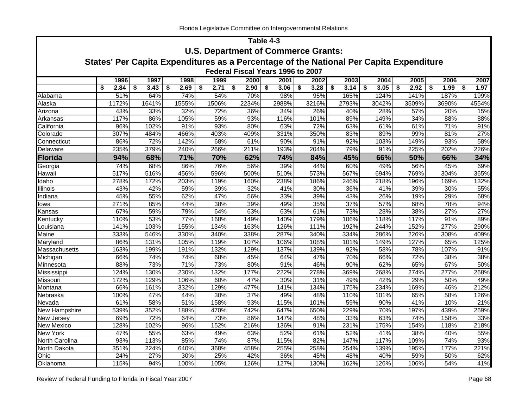|                       |                                                                                        |            |            |            |            | Table 4-3                         |                                            |            |            |            |            |            |
|-----------------------|----------------------------------------------------------------------------------------|------------|------------|------------|------------|-----------------------------------|--------------------------------------------|------------|------------|------------|------------|------------|
|                       |                                                                                        |            |            |            |            |                                   | <b>U.S. Department of Commerce Grants:</b> |            |            |            |            |            |
|                       | States' Per Capita Expenditures as a Percentage of the National Per Capita Expenditure |            |            |            |            |                                   |                                            |            |            |            |            |            |
|                       |                                                                                        |            |            |            |            | Federal Fiscal Years 1996 to 2007 |                                            |            |            |            |            |            |
|                       | 1996                                                                                   | 1997       | 1998       | 1999       | 2000       | 2001                              | 2002                                       | 2003       | 2004       | 2005       | 2006       | 2007       |
|                       | \$<br>2.84                                                                             | \$<br>3.43 | \$<br>2.69 | 2.71<br>\$ | 2.90<br>\$ | 3.06<br>\$                        | \$<br>3.28                                 | 3.14<br>\$ | \$<br>3.05 | \$<br>2.92 | 1.99<br>\$ | 1.97<br>\$ |
| Alabama               | 51%                                                                                    | 64%        | 74%        | 54%        | 70%        | 98%                               | 95%                                        | 165%       | 124%       | 141%       | 187%       | 199%       |
| Alaska                | 1172%                                                                                  | 1641%      | 1555%      | 1506%      | 2234%      | 2988%                             | 3216%                                      | 2793%      | 3042%      | 3509%      | 3690%      | 4554%      |
| Arizona               | 43%                                                                                    | 33%        | 32%        | 72%        | 36%        | 34%                               | 26%                                        | 40%        | 28%        | 57%        | 20%        | 15%        |
| Arkansas              | 117%                                                                                   | 86%        | 105%       | 59%        | 93%        | 116%                              | 101%                                       | 89%        | 149%       | 34%        | 88%        | 88%        |
| California            | 96%                                                                                    | 102%       | 91%        | 93%        | 80%        | 63%                               | 72%                                        | 63%        | 61%        | 61%        | 71%        | 91%        |
| Colorado              | 307%                                                                                   | 484%       | 466%       | 403%       | 409%       | 331%                              | 350%                                       | 83%        | 89%        | 99%        | 81%        | 27%        |
| Connecticut           | 86%                                                                                    | 72%        | 142%       | 68%        | 61%        | 90%                               | 91%                                        | 92%        | 103%       | 149%       | 93%        | 58%        |
| <b>Delaware</b>       | 235%                                                                                   | 379%       | 240%       | 266%       | 211%       | 193%                              | 204%                                       | 79%        | 91%        | 225%       | 202%       | 226%       |
| <b>Florida</b>        | 94%                                                                                    | 68%        | 71%        | 70%        | 62%        | 74%                               | 84%                                        | 45%        | 66%        | 50%        | 66%        | 34%        |
| Georgia               | 74%                                                                                    | 68%        | 86%        | 76%        | 56%        | 39%                               | 44%                                        | 60%        | 49%        | 56%        | 45%        | 69%        |
| Hawaii                | 517%                                                                                   | 516%       | 456%       | 596%       | 500%       | 510%                              | 573%                                       | 567%       | 694%       | 769%       | 304%       | 365%       |
| Idaho                 | 278%                                                                                   | 172%       | 203%       | 119%       | 160%       | 238%                              | 186%                                       | 246%       | 218%       | 196%       | 169%       | 132%       |
| <b>Illinois</b>       | 43%                                                                                    | 42%        | 59%        | 39%        | 32%        | 41%                               | 30%                                        | 36%        | 41%        | 39%        | 30%        | 55%        |
| Indiana               | 45%                                                                                    | 55%        | 62%        | 47%        | 56%        | 33%                               | 39%                                        | 43%        | 26%        | 19%        | 29%        | 68%        |
| lowa                  | 271%                                                                                   | 85%        | 44%        | 38%        | 39%        | 49%                               | 35%                                        | 37%        | 57%        | 68%        | 78%        | 94%        |
| Kansas                | 67%                                                                                    | 59%        | 79%        | 64%        | 63%        | 63%                               | 61%                                        | 73%        | 28%        | 38%        | 27%        | 27%        |
| Kentucky              | 110%                                                                                   | 53%        | 77%        | 168%       | 149%       | 140%                              | 179%                                       | 106%       | 118%       | 117%       | 91%        | 89%        |
| _ouisiana             | 141%                                                                                   | 103%       | 155%       | 134%       | 163%       | 126%                              | 111%                                       | 192%       | 244%       | 152%       | 277%       | 290%       |
| Maine                 | 333%                                                                                   | 546%       | 330%       | 340%       | 338%       | 287%                              | 340%                                       | 334%       | 286%       | 226%       | 308%       | 409%       |
| Maryland              | 86%                                                                                    | 131%       | 105%       | 119%       | 107%       | 106%                              | 108%                                       | 101%       | 149%       | 127%       | 65%        | 125%       |
| Massachusetts         | 163%                                                                                   | 199%       | 191%       | 132%       | 129%       | 137%                              | 139%                                       | 92%        | 58%        | 78%        | 107%       | 91%        |
| Michigan              | 66%                                                                                    | 74%        | 74%        | 68%        | 45%        | 64%                               | 47%                                        | 70%        | 66%        | 72%        | 38%        | 38%        |
| Minnesota             | 88%                                                                                    | 73%        | 71%        | 73%        | 80%        | 91%                               | 46%                                        | 90%        | 62%        | 65%        | 67%        | 50%        |
| Mississippi           | 124%                                                                                   | 130%       | 230%       | 132%       | 177%       | 222%                              | 278%                                       | 369%       | 268%       | 274%       | 277%       | 268%       |
| Missouri              | 172%                                                                                   | 129%       | 106%       | 60%        | 47%        | 30%                               | 31%                                        | 49%        | 42%        | 29%        | 50%        | 49%        |
| Montana               | 66%                                                                                    | 161%       | 332%       | 129%       | 477%       | 141%                              | 134%                                       | 175%       | 234%       | 169%       | 46%        | 212%       |
| Nebraska              | 100%                                                                                   | 47%        | 44%        | 30%        | 37%        | 49%                               | 48%                                        | 110%       | 101%       | 65%        | 58%        | 126%       |
| Nevada                | 61%                                                                                    | 58%        | 51%        | 158%       | 93%        | 115%                              | 101%                                       | 59%        | 90%        | 41%        | 10%        | 21%        |
| New Hampshire         | 539%                                                                                   | 352%       | 188%       | 470%       | 742%       | 647%                              | 650%                                       | 229%       | 70%        | 197%       | 439%       | 269%       |
| <b>New Jersey</b>     | 69%                                                                                    | 72%        | 64%        | 73%        | 86%        | 147%                              | 48%                                        | 33%        | 63%        | 74%        | 158%       | 33%        |
| <b>New Mexico</b>     | 128%                                                                                   | 102%       | 96%        | 152%       | 216%       | 136%                              | 91%                                        | 231%       | 175%       | 154%       | 118%       | 218%       |
| <b>New York</b>       | 47%                                                                                    | 55%        | 63%        | 49%        | 63%        | 52%                               | 61%                                        | 52%        | 41%        | 38%        | 40%        | 55%        |
| <b>North Carolina</b> | 93%                                                                                    | 113%       | 85%        | 74%        | 87%        | 115%                              | 82%                                        | 147%       | 117%       | 109%       | 74%        | 93%        |
| North Dakota          | 351%                                                                                   | 224%       | 640%       | 368%       | 458%       | 255%                              | 258%                                       | 254%       | 139%       | 195%       | 177%       | 221%       |
| Ohio                  | 24%                                                                                    | 27%        | 30%        | 25%        | 42%        | 36%                               | 45%                                        | 48%        | 40%        | 59%        | 50%        | 62%        |
| Oklahoma              | 115%                                                                                   | 94%        | 100%       | 105%       | 126%       | 127%                              | 130%                                       | 162%       | 126%       | 106%       | 54%        | 41%        |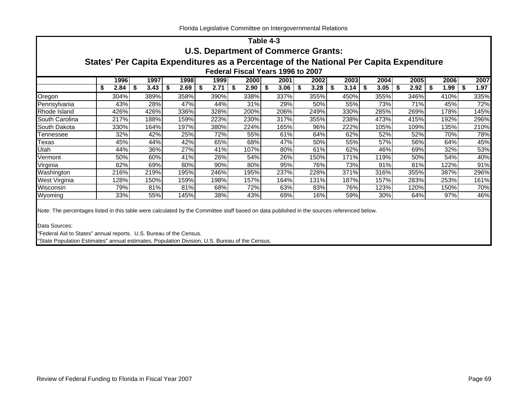|                |            |      |      |                                                                                        |      | Table 4-3 |   |      |      |      |   |      |      |      |      |            |   |      |
|----------------|------------|------|------|----------------------------------------------------------------------------------------|------|-----------|---|------|------|------|---|------|------|------|------|------------|---|------|
|                |            |      |      | <b>U.S. Department of Commerce Grants:</b>                                             |      |           |   |      |      |      |   |      |      |      |      |            |   |      |
|                |            |      |      |                                                                                        |      |           |   |      |      |      |   |      |      |      |      |            |   |      |
|                |            |      |      | States' Per Capita Expenditures as a Percentage of the National Per Capita Expenditure |      |           |   |      |      |      |   |      |      |      |      |            |   |      |
|                |            |      |      | Federal Fiscal Years 1996 to 2007                                                      |      |           |   |      |      |      |   |      |      |      |      |            |   |      |
|                | 1996       | 1997 | 1998 | 1999                                                                                   |      | 2000      |   | 2001 |      | 2002 |   | 2003 | 2004 |      | 2005 | 2006       |   | 2007 |
|                | \$<br>2.84 | 3.43 | 2.69 | 2.71<br>S                                                                              | - \$ | 2.90      | S | 3.06 | - \$ | 3.28 | S | 3.14 | 3.05 | - \$ | 2.92 | \$<br>1.99 | S | 1.97 |
| Oregon         | 304%       | 389% | 358% | 390%                                                                                   |      | 338%      |   | 337% |      | 355% |   | 450% | 355% |      | 346% | 410%       |   | 335% |
| Pennsylvania   | 43%        | 28%  | 47%  | 44%                                                                                    |      | 31%       |   | 29%  |      | 50%  |   | 55%  | 73%  |      | 71%  | 45%        |   | 72%  |
| Rhode Island   | 426%       | 426% | 336% | 328%                                                                                   |      | 200%      |   | 206% |      | 249% |   | 330% | 285% |      | 269% | 178%       |   | 145% |
| South Carolina | 217%       | 188% | 159% | 223%                                                                                   |      | 230%      |   | 317% |      | 355% |   | 238% | 473% |      | 415% | 192%       |   | 296% |
| South Dakota   | 330%       | 164% | 197% | 380%                                                                                   |      | 224%      |   | 165% |      | 96%  |   | 222% | 105% |      | 109% | 135%       |   | 210% |
| Tennessee      | 32%        | 42%  | 25%  | 72%                                                                                    |      | 55%       |   | 61%  |      | 64%  |   | 62%  | 52%  |      | 52%  | 70%        |   | 78%  |
| <b>Texas</b>   | 45%        | 44%  | 42%  | 65%                                                                                    |      | 68%       |   | 47%  |      | 50%  |   | 55%  | 57%  |      | 56%  | 64%        |   | 45%  |
| Utah           | 44%        | 36%  | 27%  | 41%                                                                                    |      | 107%      |   | 80%  |      | 61%  |   | 62%  | 46%  |      | 69%  | 32%        |   | 53%  |
| Vermont        | 50%        | 60%  | 41%  | 26%                                                                                    |      | 54%       |   | 26%  |      | 150% |   | 171% | 119% |      | 50%  | 54%        |   | 40%  |
| Virginia       | 82%        | 69%  | 80%  | 90%                                                                                    |      | 80%       |   | 95%  |      | 76%  |   | 73%  | 91%  |      | 81%  | 122%       |   | 91%  |
| Washington     | 216%       | 219% | 195% | 246%                                                                                   |      | 195%      |   | 237% |      | 228% |   | 371% | 316% |      | 355% | 387%       |   | 296% |
| West Virginia  | 128%       | 150% | 159% | 198%                                                                                   |      | 157%      |   | 164% |      | 131% |   | 187% | 157% |      | 283% | 253%       |   | 161% |
| Wisconsin      | 79%        | 81%  | 81%  | 68%                                                                                    |      | 72%       |   | 63%  |      | 83%  |   | 76%  | 123% |      | 120% | 150%       |   | 70%  |
| Wyoming        | 33%        | 55%  | 145% | 38%                                                                                    |      | 43%       |   | 69%  |      | 16%  |   | 59%  | 30%  |      | 64%  | 97%        |   | 46%  |

Data Sources:

"Federal Aid to States" annual reports. U.S. Bureau of the Census.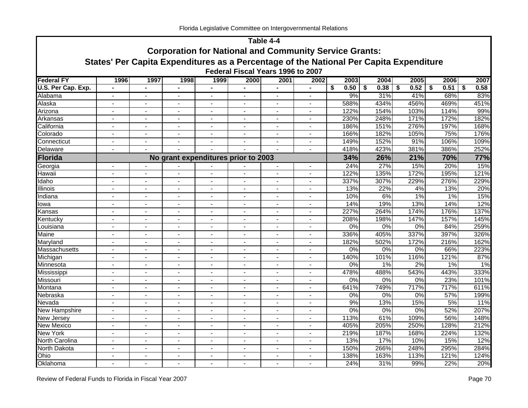|                    |                                                                                        |                          |                          |                          |                                                               | Table 4-4                |                          |            |            |            |            |            |
|--------------------|----------------------------------------------------------------------------------------|--------------------------|--------------------------|--------------------------|---------------------------------------------------------------|--------------------------|--------------------------|------------|------------|------------|------------|------------|
|                    |                                                                                        |                          |                          |                          | <b>Corporation for National and Community Service Grants:</b> |                          |                          |            |            |            |            |            |
|                    |                                                                                        |                          |                          |                          |                                                               |                          |                          |            |            |            |            |            |
|                    | States' Per Capita Expenditures as a Percentage of the National Per Capita Expenditure |                          |                          |                          |                                                               |                          |                          |            |            |            |            |            |
|                    |                                                                                        |                          |                          |                          | Federal Fiscal Years 1996 to 2007                             |                          |                          |            |            |            |            |            |
| <b>Federal FY</b>  | 1996                                                                                   | 1997                     | 1998                     | 1999                     | 2000                                                          | 2001                     | 2002                     | 2003       | 2004       | 2005       | 2006       | 2007       |
| U.S. Per Cap. Exp. | $\blacksquare$                                                                         | $\blacksquare$           | $\blacksquare$           | $\blacksquare$           | $\blacksquare$                                                | $\blacksquare$           | $\blacksquare$           | 0.50<br>\$ | \$<br>0.38 | 0.52<br>\$ | \$<br>0.51 | \$<br>0.58 |
| Alabama            | $\blacksquare$                                                                         | $\blacksquare$           | $\sim$                   | $\sim$                   | $\sim$                                                        | $\blacksquare$           | $\sim$                   | 9%         | 31%        | 41%        | 68%        | 83%        |
| Alaska             | $\overline{\phantom{a}}$                                                               | $\blacksquare$           | $\overline{\phantom{a}}$ | $\overline{\phantom{a}}$ | $\sim$                                                        | $\blacksquare$           | $\blacksquare$           | 588%       | 434%       | 456%       | 469%       | 451%       |
| Arizona            | $\overline{\phantom{0}}$                                                               | $\blacksquare$           | $\overline{\phantom{a}}$ | $\blacksquare$           | $\blacksquare$                                                | $\overline{\phantom{a}}$ | $\blacksquare$           | 122%       | 154%       | 103%       | 114%       | 99%        |
| Arkansas           | $\blacksquare$                                                                         | $\blacksquare$           | $\sim$                   | $\blacksquare$           | $\blacksquare$                                                | $\blacksquare$           | ÷.                       | 230%       | 248%       | 171%       | 172%       | 182%       |
| California         | $\blacksquare$                                                                         | $\blacksquare$           | $\blacksquare$           | $\blacksquare$           | $\blacksquare$                                                | $\blacksquare$           | $\blacksquare$           | 186%       | 151%       | 276%       | 197%       | 168%       |
| Colorado           | $\blacksquare$                                                                         | $\blacksquare$           | $\blacksquare$           |                          | $\blacksquare$                                                | $\blacksquare$           | ٠                        | 166%       | 182%       | 105%       | 75%        | 176%       |
| Connecticut        | $\overline{\phantom{a}}$                                                               | $\blacksquare$           | $\overline{\phantom{a}}$ | $\blacksquare$           | $\blacksquare$                                                |                          | $\blacksquare$           | 149%       | 152%       | 91%        | 106%       | 109%       |
| Delaware           | $\blacksquare$                                                                         | $\overline{a}$           |                          |                          |                                                               | $\blacksquare$           | $\blacksquare$           | 418%       | 423%       | 381%       | 386%       | 252%       |
| <b>Florida</b>     |                                                                                        |                          |                          |                          | No grant expenditures prior to 2003                           |                          |                          | 34%        | 26%        | 21%        | 70%        | 77%        |
| Georgia            |                                                                                        |                          |                          |                          |                                                               |                          |                          | 24%        | 27%        | 15%        | 20%        | 15%        |
| Hawaii             | $\overline{\phantom{a}}$                                                               | $\blacksquare$           | $\overline{\phantom{a}}$ | $\blacksquare$           | $\blacksquare$                                                | $\blacksquare$           | $\blacksquare$           | 122%       | 135%       | 172%       | 195%       | 121%       |
| Idaho              | $\sim$                                                                                 | $\blacksquare$           |                          | $\blacksquare$           | $\blacksquare$                                                |                          | $\blacksquare$           | 337%       | 307%       | 229%       | 276%       | 229%       |
| <b>Illinois</b>    | $\blacksquare$                                                                         | $\blacksquare$           | $\sim$                   | $\blacksquare$           | $\sim$                                                        | $\blacksquare$           | $\blacksquare$           | 13%        | 22%        | 4%         | 13%        | 20%        |
| IIndiana           | $\overline{\phantom{a}}$                                                               | $\blacksquare$           | $\overline{\phantom{a}}$ | $\overline{\phantom{a}}$ | $\overline{\phantom{a}}$                                      | $\overline{\phantom{a}}$ | $\blacksquare$           | 10%        | 6%         | $1\%$      | 1%         | 15%        |
| lowa               | $\overline{\phantom{a}}$                                                               | $\blacksquare$           | $\overline{\phantom{a}}$ | $\blacksquare$           | $\blacksquare$                                                | $\overline{\phantom{a}}$ | $\blacksquare$           | 14%        | 19%        | 13%        | 14%        | 12%        |
| Kansas             | $\blacksquare$                                                                         | $\blacksquare$           | $\sim$                   | $\blacksquare$           | $\blacksquare$                                                | $\sim$                   | $\blacksquare$           | 227%       | 264%       | 174%       | 176%       | 137%       |
| Kentuckv           | $\overline{\phantom{a}}$                                                               | $\blacksquare$           | $\blacksquare$           | $\blacksquare$           | $\blacksquare$                                                | $\blacksquare$           | $\blacksquare$           | 208%       | 198%       | 147%       | 157%       | 145%       |
| Louisiana          | $\blacksquare$                                                                         | $\blacksquare$           | $\blacksquare$           | $\blacksquare$           | $\blacksquare$                                                | $\blacksquare$           | $\blacksquare$           | 0%         | 0%         | 0%         | 84%        | 259%       |
| Maine              |                                                                                        | $\blacksquare$           | $\blacksquare$           | $\blacksquare$           | $\blacksquare$                                                |                          |                          | 336%       | 405%       | 337%       | 397%       | 326%       |
| Maryland           | $\blacksquare$                                                                         | $\blacksquare$           | $\blacksquare$           | $\blacksquare$           | $\sim$                                                        | $\blacksquare$           | $\blacksquare$           | 182%       | 502%       | 172%       | 216%       | 162%       |
| Massachusetts      | $\blacksquare$                                                                         | $\blacksquare$           | $\overline{\phantom{a}}$ | $\blacksquare$           | $\overline{\phantom{a}}$                                      | $\blacksquare$           | $\blacksquare$           | 0%         | 0%         | 0%         | 66%        | 223%       |
| Michigan           | $\overline{\phantom{a}}$                                                               | $\blacksquare$           | $\overline{\phantom{a}}$ | $\blacksquare$           | $\overline{\phantom{a}}$                                      | $\blacksquare$           | $\overline{\phantom{a}}$ | 140%       | 101%       | 116%       | 121%       | 87%        |
| Minnesota          | $\blacksquare$                                                                         | $\blacksquare$           | $\blacksquare$           | $\blacksquare$           | $\blacksquare$                                                | $\blacksquare$           | $\blacksquare$           | 0%         | 1%         | 2%         | 1%         | 1%         |
| Mississippi        | $\blacksquare$                                                                         | $\blacksquare$           | $\blacksquare$           | $\blacksquare$           | $\blacksquare$                                                | $\blacksquare$           | $\blacksquare$           | 478%       | 488%       | 543%       | 443%       | 333%       |
| Missouri           | $\overline{\phantom{a}}$                                                               | $\blacksquare$           | $\blacksquare$           | $\blacksquare$           | $\blacksquare$                                                | $\blacksquare$           | ÷,                       | 0%         | 0%         | 0%         | 23%        | 101%       |
| Montana            |                                                                                        | $\blacksquare$           | $\blacksquare$           | $\blacksquare$           | $\blacksquare$                                                |                          |                          | 641%       | 749%       | 717%       | 717%       | 611%       |
| Nebraska           | $\overline{\phantom{a}}$                                                               | $\blacksquare$           | $\sim$                   | $\blacksquare$           | $\sim$                                                        | $\blacksquare$           | $\blacksquare$           | 0%         | 0%         | 0%         | 57%        | 199%       |
| Nevada             | $\overline{\phantom{a}}$                                                               | $\blacksquare$           | $\overline{\phantom{a}}$ | $\overline{\phantom{a}}$ | $\blacksquare$                                                | $\blacksquare$           | $\blacksquare$           | 9%         | 13%        | 15%        | 5%         | 11%        |
| New Hampshire      | $\overline{\phantom{a}}$                                                               | $\overline{\phantom{0}}$ | $\overline{\phantom{a}}$ | $\overline{\phantom{a}}$ | $\overline{\phantom{a}}$                                      | $\overline{\phantom{a}}$ | $\overline{\phantom{a}}$ | 0%         | 0%         | 0%         | 52%        | 207%       |
| <b>New Jersey</b>  | $\overline{\phantom{a}}$                                                               | $\blacksquare$           | $\blacksquare$           | $\blacksquare$           | $\blacksquare$                                                | $\blacksquare$           | $\blacksquare$           | 113%       | 61%        | 109%       | 56%        | 148%       |
| <b>New Mexico</b>  | $\blacksquare$                                                                         | $\blacksquare$           | $\blacksquare$           | $\blacksquare$           | $\blacksquare$                                                | $\blacksquare$           | $\blacksquare$           | 405%       | 205%       | 250%       | 128%       | 212%       |
| <b>New York</b>    |                                                                                        | $\blacksquare$           |                          |                          | $\blacksquare$                                                | $\blacksquare$           | $\blacksquare$           | 219%       | 187%       | 168%       | 224%       | 132%       |
| North Carolina     | $\blacksquare$                                                                         | $\blacksquare$           | $\blacksquare$           | $\blacksquare$           | $\blacksquare$                                                |                          | $\blacksquare$           | 13%        | 17%        | 10%        | 15%        | 12%        |
| North Dakota       | $\blacksquare$                                                                         | $\blacksquare$           | $\sim$                   | $\blacksquare$           | $\sim$                                                        | $\blacksquare$           | $\blacksquare$           | 150%       | 266%       | 248%       | 295%       | 284%       |
| Ohio               | $\overline{\phantom{a}}$                                                               | $\blacksquare$           | $\sim$                   | $\overline{\phantom{a}}$ | $\blacksquare$                                                | $\blacksquare$           | $\blacksquare$           | 138%       | 163%       | 113%       | 121%       | 124%       |
| Oklahoma           | $\sim$                                                                                 | $\overline{\phantom{0}}$ | $\sim$                   | $\sim$                   | $\overline{\phantom{a}}$                                      | $\blacksquare$           | $\overline{\phantom{a}}$ | 24%        | 31%        | 99%        | 22%        | 20%        |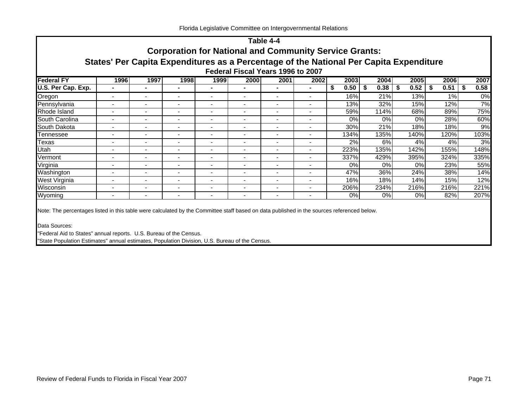|                                                                                                                                            |                                                                                        |                          |                                                               |                          | Table 4-4                         |                          |                          |           |           |              |            |              |
|--------------------------------------------------------------------------------------------------------------------------------------------|----------------------------------------------------------------------------------------|--------------------------|---------------------------------------------------------------|--------------------------|-----------------------------------|--------------------------|--------------------------|-----------|-----------|--------------|------------|--------------|
|                                                                                                                                            |                                                                                        |                          | <b>Corporation for National and Community Service Grants:</b> |                          |                                   |                          |                          |           |           |              |            |              |
|                                                                                                                                            | States' Per Capita Expenditures as a Percentage of the National Per Capita Expenditure |                          |                                                               |                          |                                   |                          |                          |           |           |              |            |              |
|                                                                                                                                            |                                                                                        |                          |                                                               |                          |                                   |                          |                          |           |           |              |            |              |
|                                                                                                                                            |                                                                                        |                          |                                                               |                          | Federal Fiscal Years 1996 to 2007 |                          |                          |           |           |              |            |              |
| <b>Federal FY</b>                                                                                                                          | 1996                                                                                   | 1997                     | 1998                                                          | 1999                     | 2000                              | 2001                     | 2002                     | 2003      | 2004      | 2005         | 2006       | 2007         |
| U.S. Per Cap. Exp.                                                                                                                         |                                                                                        | $\blacksquare$           | ۰                                                             | $\blacksquare$           | ۰                                 | ۰                        | $\blacksquare$           | 0.50<br>S | 0.38<br>S | 0.52<br>- \$ | 0.51<br>\$ | 0.58<br>- \$ |
| Oregon                                                                                                                                     | $\overline{\phantom{a}}$                                                               |                          |                                                               |                          |                                   |                          |                          | 16%       | 21%       | 13%          | 1%         | 0%           |
| Pennsylvania                                                                                                                               | $\overline{\phantom{0}}$                                                               |                          | $\overline{\phantom{0}}$                                      | $\blacksquare$           | $\blacksquare$                    | $\overline{\phantom{0}}$ | $\overline{\phantom{0}}$ | 13%       | 32%       | 15%          | 12%        | 7%           |
| Rhode Island                                                                                                                               | $\overline{\phantom{a}}$                                                               |                          | $\blacksquare$                                                | $\overline{\phantom{a}}$ | $\blacksquare$                    |                          | $\overline{\phantom{0}}$ | 59%       | 114%      | 68%          | 89%        | 75%          |
| South Carolina                                                                                                                             | $\blacksquare$                                                                         | $\overline{\phantom{a}}$ | $\qquad \qquad \blacksquare$                                  | $\blacksquare$           | $\blacksquare$                    | $\blacksquare$           | $\blacksquare$           | 0%        | 0%        | 0%           | 28%        | 60%          |
| South Dakota                                                                                                                               | $\overline{\phantom{a}}$                                                               |                          | $\blacksquare$                                                | -                        | $\blacksquare$                    | $\blacksquare$           |                          | 30%       | 21%       | 18%          | 18%        | 9%           |
| Tennessee                                                                                                                                  | $\blacksquare$                                                                         |                          | $\overline{\phantom{0}}$                                      | $\blacksquare$           | $\blacksquare$                    | $\blacksquare$           | $\overline{\phantom{0}}$ | 134%      | 135%      | 140%         | 120%       | 103%         |
| <b>Texas</b>                                                                                                                               |                                                                                        |                          |                                                               |                          |                                   |                          |                          | 2%        | 6%        | 4%           | 4%         | 3%           |
| Utah                                                                                                                                       | $\overline{\phantom{a}}$                                                               |                          | $\overline{\phantom{0}}$                                      | $\overline{\phantom{a}}$ | $\blacksquare$                    |                          | $\overline{\phantom{0}}$ | 223%      | 135%      | 142%         | 155%       | 148%         |
| Vermont                                                                                                                                    | $\blacksquare$                                                                         | $\overline{\phantom{a}}$ | $\blacksquare$                                                | $\blacksquare$           | $\sim$                            | $\blacksquare$           | $\overline{\phantom{0}}$ | 337%      | 429%      | 395%         | 324%       | 335%         |
| Virginia                                                                                                                                   | $\overline{\phantom{a}}$                                                               |                          | $\blacksquare$                                                |                          | $\sim$                            |                          | $\blacksquare$           | $0\%$     | 0%        | 0%           | 23%        | 55%          |
| Washington                                                                                                                                 | $\blacksquare$                                                                         | $\overline{\phantom{a}}$ | $\qquad \qquad \blacksquare$                                  | $\blacksquare$           | $\blacksquare$                    | $\overline{\phantom{a}}$ | $\blacksquare$           | 47%       | 36%       | 24%          | 38%        | 14%          |
| West Virginia                                                                                                                              | $\overline{\phantom{a}}$                                                               |                          | $\blacksquare$                                                | -                        | $\blacksquare$                    | $\blacksquare$           | $\overline{\phantom{0}}$ | 16%       | 18%       | 14%          | 15%        | 12%          |
| Wisconsin                                                                                                                                  | $\blacksquare$                                                                         |                          | ٠                                                             | $\overline{\phantom{a}}$ | $\blacksquare$                    | $\blacksquare$           | $\overline{\phantom{0}}$ | 206%      | 234%      | 216%         | 216%       | 221%         |
| Wyoming                                                                                                                                    |                                                                                        |                          |                                                               |                          |                                   |                          |                          | 0%        | 0%        | 0%           | 82%        | 207%         |
| Note: The percentages listed in this table were calculated by the Committee staff based on data published in the sources referenced below. |                                                                                        |                          |                                                               |                          |                                   |                          |                          |           |           |              |            |              |

Data Sources:

"Federal Aid to States" annual reports. U.S. Bureau of the Census.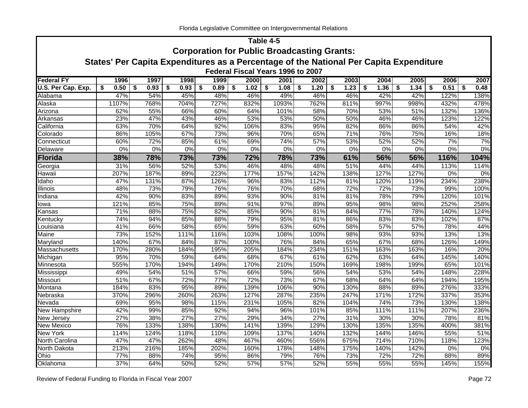|                      |            |            |                                                                                        |                                                    |            | Table 4-5                         |                  |            |            |            |            |            |
|----------------------|------------|------------|----------------------------------------------------------------------------------------|----------------------------------------------------|------------|-----------------------------------|------------------|------------|------------|------------|------------|------------|
|                      |            |            |                                                                                        | <b>Corporation for Public Broadcasting Grants:</b> |            |                                   |                  |            |            |            |            |            |
|                      |            |            | States' Per Capita Expenditures as a Percentage of the National Per Capita Expenditure |                                                    |            |                                   |                  |            |            |            |            |            |
|                      |            |            |                                                                                        |                                                    |            | Federal Fiscal Years 1996 to 2007 |                  |            |            |            |            |            |
| <b>Federal FY</b>    | 1996       | 1997       | 1998                                                                                   | 1999                                               | 2000       | 2001                              | 2002             | 2003       | 2004       | 2005       | 2006       | 2007       |
| U.S. Per Cap. Exp.   | 0.50<br>\$ | \$<br>0.93 | \$<br>0.93                                                                             | 0.89<br>\$                                         | 1.02<br>\$ | 1.08<br>\$                        | \$<br>1.20       | 1.23<br>\$ | 1.36<br>\$ | 1.34<br>\$ | 0.51<br>\$ | \$<br>0.48 |
| Alabama              | 47%        | 54%        | 45%                                                                                    | 48%                                                | 46%        | 49%                               | 46%              | 46%        | 42%        | 42%        | 122%       | 138%       |
| Alaska               | 1107%      | 768%       | 704%                                                                                   | 727%                                               | 832%       | 1093%                             | 762%             | 811%       | 997%       | 998%       | 432%       | 478%       |
| Arizona              | 62%        | 55%        | 66%                                                                                    | 60%                                                | 64%        | 101%                              | 58%              | 70%        | 53%        | 51%        | 132%       | 136%       |
| Arkansas             | 23%        | 47%        | 43%                                                                                    | 46%                                                | 53%        | 53%                               | 50%              | 50%        | 46%        | 46%        | 123%       | 122%       |
| California           | 63%        | 70%        | 64%                                                                                    | 92%                                                | 106%       | 83%                               | 95%              | 82%        | 86%        | 86%        | 54%        | 42%        |
| Colorado             | 86%        | 105%       | 67%                                                                                    | 73%                                                | 96%        | 70%                               | 65%              | 71%        | 76%        | 75%        | 16%        | 18%        |
| Connecticut          | 60%        | 72%        | 85%                                                                                    | 61%                                                | 69%        | 74%                               | $\frac{1}{57\%}$ | 53%        | 52%        | 52%        | 7%         | 7%         |
| <b>Delaware</b>      | 0%         | 0%         | 0%                                                                                     | 0%                                                 | 0%         | 0%                                | 0%               | 0%         | 0%         | 0%         | 0%         | 0%         |
| <b>Florida</b>       | 38%        | 78%        | 73%                                                                                    | 73%                                                | 72%        | 78%                               | 73%              | 61%        | 56%        | 56%        | 116%       | 104%       |
| Georgia              | 31%        | 56%        | 52%                                                                                    | 53%                                                | 46%        | 48%                               | 48%              | 51%        | 44%        | 44%        | 113%       | 114%       |
| <b>Hawaii</b>        | 207%       | 187%       | 89%                                                                                    | 223%                                               | 177%       | 157%                              | 142%             | 138%       | 127%       | 127%       | 0%         | 0%         |
| Idaho                | 47%        | 131%       | 87%                                                                                    | 126%                                               | 96%        | 83%                               | 112%             | 81%        | 120%       | 119%       | 234%       | 238%       |
| <b>Illinois</b>      | 48%        | 73%        | 79%                                                                                    | 76%                                                | 76%        | 70%                               | 68%              | 72%        | 72%        | 73%        | 99%        | 100%       |
| Indiana              | 42%        | 90%        | 83%                                                                                    | 89%                                                | 93%        | 90%                               | 81%              | 81%        | 78%        | 79%        | 120%       | 101%       |
| lowa                 | 121%       | 85%        | 75%                                                                                    | 89%                                                | 91%        | 97%                               | 89%              | 95%        | 98%        | 98%        | 252%       | 258%       |
| Kansas               | 71%        | 88%        | 75%                                                                                    | 82%                                                | 85%        | 90%                               | 81%              | 84%        | 77%        | 78%        | 140%       | 124%       |
| Kentucky             | 74%        | 94%        | 85%                                                                                    | 88%                                                | 79%        | 95%                               | 81%              | 86%        | 83%        | 83%        | 102%       | 87%        |
| Louisiana            | 41%        | 66%        | 58%                                                                                    | 65%                                                | 59%        | 63%                               | 60%              | 58%        | 57%        | 57%        | 78%        | 44%        |
| Maine                | 73%        | 152%       | 111%                                                                                   | 116%                                               | 103%       | 108%                              | 100%             | 98%        | 93%        | 93%        | 13%        | 13%        |
| Maryland             | 140%       | 67%        | 84%                                                                                    | 87%                                                | 100%       | 76%                               | 84%              | 65%        | 67%        | 68%        | 126%       | 149%       |
| <b>Massachusetts</b> | 170%       | 280%       | 184%                                                                                   | 195%                                               | 205%       | 184%                              | 234%             | 151%       | 163%       | 163%       | 16%        | 20%        |
| Michigan             | 95%        | 70%        | 59%                                                                                    | 64%                                                | 68%        | 67%                               | 61%              | 62%        | 63%        | 64%        | 145%       | 140%       |
| Minnesota            | 555%       | 170%       | 194%                                                                                   | 149%                                               | 170%       | 210%                              | 150%             | 169%       | 198%       | 199%       | 65%        | 101%       |
| Mississippi          | 49%        | 54%        | 51%                                                                                    | 57%                                                | 66%        | 59%                               | 56%              | 54%        | 53%        | 54%        | 148%       | 228%       |
| <b>Missouri</b>      | 51%        | 67%        | 72%                                                                                    | 77%                                                | 72%        | 73%                               | 67%              | 68%        | 64%        | 64%        | 194%       | 195%       |
| Montana              | 184%       | 83%        | 95%                                                                                    | 89%                                                | 139%       | 106%                              | 90%              | 130%       | 88%        | 89%        | 276%       | 333%       |
| Nebraska             | 370%       | 296%       | 260%                                                                                   | 263%                                               | 127%       | 287%                              | 235%             | 247%       | 171%       | 172%       | 337%       | 353%       |
| Nevada               | 69%        | 95%        | 98%                                                                                    | 115%                                               | 231%       | 105%                              | 82%              | 104%       | 74%        | 73%        | 130%       | 138%       |
| New Hampshire        | 42%        | 99%        | 85%                                                                                    | 92%                                                | 94%        | 96%                               | 101%             | 85%        | 111%       | 111%       | 207%       | 236%       |
| New Jersey           | 27%        | 38%        | 27%                                                                                    | 27%                                                | 29%        | 34%                               | 27%              | 31%        | 30%        | 30%        | 78%        | 81%        |
| <b>New Mexico</b>    | 76%        | 133%       | 138%                                                                                   | 130%                                               | 141%       | 139%                              | 129%             | 130%       | 135%       | 135%       | 400%       | 381%       |
| <b>New York</b>      | 114%       | 124%       | 118%                                                                                   | 110%                                               | 109%       | 137%                              | 140%             | 132%       | 144%       | 146%       | 55%        | 51%        |
| North Carolina       | 47%        | 47%        | 262%                                                                                   | 48%                                                | 467%       | 460%                              | 556%             | 675%       | 714%       | 710%       | 118%       | 123%       |
| North Dakota         | 213%       | 216%       | 185%                                                                                   | 202%                                               | 160%       | 178%                              | 148%             | 175%       | 140%       | 142%       | 0%         | 0%         |
| Ohio                 | 77%        | 88%        | 74%                                                                                    | 95%                                                | 86%        | 79%                               | 76%              | 73%        | 72%        | 72%        | 88%        | 89%        |
| Oklahoma             | 37%        | 64%        | 50%                                                                                    | 52%                                                | 57%        | 57%                               | 52%              | 55%        | 55%        | 55%        | 145%       | 155%       |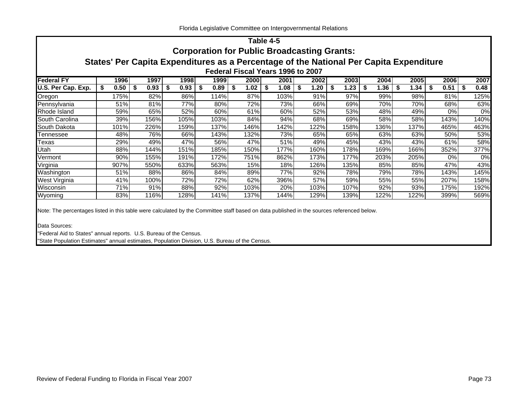|                      |                                                                                                                                                 |      |           |              |           |            | Table 4-5  |                                                    |                                                                                        |           |            |           |      |  |  |
|----------------------|-------------------------------------------------------------------------------------------------------------------------------------------------|------|-----------|--------------|-----------|------------|------------|----------------------------------------------------|----------------------------------------------------------------------------------------|-----------|------------|-----------|------|--|--|
|                      |                                                                                                                                                 |      |           |              |           |            |            | <b>Corporation for Public Broadcasting Grants:</b> |                                                                                        |           |            |           |      |  |  |
|                      |                                                                                                                                                 |      |           |              |           |            |            |                                                    | States' Per Capita Expenditures as a Percentage of the National Per Capita Expenditure |           |            |           |      |  |  |
|                      |                                                                                                                                                 |      |           |              |           |            |            |                                                    |                                                                                        |           |            |           |      |  |  |
|                      | Federal Fiscal Years 1996 to 2007<br><b>Federal FY</b><br>1997<br>1998<br>2000<br>2003<br>2006<br>1996<br>1999 <br>2001<br>2002<br>2004<br>2005 |      |           |              |           |            |            |                                                    |                                                                                        |           |            |           |      |  |  |
|                      |                                                                                                                                                 |      |           |              |           |            |            |                                                    |                                                                                        |           |            |           | 2007 |  |  |
| U.S. Per Cap. Exp.   | S                                                                                                                                               | 0.50 | 0.93<br>S | - \$<br>0.93 | 0.89<br>S | \$<br>1.02 | 1.08<br>\$ | 1.20<br>S                                          | 1.23<br>\$                                                                             | 1.36<br>S | 1.34<br>-S | 0.51<br>S | 0.48 |  |  |
| Oregon               |                                                                                                                                                 | 175% | 82%       | 86%          | 114%      | 87%        | 103%       | 91%                                                | 97%                                                                                    | 99%       | 98%        | 81%       | 125% |  |  |
| Pennsylvania         |                                                                                                                                                 | 51%  | 81%       | 77%          | 80%       | 72%        | 73%        | 66%                                                | 69%                                                                                    | 70%       | 70%        | 68%       | 63%  |  |  |
| Rhode Island         |                                                                                                                                                 | 59%  | 65%       | 52%          | 60%       | 61%        | 60%        | 52%                                                | 53%                                                                                    | 48%       | 49%        | 0%        | 0%   |  |  |
| South Carolina       |                                                                                                                                                 | 39%  | 156%      | 105%         | 103%      | 84%        | 94%        | 68%                                                | 69%                                                                                    | 58%       | 58%        | 143%      | 140% |  |  |
| South Dakota         |                                                                                                                                                 | 101% | 226%      | 159%         | 137%      | 146%       | 142%       | 122%                                               | 158%l                                                                                  | 136%      | 137%       | 465%      | 463% |  |  |
| Tennessee            |                                                                                                                                                 | 48%  | 76%       | 66%          | 143%      | 132%       | 73%        | 65%                                                | 65%                                                                                    | 63%       | 63%        | 50%       | 53%  |  |  |
| <b>Texas</b>         |                                                                                                                                                 | 29%  | 49%       | 47%          | 56%       | 47%        | 51%        | 49%                                                | 45%                                                                                    | 43%       | 43%        | 61%       | 58%  |  |  |
| Utah                 |                                                                                                                                                 | 88%  | 144%      | 151%         | 185%      | 150%       | 177%       | 160%                                               | 178%                                                                                   | 169%      | 166%       | 352%      | 377% |  |  |
| Vermont              |                                                                                                                                                 | 90%  | 155%      | 191%         | 172%      | 751%       | 862%       | 173%                                               | 177%                                                                                   | 203%      | 205%       | $0\%$     | 0%   |  |  |
| Virginia             |                                                                                                                                                 | 907% | 550%      | 633%         | 563%      | 15%        | 18%        | 126%                                               | 135%                                                                                   | 85%       | 85%        | 47%       | 43%  |  |  |
| Washington           |                                                                                                                                                 | 51%  | 88%       | 86%          | 84%       | 89%        | 77%        | 92%                                                | 78%                                                                                    | 79%       | 78%        | 143%      | 145% |  |  |
| <b>West Virginia</b> |                                                                                                                                                 | 41%  | 100%      | 72%          | 72%       | 62%        | 396%       | 57%                                                | 59%                                                                                    | 55%       | 55%        | 207%      | 158% |  |  |
| Wisconsin            |                                                                                                                                                 | 71%  | 91%       | 88%          | 92%       | 103%       | 20%        | 103%                                               | 107%                                                                                   | 92%       | 93%        | 175%      | 192% |  |  |
| Wyoming              |                                                                                                                                                 | 83%  | 116%      | 28%          | 141%      | 137%       | 144%       | 129%                                               | 139%                                                                                   | 122%      | 122%       | 399%      | 569% |  |  |

Data Sources:

"Federal Aid to States" annual reports. U.S. Bureau of the Census.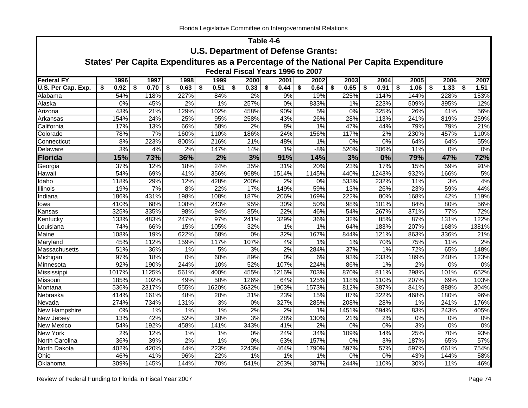|                      |            |            |            |                                                                                        | Table 4-6  |            |                                   |       |            |            |            |            |            |
|----------------------|------------|------------|------------|----------------------------------------------------------------------------------------|------------|------------|-----------------------------------|-------|------------|------------|------------|------------|------------|
|                      |            |            |            | <b>U.S. Department of Defense Grants:</b>                                              |            |            |                                   |       |            |            |            |            |            |
|                      |            |            |            | States' Per Capita Expenditures as a Percentage of the National Per Capita Expenditure |            |            |                                   |       |            |            |            |            |            |
|                      |            |            |            |                                                                                        |            |            |                                   |       |            |            |            |            |            |
|                      |            |            |            |                                                                                        |            |            | Federal Fiscal Years 1996 to 2007 |       |            |            |            |            |            |
| <b>Federal FY</b>    | 1996       | 1997       | 1998       | 1999                                                                                   | 2000       | 2001       | 2002                              |       | 2003       | 2004       | 2005       | 2006       | 2007       |
| U.S. Per Cap. Exp.   | 0.92<br>\$ | \$<br>0.70 | \$<br>0.63 | \$<br>0.51                                                                             | \$<br>0.33 | \$<br>0.44 | \$<br>0.64                        |       | \$<br>0.65 | \$<br>0.91 | \$<br>1.06 | 1.33<br>\$ | \$<br>1.51 |
| Alabama              | 54%        | 118%       | 227%       | 84%                                                                                    | $2\%$      | 9%         | 19%                               |       | 225%       | 114%       | 144%       | 228%       | 153%       |
| Alaska               | 0%         | 45%        | 2%         | 1%                                                                                     | 257%       | 0%         | 833%                              |       | 1%         | 223%       | 509%       | 395%       | 12%        |
| Arizona              | 43%        | 21%        | 129%       | 102%                                                                                   | 458%       | 90%        |                                   | 5%    | 0%         | 325%       | 26%        | 41%        | 56%        |
| Arkansas             | 154%       | 24%        | 25%        | 95%                                                                                    | 258%       | 43%        | 26%                               |       | 28%        | 113%       | 241%       | 819%       | 259%       |
| California           | 17%        | 13%        | 66%        | 58%                                                                                    | 2%         | 8%         |                                   | 1%    | 47%        | 44%        | 79%        | 79%        | 21%        |
| Colorado             | 78%        | 7%         | 160%       | 110%                                                                                   | 186%       | 24%        | 156%                              |       | 117%       | 2%         | 230%       | 457%       | 110%       |
| Connecticut          | 8%         | 223%       | 800%       | 216%                                                                                   | 21%        | 48%        |                                   | 1%    | 0%         | 0%         | 64%        | 64%        | 55%        |
| Delaware             | 3%         | 4%         | 2%         | 147%                                                                                   | 14%        | 1%         |                                   | $-8%$ | 520%       | 306%       | 11%        | 0%         | 0%         |
| <b>Florida</b>       | 15%        | 73%        | 36%        | 2%                                                                                     | 3%         | 91%        | 14%                               |       | 3%         | 0%         | 79%        | 47%        | 72%        |
| Georgia              | 37%        | 12%        | 18%        | 24%                                                                                    | 35%        | 31%        | 20%                               |       | 23%        | 17%        | 15%        | 59%        | 91%        |
| Hawaii               | 54%        | 69%        | 41%        | 356%                                                                                   | 968%       | 1514%      | 1145%                             |       | 440%       | 1243%      | 932%       | 166%       | 5%         |
| Idaho                | 118%       | 29%        | 12%        | 428%                                                                                   | 200%       | 2%         |                                   | 0%    | 533%       | 232%       | 11%        | 3%         | 4%         |
| Illinois             | 19%        | 7%         | 8%         | 22%                                                                                    | 17%        | 149%       | 59%                               |       | 13%        | 26%        | 23%        | 59%        | 44%        |
| Indiana              | 186%       | 431%       | 198%       | 108%                                                                                   | 187%       | 206%       | 169%                              |       | 222%       | 80%        | 168%       | 42%        | 119%       |
| lowa                 | 410%       | 68%        | 108%       | 243%                                                                                   | 95%        | 30%        | 50%                               |       | 98%        | 101%       | 84%        | 80%        | 56%        |
| Kansas               | 325%       | 335%       | 98%        | 94%                                                                                    | 85%        | 22%        | 46%                               |       | 54%        | 267%       | 371%       | 77%        | 72%        |
| Kentucky             | 133%       | 483%       | 247%       | 97%                                                                                    | 241%       | 329%       | 36%                               |       | 32%        | 85%        | 87%        | 131%       | 122%       |
| ouisiana.            | 74%        | 66%        | 15%        | 105%                                                                                   | 32%        | 1%         |                                   | 1%    | 64%        | 183%       | 207%       | 168%       | 1381%      |
| Maine                | 108%       | 19%        | 622%       | 68%                                                                                    | 0%         | 32%        | 167%                              |       | 844%       | 121%       | 863%       | 336%       | 21%        |
| Maryland             | 45%        | 112%       | 159%       | 117%                                                                                   | 107%       | 4%         |                                   | 1%    | 1%         | 70%        | 75%        | 11%        | 2%         |
| Massachusetts        | 51%        | 36%        | 1%         | 5%                                                                                     | 3%         | 2%         | 284%                              |       | 37%        | $1\%$      | 72%        | 65%        | 148%       |
| Michigan             | 97%        | 18%        | 0%         | 60%                                                                                    | 89%        | 0%         |                                   | 6%    | 93%        | 233%       | 189%       | 248%       | 123%       |
| Minnesota            | 92%        | 190%       | 244%       | 10%                                                                                    | 52%        | 107%       | 224%                              |       | 86%        | 1%         | 2%         | 0%         | 0%         |
| Mississippi          | 1017%      | 1125%      | 561%       | 400%                                                                                   | 455%       | 1216%      | 703%                              |       | 870%       | 811%       | 298%       | 101%       | 652%       |
| Missouri             | 185%       | 102%       | 49%        | 50%                                                                                    | 126%       | 64%        | 125%                              |       | 118%       | 110%       | 207%       | 69%        | 103%       |
| Montana              | 536%       | 2317%      | 555%       | 1620%                                                                                  | 3632%      | 1903%      | 1573%                             |       | 812%       | 387%       | 841%       | 888%       | 304%       |
| Nebraska             | 414%       | 161%       | 48%        | 20%                                                                                    | 31%        | 23%        | 15%                               |       | 87%        | 322%       | 468%       | 180%       | 96%        |
| Nevada               | 274%       | 734%       | 131%       | 3%                                                                                     | 0%         | 327%       | 285%                              |       | 208%       | 28%        | 1%         | 241%       | 176%       |
| <b>New Hampshire</b> | $0\%$      | 1%         | 1%         | 1%                                                                                     | 2%         | 2%         |                                   | 1%    | 1451%      | 694%       | 83%        | 243%       | 405%       |
| New Jersey           | 13%        | 42%        | 52%        | 30%                                                                                    | 3%         | 28%        | 130%                              |       | 21%        | 2%         | 0%         | 0%         | 0%         |
| <b>New Mexico</b>    | 54%        | 192%       | 458%       | 141%                                                                                   | 343%       | 41%        |                                   | 2%    | 0%         | 0%         | 3%         | 0%         | 0%         |
| New York             | 2%         | 12%        | 1%         | $1\%$                                                                                  | 0%         | 24%        | 34%                               |       | 109%       | 14%        | 25%        | 70%        | 93%        |
| North Carolina       | 36%        | 39%        | 2%         | 1%                                                                                     | 0%         | 63%        | 157%                              |       | 0%         | 3%         | 187%       | 65%        | 57%        |
| North Dakota         | 402%       | 420%       | 44%        | 223%                                                                                   | 2243%      | 464%       | 1790%                             |       | 597%       | 57%        | 597%       | 661%       | 754%       |
| Ohio                 | 46%        | 41%        | 96%        | 22%                                                                                    | 1%         | 1%         |                                   | 1%    | 0%         | $0\%$      | 43%        | 144%       | 58%        |
| Oklahoma             | 309%       | 145%       | 144%       | 70%                                                                                    | 541%       | 263%       | 387%                              |       | 244%       | 110%       | 30%        | 11%        | 46%        |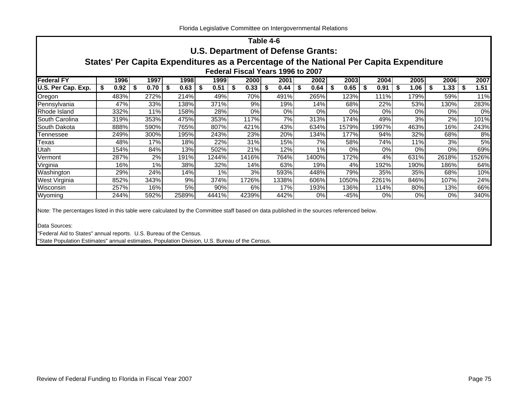|                      |      |   |      |    |       |            |    | Table 4-6 |    |                                           |   |       |            |       |   |                                                                                        |           |       |
|----------------------|------|---|------|----|-------|------------|----|-----------|----|-------------------------------------------|---|-------|------------|-------|---|----------------------------------------------------------------------------------------|-----------|-------|
|                      |      |   |      |    |       |            |    |           |    | <b>U.S. Department of Defense Grants:</b> |   |       |            |       |   |                                                                                        |           |       |
|                      |      |   |      |    |       |            |    |           |    |                                           |   |       |            |       |   |                                                                                        |           |       |
|                      |      |   |      |    |       |            |    |           |    |                                           |   |       |            |       |   | States' Per Capita Expenditures as a Percentage of the National Per Capita Expenditure |           |       |
|                      |      |   |      |    |       |            |    |           |    | Federal Fiscal Years 1996 to 2007         |   |       |            |       |   |                                                                                        |           |       |
| <b>Federal FY</b>    | 1996 |   | 1997 |    | 1998  | 1999       |    | 2000      |    | 2001                                      |   | 2002  | 2003       | 2004  |   | 2005                                                                                   | 2006      | 2007  |
| U.S. Per Cap. Exp.   | 0.92 | S | 0.70 | -S | 0.63  | \$<br>0.51 | £. | $0.33$    | -S | 0.44                                      | S | 0.64  | \$<br>0.65 | 0.91  | S | 1.06                                                                                   | 1.33<br>S | 1.51  |
| Oregon               | 483% |   | 272% |    | 214%  | 49%        |    | 70%       |    | 491%                                      |   | 265%  | 123%       | 111%  |   | 179%                                                                                   | 59%       | 11%   |
| Pennsylvania         | 47%  |   | 33%  |    | 138%  | 371%       |    | 9%        |    | 19%                                       |   | 14%   | 68%        | 22%   |   | 53%                                                                                    | 130%      | 283%  |
| Rhode Island         | 332% |   | 11%  |    | 158%  | 28%        |    | 0%        |    | $0\%$                                     |   | 0%    | 0%         | 0%    |   | 0%                                                                                     | 0%        | 0%    |
| South Carolina       | 319% |   | 353% |    | 475%  | 353%       |    | 117%      |    | 7%                                        |   | 313%  | 174%       | 49%   |   | 3%                                                                                     | 2%        | 101%  |
| South Dakota         | 888% |   | 590% |    | 765%  | 807%       |    | 421%      |    | 43%                                       |   | 634%  | 1579%      | 1997% |   | 463%                                                                                   | 16%       | 243%  |
| Tennessee            | 249% |   | 300% |    | 195%  | 243%       |    | 23%       |    | 20%                                       |   | 134%  | 177%       | 94%   |   | 32%                                                                                    | 68%       | 8%    |
| <b>Texas</b>         | 48%  |   | 17%  |    | 18%   | 22%        |    | 31%       |    | 15%                                       |   | 7%    | 58%        | 74%   |   | 11%                                                                                    | 3%        | 5%    |
| Utah                 | 154% |   | 84%  |    | 13%   | 502%       |    | 21%       |    | 12%                                       |   | 1%    | 0%         | 0%    |   | $0\%$                                                                                  | 0%        | 69%   |
| Vermont              | 287% |   | 2%   |    | 191%  | 1244%      |    | 1416%     |    | 764%                                      |   | 1400% | 172%       | 4%    |   | 631%                                                                                   | 2618%     | 1526% |
| Virginia             | 16%  |   | 1%   |    | 38%   | 32%        |    | 14%       |    | 63%                                       |   | 19%   | 4%         | 192%  |   | 190%                                                                                   | 186%      | 64%   |
| Washington           | 29%  |   | 24%  |    | 14%   | 1%         |    | 3%        |    | 593%                                      |   | 448%  | 79%        | 35%   |   | 35%                                                                                    | 68%       | 10%   |
| <b>West Virginia</b> | 852% |   | 343% |    | 9%    | 374%       |    | 1726%     |    | 1338%                                     |   | 606%  | 1050%      | 2261% |   | 846%                                                                                   | 107%      | 24%   |
| Wisconsin            | 257% |   | 16%  |    | 5%    | 90%        |    | 6%        |    | 17%                                       |   | 193%  | 136%       | 114%  |   | 80%                                                                                    | 13%       | 66%   |
| Wyoming              | 244% |   | 592% |    | 2589% | 4441%      |    | 4239%     |    | 442%                                      |   | $0\%$ | $-45%$     | $0\%$ |   | 0%                                                                                     | 0%        | 340%  |

Data Sources:

"Federal Aid to States" annual reports. U.S. Bureau of the Census.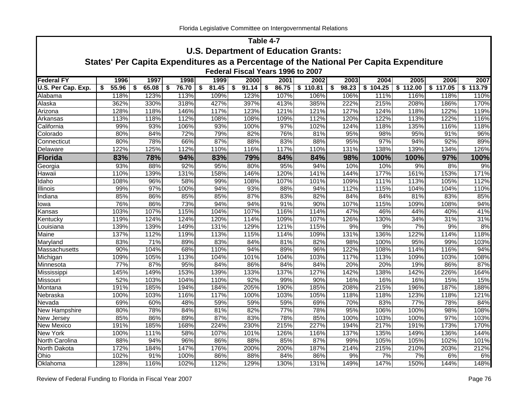|                      |                                                                                                                             |       |    |       |    |       |    |       |    | Table 4-7 |    |       |                                             |    |       |          |          |          |          |
|----------------------|-----------------------------------------------------------------------------------------------------------------------------|-------|----|-------|----|-------|----|-------|----|-----------|----|-------|---------------------------------------------|----|-------|----------|----------|----------|----------|
|                      |                                                                                                                             |       |    |       |    |       |    |       |    |           |    |       | <b>U.S. Department of Education Grants:</b> |    |       |          |          |          |          |
|                      | States' Per Capita Expenditures as a Percentage of the National Per Capita Expenditure<br>Federal Fiscal Years 1996 to 2007 |       |    |       |    |       |    |       |    |           |    |       |                                             |    |       |          |          |          |          |
|                      |                                                                                                                             |       |    |       |    |       |    |       |    |           |    |       |                                             |    |       |          |          |          |          |
| <b>Federal FY</b>    |                                                                                                                             | 1996  |    | 1997  |    | 1998  |    | 1999  |    | 2000      |    | 2001  | 2002                                        |    | 2003  | 2004     | 2005     | 2006     | 2007     |
| U.S. Per Cap. Exp.   | S                                                                                                                           | 55.96 | \$ | 65.08 | \$ | 76.70 | \$ | 81.45 | \$ | 91.14     | \$ | 86.75 | \$110.81                                    | \$ | 98.23 | \$104.25 | \$112.00 | \$117.05 | \$113.79 |
| Alabama              |                                                                                                                             | 118%  |    | 123%  |    | 113%  |    | 109%  |    | 123%      |    | 107%  | 106%                                        |    | 106%  | 111%     | 116%     | 118%     | 110%     |
| Alaska               |                                                                                                                             | 362%  |    | 330%  |    | 318%  |    | 427%  |    | 397%      |    | 413%  | 385%                                        |    | 222%  | 215%     | 208%     | 186%     | 170%     |
| Arizona              |                                                                                                                             | 128%  |    | 118%  |    | 146%  |    | 117%  |    | 123%      |    | 121%  | 121%                                        |    | 127%  | 124%     | 118%     | 122%     | 119%     |
| Arkansas             |                                                                                                                             | 113%  |    | 118%  |    | 112%  |    | 108%  |    | 108%      |    | 109%  | 112%                                        |    | 120%  | 122%     | 113%     | 122%     | 116%     |
| California           |                                                                                                                             | 99%   |    | 93%   |    | 106%  |    | 93%   |    | 100%      |    | 97%   | 102%                                        |    | 124%  | 118%     | 135%     | 116%     | 118%     |
| Colorado             |                                                                                                                             | 80%   |    | 84%   |    | 72%   |    | 79%   |    | 82%       |    | 76%   | 81%                                         |    | 95%   | 98%      | 95%      | 91%      | 96%      |
| Connecticut          |                                                                                                                             | 80%   |    | 78%   |    | 66%   |    | 87%   |    | 88%       |    | 83%   | 88%                                         |    | 95%   | 97%      | 94%      | 92%      | 89%      |
| Delaware             |                                                                                                                             | 122%  |    | 125%  |    | 112%  |    | 110%  |    | 116%      |    | 117%  | 110%                                        |    | 131%  | 138%     | 139%     | 134%     | 126%     |
| <b>Florida</b>       |                                                                                                                             | 83%   |    | 78%   |    | 94%   |    | 83%   |    | 79%       |    | 84%   | 84%                                         |    | 98%   | 100%     | 100%     | 97%      | 100%     |
| Georgia              |                                                                                                                             | 93%   |    | 88%   |    | 92%   |    | 95%   |    | 80%       |    | 95%   | 94%                                         |    | 10%   | 10%      | 9%       | 8%       | 9%       |
| Hawaii               |                                                                                                                             | 110%  |    | 139%  |    | 131%  |    | 158%  |    | 146%      |    | 120%  | 141%                                        |    | 144%  | 177%     | 161%     | 153%     | 171%     |
| Idaho                |                                                                                                                             | 108%  |    | 96%   |    | 58%   |    | 99%   |    | 108%      |    | 107%  | 101%                                        |    | 109%  | 111%     | 113%     | 105%     | 112%     |
| <b>Illinois</b>      |                                                                                                                             | 99%   |    | 97%   |    | 100%  |    | 94%   |    | 93%       |    | 88%   | 94%                                         |    | 112%  | 115%     | 104%     | 104%     | 110%     |
| Indiana              |                                                                                                                             | 85%   |    | 86%   |    | 85%   |    | 85%   |    | 87%       |    | 83%   | 82%                                         |    | 84%   | 84%      | 81%      | 83%      | 85%      |
| lowa                 |                                                                                                                             | 76%   |    | 86%   |    | 73%   |    | 94%   |    | 94%       |    | 91%   | 90%                                         |    | 107%  | 115%     | 109%     | 108%     | 94%      |
| Kansas               |                                                                                                                             | 103%  |    | 107%  |    | 115%  |    | 104%  |    | 107%      |    | 116%  | 114%                                        |    | 47%   | 46%      | 44%      | 40%      | 41%      |
| Kentucky             |                                                                                                                             | 119%  |    | 124%  |    | 124%  |    | 120%  |    | 114%      |    | 109%  | 107%                                        |    | 126%  | 130%     | 34%      | 31%      | 31%      |
| Louisiana            |                                                                                                                             | 139%  |    | 139%  |    | 149%  |    | 131%  |    | 129%      |    | 121%  | 115%                                        |    | 9%    | 9%       | 7%       | 9%       | 8%       |
| Maine                |                                                                                                                             | 137%  |    | 112%  |    | 119%  |    | 113%  |    | 115%      |    | 114%  | 109%                                        |    | 131%  | 136%     | 122%     | 114%     | 118%     |
| Maryland             |                                                                                                                             | 83%   |    | 71%   |    | 89%   |    | 83%   |    | 84%       |    | 81%   | 82%                                         |    | 98%   | 100%     | 95%      | 99%      | 103%     |
| Massachusetts        |                                                                                                                             | 90%   |    | 104%  |    | 68%   |    | 110%  |    | 94%       |    | 89%   | 96%                                         |    | 122%  | 108%     | 114%     | 116%     | 94%      |
| Michigan             |                                                                                                                             | 109%  |    | 105%  |    | 113%  |    | 104%  |    | 101%      |    | 104%  | 103%                                        |    | 117%  | 113%     | 109%     | 103%     | 108%     |
| Minnesota            |                                                                                                                             | 77%   |    | 87%   |    | 95%   |    | 84%   |    | 86%       |    | 84%   | 84%                                         |    | 20%   | 20%      | 19%      | 86%      | 87%      |
| Mississippi          |                                                                                                                             | 145%  |    | 149%  |    | 153%  |    | 139%  |    | 133%      |    | 137%  | 127%                                        |    | 142%  | 138%     | 142%     | 226%     | 164%     |
| Missouri             |                                                                                                                             | 52%   |    | 103%  |    | 104%  |    | 110%  |    | 92%       |    | 99%   | 90%                                         |    | 16%   | 16%      | 16%      | 15%      | 15%      |
| Montana              |                                                                                                                             | 191%  |    | 185%  |    | 194%  |    | 184%  |    | 205%      |    | 190%  | 185%                                        |    | 208%  | 215%     | 196%     | 187%     | 188%     |
| Nebraska             |                                                                                                                             | 100%  |    | 103%  |    | 116%  |    | 117%  |    | 100%      |    | 103%  | 105%                                        |    | 118%  | 118%     | 123%     | 118%     | 121%     |
| Nevada               |                                                                                                                             | 69%   |    | 60%   |    | 48%   |    | 59%   |    | 59%       |    | 59%   | 69%                                         |    | 70%   | 83%      | 77%      | 78%      | 84%      |
| <b>New Hampshire</b> |                                                                                                                             | 80%   |    | 78%   |    | 84%   |    | 81%   |    | 82%       |    | 77%   | 78%                                         |    | 95%   | 106%     | 100%     | 98%      | 108%     |
| <b>New Jersey</b>    |                                                                                                                             | 85%   |    | 86%   |    | 89%   |    | 87%   |    | 83%       |    | 78%   | 85%                                         |    | 100%  | 103%     | 100%     | 97%      | 103%     |
| <b>New Mexico</b>    |                                                                                                                             | 191%  |    | 185%  |    | 168%  |    | 224%  |    | 230%      |    | 215%  | 227%                                        |    | 194%  | 217%     | 191%     | 173%     | 170%     |
| New York             |                                                                                                                             | 100%  |    | 111%  |    | 58%   |    | 107%  |    | 101%      |    | 126%  | 116%                                        |    | 137%  | 135%     | 149%     | 136%     | 144%     |
| North Carolina       |                                                                                                                             | 88%   |    | 94%   |    | 96%   |    | 86%   |    | 88%       |    | 85%   | 87%                                         |    | 99%   | 105%     | 105%     | 102%     | 101%     |
| North Dakota         |                                                                                                                             | 172%  |    | 184%  |    | 147%  |    | 176%  |    | 200%      |    | 200%  | 187%                                        |    | 214%  | 215%     | 210%     | 203%     | 212%     |
| Ohio                 |                                                                                                                             | 102%  |    | 91%   |    | 100%  |    | 86%   |    | 88%       |    | 84%   | 86%                                         |    | 9%    | 7%       | 7%       | 6%       | 6%       |
| Oklahoma             |                                                                                                                             | 128%  |    | 116%  |    | 102%  |    | 112%  |    | 129%      |    | 130%  | 131%                                        |    | 149%  | 147%     | 150%     | 144%     | 148%     |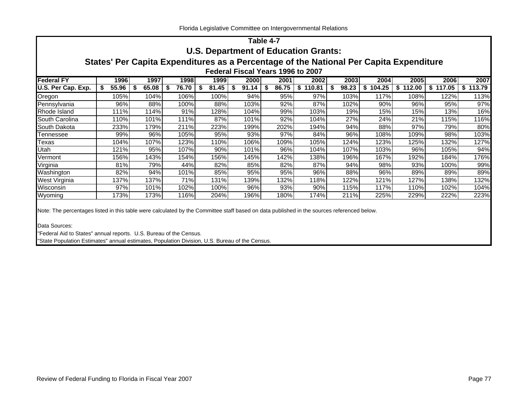|                                                                                                                                                                                                                                                | Table 4-7                                                                                                                                                                                                                                                                          |      |      |       |        |                                   |      |      |      |      |      |      |  |  |  |
|------------------------------------------------------------------------------------------------------------------------------------------------------------------------------------------------------------------------------------------------|------------------------------------------------------------------------------------------------------------------------------------------------------------------------------------------------------------------------------------------------------------------------------------|------|------|-------|--------|-----------------------------------|------|------|------|------|------|------|--|--|--|
|                                                                                                                                                                                                                                                | <b>U.S. Department of Education Grants:</b><br>States' Per Capita Expenditures as a Percentage of the National Per Capita Expenditure                                                                                                                                              |      |      |       |        |                                   |      |      |      |      |      |      |  |  |  |
|                                                                                                                                                                                                                                                |                                                                                                                                                                                                                                                                                    |      |      |       |        |                                   |      |      |      |      |      |      |  |  |  |
|                                                                                                                                                                                                                                                |                                                                                                                                                                                                                                                                                    |      |      |       |        |                                   |      |      |      |      |      |      |  |  |  |
|                                                                                                                                                                                                                                                |                                                                                                                                                                                                                                                                                    |      |      |       |        | Federal Fiscal Years 1996 to 2007 |      |      |      |      |      |      |  |  |  |
| <b>Federal FY</b>                                                                                                                                                                                                                              | 1996                                                                                                                                                                                                                                                                               | 1997 | 1998 | 19991 | 2000 l | 2001                              | 2002 | 2003 | 2004 | 2005 | 2006 | 2007 |  |  |  |
| U.S. Per Cap. Exp.                                                                                                                                                                                                                             | 65.08<br>117.05<br>55.96<br>76.70<br>81.45<br>91.14<br>86.75<br>98.23<br>113.79<br>110.81<br>104.25<br>112.00<br>106%<br>97%<br>105%<br>104%<br>100%<br>94%<br>95%<br>103%<br>117%<br>108%<br>122%<br>96%<br>88%<br>103%<br>92%<br>87%<br>102%<br>90%<br>95%<br>100%<br>88%<br>96% |      |      |       |        |                                   |      |      |      |      |      |      |  |  |  |
| Oregon                                                                                                                                                                                                                                         |                                                                                                                                                                                                                                                                                    |      |      |       |        |                                   |      |      |      |      |      | 113% |  |  |  |
| Pennsylvania                                                                                                                                                                                                                                   |                                                                                                                                                                                                                                                                                    |      |      |       |        |                                   |      |      |      |      |      | 97%  |  |  |  |
| Rhode Island                                                                                                                                                                                                                                   |                                                                                                                                                                                                                                                                                    |      | 91%  |       |        |                                   |      |      |      |      | 13%  | 16%  |  |  |  |
| South Carolina                                                                                                                                                                                                                                 |                                                                                                                                                                                                                                                                                    |      | 111% |       |        |                                   |      |      |      |      | 115% | 116% |  |  |  |
| 114%<br>111%<br>128%<br>104%<br>99%<br>103%<br>19%<br>15%<br>15%<br>92%<br>27%<br>110%<br>101%<br>87%<br>101%<br>24%<br>21%<br>104%<br>80%<br>South Dakota<br>233%<br>179%<br>211%<br>223%<br>199%<br>202%<br>94%<br>88%<br>97%<br>79%<br>194% |                                                                                                                                                                                                                                                                                    |      |      |       |        |                                   |      |      |      |      |      |      |  |  |  |
| <b>Fennessee</b>                                                                                                                                                                                                                               | 99%                                                                                                                                                                                                                                                                                | 96%  | 105% | 95%   | 93%    | 97%                               | 84%  | 96%  | 108% | 109% | 98%  | 103% |  |  |  |
| Texas                                                                                                                                                                                                                                          | 104%                                                                                                                                                                                                                                                                               | 107% | 123% | 110%  | 106%   | 109%                              | 105% | 124% | 123% | 125% | 132% | 127% |  |  |  |
| Utah                                                                                                                                                                                                                                           | 121%                                                                                                                                                                                                                                                                               | 95%  | 107% | 90%   | 101%   | 96%                               | 104% | 107% | 103% | 96%  | 105% | 94%  |  |  |  |
| Vermont                                                                                                                                                                                                                                        | 156%                                                                                                                                                                                                                                                                               | 143% | 154% | 156%  | 145%   | 142%                              | 138% | 196% | 167% | 192% | 184% | 176% |  |  |  |
| Virginia                                                                                                                                                                                                                                       | 81%                                                                                                                                                                                                                                                                                | 79%  | 44%  | 82%   | 85%    | 82%                               | 87%  | 94%  | 98%  | 93%  | 100% | 99%  |  |  |  |
| Washington                                                                                                                                                                                                                                     | 82%                                                                                                                                                                                                                                                                                | 94%  | 101% | 85%   | 95%    | 95%                               | 96%  | 88%  | 96%  | 89%  | 89%  | 89%  |  |  |  |
| West Virginia                                                                                                                                                                                                                                  | 137%                                                                                                                                                                                                                                                                               | 137% | 71%  | 131%  | 139%   | 132%                              | 118% | 122% | 121% | 127% | 138% | 132% |  |  |  |
| Wisconsin                                                                                                                                                                                                                                      | 97%                                                                                                                                                                                                                                                                                | 101% | 102% | 100%  | 96%    | 93%                               | 90%  | 115% | 117% | 110% | 102% | 104% |  |  |  |
| Wyoming                                                                                                                                                                                                                                        | 173%                                                                                                                                                                                                                                                                               | 173% | 116% | 204%  | 196%   | 180%                              | 174% | 211% | 225% | 229% | 222% | 223% |  |  |  |

Data Sources:

"Federal Aid to States" annual reports. U.S. Bureau of the Census.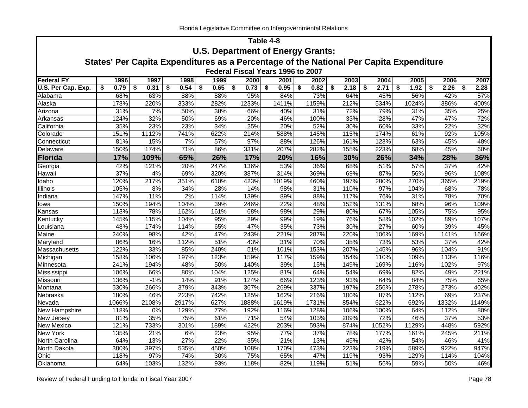|                                                                                                                                    |            |            |            |            |            | Table 4-8  |            |            |            |            |            |            |  |  |
|------------------------------------------------------------------------------------------------------------------------------------|------------|------------|------------|------------|------------|------------|------------|------------|------------|------------|------------|------------|--|--|
| <b>U.S. Department of Energy Grants:</b><br>States' Per Capita Expenditures as a Percentage of the National Per Capita Expenditure |            |            |            |            |            |            |            |            |            |            |            |            |  |  |
| Federal Fiscal Years 1996 to 2007                                                                                                  |            |            |            |            |            |            |            |            |            |            |            |            |  |  |
| <b>Federal FY</b><br>1996<br>1998<br>2000<br>1997<br>1999<br>2001<br>2002<br>2003<br>2004<br>2005<br>2006<br>2007                  |            |            |            |            |            |            |            |            |            |            |            |            |  |  |
|                                                                                                                                    |            |            |            |            |            |            |            |            |            |            |            |            |  |  |
|                                                                                                                                    |            |            |            |            |            |            |            |            |            |            |            |            |  |  |
| U.S. Per Cap. Exp.                                                                                                                 | 0.79<br>\$ | \$<br>0.31 | \$<br>0.54 | \$<br>0.65 | 0.73<br>\$ | 0.95<br>\$ | \$<br>0.82 | 2.18<br>\$ | 2.71<br>\$ | \$<br>1.92 | 2.26<br>\$ | \$<br>2.28 |  |  |
| Alabama                                                                                                                            | 68%        | 63%        | 88%        | 88%        | 95%        | 84%        | 73%        | 64%        | 45%        | 56%        | 42%        | 57%        |  |  |
| Alaska                                                                                                                             | 178%       | 220%       | 333%       | 282%       | 1233%      | 1411%      | 1159%      | 212%       | 534%       | 1024%      | 386%       | 400%       |  |  |
| Arizona                                                                                                                            | 31%        | 7%         | 50%        | 38%        | 66%        | 40%        | 31%        | 72%        | 79%        | 31%        | 35%        | 25%        |  |  |
| Arkansas                                                                                                                           | 124%       | 32%        | 50%        | 69%        | 20%        | 46%        | 100%       | 33%        | 28%        | 47%        | 47%        | 72%        |  |  |
| California                                                                                                                         | 35%        | 23%        | 23%        | 34%        | 25%        | 20%        | 52%        | 30%        | 60%        | 33%        | 22%        | 32%        |  |  |
| Colorado                                                                                                                           | 151%       | 1112%      | 741%       | 622%       | 214%       | 588%       | 145%       | 115%       | 174%       | 61%        | 92%        | 105%       |  |  |
| Connecticut                                                                                                                        | 81%        | 15%        | 7%         | 57%        | 97%        | 88%        | 126%       | 161%       | 123%       | 63%        | 45%        | 48%        |  |  |
| <b>Delaware</b>                                                                                                                    | 150%       | 174%       | 71%        | 86%        | 331%       | 207%       | 282%       | 155%       | 223%       | 68%        | 45%        | 60%        |  |  |
| Florida                                                                                                                            | 17%        | 109%       | 65%        | 26%        | 17%        | 20%        | 16%        | 30%        | 26%        | 34%        | 28%        | 36%        |  |  |
| Georgia                                                                                                                            | 42%        | 121%       | 20%        | 247%       | 136%       | 53%        | 36%        | 68%        | 51%        | 57%        | 37%        | 42%        |  |  |
| Hawaii                                                                                                                             | 37%        | 4%         | 69%        | 320%       | 387%       | 314%       | 369%       | 69%        | 87%        | 56%        | 96%        | 108%       |  |  |
| Idaho                                                                                                                              | 120%       | 217%       | 351%       | 610%       | 423%       | 1019%      | 460%       | 197%       | 280%       | 270%       | 365%       | 219%       |  |  |
| <b>Illinois</b>                                                                                                                    | 105%       | 8%         | 34%        | 28%        | 14%        | 98%        | 31%        | 110%       | 97%        | 104%       | 68%        | 78%        |  |  |
| Indiana                                                                                                                            | 147%       | 11%        | 2%         | 114%       | 139%       | 89%        | 88%        | 117%       | 76%        | 31%        | 78%        | 70%        |  |  |
| lowa                                                                                                                               | 150%       | 194%       | 104%       | 39%        | 246%       | 22%        | 48%        | 152%       | 131%       | 68%        | 96%        | 109%       |  |  |
| Kansas                                                                                                                             | 113%       | 78%        | 162%       | 161%       | 68%        | 98%        | 29%        | 80%        | 67%        | 105%       | 75%        | 95%        |  |  |
| Kentucky                                                                                                                           | 145%       | 115%       | 104%       | 95%        | 29%        | 99%        | 19%        | 76%        | 58%        | 102%       | 89%        | 107%       |  |  |
| Louisiana                                                                                                                          | 48%        | 174%       | 114%       | 65%        | 47%        | 35%        | 73%        | 30%        | 27%        | 60%        | 39%        | 45%        |  |  |
| Maine                                                                                                                              | 240%       | 98%        | 42%        | 47%        | 243%       | 221%       | 287%       | 220%       | 106%       | 169%       | 141%       | 166%       |  |  |
| Maryland                                                                                                                           | 86%        | 16%        | 112%       | 51%        | 43%        | 31%        | 70%        | 35%        | 73%        | 53%        | 37%        | 42%        |  |  |
| Massachusetts                                                                                                                      | 122%       | 33%        | 85%        | 240%       | 51%        | 101%       | 153%       | 207%       | 145%       | 96%        | 104%       | 91%        |  |  |
| Michigan                                                                                                                           | 158%       | 106%       | 197%       | 123%       | 159%       | 117%       | 159%       | 154%       | 110%       | 109%       | 113%       | 116%       |  |  |
| Minnesota                                                                                                                          | 241%       | 194%       | 48%        | 50%        | 140%       | 39%        | 15%        | 149%       | 169%       | 116%       | 102%       | 97%        |  |  |
| Mississippi                                                                                                                        | 106%       | 66%        | 80%        | 104%       | 125%       | 81%        | 64%        | 54%        | 69%        | 82%        | 49%        | 221%       |  |  |
| <b>Missouri</b>                                                                                                                    | 136%       | $-1%$      | 14%        | 91%        | 124%       | 66%        | 123%       | 93%        | 64%        | 84%        | 75%        | 65%        |  |  |
| Montana                                                                                                                            | 530%       | 266%       | 379%       | 343%       | 367%       | 269%       | 337%       | 197%       | 256%       | 278%       | 273%       | 402%       |  |  |
| Nebraska                                                                                                                           | 180%       | 46%        | 223%       | 742%       | 125%       | 162%       | 216%       | 100%       | 87%        | 112%       | 69%        | 237%       |  |  |
| Nevada                                                                                                                             | 1066%      | 2108%      | 2917%      | 627%       | 1888%      | 1619%      | 1731%      | 854%       | 622%       | 692%       | 1332%      | 1149%      |  |  |
| New Hampshire                                                                                                                      | 118%       | 0%         | 129%       | 77%        | 192%       | 116%       | 128%       | 106%       | 100%       | 64%        | 112%       | 80%        |  |  |
| <b>New Jersey</b>                                                                                                                  | 81%        | 35%        | 75%        | 61%        | 71%        | 54%        | 103%       | 209%       | 72%        | 46%        | 37%        | 53%        |  |  |
| <b>New Mexico</b>                                                                                                                  | 121%       | 733%       | 301%       | 189%       | 422%       | 203%       | 593%       | 874%       | 1052%      | 1129%      | 448%       | 592%       |  |  |
| <b>New York</b>                                                                                                                    | 135%       | 21%        | 6%         | 23%        | 95%        | 77%        | 37%        | 78%        | 177%       | 161%       | 245%       | 211%       |  |  |
| North Carolina                                                                                                                     | 64%        | 13%        | 27%        | 22%        | 35%        | 21%        | 13%        | 45%        | 42%        | 54%        | 46%        | 41%        |  |  |
| North Dakota                                                                                                                       | 380%       | 397%       | 535%       | 450%       | 108%       | 170%       | 473%       | 223%       | 219%       | 589%       | 922%       | 947%       |  |  |
| Ohio                                                                                                                               | 118%       | 97%        | 74%        | 30%        | 75%        | 65%        | 47%        | 119%       | 93%        | 129%       | 114%       | 104%       |  |  |
| Oklahoma                                                                                                                           | 64%        | 103%       | 132%       | 93%        | 118%       | 82%        | 119%       | 51%        | 56%        | 59%        | 50%        | 46%        |  |  |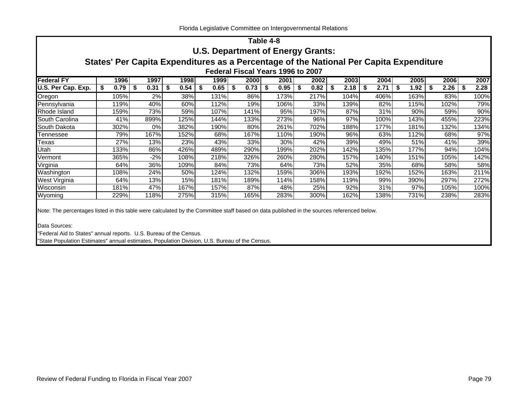|                    |                                                                                                                                    |      |   |       |   |      |           |  | Table 4-8                         |    |      |   |      |    |      |      |   |      |   |      |      |
|--------------------|------------------------------------------------------------------------------------------------------------------------------------|------|---|-------|---|------|-----------|--|-----------------------------------|----|------|---|------|----|------|------|---|------|---|------|------|
|                    | <b>U.S. Department of Energy Grants:</b><br>States' Per Capita Expenditures as a Percentage of the National Per Capita Expenditure |      |   |       |   |      |           |  |                                   |    |      |   |      |    |      |      |   |      |   |      |      |
|                    |                                                                                                                                    |      |   |       |   |      |           |  |                                   |    |      |   |      |    |      |      |   |      |   |      |      |
|                    |                                                                                                                                    |      |   |       |   |      |           |  |                                   |    |      |   |      |    |      |      |   |      |   |      |      |
|                    |                                                                                                                                    |      |   |       |   |      |           |  | Federal Fiscal Years 1996 to 2007 |    |      |   |      |    |      |      |   |      |   |      |      |
| <b>Federal FY</b>  |                                                                                                                                    | 1996 |   | 1997  |   | 1998 | 1999      |  | 2000                              |    | 2001 |   | 2002 |    | 2003 | 2004 |   | 2005 |   | 2006 | 2007 |
| U.S. Per Cap. Exp. | S.                                                                                                                                 | 0.79 | S | 0.31  | S | 0.54 | 0.65<br>S |  | 0.73<br>- \$                      | -S | 0.95 | S | 0.82 | \$ | 2.18 | 2.71 | S | 1.92 | S | 2.26 | 2.28 |
| Oregon             |                                                                                                                                    | 105% |   | 2%    |   | 38%  | 131%      |  | 86%                               |    | 173% |   | 217% |    | 104% | 406% |   | 163% |   | 83%  | 100% |
| Pennsylvania       |                                                                                                                                    | 19%  |   | 40%   |   | 60%  | 112%      |  | 19%                               |    | 106% |   | 33%  |    | 139% | 82%  |   | 115% |   | 102% | 79%  |
| Rhode Island       |                                                                                                                                    | 159% |   | 73%   |   | 59%  | 107%      |  | 141%                              |    | 95%  |   | 197% |    | 87%  | 31%  |   | 90%  |   | 59%  | 90%  |
| South Carolina     |                                                                                                                                    | 41%  |   | 899%  |   | 125% | 144%      |  | 133%                              |    | 273% |   | 96%  |    | 97%  | 100% |   | 143% |   | 455% | 223% |
| South Dakota       |                                                                                                                                    | 302% |   | 0%    |   | 382% | 190%      |  | 80%                               |    | 261% |   | 702% |    | 188% | 177% |   | 181% |   | 132% | 134% |
| Tennessee          |                                                                                                                                    | 79%  |   | 167%  |   | 152% | 68%       |  | 167%                              |    | 110% |   | 190% |    | 96%  | 63%  |   | 112% |   | 68%  | 97%  |
| Texas              |                                                                                                                                    | 27%  |   | 13%   |   | 23%  | 43%       |  | 33%                               |    | 30%  |   | 42%  |    | 39%  | 49%  |   | 51%  |   | 41%  | 39%  |
| Utah               |                                                                                                                                    | 133% |   | 86%   |   | 426% | 489%      |  | 290%                              |    | 199% |   | 202% |    | 142% | 135% |   | 177% |   | 94%  | 104% |
| Vermont            |                                                                                                                                    | 365% |   | $-2%$ |   | 108% | 218%      |  | 326%                              |    | 260% |   | 280% |    | 157% | 140% |   | 151% |   | 105% | 142% |
| Virginia           |                                                                                                                                    | 64%  |   | 36%   |   | 109% | 84%       |  | 73%                               |    | 64%  |   | 73%  |    | 52%  | 35%  |   | 68%  |   | 58%  | 58%  |
| Washington         |                                                                                                                                    | 108% |   | 24%   |   | 50%  | 124%      |  | 132%                              |    | 159% |   | 306% |    | 193% | 192% |   | 152% |   | 163% | 211% |
| West Virginia      |                                                                                                                                    | 64%  |   | 13%   |   | 15%  | 181%      |  | 189%                              |    | 114% |   | 158% |    | 119% | 99%  |   | 390% |   | 297% | 272% |
| Wisconsin          |                                                                                                                                    | 181% |   | 47%   |   | 167% | 157%      |  | 87%                               |    | 48%  |   | 25%  |    | 92%  | 31%  |   | 97%  |   | 105% | 100% |
| Wyoming            |                                                                                                                                    | 229% |   | 118%  |   | 275% | 315%      |  | 165%                              |    | 283% |   | 300% |    | 162% | 138% |   | 731% |   | 238% | 283% |

Data Sources:

"Federal Aid to States" annual reports. U.S. Bureau of the Census.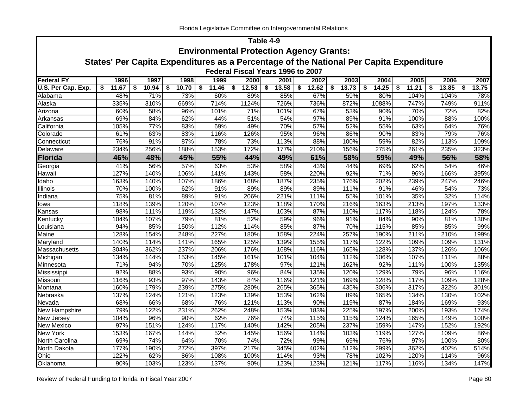|                                                                                                                             |   |       |    |       |    |       |    |       |    | Table 4-9                                      |    |       |    |       |             |             |             |             |      |    |       |
|-----------------------------------------------------------------------------------------------------------------------------|---|-------|----|-------|----|-------|----|-------|----|------------------------------------------------|----|-------|----|-------|-------------|-------------|-------------|-------------|------|----|-------|
|                                                                                                                             |   |       |    |       |    |       |    |       |    | <b>Environmental Protection Agency Grants:</b> |    |       |    |       |             |             |             |             |      |    |       |
| States' Per Capita Expenditures as a Percentage of the National Per Capita Expenditure<br>Federal Fiscal Years 1996 to 2007 |   |       |    |       |    |       |    |       |    |                                                |    |       |    |       |             |             |             |             |      |    |       |
| 2000<br>2001<br>2003<br><b>Federal FY</b><br>1996<br>1997<br>1998<br>1999<br>2002<br>2004<br>2005<br>2006                   |   |       |    |       |    |       |    |       |    |                                                |    |       |    |       |             |             |             |             |      |    |       |
|                                                                                                                             |   |       |    |       |    |       |    |       |    |                                                |    |       |    |       |             |             |             |             |      |    | 2007  |
| U.S. Per Cap. Exp.                                                                                                          | S | 11.67 | \$ | 10.94 | \$ | 10.70 | \$ | 11.46 | \$ | 12.53                                          | \$ | 13.58 | \$ | 12.62 | \$<br>13.73 | \$<br>14.25 | \$<br>11.21 | 13.85<br>\$ |      | \$ | 13.75 |
| Alabama                                                                                                                     |   | 48%   |    | 71%   |    | 73%   |    | 60%   |    | 89%                                            |    | 85%   |    | 67%   | 59%         | 80%         | 104%        |             | 104% |    | 78%   |
| Alaska                                                                                                                      |   | 335%  |    | 310%  |    | 669%  |    | 714%  |    | 1124%                                          |    | 726%  |    | 736%  | 872%        | 1088%       | 747%        |             | 749% |    | 911%  |
| Arizona                                                                                                                     |   | 60%   |    | 58%   |    | 96%   |    | 101%  |    | 71%                                            |    | 101%  |    | 67%   | 53%         | 90%         | 70%         |             | 72%  |    | 82%   |
| Arkansas                                                                                                                    |   | 69%   |    | 84%   |    | 62%   |    | 44%   |    | 51%                                            |    | 54%   |    | 97%   | 89%         | 91%         | 100%        |             | 88%  |    | 100%  |
| California                                                                                                                  |   | 105%  |    | 77%   |    | 83%   |    | 69%   |    | 49%                                            |    | 70%   |    | 57%   | 52%         | 55%         | 63%         |             | 64%  |    | 76%   |
| Colorado                                                                                                                    |   | 61%   |    | 63%   |    | 83%   |    | 116%  |    | 126%                                           |    | 95%   |    | 96%   | 86%         | 90%         | 83%         |             | 79%  |    | 76%   |
| Connecticut                                                                                                                 |   | 76%   |    | 91%   |    | 87%   |    | 78%   |    | 73%                                            |    | 113%  |    | 88%   | 100%        | 59%         | 82%         |             | 113% |    | 109%  |
| Delaware                                                                                                                    |   | 234%  |    | 256%  |    | 188%  |    | 153%  |    | 172%                                           |    | 177%  |    | 210%  | 156%        | 275%        | 261%        |             | 235% |    | 323%  |
| <b>Florida</b>                                                                                                              |   | 46%   |    | 48%   |    | 45%   |    | 55%   |    | 44%                                            |    | 49%   |    | 61%   | 58%         | 59%         | 49%         |             | 56%  |    | 58%   |
| Georgia                                                                                                                     |   | 41%   |    | 56%   |    | 57%   |    | 63%   |    | 53%                                            |    | 58%   |    | 43%   | 44%         | 69%         | 62%         |             | 54%  |    | 46%   |
| Hawaii                                                                                                                      |   | 127%  |    | 140%  |    | 106%  |    | 141%  |    | 143%                                           |    | 58%   |    | 220%  | 92%         | 71%         | 96%         |             | 166% |    | 395%  |
| ldaho                                                                                                                       |   | 163%  |    | 140%  |    | 107%  |    | 186%  |    | 168%                                           |    | 187%  |    | 235%  | 176%        | 202%        | 239%        |             | 247% |    | 246%  |
| <b>Illinois</b>                                                                                                             |   | 70%   |    | 100%  |    | 62%   |    | 91%   |    | 89%                                            |    | 89%   |    | 89%   | 111%        | 91%         | 46%         |             | 54%  |    | 73%   |
| <b>Indiana</b>                                                                                                              |   | 75%   |    | 81%   |    | 89%   |    | 91%   |    | 206%                                           |    | 221%  |    | 111%  | 55%         | 101%        | 35%         |             | 32%  |    | 114%  |
| lowa                                                                                                                        |   | 118%  |    | 139%  |    | 120%  |    | 107%  |    | 123%                                           |    | 118%  |    | 170%  | 216%        | 163%        | 213%        |             | 197% |    | 133%  |
| Kansas                                                                                                                      |   | 98%   |    | 111%  |    | 119%  |    | 132%  |    | 147%                                           |    | 103%  |    | 87%   | 110%        | 117%        | 118%        |             | 124% |    | 78%   |
| Kentucky                                                                                                                    |   | 104%  |    | 107%  |    | 79%   |    | 81%   |    | 52%                                            |    | 59%   |    | 96%   | 91%         | 84%         | 90%         |             | 81%  |    | 130%  |
| ouisiana.                                                                                                                   |   | 94%   |    | 85%   |    | 150%  |    | 112%  |    | 114%                                           |    | 85%   |    | 87%   | 70%         | 115%        | 85%         |             | 85%  |    | 99%   |
| Maine                                                                                                                       |   | 128%  |    | 154%  |    | 248%  |    | 227%  |    | 180%                                           |    | 158%  |    | 224%  | 257%        | 190%        | 211%        |             | 210% |    | 199%  |
| Maryland                                                                                                                    |   | 140%  |    | 114%  |    | 141%  |    | 165%  |    | 125%                                           |    | 139%  |    | 155%  | 117%        | 122%        | 109%        |             | 109% |    | 131%  |
| Massachusetts                                                                                                               |   | 304%  |    | 362%  |    | 237%  |    | 206%  |    | 176%                                           |    | 168%  |    | 116%  | 165%        | 128%        | 137%        |             | 126% |    | 106%  |
| <b>Michigan</b>                                                                                                             |   | 134%  |    | 144%  |    | 153%  |    | 145%  |    | 161%                                           |    | 101%  |    | 104%  | 112%        | 106%        | 107%        |             | 111% |    | 88%   |
| Minnesota                                                                                                                   |   | 71%   |    | 94%   |    | 70%   |    | 125%  |    | 178%                                           |    | 97%   |    | 121%  | 162%        | 92%         | 111%        |             | 100% |    | 135%  |
| Mississippi                                                                                                                 |   | 92%   |    | 88%   |    | 93%   |    | 90%   |    | 96%                                            |    | 84%   |    | 135%  | 120%        | 129%        | 79%         |             | 96%  |    | 116%  |
| <b>Missouri</b>                                                                                                             |   | 116%  |    | 93%   |    | 97%   |    | 143%  |    | 84%                                            |    | 116%  |    | 121%  | 169%        | 128%        | 117%        |             | 109% |    | 128%  |
| Montana                                                                                                                     |   | 160%  |    | 179%  |    | 239%  |    | 275%  |    | 280%                                           |    | 265%  |    | 365%  | 435%        | 306%        | 317%        |             | 322% |    | 301%  |
| Nebraska                                                                                                                    |   | 137%  |    | 124%  |    | 121%  |    | 123%  |    | 139%                                           |    | 153%  |    | 162%  | 89%         | 165%        | 134%        |             | 130% |    | 102%  |
| Nevada                                                                                                                      |   | 68%   |    | 66%   |    | 68%   |    | 76%   |    | 121%                                           |    | 113%  |    | 90%   | 119%        | 87%         | 184%        |             | 169% |    | 93%   |
| <b>New Hampshire</b>                                                                                                        |   | 79%   |    | 122%  |    | 231%  |    | 262%  |    | 248%                                           |    | 153%  |    | 183%  | 225%        | 197%        | 200%        |             | 193% |    | 174%  |
| New Jersey                                                                                                                  |   | 104%  |    | 96%   |    | 90%   |    | 62%   |    | 76%                                            |    | 74%   |    | 115%  | 115%        | 124%        | 165%        |             | 149% |    | 100%  |
| <b>New Mexico</b>                                                                                                           |   | 97%   |    | 151%  |    | 124%  |    | 117%  |    | 140%                                           |    | 142%  |    | 205%  | 237%        | 159%        | 147%        |             | 152% |    | 192%  |
| <b>New York</b>                                                                                                             |   | 153%  |    | 167%  |    | 144%  |    | 52%   |    | 145%                                           |    | 156%  |    | 114%  | 103%        | 119%        | 127%        |             | 109% |    | 86%   |
| North Carolina                                                                                                              |   | 69%   |    | 74%   |    | 64%   |    | 70%   |    | 74%                                            |    | 72%   |    | 99%   | 69%         | 76%         | 97%         |             | 100% |    | 80%   |
| North Dakota                                                                                                                |   | 177%  |    | 190%  |    | 272%  |    | 397%  |    | 217%                                           |    | 345%  |    | 402%  | 512%        | 299%        | 362%        |             | 402% |    | 514%  |
| Ohio                                                                                                                        |   | 122%  |    | 62%   |    | 86%   |    | 108%  |    | 100%                                           |    | 114%  |    | 93%   | 78%         | 102%        | 120%        |             | 114% |    | 96%   |
| Oklahoma                                                                                                                    |   | 90%   |    | 103%  |    | 123%  |    | 137%  |    | 90%                                            |    | 123%  |    | 123%  | 121%        | 117%        | 116%        |             | 134% |    | 147%  |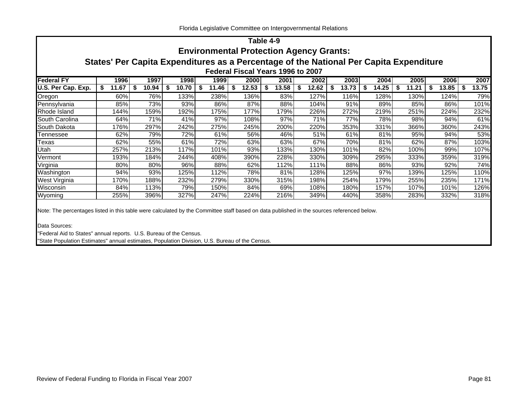|                    | Table 4-9<br><b>Environmental Protection Agency Grants:</b> |            |                                                                                        |            |            |                                   |       |            |       |       |       |       |  |  |
|--------------------|-------------------------------------------------------------|------------|----------------------------------------------------------------------------------------|------------|------------|-----------------------------------|-------|------------|-------|-------|-------|-------|--|--|
|                    |                                                             |            |                                                                                        |            |            |                                   |       |            |       |       |       |       |  |  |
|                    |                                                             |            | States' Per Capita Expenditures as a Percentage of the National Per Capita Expenditure |            |            |                                   |       |            |       |       |       |       |  |  |
|                    |                                                             |            |                                                                                        |            |            |                                   |       |            |       |       |       |       |  |  |
|                    |                                                             |            |                                                                                        |            |            | Federal Fiscal Years 1996 to 2007 |       |            |       |       |       |       |  |  |
| <b>Federal FY</b>  | 1996                                                        | 1997       | 1998                                                                                   | 1999       | 2000       | 2001                              | 2002  | 2003       | 2004  | 2005  | 2006  | 2007  |  |  |
| U.S. Per Cap. Exp. | 11.67                                                       | 10.94<br>S | 10.70<br>- 5                                                                           | 11.46<br>S | 12.53<br>S | 13.58<br>S                        | 12.62 | 13.73<br>S | 14.25 | 11.21 | 13.85 | 13.75 |  |  |
| Oregon             | 60%                                                         | 76%        | 133%                                                                                   | 238%       | 136%       | 83%                               | 127%  | 116%       | 128%  | 130%  | 124%  | 79%   |  |  |
| Pennsylvania       | 85%                                                         | 73%        | 93%                                                                                    | 86%        | 87%        | 88%                               | 104%  | 91%        | 89%   | 85%   | 86%   | 101%  |  |  |
| Rhode Island       | 144%                                                        | 159%       | 192%                                                                                   | 175%       | 177%       | 179%                              | 226%  | 272%       | 219%  | 251%  | 224%  | 232%  |  |  |
| South Carolina     | 64%                                                         | 71%        | 41%                                                                                    | 97%        | 108%       | 97%                               | 71%   | 77%        | 78%   | 98%   | 94%   | 61%   |  |  |
| South Dakota       | 176%                                                        | 297%       | 242%                                                                                   | 275%       | 245%       | 200%                              | 220%  | 353%       | 331%  | 366%  | 360%  | 243%  |  |  |
| Tennessee          | 62%                                                         | 79%        | 72%                                                                                    | 61%        | 56%        | 46%                               | 51%   | 61%        | 81%   | 95%   | 94%   | 53%   |  |  |
| Texas              | 62%                                                         | 55%        | 61%                                                                                    | 72%        | 63%        | 63%                               | 67%   | 70%        | 81%   | 62%   | 87%   | 103%  |  |  |
| Utah               | 257%                                                        | 213%       | 117%                                                                                   | 101%       | 93%        | 133%                              | 130%  | 101%       | 82%   | 100%  | 99%   | 107%  |  |  |
| Vermont            | 193%                                                        | 184%       | 244%                                                                                   | 408%       | 390%       | 228%                              | 330%  | 309%       | 295%  | 333%  | 359%  | 319%  |  |  |
| Virginia           | 80%                                                         | 80%        | 96%                                                                                    | 88%        | 62%        | 112%                              | 111%  | 88%        | 86%   | 93%   | 92%   | 74%   |  |  |
| Washington         | 94%                                                         | 93%        | 125%                                                                                   | 112%       | 78%        | 81%                               | 128%  | 125%       | 97%   | 139%  | 125%  | 110%  |  |  |
| West Virginia      | 170%                                                        | 188%       | 232%                                                                                   | 279%       | 330%       | 315%                              | 198%  | 254%       | 179%  | 255%  | 235%  | 171%  |  |  |
| Wisconsin          | 84%                                                         | 113%       | 79%                                                                                    | 150%       | 84%        | 69%                               | 108%  | 180%       | 157%  | 107%  | 101%  | 126%  |  |  |
| Wyoming            | 255%                                                        | 396%       | 327%                                                                                   | 247%       | 224%       | 216%                              | 349%  | 440%       | 358%  | 283%  | 332%  | 318%  |  |  |

Data Sources:

"Federal Aid to States" annual reports. U.S. Bureau of the Census.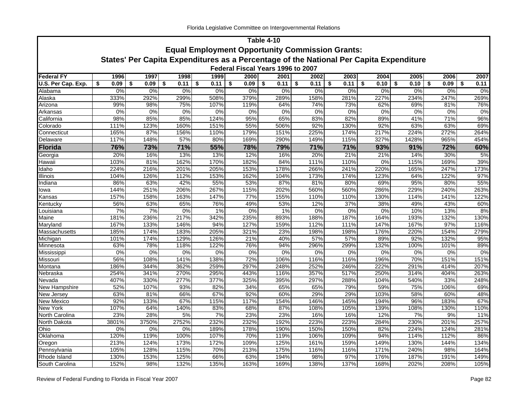|                         |              |              |             |                                                                                        |             | Table 4-10 |                                   |                    |              |             |             |             |    |             |
|-------------------------|--------------|--------------|-------------|----------------------------------------------------------------------------------------|-------------|------------|-----------------------------------|--------------------|--------------|-------------|-------------|-------------|----|-------------|
|                         |              |              |             | <b>Equal Employment Opportunity Commission Grants:</b>                                 |             |            |                                   |                    |              |             |             |             |    |             |
|                         |              |              |             | States' Per Capita Expenditures as a Percentage of the National Per Capita Expenditure |             |            |                                   |                    |              |             |             |             |    |             |
|                         |              |              |             |                                                                                        |             |            | Federal Fiscal Years 1996 to 2007 |                    |              |             |             |             |    |             |
|                         |              |              |             |                                                                                        |             |            |                                   |                    |              |             |             |             |    |             |
| <b>Federal FY</b>       | 1996<br>0.09 | 1997         | 1998        | 1999                                                                                   | 2000        |            | 2001                              | 2002               | 2003         | 2004        | 2005        | 2006        |    | 2007        |
| U.S. Per Cap. Exp.      | \$           | \$<br>0.09   | \$<br>0.11  | 0.11<br>\$                                                                             | \$<br>0.09  | \$         | 0.11                              | \$<br>0.11         | \$<br>0.11   | \$<br>0.10  | \$<br>0.10  | \$<br>0.09  |    | \$<br>0.11  |
| Alabama                 | 0%<br>333%   | 0%           | 0%          | 0%                                                                                     | 0%<br>379%  |            | 0%                                | 0%                 | 0%           | 0%<br>227%  | 0%          |             | 0% | 0%          |
| Alaska<br>Arizona       | 99%          | 292%<br>98%  | 299%<br>75% | 508%<br>107%                                                                           | 119%        |            | 289%<br>64%                       | 158%<br><b>74%</b> | 281%<br>73%  | 62%         | 234%<br>69% | 247%<br>81% |    | 269%<br>76% |
| Arkansas                | 0%           | 0%           | 0%          | 0%                                                                                     | 0%          |            | 0%                                | 0%                 | 0%           | 0%          | 0%          |             | 0% | 0%          |
| California              | 98%          | 85%          | 85%         | 124%                                                                                   | 95%         |            | 65%                               | 83%                | 82%          | 89%         | 41%         | 71%         |    | 96%         |
| Colorado                | 111%         | 123%         | 160%        | 151%                                                                                   | 55%         |            | 506%                              | 92%                | 130%         | 92%         | 63%         | 63%         |    | 69%         |
| Connecticut             | 165%         | 87%          | 156%        | 110%                                                                                   | 179%        |            | 151%                              | 225%               | 174%         | 217%        | 224%        | 272%        |    | 264%        |
| <b>Delaware</b>         | 117%         | 148%         | 57%         | 80%                                                                                    | 169%        |            | 290%                              | 149%               | 115%         | 327%        | 1428%       | 965%        |    | 454%        |
| <b>Florida</b>          | 76%          | 73%          | 71%         | 55%                                                                                    | 78%         |            | 79%                               | 71%                | 71%          | 93%         | 91%         | 72%         |    | 60%         |
| Georgia                 | 20%          | 16%          | 13%         | 13%                                                                                    | 12%         |            | 16%                               | 20%                | 21%          | 21%         | 14%         | 30%         |    | 5%          |
| Hawaii                  | 103%         | 81%          | 162%        | 170%                                                                                   | 182%        |            | 84%                               | 111%               | 110%         | 0%          | 115%        | 169%        |    | 39%         |
| Idaho                   | 224%         | 216%         | 201%        | 205%                                                                                   | 153%        |            | 178%                              | 266%               | 241%         | 220%        | 165%        | 247%        |    | 173%        |
| <b>Illinois</b>         | 104%         | 126%         | 112%        | 153%                                                                                   | 162%        |            | 104%                              | 173%               | 174%         | 123%        | 64%         | 122%        |    | 97%         |
| Indiana                 | 86%          | 63%          | 42%         | 55%                                                                                    | 53%         |            | 87%                               | 81%                | 80%          | 69%         | 95%         | 80%         |    | 55%         |
| lowa                    | 144%         | 251%         | 206%        | 267%                                                                                   | 115%        |            | 202%                              | 560%               | 560%         | 286%        | 229%        | 240%        |    | 263%        |
| Kansas                  | 157%         | 158%         | 163%        | 147%                                                                                   | 77%         |            | 155%                              | 110%               | 110%         | 130%        | 114%        | 141%        |    | 122%        |
| Kentucky                | 56%          | 63%          | 65%         | 76%                                                                                    | 49%         |            | 53%                               | 12%                | 37%          | 38%         | 49%         | 43%         |    | 60%         |
| _ouisiana               | 7%           | 7%           | 0%          | 1%                                                                                     | 0%          |            | 1%                                | 0%                 | 0%           | 0%          | 10%         | 13%         |    | 8%          |
| Maine                   | 181%         | 236%         | 217%        | 342%                                                                                   | 235%        |            | 893%                              | 188%               | 187%         | 164%        | 193%        | 132%        |    | 130%        |
| Maryland                | 167%         | 133%         | 146%        | 94%                                                                                    | 127%        |            | 159%                              | 112%               | 111%         | 147%        | 167%        | 97%         |    | 116%        |
| <b>Massachusetts</b>    | 185%         | 174%         | 183%        | 205%                                                                                   | 321%        |            | 23%                               | 198%               | 198%         | 176%        | 220%        | 154%        |    | 279%        |
| Michigan                | 101%         | 174%         | 129%        | 126%                                                                                   | 21%         |            | 40%                               | 57%                | 57%          | 89%         | 92%         | 132%        |    | 95%         |
| Minnesota               | 63%          | 78%          | 118%        | 122%                                                                                   | 76%         |            | 94%                               | 296%               | 299%         | 132%        | 100%        | 101%        |    | 89%         |
| Mississippi             | 0%           | 0%           | 0%          | 0%                                                                                     | 0%          |            | 0%                                | 0%                 | 0%           | 0%          | 0%          |             | 0% | 0%          |
| Missouri                | 56%          | 108%         | 141%        | 138%                                                                                   | 72%         |            | 106%                              | 116%               | 116%         | 196%        | 70%         | 151%        |    | 151%        |
| Montana                 | 186%         | 344%         | 362%        | 259%                                                                                   | 297%        |            | 248%                              | 252%               | 246%         | 222%        | 291%        | 414%        |    | 207%        |
| Nebraska                | 254%<br>407% | 341%         | 270%        | 295%<br>377%                                                                           | 443%        |            | 116%<br>395%                      | 357%<br>297%       | 517%<br>288% | 250%        | 314%        | 404%<br>33% |    | 263%        |
| Nevada<br>New Hampshire | 52%          | 330%<br>107% | 277%<br>93% | 82%                                                                                    | 325%<br>34% |            | 65%                               | 65%                | 79%          | 104%<br>59% | 540%<br>75% | 106%        |    | 248%<br>69% |
| New Jersey              | 63%          | 81%          | 66%         | 67%                                                                                    | 92%         |            | 60%                               | 29%                | 29%          | 103%        | 58%         | 60%         |    | 48%         |
| New Mexico              | 92%          | 133%         | 67%         | 115%                                                                                   | 117%        |            | 154%                              | 146%               | 145%         | 194%        | 96%         | 183%        |    | 67%         |
| <b>New York</b>         | 107%         | 64%          | 140%        | 83%                                                                                    | 68%         |            | 87%                               | 108%               | 105%         | 139%        | 108%        | 130%        |    | 110%        |
| North Carolina          | 23%          | 28%          | 5%          | 7%                                                                                     | 23%         |            | 23%                               | 16%                | 16%          | 12%         | 7%          | 9%          |    | 11%         |
| North Dakota            | 3801%        | 3750%        | 2752%       | 232%                                                                                   | 232%        |            | 192%                              | 223%               | 223%         | 284%        | 230%        | 201%        |    | 257%        |
| Ohio                    | 0%           | 0%           | 0%          | 189%                                                                                   | 178%        |            | 190%                              | 150%               | 150%         | 82%         | 224%        | 124%        |    | 281%        |
| Oklahoma                | 120%         | 119%         | 100%        | 107%                                                                                   | 70%         |            | 119%                              | 106%               | 109%         | 94%         | 114%        | 112%        |    | 86%         |
| Oregon                  | 213%         | 124%         | 173%        | 172%                                                                                   | 109%        |            | 125%                              | 161%               | 159%         | 149%        | 130%        | 144%        |    | 134%        |
| Pennsylvania            | 105%         | 128%         | 115%        | 70%                                                                                    | 213%        |            | 175%                              | 116%               | 116%         | 171%        | 240%        | 98%         |    | 164%        |
| Rhode Island            | 130%         | 153%         | 125%        | 66%                                                                                    | 63%         |            | 194%                              | 98%                | 97%          | 176%        | 187%        | 191%        |    | 149%        |
| South Carolina          | 152%         | 98%          | 132%        | 135%                                                                                   | 163%        |            | 169%                              | 138%               | 137%         | 168%        | 202%        | 208%        |    | 105%        |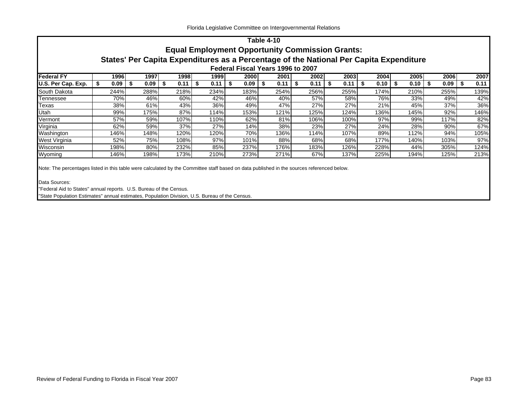|                    |                                                                                                                                                                                                                             |      |                                                                                        |      |      | Table 4-10 |      |                                                        |      |      |      |  |      |  |  |
|--------------------|-----------------------------------------------------------------------------------------------------------------------------------------------------------------------------------------------------------------------------|------|----------------------------------------------------------------------------------------|------|------|------------|------|--------------------------------------------------------|------|------|------|--|------|--|--|
|                    |                                                                                                                                                                                                                             |      |                                                                                        |      |      |            |      | <b>Equal Employment Opportunity Commission Grants:</b> |      |      |      |  |      |  |  |
|                    |                                                                                                                                                                                                                             |      | States' Per Capita Expenditures as a Percentage of the National Per Capita Expenditure |      |      |            |      |                                                        |      |      |      |  |      |  |  |
|                    |                                                                                                                                                                                                                             |      |                                                                                        |      |      |            |      |                                                        |      |      |      |  |      |  |  |
| Federal FY         | Federal Fiscal Years 1996 to 2007<br>1996<br>2004<br>2007<br>1997<br>1998<br>1999 l<br>2000<br>2003<br>2005<br>2006<br>2001<br>2002<br>0.09<br>0.11<br>0.09<br>0.10<br>0.09<br>0.09<br>0.11<br>0.11<br>0.11<br>0.10<br>0.11 |      |                                                                                        |      |      |            |      |                                                        |      |      |      |  |      |  |  |
| U.S. Per Cap. Exp. |                                                                                                                                                                                                                             |      |                                                                                        |      |      |            |      |                                                        |      |      |      |  | 0.11 |  |  |
| South Dakota       | 244%                                                                                                                                                                                                                        | 288% | 218%                                                                                   | 234% | 183% | 254%       | 256% | 255%                                                   | 174% | 210% | 255% |  | 139% |  |  |
| Tennessee          | 70%                                                                                                                                                                                                                         | 46%  | 60%                                                                                    | 42%  | 46%  | 40%        | 57%  | 58%                                                    | 76%  | 33%  | 49%  |  | 42%  |  |  |
| Texas              | 38%                                                                                                                                                                                                                         | 61%  | 43%                                                                                    | 36%  | 49%  | 47%        | 27%  | 27%                                                    | 21%  | 45%  | 37%  |  | 36%  |  |  |
| Utah               | 99%                                                                                                                                                                                                                         | 175% | 87%                                                                                    | 114% | 153% | 121%       | 125% | 124%                                                   | 136% | 145% | 92%  |  | 146% |  |  |
| Vermont            | 57%                                                                                                                                                                                                                         | 59%  | 107%                                                                                   | 110% | 62%  | 81%        | 106% | 100%                                                   | 97%  | 99%  | 117% |  | 82%  |  |  |
| Virginia           | 62%                                                                                                                                                                                                                         | 59%  | 37%                                                                                    | 27%  | 14%  | 38%        | 23%  | 27%                                                    | 24%  | 28%  | 90%  |  | 67%  |  |  |
| Washington         | 146%                                                                                                                                                                                                                        | 148% | 120%                                                                                   | 120% | 70%  | 136%       | 114% | 107%                                                   | 89%  | 112% | 94%  |  | 105% |  |  |
| West Virginia      | 52%                                                                                                                                                                                                                         | 75%  | 108%                                                                                   | 97%  | 101% | 88%        | 68%  | 68%                                                    | 177% | 140% | 103% |  | 97%  |  |  |
| Wisconsin          | 198%                                                                                                                                                                                                                        | 80%  | 232%                                                                                   | 85%  | 237% | 176%       | 183% | 126%                                                   | 228% | 44%  | 305% |  | 124% |  |  |
| Wyoming            | 146%                                                                                                                                                                                                                        | 198% | 173%                                                                                   | 210% | 273% | 271%       | 67%  | 137%                                                   | 225% | 194% | 125% |  | 213% |  |  |

Data Sources:

"Federal Aid to States" annual reports. U.S. Bureau of the Census.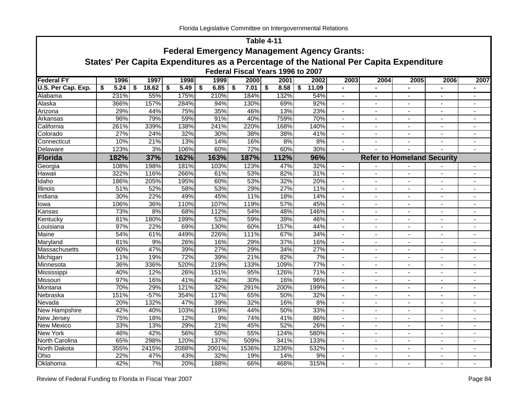|                    |            |                                  |            |            |            | Table 4-11                        |                                                    |                          |                                                                                        |                          |                          |                          |
|--------------------|------------|----------------------------------|------------|------------|------------|-----------------------------------|----------------------------------------------------|--------------------------|----------------------------------------------------------------------------------------|--------------------------|--------------------------|--------------------------|
|                    |            |                                  |            |            |            |                                   | <b>Federal Emergency Management Agency Grants:</b> |                          |                                                                                        |                          |                          |                          |
|                    |            |                                  |            |            |            |                                   |                                                    |                          | States' Per Capita Expenditures as a Percentage of the National Per Capita Expenditure |                          |                          |                          |
|                    |            |                                  |            |            |            | Federal Fiscal Years 1996 to 2007 |                                                    |                          |                                                                                        |                          |                          |                          |
| <b>Federal FY</b>  | 1996       | 1997                             | 1998       | 1999       | 2000       | 2001                              | 2002                                               | 2003                     | 2004                                                                                   | 2005                     | 2006                     | 2007                     |
| U.S. Per Cap. Exp. | 5.24<br>S. | $\overline{\mathbf{s}}$<br>18.62 | \$<br>5.49 | \$<br>6.85 | 7.01<br>Ŝ. | 8.58<br>Ŝ.                        | \$<br>11.09                                        | $\blacksquare$           | ٠                                                                                      | $\blacksquare$           | $\blacksquare$           | ٠                        |
| Alabama            | 231%       | 55%                              | 175%       | 210%       | 184%       | 132%                              | 54%                                                | $\blacksquare$           | $\blacksquare$                                                                         | $\blacksquare$           | $\blacksquare$           | $\blacksquare$           |
| Alaska             | 366%       | 157%                             | 284%       | 94%        | 130%       | 69%                               | 92%                                                | $\sim$                   | $\blacksquare$                                                                         | $\sim$                   | $\blacksquare$           | $\blacksquare$           |
| Arizona            | 29%        | 44%                              | 75%        | 35%        | 46%        | 13%                               | 23%                                                | $\blacksquare$           | $\blacksquare$                                                                         |                          |                          | $\overline{\phantom{0}}$ |
| Arkansas           | 96%        | 79%                              | 59%        | 91%        | 40%        | 759%                              | 70%                                                | $\blacksquare$           | $\blacksquare$                                                                         | $\blacksquare$           | $\blacksquare$           | $\blacksquare$           |
| California         | 261%       | 339%                             | 138%       | 241%       | 220%       | 168%                              | 140%                                               | $\overline{\phantom{a}}$ | $\blacksquare$                                                                         | $\blacksquare$           | $\blacksquare$           | $\blacksquare$           |
| Colorado           | 27%        | 24%                              | 32%        | 30%        | 38%        | 38%                               | 41%                                                | $\sim$                   | $\blacksquare$                                                                         | $\overline{\phantom{a}}$ | $\overline{\phantom{a}}$ | $\overline{\phantom{0}}$ |
| Connecticut        | 10%        | 21%                              | 13%        | 14%        | 16%        | 8%                                | 8%                                                 | $\blacksquare$           |                                                                                        | $\blacksquare$           | $\blacksquare$           | $\blacksquare$           |
| Delaware           | 123%       | 3%                               | 106%       | 60%        | 72%        | 60%                               | 30%                                                | $\blacksquare$           |                                                                                        |                          |                          |                          |
| Florida            | 182%       | 37%                              | 162%       | 163%       | 187%       | 112%                              | 96%                                                |                          | <b>Refer to Homeland Security</b>                                                      |                          |                          |                          |
| Georgia            | 108%       | 198%                             | 181%       | 103%       | 123%       | 47%                               | 32%                                                | $\overline{\phantom{a}}$ |                                                                                        |                          |                          | $\blacksquare$           |
| Hawaii             | 322%       | 116%                             | 266%       | 61%        | 53%        | 82%                               | 31%                                                | $\blacksquare$           |                                                                                        | $\overline{a}$           |                          | $\overline{\phantom{0}}$ |
| <b>Idaho</b>       | 186%       | 205%                             | 195%       | 60%        | 53%        | 32%                               | 20%                                                | $\blacksquare$           |                                                                                        | $\overline{a}$           | $\overline{\phantom{a}}$ | $\blacksquare$           |
| <b>Illinois</b>    | 51%        | 52%                              | 58%        | 53%        | 29%        | 27%                               | 11%                                                | $\blacksquare$           | $\blacksquare$                                                                         | $\blacksquare$           |                          |                          |
| Indiana            | 30%        | 22%                              | 49%        | 45%        | 11%        | 18%                               | 14%                                                | $\sim$                   | $\blacksquare$                                                                         | $\blacksquare$           | $\blacksquare$           | $\blacksquare$           |
| lowa               | 106%       | 36%                              | 110%       | 107%       | 119%       | 57%                               | 45%                                                | $\blacksquare$           | $\blacksquare$                                                                         | $\blacksquare$           | $\blacksquare$           | $\blacksquare$           |
| Kansas             | 73%        | 8%                               | 68%        | 112%       | 54%        | 48%                               | 146%                                               | $\blacksquare$           | $\blacksquare$                                                                         | $\blacksquare$           | $\blacksquare$           | $\blacksquare$           |
| Kentucky           | 81%        | 180%                             | 199%       | 53%        | 59%        | 39%                               | 46%                                                | $\blacksquare$           | $\blacksquare$                                                                         | $\overline{\phantom{a}}$ | $\overline{\phantom{a}}$ | $\overline{a}$           |
| Louisiana          | 97%        | 22%                              | 69%        | 130%       | 60%        | 157%                              | 44%                                                | $\blacksquare$           | $\blacksquare$                                                                         | $\blacksquare$           | $\overline{\phantom{0}}$ | $\overline{a}$           |
| Maine              | 54%        | 61%                              | 449%       | 226%       | 111%       | 67%                               | 34%                                                | $\blacksquare$           |                                                                                        | $\blacksquare$           | $\blacksquare$           | $\blacksquare$           |
| Maryland           | 81%        | 9%                               | 26%        | 16%        | 29%        | 37%                               | 16%                                                | $\blacksquare$           | $\blacksquare$                                                                         |                          | $\blacksquare$           |                          |
| Massachusetts      | 60%        | 47%                              | 39%        | 27%        | 29%        | 34%                               | 27%                                                | $\blacksquare$           |                                                                                        | $\blacksquare$           |                          | $\overline{\phantom{0}}$ |
| Michigan           | 11%        | 19%                              | 72%        | 39%        | 21%        | 82%                               | 7%                                                 | $\blacksquare$           |                                                                                        |                          | $\blacksquare$           | $\blacksquare$           |
| Minnesota          | 36%        | 336%                             | 520%       | 219%       | 133%       | 109%                              | 77%                                                | $\blacksquare$           | $\overline{\phantom{a}}$                                                               | $\blacksquare$           | $\blacksquare$           | $\blacksquare$           |
| Mississippi        | 40%        | 12%                              | 26%        | 151%       | 95%        | 126%                              | 71%                                                | $\overline{\phantom{a}}$ | $\blacksquare$                                                                         | $\blacksquare$           | $\blacksquare$           | $\overline{a}$           |
| Missouri           | 97%        | 16%                              | 41%        | 42%        | 30%        | 16%                               | 96%                                                | $\blacksquare$           | $\blacksquare$                                                                         | $\blacksquare$           | $\overline{\phantom{a}}$ | $\blacksquare$           |
| Montana            | 70%        | 29%                              | 121%       | 32%        | 291%       | 200%                              | 199%                                               | $\blacksquare$           |                                                                                        | $\blacksquare$           | $\blacksquare$           | $\blacksquare$           |
| Nebraska           | 151%       | $-57%$                           | 354%       | 117%       | 65%        | 50%                               | 32%                                                | $\blacksquare$           | $\blacksquare$                                                                         | $\blacksquare$           | $\blacksquare$           | $\blacksquare$           |
| Nevada             | 20%        | 132%                             | 47%        | 39%        | 32%        | 16%                               | 8%                                                 | $\sim$                   | $\blacksquare$                                                                         | $\blacksquare$           | $\overline{\phantom{a}}$ | $\overline{\phantom{0}}$ |
| New Hampshire      | 42%        | 40%                              | 103%       | 119%       | 44%        | 50%                               | 33%                                                | $\blacksquare$           | $\overline{a}$                                                                         | $\overline{a}$           | $\sim$                   | $\blacksquare$           |
| <b>New Jersey</b>  | 75%        | 18%                              | 12%        | 9%         | 74%        | 41%                               | 86%                                                | $\blacksquare$           | $\overline{\phantom{a}}$                                                               | $\sim$                   | $\blacksquare$           | $\overline{\phantom{0}}$ |
| <b>New Mexico</b>  | 33%        | 13%                              | 29%        | 21%        | 45%        | 52%                               | 26%                                                | $\overline{\phantom{a}}$ | $\sim$                                                                                 | $\sim$                   | $\overline{\phantom{a}}$ | $\overline{\phantom{0}}$ |
| <b>New York</b>    | 46%        | 42%                              | 56%        | 50%        | 55%        | 124%                              | 580%                                               | $\sim$                   | $\blacksquare$                                                                         | $\overline{\phantom{a}}$ | $\overline{\phantom{0}}$ | $\blacksquare$           |
| North Carolina     | 65%        | 298%                             | 120%       | 137%       | 509%       | 341%                              | 133%                                               | $\blacksquare$           |                                                                                        | $\blacksquare$           | $\blacksquare$           | $\blacksquare$           |
| North Dakota       | 355%       | 2415%                            | 2088%      | 2001%      | 1536%      | 1236%                             | 532%                                               | $\blacksquare$           | $\blacksquare$                                                                         | $\blacksquare$           | $\blacksquare$           | $\blacksquare$           |
| Ohio               | 22%        | 47%                              | 43%        | 32%        | 19%        | 14%                               | 9%                                                 | $\blacksquare$           | $\blacksquare$                                                                         | $\blacksquare$           | $\blacksquare$           | $\blacksquare$           |
| Oklahoma           | 42%        | 7%                               | 20%        | 188%       | 66%        | 468%                              | 315%                                               |                          |                                                                                        |                          |                          |                          |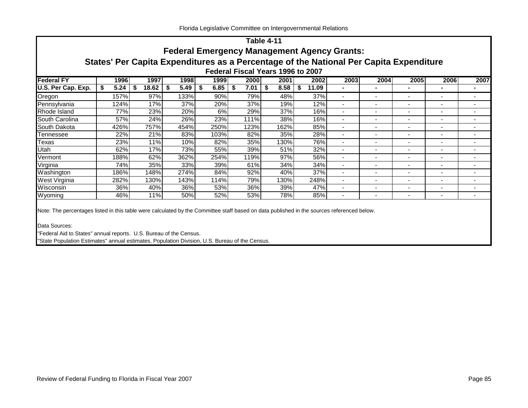|                    |      |   |       |      |      |      | Table 4-11                                         |      |   |       |                          |                                                                                        |                              |                          |                              |
|--------------------|------|---|-------|------|------|------|----------------------------------------------------|------|---|-------|--------------------------|----------------------------------------------------------------------------------------|------------------------------|--------------------------|------------------------------|
|                    |      |   |       |      |      |      | <b>Federal Emergency Management Agency Grants:</b> |      |   |       |                          |                                                                                        |                              |                          |                              |
|                    |      |   |       |      |      |      |                                                    |      |   |       |                          | States' Per Capita Expenditures as a Percentage of the National Per Capita Expenditure |                              |                          |                              |
|                    |      |   |       |      |      |      |                                                    |      |   |       |                          |                                                                                        |                              |                          |                              |
|                    |      |   |       |      |      |      | Federal Fiscal Years 1996 to 2007                  |      |   |       |                          |                                                                                        |                              |                          |                              |
| <b>Federal FY</b>  | 1996 |   | 1997  | 1998 |      | 1999 | 2000                                               | 2001 |   | 2002  | 2003                     | 2004                                                                                   | <b>2005</b>                  | 2006                     | 2007                         |
| U.S. Per Cap. Exp. | 5.24 | S | 18.62 | 5.49 | 6.85 |      | 7.01<br>\$                                         | 8.58 | S | 11.09 | -                        |                                                                                        |                              | $\overline{\phantom{0}}$ |                              |
| Oregon             | 157% |   | 97%   | 133% |      | 90%  | 79%                                                | 48%  |   | 37%   | $\blacksquare$           | $\blacksquare$                                                                         | $\blacksquare$               | $\overline{\phantom{a}}$ | $\qquad \qquad \blacksquare$ |
| Pennsylvania       | 124% |   | 17%   | 37%  |      | 20%  | 37%                                                | 19%  |   | 12%   | ٠                        |                                                                                        |                              |                          |                              |
| Rhode Island       | 77%  |   | 23%   | 20%  |      | 6%   | 29%                                                | 37%  |   | 16%   | $\blacksquare$           |                                                                                        |                              |                          |                              |
| South Carolina     | 57%  |   | 24%   | 26%  |      | 23%  | 111%                                               | 38%  |   | 16%   | $\overline{\phantom{a}}$ |                                                                                        | $\blacksquare$               | $\overline{\phantom{a}}$ |                              |
| South Dakota       | 426% |   | 757%  | 454% | 250% |      | 123%                                               | 162% |   | 85%   | $\overline{\phantom{a}}$ |                                                                                        | $\blacksquare$               |                          |                              |
| Tennessee          | 22%  |   | 21%   | 83%  | 103% |      | 82%                                                | 35%  |   | 28%   |                          |                                                                                        |                              |                          |                              |
| <b>Texas</b>       | 23%  |   | 11%   | 10%  |      | 82%  | 35%                                                | 130% |   | 76%   | $\overline{\phantom{a}}$ |                                                                                        | $\blacksquare$               | $\overline{\phantom{0}}$ |                              |
| Utah               | 62%  |   | 17%   | 73%  |      | 55%  | 39%                                                | 51%  |   | 32%   | $\overline{\phantom{a}}$ |                                                                                        | $\qquad \qquad \blacksquare$ |                          | $\overline{\phantom{0}}$     |
| Vermont            | 188% |   | 62%   | 362% | 254% |      | 119%                                               | 97%  |   | 56%   | $\blacksquare$           |                                                                                        | ٠                            | $\overline{\phantom{0}}$ |                              |
| Virginia           | 74%  |   | 35%   | 33%  |      | 39%  | 61%                                                | 34%  |   | 34%   | $\blacksquare$           |                                                                                        | $\blacksquare$               |                          | $\overline{\phantom{0}}$     |
| Washington         | 186% |   | 148%  | 274% |      | 84%  | 92%                                                | 40%  |   | 37%   | $\overline{\phantom{a}}$ |                                                                                        | $\blacksquare$               |                          |                              |
| West Virginia      | 282% |   | 130%  | 143% | 114% |      | 79%                                                | 130% |   | 248%  | $\overline{\phantom{a}}$ |                                                                                        | $\blacksquare$               | $\overline{\phantom{a}}$ | $\blacksquare$               |
| Wisconsin          | 36%  |   | 40%   | 36%  |      | 53%  | 36%                                                | 39%  |   | 47%   | $\overline{\phantom{0}}$ |                                                                                        | $\overline{\phantom{0}}$     |                          |                              |
| Wyoming            | 46%  |   | 11%   | 50%  |      | 52%  | 53%                                                | 78%  |   | 85%   |                          |                                                                                        | $\blacksquare$               |                          |                              |
|                    |      |   |       |      |      |      |                                                    |      |   |       |                          |                                                                                        |                              |                          |                              |

Data Sources:

"Federal Aid to States" annual reports. U.S. Bureau of the Census.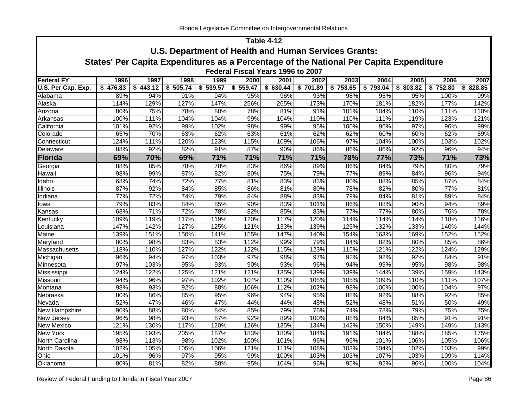|                                         |                                                                                                                                                |                |                  |                  |                  | Table 4-12  |                  |                  |                  |                  |                  |                  |  |  |  |
|-----------------------------------------|------------------------------------------------------------------------------------------------------------------------------------------------|----------------|------------------|------------------|------------------|-------------|------------------|------------------|------------------|------------------|------------------|------------------|--|--|--|
|                                         | U.S. Department of Health and Human Services Grants:<br>States' Per Capita Expenditures as a Percentage of the National Per Capita Expenditure |                |                  |                  |                  |             |                  |                  |                  |                  |                  |                  |  |  |  |
| Federal Fiscal Years 1996 to 2007       |                                                                                                                                                |                |                  |                  |                  |             |                  |                  |                  |                  |                  |                  |  |  |  |
|                                         |                                                                                                                                                |                |                  |                  |                  |             |                  |                  |                  |                  |                  |                  |  |  |  |
|                                         |                                                                                                                                                |                |                  |                  |                  |             |                  |                  |                  |                  |                  |                  |  |  |  |
| <b>Federal FY</b><br>U.S. Per Cap. Exp. | 1996<br>\$476.83                                                                                                                               | 1997<br>443.12 | 1998<br>\$505.74 | 1999<br>\$539.57 | 2000<br>\$559.47 | 2001        | 2002<br>\$701.89 | 2003<br>\$753.65 | 2004<br>\$793.04 | 2005<br>\$803.82 | 2006<br>\$752.80 | 2007<br>\$828.85 |  |  |  |
|                                         |                                                                                                                                                | \$             |                  |                  |                  | \$ 630.44   |                  |                  |                  |                  |                  |                  |  |  |  |
| Alabama<br>Alaska                       | 89%<br>114%                                                                                                                                    | 94%<br>129%    | 91%<br>127%      | 94%<br>147%      | 95%<br>256%      | 96%<br>265% | 93%<br>173%      | 98%<br>170%      | 95%<br>181%      | 95%<br>182%      | 100%<br>177%     | 99%<br>142%      |  |  |  |
| Arizona                                 | 80%                                                                                                                                            | 75%            | 78%              | 80%              | 78%              | 81%         | 91%              | 101%             | 104%             | 110%             | 111%             | 110%             |  |  |  |
|                                         | 100%                                                                                                                                           | 111%           | 104%             | 104%             | 99%              | 104%        | 110%             | 110%             | 111%             | 119%             | 123%             | 121%             |  |  |  |
| Arkansas                                | 101%                                                                                                                                           | 92%            | 99%              | 102%             | 98%              | 99%         | 95%              | 100%             | 96%              | 97%              | 96%              | 99%              |  |  |  |
| California<br>Colorado                  | 65%                                                                                                                                            | 70%            | 63%              | 62%              | 63%              | 61%         | 62%              | 62%              | 60%              | 60%              | 62%              | 59%              |  |  |  |
| Connecticut                             | 124%                                                                                                                                           | 111%           |                  | 123%             | 115%             |             |                  | 97%              | 104%             |                  |                  | 102%             |  |  |  |
|                                         | 88%                                                                                                                                            | 92%            | 120%<br>82%      | 91%              | 87%              | 109%<br>90% | 106%<br>86%      | 86%              | 86%              | 100%<br>92%      | 103%<br>96%      | 94%              |  |  |  |
| Delaware                                | 69%                                                                                                                                            | 70%            |                  | 71%              | 71%              | 71%         | 71%              | 78%              | <b>77%</b>       | 73%              | 71%              | 73%              |  |  |  |
| Florida                                 |                                                                                                                                                | 85%            | 69%              | 78%              | 83%              |             |                  |                  |                  |                  |                  |                  |  |  |  |
| Georgia                                 | 88%                                                                                                                                            |                | 78%              |                  |                  | 86%         | 89%              | 86%              | 84%              | 79%              | 80%              | 79%              |  |  |  |
| Hawaii                                  | 98%                                                                                                                                            | 99%            | 87%              | 82%              | 80%              | 75%         | 79%              | 77%              | 89%              | 84%              | 96%              | 94%              |  |  |  |
| ldaho                                   | 68%                                                                                                                                            | 74%            | 72%              | 77%              | 81%              | 83%         | 83%              | 80%              | 88%              | 85%              | 87%              | 84%              |  |  |  |
| Illinois                                | 87%                                                                                                                                            | 92%            | 84%              | 85%              | 86%              | 81%         | 80%              | 78%              | 82%              | 80%              | 77%              | 81%              |  |  |  |
| Indiana                                 | 77%                                                                                                                                            | 72%            | 74%              | 79%              | 84%              | 88%         | 83%              | 79%              | 84%              | 81%              | 89%              | 84%              |  |  |  |
| lowa                                    | 79%                                                                                                                                            | 83%            | 84%              | 85%              | 90%              | 83%         | 101%             | 86%              | 88%              | 90%              | 94%              | 89%              |  |  |  |
| ≺ansas                                  | 68%                                                                                                                                            | 71%            | 72%              | 78%              | 82%              | 85%         | 83%              | 77%              | 77%              | 80%              | 76%              | 78%              |  |  |  |
| Kentucky                                | 109%                                                                                                                                           | 119%           | 117%             | 119%             | 120%             | 117%        | 120%             | 114%             | 114%             | 114%             | 118%             | 116%             |  |  |  |
| ouisiana.                               | 147%                                                                                                                                           | 142%           | 127%             | 125%             | 121%             | 133%        | 139%             | 125%             | 132%             | 133%             | 140%             | 144%             |  |  |  |
| Maine                                   | 139%                                                                                                                                           | 151%           | 150%             | 141%             | 155%             | 147%        | 140%             | 154%             | 163%             | 169%             | 152%             | 152%             |  |  |  |
| Maryland                                | 80%                                                                                                                                            | 98%            | 83%              | 83%              | 112%             | 99%         | 79%              | 84%              | 82%              | 80%              | 85%              | 86%              |  |  |  |
| Massachusetts                           | 118%                                                                                                                                           | 110%           | 127%             | 122%             | 122%             | 115%        | 123%             | 115%             | 121%             | 122%             | 124%             | 129%             |  |  |  |
| Michigan                                | 96%                                                                                                                                            | 94%            | 97%              | 103%             | 97%              | 98%         | 97%              | 92%              | 92%              | 92%              | 84%              | 91%              |  |  |  |
| Minnesota                               | 97%                                                                                                                                            | 103%           | 95%              | 93%              | 90%              | 93%         | 96%              | 94%              | 99%              | 95%              | 98%              | 98%              |  |  |  |
| Mississippi                             | 124%                                                                                                                                           | 122%           | 125%             | 121%             | 121%             | 135%        | 139%             | 139%             | 144%             | 139%             | 159%             | 143%             |  |  |  |
| Missouri                                | 94%                                                                                                                                            | 96%            | 97%              | 102%             | 104%             | 110%        | 108%             | 105%             | 109%             | 110%             | 111%             | 107%             |  |  |  |
| Montana                                 | 98%                                                                                                                                            | 93%            | 92%              | 88%              | 106%             | 112%        | 102%             | 98%              | 100%             | 100%             | 104%             | 97%              |  |  |  |
| Nebraska                                | 80%                                                                                                                                            | 86%            | 85%              | 95%              | 96%              | 94%         | 95%              | 88%              | 92%              | 88%              | 92%              | 85%              |  |  |  |
| Nevada                                  | 52%                                                                                                                                            | 47%            | 46%              | 47%              | 44%              | 44%         | 48%              | 52%              | 48%              | 51%              | 50%              | 49%              |  |  |  |
| New Hampshire                           | 90%                                                                                                                                            | 88%            | 80%              | 84%              | 85%              | 79%         | 76%              | 74%              | 78%              | 79%              | 75%              | 75%              |  |  |  |
| New Jersey                              | 96%                                                                                                                                            | 98%            | 93%              | 87%              | 92%              | 89%         | 100%             | 88%              | 84%              | 85%              | 91%              | 91%              |  |  |  |
| <b>New Mexico</b>                       | 121%                                                                                                                                           | 130%           | 117%             | 120%             | 126%             | 135%        | 134%             | 142%             | 150%             | 149%             | 149%             | 143%             |  |  |  |
| New York                                | 195%                                                                                                                                           | 193%           | 205%             | 187%             | 183%             | 180%        | 184%             | 191%             | 184%             | 188%             | 185%             | 175%             |  |  |  |
| North Carolina                          | 98%                                                                                                                                            | 113%           | 98%              | 102%             | 100%             | 101%        | 96%              | 96%              | 101%             | 106%             | 105%             | 106%             |  |  |  |
| North Dakota                            | 102%                                                                                                                                           | 105%           | 105%             | 106%             | 121%             | 111%        | 108%             | 103%             | 104%             | 102%             | 103%             | 99%              |  |  |  |
| Ohio                                    | 101%                                                                                                                                           | 96%            | 97%              | 95%              | 99%              | 100%        | 103%             | 103%             | 107%             | 103%             | 109%             | 114%             |  |  |  |
| Oklahoma                                | 80%                                                                                                                                            | 81%            | 82%              | 88%              | 95%              | 104%        | 96%              | 95%              | 92%              | 96%              | 100%             | 104%             |  |  |  |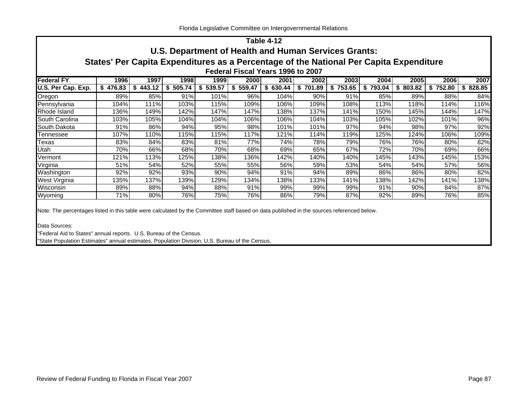|                    |                                                                                                                                                                                                                                                                                                                                                                                                                       |      |      |      |                                   | Table 4-12 |      |      |      |      |      |      |  |  |  |
|--------------------|-----------------------------------------------------------------------------------------------------------------------------------------------------------------------------------------------------------------------------------------------------------------------------------------------------------------------------------------------------------------------------------------------------------------------|------|------|------|-----------------------------------|------------|------|------|------|------|------|------|--|--|--|
|                    | U.S. Department of Health and Human Services Grants:<br>States' Per Capita Expenditures as a Percentage of the National Per Capita Expenditure                                                                                                                                                                                                                                                                        |      |      |      |                                   |            |      |      |      |      |      |      |  |  |  |
|                    |                                                                                                                                                                                                                                                                                                                                                                                                                       |      |      |      |                                   |            |      |      |      |      |      |      |  |  |  |
|                    |                                                                                                                                                                                                                                                                                                                                                                                                                       |      |      |      |                                   |            |      |      |      |      |      |      |  |  |  |
|                    |                                                                                                                                                                                                                                                                                                                                                                                                                       |      |      |      | Federal Fiscal Years 1996 to 2007 |            |      |      |      |      |      |      |  |  |  |
| <b>Federal FY</b>  | 1996                                                                                                                                                                                                                                                                                                                                                                                                                  | 1997 | 1998 | 1999 | 2000                              | 2001       | 2002 | 2003 | 2004 | 2005 | 2006 | 2007 |  |  |  |
| U.S. Per Cap. Exp. | 476.83<br>\$<br>505.74<br>539.57<br>559.47<br>630.44<br>753.65<br>\$<br>803.82<br>752.80<br>828.85<br>443.12<br>S.<br>701.89<br>S<br>793.04<br>S<br>S.<br>89%<br>85%<br>91%<br>101%<br>96%<br>104%<br>90%<br>85%<br>88%<br>91%<br>89%<br>104%<br>111%<br>103%<br>115%<br>109%<br>106%<br>109%<br>108%<br>113%<br>118%<br>114%<br>149%<br>147%<br>138%<br>l36%<br>142%<br>147%<br>137%<br>141%<br>150%<br>145%<br>144% |      |      |      |                                   |            |      |      |      |      |      |      |  |  |  |
| Oregon             |                                                                                                                                                                                                                                                                                                                                                                                                                       |      |      |      |                                   |            |      |      |      |      |      | 84%  |  |  |  |
| Pennsylvania       |                                                                                                                                                                                                                                                                                                                                                                                                                       |      |      |      |                                   |            |      |      |      |      |      | 116% |  |  |  |
| Rhode Island       |                                                                                                                                                                                                                                                                                                                                                                                                                       |      |      |      |                                   |            |      |      |      |      |      | 147% |  |  |  |
| South Carolina     | 103%                                                                                                                                                                                                                                                                                                                                                                                                                  | 105% | 104% | 104% | 106%                              | 106%       | 104% | 103% | 105% | 102% | 101% | 96%  |  |  |  |
| South Dakota       | 91%                                                                                                                                                                                                                                                                                                                                                                                                                   | 86%  | 94%  | 95%  | 98%                               | 101%       | 101% | 97%  | 94%  | 98%  | 97%  | 92%  |  |  |  |
| Tennessee          | 107%                                                                                                                                                                                                                                                                                                                                                                                                                  | 110% | 115% | 115% | 117%                              | 121%       | 114% | 119% | 125% | 124% | 106% | 109% |  |  |  |
| Texas              | 83%                                                                                                                                                                                                                                                                                                                                                                                                                   | 84%  | 83%  | 81%  | 77%                               | 74%        | 78%  | 79%  | 76%  | 76%  | 80%  | 82%  |  |  |  |
| Utah               | 70%                                                                                                                                                                                                                                                                                                                                                                                                                   | 66%  | 68%  | 70%  | 68%                               | 69%        | 65%  | 67%  | 72%  | 70%  | 69%  | 66%  |  |  |  |
| Vermont            | 121%                                                                                                                                                                                                                                                                                                                                                                                                                  | 113% | 125% | 138% | 136%                              | 142%       | 140% | 140% | 145% | 143% | 145% | 153% |  |  |  |
| Virginia           | 51%                                                                                                                                                                                                                                                                                                                                                                                                                   | 54%  | 52%  | 55%  | 55%                               | 56%        | 59%  | 53%  | 54%  | 54%  | 57%  | 56%  |  |  |  |
| Washington         | 92%                                                                                                                                                                                                                                                                                                                                                                                                                   | 92%  | 93%  | 90%  | 94%                               | 91%        | 94%  | 89%  | 86%  | 86%  | 80%  | 82%  |  |  |  |
| West Virginia      | 135%                                                                                                                                                                                                                                                                                                                                                                                                                  | 137% | 139% | 129% | 134%                              | 138%       | 133% | 141% | 138% | 142% | 141% | 138% |  |  |  |
| Wisconsin          | 89%                                                                                                                                                                                                                                                                                                                                                                                                                   | 88%  | 94%  | 88%  | 91%                               | 99%        | 99%  | 99%  | 91%  | 90%  | 84%  | 87%  |  |  |  |
| Wyoming            | 71%                                                                                                                                                                                                                                                                                                                                                                                                                   | 80%  | 76%  | 75%  | 76%                               | 86%        | 79%  | 87%  | 92%  | 89%  | 76%  | 85%  |  |  |  |

Data Sources:

"Federal Aid to States" annual reports. U.S. Bureau of the Census.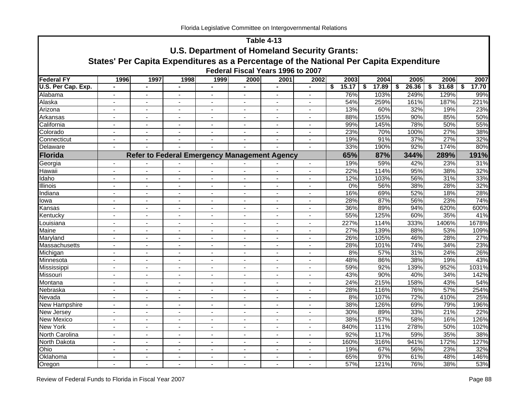|                      |                                                                                        |                          |                                                     |                          |                          | <b>Table 4-13</b>                                   |                          |             |             |             |            |             |
|----------------------|----------------------------------------------------------------------------------------|--------------------------|-----------------------------------------------------|--------------------------|--------------------------|-----------------------------------------------------|--------------------------|-------------|-------------|-------------|------------|-------------|
|                      |                                                                                        |                          |                                                     |                          |                          | <b>U.S. Department of Homeland Security Grants:</b> |                          |             |             |             |            |             |
|                      |                                                                                        |                          |                                                     |                          |                          |                                                     |                          |             |             |             |            |             |
|                      | States' Per Capita Expenditures as a Percentage of the National Per Capita Expenditure |                          |                                                     |                          |                          |                                                     |                          |             |             |             |            |             |
|                      |                                                                                        |                          |                                                     |                          |                          | Federal Fiscal Years 1996 to 2007                   |                          |             |             |             |            |             |
| <b>Federal FY</b>    | 1996                                                                                   | 1997                     | 1998                                                | 1999                     | 2000                     | 2001                                                | 2002                     | 2003        | 2004        | 2005        | 2006       | 2007        |
| U.S. Per Cap. Exp.   | $\blacksquare$                                                                         | $\blacksquare$           |                                                     | $\blacksquare$           |                          |                                                     | -                        | 15.17<br>\$ | \$<br>17.89 | 26.36<br>\$ | 31.68<br>S | \$<br>17.70 |
| Alabama              |                                                                                        |                          |                                                     |                          |                          |                                                     |                          | 76%         | 103%        | 249%        | 129%       | 99%         |
| Alaska               |                                                                                        | $\blacksquare$           | $\blacksquare$                                      | $\overline{\phantom{a}}$ | $\sim$                   |                                                     | $\blacksquare$           | 54%         | 259%        | 161%        | 187%       | 221%        |
| Arizona              | $\overline{\phantom{a}}$                                                               | $\blacksquare$           | $\overline{\phantom{a}}$                            | $\overline{\phantom{a}}$ | $\blacksquare$           | $\overline{\phantom{a}}$                            | $\blacksquare$           | 13%         | 60%         | 32%         | 19%        | 23%         |
| Arkansas             | $\blacksquare$                                                                         | $\blacksquare$           | $\blacksquare$                                      | $\blacksquare$           | $\blacksquare$           | $\blacksquare$                                      | $\blacksquare$           | 88%         | 155%        | 90%         | 85%        | 50%         |
| California           |                                                                                        | $\blacksquare$           | $\overline{a}$                                      | $\blacksquare$           | $\blacksquare$           |                                                     | $\blacksquare$           | 99%         | 145%        | 78%         | 50%        | 55%         |
| Colorado             | $\overline{\phantom{a}}$                                                               | $\overline{\phantom{a}}$ | $\overline{\phantom{a}}$                            | $\overline{\phantom{a}}$ | $\overline{\phantom{a}}$ | $\overline{\phantom{a}}$                            | $\blacksquare$           | 23%         | 70%         | 100%        | 27%        | 38%         |
| Connecticut          | $\overline{\phantom{a}}$                                                               | $\blacksquare$           | $\blacksquare$                                      | $\blacksquare$           | $\blacksquare$           | $\blacksquare$                                      | $\blacksquare$           | 19%         | 91%         | 37%         | 27%        | 32%         |
| Delaware             |                                                                                        |                          |                                                     |                          |                          |                                                     |                          | 33%         | 190%        | 92%         | 174%       | 80%         |
| Florida              |                                                                                        |                          | <b>Refer to Federal Emergency Management Agency</b> |                          |                          |                                                     |                          | 65%         | 87%         | 344%        | 289%       | 191%        |
| Georgia              | $\blacksquare$                                                                         | $\overline{a}$           |                                                     |                          |                          |                                                     | $\blacksquare$           | 19%         | 59%         | 42%         | 23%        | 31%         |
| Hawaii               | $\blacksquare$                                                                         | $\blacksquare$           | $\blacksquare$                                      | $\blacksquare$           | $\blacksquare$           | $\blacksquare$                                      | $\frac{1}{2}$            | 22%         | 114%        | 95%         | 38%        | 32%         |
| Idaho                | $\overline{\phantom{a}}$                                                               | $\overline{\phantom{a}}$ | $\overline{\phantom{a}}$                            | $\overline{\phantom{a}}$ | $\overline{\phantom{a}}$ | $\overline{\phantom{a}}$                            | $\overline{\phantom{a}}$ | 12%         | 103%        | 56%         | 31%        | 33%         |
| <b>Illinois</b>      | $\blacksquare$                                                                         | $\blacksquare$           | $\blacksquare$                                      | $\blacksquare$           | $\blacksquare$           | $\sim$                                              | $\blacksquare$           | 0%          | 56%         | 38%         | 28%        | 32%         |
| <b>Indiana</b>       | $\overline{\phantom{a}}$                                                               | $\frac{1}{2}$            | $\blacksquare$                                      | $\blacksquare$           | $\blacksquare$           | $\blacksquare$                                      | $\overline{\phantom{m}}$ | 16%         | 69%         | 52%         | 18%        | 28%         |
| lowa                 | $\overline{\phantom{a}}$                                                               | $\blacksquare$           | $\overline{a}$                                      | $\overline{\phantom{a}}$ | $\blacksquare$           | $\blacksquare$                                      | $\blacksquare$           | 28%         | 87%         | 56%         | 23%        | 74%         |
| Kansas               | $\sim$                                                                                 | $\blacksquare$           | $\overline{a}$                                      | $\blacksquare$           | $\blacksquare$           | $\sim$                                              | $\blacksquare$           | 36%         | 89%         | 94%         | 620%       | 600%        |
| Kentucky             | $\overline{\phantom{a}}$                                                               | $\blacksquare$           | $\blacksquare$                                      | $\blacksquare$           | $\blacksquare$           | $\overline{\phantom{a}}$                            | $\overline{\phantom{m}}$ | 55%         | 125%        | 60%         | 35%        | 41%         |
| Louisiana            | $\overline{\phantom{a}}$                                                               | $\sim$                   | $\overline{\phantom{0}}$                            | $\sim$                   | $\blacksquare$           | $\overline{\phantom{a}}$                            | $\sim$                   | 227%        | 114%        | 333%        | 1406%      | 1678%       |
| Maine                | $\sim$                                                                                 | $\overline{a}$           | $\overline{a}$                                      | $\sim$                   | $\sim$                   | $\overline{a}$                                      | $\overline{a}$           | 27%         | 139%        | 88%         | 53%        | 109%        |
| Maryland             | $\overline{\phantom{a}}$                                                               | $\blacksquare$           | $\overline{a}$                                      | $\blacksquare$           | $\blacksquare$           | $\overline{\phantom{a}}$                            | $\blacksquare$           | 26%         | 105%        | 46%         | 28%        | 27%         |
| Massachusetts        | $\blacksquare$                                                                         | $\blacksquare$           | $\overline{\phantom{a}}$                            | $\overline{\phantom{a}}$ | $\overline{\phantom{a}}$ | $\overline{\phantom{a}}$                            | $\blacksquare$           | 28%         | 101%        | 74%         | 34%        | 23%         |
| Michigan             | $\overline{\phantom{a}}$                                                               | $\overline{\phantom{a}}$ | $\overline{a}$                                      | $\overline{\phantom{a}}$ | $\overline{\phantom{a}}$ | $\overline{\phantom{a}}$                            | $\blacksquare$           | 8%          | 57%         | 31%         | 24%        | 26%         |
| Minnesota            | $\overline{\phantom{a}}$                                                               | $\blacksquare$           | $\overline{a}$                                      | $\blacksquare$           | $\blacksquare$           | $\blacksquare$                                      | $\blacksquare$           | 48%         | 86%         | 38%         | 19%        | 43%         |
| Mississippi          | $\sim$                                                                                 | $\blacksquare$           | $\blacksquare$                                      |                          | $\blacksquare$           | $\overline{\phantom{a}}$                            | $\blacksquare$           | 59%         | 92%         | 139%        | 952%       | 1031%       |
| Missouri             | $\sim$                                                                                 | $\overline{\phantom{a}}$ | $\overline{a}$                                      | $\overline{\phantom{a}}$ | $\sim$                   | $\overline{\phantom{a}}$                            | $\blacksquare$           | 43%         | 90%         | 40%         | 34%        | 142%        |
| Montana              | $\overline{\phantom{a}}$                                                               | $\blacksquare$           | $\blacksquare$                                      | $\blacksquare$           | $\blacksquare$           | $\blacksquare$                                      | $\blacksquare$           | 24%         | 215%        | 158%        | 43%        | 54%         |
| Nebraska             |                                                                                        | $\blacksquare$           |                                                     |                          |                          |                                                     | $\blacksquare$           | 28%         | 116%        | 76%         | 57%        | 254%        |
| Nevada               | $\sim$                                                                                 | $\blacksquare$           | $\overline{a}$                                      | $\overline{\phantom{a}}$ | $\blacksquare$           |                                                     | $\blacksquare$           | 8%          | 107%        | 72%         | 410%       | 25%         |
| <b>New Hampshire</b> | $\overline{\phantom{a}}$                                                               | $\blacksquare$           | $\sim$                                              | $\overline{\phantom{a}}$ | $\overline{\phantom{a}}$ | $\overline{\phantom{a}}$                            | $\blacksquare$           | 38%         | 126%        | 69%         | 79%        | 196%        |
| <b>New Jersey</b>    | $\blacksquare$                                                                         | $\blacksquare$           |                                                     | $\blacksquare$           | $\blacksquare$           | $\blacksquare$                                      | $\blacksquare$           | 30%         | 89%         | 33%         | 21%        | 22%         |
| New Mexico           | $\sim$                                                                                 | $\blacksquare$           | $\overline{a}$                                      | $\overline{\phantom{a}}$ | $\blacksquare$           | $\overline{\phantom{a}}$                            | $\blacksquare$           | 38%         | 157%        | 58%         | 16%        | 126%        |
| New York             | $\overline{\phantom{a}}$                                                               | $\blacksquare$           | $\sim$                                              | $\overline{\phantom{a}}$ | $\blacksquare$           | $\overline{\phantom{a}}$                            | $\blacksquare$           | 840%        | 111%        | 278%        | 50%        | 102%        |
| North Carolina       | $\overline{\phantom{a}}$                                                               | $\blacksquare$           | $\blacksquare$                                      | $\blacksquare$           | $\overline{\phantom{a}}$ | $\overline{\phantom{a}}$                            | $\blacksquare$           | 92%         | 117%        | 59%         | 35%        | 38%         |
| North Dakota         |                                                                                        | $\blacksquare$           | $\overline{a}$                                      | $\blacksquare$           | $\blacksquare$           |                                                     |                          | 160%        | 316%        | 941%        | 172%       | 127%        |
| Ohio                 | $\blacksquare$                                                                         | $\overline{\phantom{a}}$ | $\sim$                                              | $\blacksquare$           | $\sim$                   | $\blacksquare$                                      | $\blacksquare$           | 19%         | 67%         | 56%         | 23%        | 32%         |
| Oklahoma             | $\overline{\phantom{a}}$                                                               | $\blacksquare$           | $\overline{a}$                                      | $\blacksquare$           | $\overline{\phantom{a}}$ | $\blacksquare$                                      | $\blacksquare$           | 65%         | 97%         | 61%         | 48%        | 146%        |
| Oregon               |                                                                                        | $\overline{a}$           |                                                     |                          |                          |                                                     |                          | 57%         | 121%        | 76%         | 38%        | 53%         |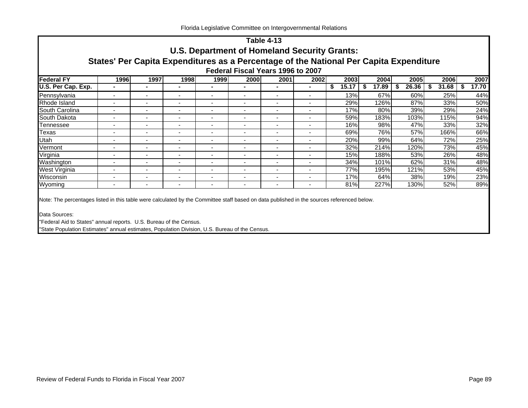|                                                                                                                                            |                                                                                                                                                                                                                                                                                |                          |                          |                                              |                                   | Table 4-13     |                          |            |       |               |            |  |       |  |  |
|--------------------------------------------------------------------------------------------------------------------------------------------|--------------------------------------------------------------------------------------------------------------------------------------------------------------------------------------------------------------------------------------------------------------------------------|--------------------------|--------------------------|----------------------------------------------|-----------------------------------|----------------|--------------------------|------------|-------|---------------|------------|--|-------|--|--|
|                                                                                                                                            |                                                                                                                                                                                                                                                                                |                          |                          | U.S. Department of Homeland Security Grants: |                                   |                |                          |            |       |               |            |  |       |  |  |
|                                                                                                                                            |                                                                                                                                                                                                                                                                                |                          |                          |                                              |                                   |                |                          |            |       |               |            |  |       |  |  |
|                                                                                                                                            | States' Per Capita Expenditures as a Percentage of the National Per Capita Expenditure                                                                                                                                                                                         |                          |                          |                                              |                                   |                |                          |            |       |               |            |  |       |  |  |
|                                                                                                                                            |                                                                                                                                                                                                                                                                                |                          |                          |                                              | Federal Fiscal Years 1996 to 2007 |                |                          |            |       |               |            |  |       |  |  |
| <b>Federal FY</b>                                                                                                                          | 1996                                                                                                                                                                                                                                                                           | 1997                     | 1998                     | 1999                                         | 2000                              | 2001           | 2002                     | 2003       | 2004  | 2005          | 2006       |  | 2007  |  |  |
| U.S. Per Cap. Exp.                                                                                                                         |                                                                                                                                                                                                                                                                                | $\blacksquare$           | $\blacksquare$           | ٠                                            | ۰.                                |                | -                        | 15.17<br>S | 17.89 | 26.36<br>- \$ | 31.68<br>S |  | 17.70 |  |  |
| Pennsylvania                                                                                                                               | $\overline{\phantom{0}}$                                                                                                                                                                                                                                                       |                          | $\overline{\phantom{0}}$ | $\blacksquare$                               |                                   |                | $\blacksquare$           | 13%        | 67%   | 60%           | 25%        |  | 44%   |  |  |
| Rhode Island                                                                                                                               | 33%<br>29%<br>126%<br>87%<br>$\overline{\phantom{0}}$<br>$\blacksquare$<br>$\blacksquare$<br>$\overline{\phantom{a}}$<br>$\blacksquare$<br>17%<br>80%<br>39%<br>29%<br>$\blacksquare$<br>$\overline{\phantom{0}}$<br>$\overline{\phantom{0}}$<br>$\overline{\phantom{a}}$<br>- |                          |                          |                                              |                                   |                |                          |            |       |               |            |  |       |  |  |
| South Carolina                                                                                                                             | 50%                                                                                                                                                                                                                                                                            |                          |                          |                                              |                                   |                |                          |            |       |               |            |  |       |  |  |
| South Dakota                                                                                                                               | $\blacksquare$                                                                                                                                                                                                                                                                 | $\overline{\phantom{a}}$ | $\blacksquare$           | $\blacksquare$                               | ٠                                 | -              | $\overline{\phantom{a}}$ | 59%        | 183%  | 103%          | 115%       |  | 94%   |  |  |
| Tennessee                                                                                                                                  | 24%<br>98%<br>47%<br>33%<br>32%<br>16%<br>$\blacksquare$<br>$\overline{\phantom{a}}$<br>$\overline{\phantom{a}}$<br>$\blacksquare$<br>$\overline{\phantom{0}}$<br>$\blacksquare$<br>$\qquad \qquad \blacksquare$                                                               |                          |                          |                                              |                                   |                |                          |            |       |               |            |  |       |  |  |
| Texas                                                                                                                                      | $\blacksquare$                                                                                                                                                                                                                                                                 | $\overline{\phantom{0}}$ | $\blacksquare$           | $\blacksquare$                               | $\blacksquare$                    | $\blacksquare$ | $\overline{\phantom{a}}$ | 69%        | 76%   | 57%           | 166%       |  | 66%   |  |  |
| Utah                                                                                                                                       | $\blacksquare$                                                                                                                                                                                                                                                                 |                          | ٠                        | $\blacksquare$                               | $\blacksquare$                    | $\blacksquare$ |                          | 20%        | 99%   | 64%           | 72%        |  | 25%   |  |  |
| Vermont                                                                                                                                    |                                                                                                                                                                                                                                                                                |                          |                          |                                              |                                   |                |                          | 32%        | 214%  | 120%          | 73%        |  | 45%   |  |  |
| Virginia                                                                                                                                   |                                                                                                                                                                                                                                                                                |                          |                          |                                              |                                   |                |                          | 15%        | 188%  | 53%           | 26%        |  | 48%   |  |  |
| Washington                                                                                                                                 | $\blacksquare$                                                                                                                                                                                                                                                                 |                          | $\overline{\phantom{a}}$ |                                              |                                   |                |                          | 34%        | 101%  | 62%           | 31%        |  | 48%   |  |  |
| West Virginia                                                                                                                              | $\blacksquare$                                                                                                                                                                                                                                                                 | $\overline{\phantom{0}}$ | $\overline{\phantom{a}}$ | $\blacksquare$                               | $\blacksquare$                    | $\blacksquare$ | $\blacksquare$           | 77%        | 195%  | 121%          | 53%        |  | 45%   |  |  |
| Wisconsin                                                                                                                                  | $\blacksquare$                                                                                                                                                                                                                                                                 |                          | $\overline{\phantom{a}}$ | $\overline{\phantom{0}}$                     | $\overline{\phantom{a}}$          |                |                          | 17%        | 64%   | 38%           | 19%        |  | 23%   |  |  |
| Wyoming                                                                                                                                    | $\overline{\phantom{0}}$                                                                                                                                                                                                                                                       |                          | $\blacksquare$           |                                              | $\overline{\phantom{a}}$          | -              |                          | 81%        | 227%  | 130%          | 52%        |  | 89%   |  |  |
|                                                                                                                                            |                                                                                                                                                                                                                                                                                |                          |                          |                                              |                                   |                |                          |            |       |               |            |  |       |  |  |
| Note: The percentages listed in this table were calculated by the Committee staff based on data published in the sources referenced below. |                                                                                                                                                                                                                                                                                |                          |                          |                                              |                                   |                |                          |            |       |               |            |  |       |  |  |
| $Data$ $C$ <sub>2</sub> $1$                                                                                                                |                                                                                                                                                                                                                                                                                |                          |                          |                                              |                                   |                |                          |            |       |               |            |  |       |  |  |

Data Sources:

"Federal Aid to States" annual reports. U.S. Bureau of the Census.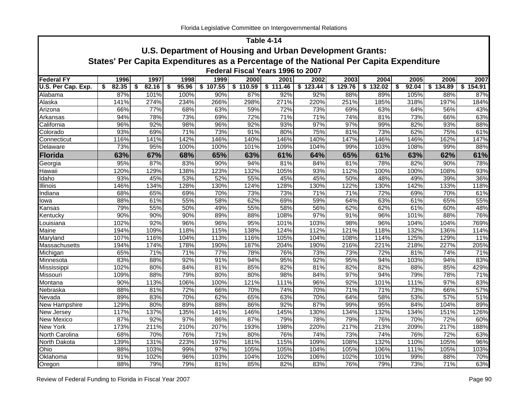|                    |                                                                                                                                                                        |       |    |       |    |       |          |      |          | Table 4-14                                                                             |          |  |          |          |    |       |          |                        |
|--------------------|------------------------------------------------------------------------------------------------------------------------------------------------------------------------|-------|----|-------|----|-------|----------|------|----------|----------------------------------------------------------------------------------------|----------|--|----------|----------|----|-------|----------|------------------------|
|                    |                                                                                                                                                                        |       |    |       |    |       |          |      |          | U.S. Department of Housing and Urban Development Grants:                               |          |  |          |          |    |       |          |                        |
|                    |                                                                                                                                                                        |       |    |       |    |       |          |      |          | States' Per Capita Expenditures as a Percentage of the National Per Capita Expenditure |          |  |          |          |    |       |          |                        |
|                    |                                                                                                                                                                        |       |    |       |    |       |          |      |          | Federal Fiscal Years 1996 to 2007                                                      |          |  |          |          |    |       |          |                        |
| <b>Federal FY</b>  |                                                                                                                                                                        | 1996  |    | 1997  |    | 1998  |          | 1999 | 2000     | 2001                                                                                   | 2002     |  | 2003     | 2004     |    | 2005  | 2006     | 2007                   |
| U.S. Per Cap. Exp. | S                                                                                                                                                                      | 82.35 | \$ | 82.16 | \$ | 95.96 | \$107.55 |      | \$110.59 | \$111.46                                                                               | \$123.44 |  | \$129.76 | \$132.02 | \$ | 92.04 | \$134.89 | $\overline{\$}$ 154.91 |
| Alabama            |                                                                                                                                                                        | 87%   |    | 101%  |    | 100%  |          | 90%  | 87%      | 92%                                                                                    | 92%      |  | 88%      | 89%      |    | 105%  | 88%      | 87%                    |
| Alaska             |                                                                                                                                                                        | 141%  |    | 274%  |    | 234%  | 266%     |      | 298%     | 271%                                                                                   | 220%     |  | 251%     | 185%     |    | 318%  | 197%     | 184%                   |
| Arizona            |                                                                                                                                                                        | 66%   |    | 77%   |    | 68%   |          | 63%  | 59%      | 72%                                                                                    | 73%      |  | 69%      | 63%      |    | 64%   | 56%      | 43%                    |
| Arkansas           |                                                                                                                                                                        | 94%   |    | 78%   |    | 73%   |          | 69%  | 72%      | 71%                                                                                    | 71%      |  | 74%      | 81%      |    | 73%   | 66%      | 63%                    |
| California         |                                                                                                                                                                        | 96%   |    | 92%   |    | 98%   |          | 96%  | 92%      | 93%                                                                                    | 97%      |  | 97%      | 99%      |    | 82%   | 93%      | 88%                    |
| Colorado           |                                                                                                                                                                        | 93%   |    | 69%   |    | 71%   |          | 73%  | 91%      | 80%                                                                                    | 75%      |  | 81%      | 73%      |    | 62%   | 75%      | 61%                    |
| Connecticut        |                                                                                                                                                                        | 116%  |    | 141%  |    | 142%  | 146%     |      | 140%     | 146%                                                                                   | 140%     |  | 147%     | 146%     |    | 146%  | 162%     | 147%                   |
| Delaware           |                                                                                                                                                                        | 73%   |    | 95%   |    | 100%  |          |      | 101%     | 109%                                                                                   |          |  | 99%      | 103%     |    | 108%  | 99%      | 88%                    |
| <b>Florida</b>     | 104%<br>100%<br>67%<br>63%<br>65%<br>63%<br>68%<br>65%<br>61%<br>64%<br>61%<br>63%<br>62%<br>95%<br>87%<br>83%<br>90%<br>94%<br>81%<br>84%<br>81%<br>78%<br>82%<br>90% |       |    |       |    |       |          |      |          |                                                                                        |          |  |          |          |    | 61%   |          |                        |
| Georgia            |                                                                                                                                                                        |       |    |       |    |       |          |      |          |                                                                                        |          |  |          |          |    | 78%   |          |                        |
| Hawaii             | 132%<br>105%<br>120%<br>129%<br>138%<br>123%<br>93%<br>112%<br>100%<br>100%<br>108%                                                                                    |       |    |       |    |       |          |      |          |                                                                                        |          |  |          |          |    | 93%   |          |                        |
| Idaho              |                                                                                                                                                                        | 93%   |    | 45%   |    | 53%   |          | 52%  | 55%      | 45%                                                                                    | 45%      |  | 50%      | 48%      |    | 49%   | 39%      | 36%                    |
| <b>Illinois</b>    |                                                                                                                                                                        | 146%  |    | 134%  |    | 128%  | 130%     |      | 124%     | 128%                                                                                   | 130%     |  | 122%     | 130%     |    | 142%  | 133%     | 118%                   |
| Indiana            |                                                                                                                                                                        | 68%   |    | 65%   |    | 69%   |          | 70%  | 73%      | 73%                                                                                    | 71%      |  | 71%      | 72%      |    | 69%   | 70%      | 61%                    |
| lowa               |                                                                                                                                                                        | 88%   |    | 61%   |    | 55%   |          | 58%  | 62%      | 69%                                                                                    | 59%      |  | 64%      | 63%      |    | 61%   | 65%      | 55%                    |
| Kansas             |                                                                                                                                                                        | 79%   |    | 55%   |    | 50%   |          | 49%  | 55%      | 58%                                                                                    | 56%      |  | 62%      | 62%      |    | 61%   | 60%      | 48%                    |
| Kentucky           |                                                                                                                                                                        | 90%   |    | 90%   |    | 90%   |          | 89%  | 88%      | 108%                                                                                   | 97%      |  | 91%      | 96%      |    | 101%  | 88%      | 76%                    |
| Louisiana          |                                                                                                                                                                        | 102%  |    | 92%   |    | 96%   |          | 96%  | 95%      | 101%                                                                                   | 103%     |  | 98%      | 96%      |    | 104%  | 104%     | 769%                   |
| Maine              |                                                                                                                                                                        | 194%  |    | 109%  |    | 118%  | 115%     |      | 138%     | 124%                                                                                   | 112%     |  | 121%     | 118%     |    | 132%  | 136%     | 114%                   |
| Marvland           |                                                                                                                                                                        | 107%  |    | 116%  |    | 104%  | 113%     |      | 116%     | 105%                                                                                   | 104%     |  | 108%     | 114%     |    | 125%  | 129%     | 11%                    |
| Massachusetts      |                                                                                                                                                                        | 194%  |    | 174%  |    | 178%  | 190%     |      | 187%     | 204%                                                                                   | 190%     |  | 216%     | 221%     |    | 218%  | 227%     | 205%                   |
| Michigan           |                                                                                                                                                                        | 65%   |    | 71%   |    | 71%   |          | 77%  | 78%      | 76%                                                                                    | 73%      |  | 73%      | 72%      |    | 81%   | 74%      | 71%                    |
| Minnesota          |                                                                                                                                                                        | 83%   |    | 88%   |    | 92%   |          | 91%  | 94%      | 95%                                                                                    | 92%      |  | 95%      | 94%      |    | 103%  | 94%      | 83%                    |
| Mississippi        |                                                                                                                                                                        | 102%  |    | 80%   |    | 84%   |          | 81%  | 85%      | 82%                                                                                    | 81%      |  | 82%      | 82%      |    | 88%   | 85%      | 429%                   |
| Missouri           |                                                                                                                                                                        | 109%  |    | 88%   |    | 79%   |          | 80%  | 80%      | 98%                                                                                    | 84%      |  | 97%      | 94%      |    | 79%   | 78%      | 71%                    |
| Montana            |                                                                                                                                                                        | 90%   |    | 113%  |    | 106%  | 100%     |      | 121%     | 111%                                                                                   | 96%      |  | 92%      | 101%     |    | 111%  | 97%      | 83%                    |
| Nebraska           |                                                                                                                                                                        | 88%   |    | 81%   |    | 72%   |          | 66%  | 70%      | 74%                                                                                    | 70%      |  | 71%      | 71%      |    | 73%   | 66%      | 57%                    |
| Nevada             |                                                                                                                                                                        | 89%   |    | 83%   |    | 70%   |          | 62%  | 65%      | 63%                                                                                    | 70%      |  | 64%      | 58%      |    | 53%   | 57%      | 51%                    |
| New Hampshire      |                                                                                                                                                                        | 129%  |    | 80%   |    | 89%   |          | 88%  | 86%      | 92%                                                                                    | 87%      |  | 99%      | 95%      |    | 84%   | 104%     | 89%                    |
| New Jersey         |                                                                                                                                                                        | 117%  |    | 137%  |    | 135%  | 141%     |      | 146%     | 145%                                                                                   | 130%     |  | 134%     | 132%     |    | 134%  | 151%     | 126%                   |
| New Mexico         |                                                                                                                                                                        | 87%   |    | 92%   |    | 97%   |          | 86%  | 87%      | 79%                                                                                    | 78%      |  | 79%      | 76%      |    | 70%   | 72%      | 60%                    |
| New York           |                                                                                                                                                                        | 173%  |    | 211%  |    | 210%  | 207%     |      | 193%     | 198%                                                                                   | 220%     |  | 217%     | 213%     |    | 209%  | 217%     | 188%                   |
| North Carolina     |                                                                                                                                                                        | 68%   |    | 70%   |    | 76%   |          | 71%  | 80%      | 76%                                                                                    | 74%      |  | 73%      | 74%      |    | 76%   | 72%      | 63%                    |
| North Dakota       |                                                                                                                                                                        | 139%  |    | 131%  |    | 223%  | 197%     |      | 181%     | 115%                                                                                   | 109%     |  | 108%     | 132%     |    | 110%  | 105%     | 96%                    |
| Ohio               |                                                                                                                                                                        | 88%   |    | 103%  |    | 99%   |          | 97%  | 105%     | 105%                                                                                   | 104%     |  | 105%     | 106%     |    | 111%  | 105%     | 103%                   |
| Oklahoma           |                                                                                                                                                                        | 91%   |    | 102%  |    | 96%   | 103%     |      | 104%     | 102%                                                                                   | 106%     |  | 102%     | 101%     |    | 99%   | 88%      | 70%                    |
| Oregon             |                                                                                                                                                                        | 88%   |    | 79%   |    | 79%   |          | 81%  | 85%      | 82%                                                                                    | 83%      |  | 76%      | 79%      |    | 73%   | 71%      | 63%                    |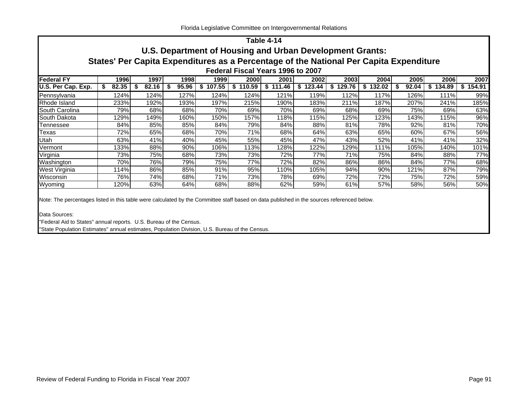|                                                                                                                                                                                                                     |                                                                                             |       |       |                                                                                        |        |             | Table 4-14                        |        |        |        |       |        |        |  |  |
|---------------------------------------------------------------------------------------------------------------------------------------------------------------------------------------------------------------------|---------------------------------------------------------------------------------------------|-------|-------|----------------------------------------------------------------------------------------|--------|-------------|-----------------------------------|--------|--------|--------|-------|--------|--------|--|--|
|                                                                                                                                                                                                                     |                                                                                             |       |       | U.S. Department of Housing and Urban Development Grants:                               |        |             |                                   |        |        |        |       |        |        |  |  |
|                                                                                                                                                                                                                     |                                                                                             |       |       | States' Per Capita Expenditures as a Percentage of the National Per Capita Expenditure |        |             |                                   |        |        |        |       |        |        |  |  |
|                                                                                                                                                                                                                     |                                                                                             |       |       |                                                                                        |        |             |                                   |        |        |        |       |        |        |  |  |
|                                                                                                                                                                                                                     |                                                                                             |       |       |                                                                                        |        |             | Federal Fiscal Years 1996 to 2007 |        |        |        |       |        |        |  |  |
| <b>Federal FY</b>                                                                                                                                                                                                   |                                                                                             | 1996  | 1997  | 1998                                                                                   | 1999   | 2000        | 2001                              | 2002   | 2003   | 2004   | 2005  | 2006   | 2007   |  |  |
| U.S. Per Cap. Exp.                                                                                                                                                                                                  |                                                                                             | 82.35 | 82.16 | 95.96                                                                                  | 107.55 | 110.59<br>S | 111.46                            | 123.44 | 129.76 | 132.02 | 92.04 | 134.89 | 154.91 |  |  |
| 124%<br>124%<br>127%<br>124%<br>121%<br>119%<br>112%<br>117%<br>126%<br>111%<br>99%<br>Pennsylvania<br>124%<br>Rhode Island<br>233%<br>192%<br>215%<br>211%<br>187%<br>241%<br>193%<br>197%<br>190%<br>183%<br>207% |                                                                                             |       |       |                                                                                        |        |             |                                   |        |        |        |       |        |        |  |  |
| 185%                                                                                                                                                                                                                |                                                                                             |       |       |                                                                                        |        |             |                                   |        |        |        |       |        |        |  |  |
| South Carolina                                                                                                                                                                                                      | 79%<br>68%<br>68%<br>69%<br>69%<br>68%<br>69%<br>63%<br>70%<br>70%<br>75%<br>69%            |       |       |                                                                                        |        |             |                                   |        |        |        |       |        |        |  |  |
| South Dakota                                                                                                                                                                                                        | 149%<br>96%<br>129%<br>160%<br>150%<br>157%<br>118%<br>115%<br>125%<br>123%<br>143%<br>115% |       |       |                                                                                        |        |             |                                   |        |        |        |       |        |        |  |  |
| Tennessee                                                                                                                                                                                                           |                                                                                             | 84%   | 85%   | 85%                                                                                    | 84%    | 79%         | 84%                               | 88%    | 81%    | 78%    | 92%   | 81%    | 70%    |  |  |
| Texas                                                                                                                                                                                                               |                                                                                             | 72%   | 65%   | 68%                                                                                    | 70%    | 71%         | 68%                               | 64%    | 63%    | 65%    | 60%   | 67%    | 56%    |  |  |
| Utah                                                                                                                                                                                                                |                                                                                             | 63%   | 41%   | 40%                                                                                    | 45%    | 55%         | 45%                               | 47%    | 43%    | 52%    | 41%   | 41%    | 32%    |  |  |
| Vermont                                                                                                                                                                                                             |                                                                                             | 133%  | 88%   | 90%                                                                                    | 106%   | 113%        | 128%                              | 122%   | 129%   | 111%   | 105%  | 140%   | 101%   |  |  |
| Virginia                                                                                                                                                                                                            |                                                                                             | 73%   | 75%   | 68%                                                                                    | 73%    | 73%         | 72%                               | 77%    | 71%    | 75%    | 84%   | 88%    | 77%    |  |  |
| Washington                                                                                                                                                                                                          |                                                                                             | 70%   | 76%   | 79%                                                                                    | 75%    | 77%         | 72%                               | 82%    | 86%    | 86%    | 84%   | 77%    | 68%    |  |  |
| West Virginia                                                                                                                                                                                                       |                                                                                             | 114%  | 86%   | 85%                                                                                    | 91%    | 95%         | 110%                              | 105%   | 94%    | 90%    | 121%  | 87%    | 79%    |  |  |
| Wisconsin                                                                                                                                                                                                           |                                                                                             | 76%   | 74%   | 68%                                                                                    | 71%    | 73%         | 78%                               | 69%    | 72%    | 72%    | 75%   | 72%    | 59%    |  |  |
| Wyoming                                                                                                                                                                                                             |                                                                                             | 120%  | 63%   | 64%                                                                                    | 68%    | 88%         | 62%                               | 59%    | 61%    | 57%    | 58%   | 56%    | 50%    |  |  |

Data Sources:

"Federal Aid to States" annual reports. U.S. Bureau of the Census.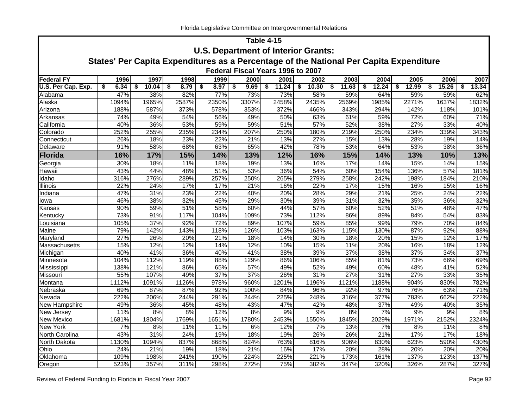|                    |                                                                                                                                                        |       |    |       |     |       |    |       |    | <b>Table 4-15</b> |    |                                            |                                      |       |    |                                                                                        |             |             |             |    |       |
|--------------------|--------------------------------------------------------------------------------------------------------------------------------------------------------|-------|----|-------|-----|-------|----|-------|----|-------------------|----|--------------------------------------------|--------------------------------------|-------|----|----------------------------------------------------------------------------------------|-------------|-------------|-------------|----|-------|
|                    |                                                                                                                                                        |       |    |       |     |       |    |       |    |                   |    | <b>U.S. Department of Interior Grants:</b> |                                      |       |    |                                                                                        |             |             |             |    |       |
|                    |                                                                                                                                                        |       |    |       |     |       |    |       |    |                   |    |                                            |                                      |       |    | States' Per Capita Expenditures as a Percentage of the National Per Capita Expenditure |             |             |             |    |       |
|                    |                                                                                                                                                        |       |    |       |     |       |    |       |    |                   |    | Federal Fiscal Years 1996 to 2007          |                                      |       |    |                                                                                        |             |             |             |    |       |
| <b>Federal FY</b>  |                                                                                                                                                        | 1996  |    | 1997  |     | 1998  |    | 1999  |    | 2000              |    | 2001                                       |                                      | 2002  |    | 2003                                                                                   | 2004        | 2005        | 2006        |    | 2007  |
| U.S. Per Cap. Exp. | \$                                                                                                                                                     | 6.34  | \$ | 10.04 | -\$ | 8.79  | \$ | 8.97  | \$ | 9.69              | \$ | 11.24                                      | $\overline{\boldsymbol{\mathsf{s}}}$ | 10.30 | \$ | 11.63                                                                                  | \$<br>12.24 | \$<br>12.99 | \$<br>15.26 | \$ | 13.34 |
| Alabama            |                                                                                                                                                        | 47%   |    | 38%   |     | 82%   |    | 77%   |    | 73%               |    | 73%                                        |                                      | 58%   |    | 59%                                                                                    | 64%         | 59%         | 59%         |    | 62%   |
| Alaska             |                                                                                                                                                        | 1094% |    | 1965% |     | 2587% |    | 2350% |    | 3307%             |    | 2458%                                      |                                      | 2435% |    | 2569%                                                                                  | 1985%       | 2271%       | 1637%       |    | 1832% |
| Arizona            |                                                                                                                                                        | 188%  |    | 587%  |     | 373%  |    | 578%  |    | 353%              |    | 372%                                       |                                      | 466%  |    | 343%                                                                                   | 294%        | 142%        | 118%        |    | 101%  |
| Arkansas           |                                                                                                                                                        | 74%   |    | 49%   |     | 54%   |    | 56%   |    | 49%               |    | 50%                                        |                                      | 63%   |    | 61%                                                                                    | 59%         | 72%         | 60%         |    | 71%   |
| California         |                                                                                                                                                        | 40%   |    | 36%   |     | 53%   |    | 59%   |    | 59%               |    | 51%                                        |                                      | 57%   |    | 52%                                                                                    | 38%         | 27%         | 33%         |    | 40%   |
| Colorado           |                                                                                                                                                        | 252%  |    | 255%  |     | 235%  |    | 234%  |    | 207%              |    | 250%                                       |                                      | 180%  |    | 219%                                                                                   | 250%        | 234%        | 339%        |    | 343%  |
| Connecticut        |                                                                                                                                                        | 26%   |    | 18%   |     | 23%   |    | 22%   |    | 21%               |    | 13%                                        |                                      | 27%   |    | 15%                                                                                    | 13%         | 28%         | 19%         |    | 14%   |
| Delaware           |                                                                                                                                                        | 91%   |    | 58%   |     | 68%   |    | 63%   |    | 65%               |    | 42%                                        |                                      | 78%   |    | 53%                                                                                    | 64%         | 53%         | 38%         |    | 36%   |
| <b>Florida</b>     | 17%<br>16%<br>15%<br>14%<br>13%<br>12%<br>16%<br>15%<br>14%<br>13%<br>10%<br>17%<br>30%<br>18%<br>11%<br>18%<br>19%<br>13%<br>14%<br>15%<br>16%<br>14% |       |    |       |     |       |    |       |    |                   |    |                                            |                                      |       |    | 13%                                                                                    |             |             |             |    |       |
| Georgia            |                                                                                                                                                        |       |    |       |     |       |    |       |    |                   |    |                                            |                                      |       |    | 15%                                                                                    |             |             |             |    |       |
| Hawaii             | 43%<br>44%<br>48%<br>51%<br>53%<br>36%<br>54%<br>60%<br>57%<br>154%<br>136%                                                                            |       |    |       |     |       |    |       |    |                   |    |                                            |                                      |       |    | 181%                                                                                   |             |             |             |    |       |
| Idaho              |                                                                                                                                                        | 316%  |    | 276%  |     | 289%  |    | 257%  |    | 250%              |    | 265%                                       |                                      | 279%  |    | 258%                                                                                   | 242%        | 198%        | 184%        |    | 210%  |
| Illinois           |                                                                                                                                                        | 22%   |    | 24%   |     | 17%   |    | 17%   |    | 21%               |    | 16%                                        |                                      | 22%   |    | 17%                                                                                    | 15%         | 16%         | 15%         |    | 16%   |
| Indiana            |                                                                                                                                                        | 47%   |    | 31%   |     | 23%   |    | 22%   |    | 40%               |    | 20%                                        |                                      | 28%   |    | 29%                                                                                    | 21%         | 25%         | 24%         |    | 22%   |
| lowa               |                                                                                                                                                        | 46%   |    | 38%   |     | 32%   |    | 45%   |    | 29%               |    | 30%                                        |                                      | 39%   |    | 31%                                                                                    | 32%         | 35%         | 36%         |    | 32%   |
| Kansas             |                                                                                                                                                        | 90%   |    | 59%   |     | 51%   |    | 58%   |    | 60%               |    | 44%                                        |                                      | 57%   |    | 60%                                                                                    | 52%         | 51%         | 48%         |    | 47%   |
| Kentucky           |                                                                                                                                                        | 73%   |    | 91%   |     | 117%  |    | 104%  |    | 109%              |    | 73%                                        |                                      | 112%  |    | 86%                                                                                    | 89%         | 84%         | 54%         |    | 83%   |
| Louisiana          |                                                                                                                                                        | 105%  |    | 37%   |     | 92%   |    | 72%   |    | 89%               |    | 107%                                       |                                      | 59%   |    | 85%                                                                                    | 99%         | 79%         | 70%         |    | 84%   |
| Maine              |                                                                                                                                                        | 79%   |    | 142%  |     | 143%  |    | 118%  |    | 126%              |    | 103%                                       |                                      | 163%  |    | 115%                                                                                   | 130%        | 87%         | 92%         |    | 88%   |
| Maryland           |                                                                                                                                                        | 27%   |    | 26%   |     | 20%   |    | 21%   |    | 18%               |    | 14%                                        |                                      | 30%   |    | 18%                                                                                    | 20%         | 15%         | 12%         |    | 17%   |
| Massachusetts      |                                                                                                                                                        | 15%   |    | 12%   |     | 12%   |    | 14%   |    | 12%               |    | 10%                                        |                                      | 15%   |    | 11%                                                                                    | 20%         | 16%         | 18%         |    | 12%   |
| Michigan           |                                                                                                                                                        | 40%   |    | 41%   |     | 36%   |    | 40%   |    | 41%               |    | 38%                                        |                                      | 39%   |    | 37%                                                                                    | 38%         | 37%         | 34%         |    | 37%   |
| Minnesota          |                                                                                                                                                        | 104%  |    | 112%  |     | 119%  |    | 88%   |    | 129%              |    | 86%                                        |                                      | 106%  |    | 85%                                                                                    | 81%         | 73%         | 66%         |    | 69%   |
| Mississippi        |                                                                                                                                                        | 138%  |    | 121%  |     | 86%   |    | 65%   |    | 57%               |    | 49%                                        |                                      | 52%   |    | 49%                                                                                    | 60%         | 48%         | 41%         |    | 52%   |
| Missouri           |                                                                                                                                                        | 55%   |    | 107%  |     | 49%   |    | 37%   |    | 37%               |    | 26%                                        |                                      | 31%   |    | 27%                                                                                    | 31%         | 27%         | 33%         |    | 35%   |
| Montana            |                                                                                                                                                        | 1112% |    | 1091% |     | 1126% |    | 978%  |    | 960%              |    | 1201%                                      |                                      | 1196% |    | 1121%                                                                                  | 1188%       | 904%        | 830%        |    | 782%  |
| Nebraska           |                                                                                                                                                        | 69%   |    | 87%   |     | 87%   |    | 92%   |    | 100%              |    | 84%                                        |                                      | 96%   |    | 92%                                                                                    | 97%         | 76%         | 63%         |    | 71%   |
| Nevada             |                                                                                                                                                        | 222%  |    | 206%  |     | 244%  |    | 291%  |    | 244%              |    | 225%                                       |                                      | 248%  |    | 316%                                                                                   | 377%        | 783%        | 662%        |    | 222%  |
| New Hampshire      |                                                                                                                                                        | 49%   |    | 36%   |     | 45%   |    | 48%   |    | 43%               |    | 47%                                        |                                      | 42%   |    | 48%                                                                                    | 37%         | 49%         | 40%         |    | 35%   |
| New Jersey         |                                                                                                                                                        | 11%   |    | 8%    |     | 8%    |    | 12%   |    | 8%                |    | 9%                                         |                                      | 9%    |    | 8%                                                                                     | 7%          | 9%          | 9%          |    | 8%    |
| New Mexico         |                                                                                                                                                        | 1681% |    | 1804% |     | 1769% |    | 1651% |    | 1780%             |    | 2453%                                      |                                      | 1550% |    | 1845%                                                                                  | 2029%       | 1971%       | 2152%       |    | 2324% |
| New York           |                                                                                                                                                        | 7%    |    | 8%    |     | 11%   |    | 11%   |    | 6%                |    | 12%                                        |                                      | 7%    |    | 13%                                                                                    | 7%          | 8%          | 11%         |    | 8%    |
| North Carolina     |                                                                                                                                                        | 43%   |    | 31%   |     | 24%   |    | 19%   |    | 18%               |    | 19%                                        |                                      | 26%   |    | 26%                                                                                    | 21%         | 17%         | 17%         |    | 18%   |
| North Dakota       |                                                                                                                                                        | 1130% |    | 1094% |     | 837%  |    | 868%  |    | 824%              |    | 763%                                       |                                      | 816%  |    | 906%                                                                                   | 830%        | 623%        | 590%        |    | 430%  |
| Ohio               |                                                                                                                                                        | 24%   |    | 21%   |     | 19%   |    | 18%   |    | 21%               |    | 16%                                        |                                      | 17%   |    | 20%                                                                                    | 28%         | 20%         | 20%         |    | 20%   |
| Oklahoma           |                                                                                                                                                        | 109%  |    | 198%  |     | 241%  |    | 190%  |    | 224%              |    | 225%                                       |                                      | 221%  |    | 173%                                                                                   | 161%        | 137%        | 123%        |    | 137%  |
| Oregon             |                                                                                                                                                        | 523%  |    | 357%  |     | 311%  |    | 298%  |    | 272%              |    | 75%                                        |                                      | 382%  |    | 347%                                                                                   | 320%        | 326%        | 287%        |    | 327%  |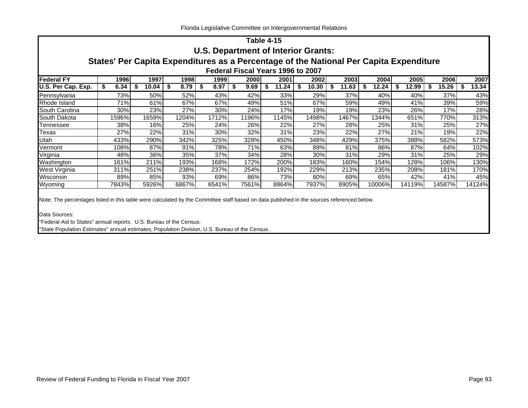|                                                                                                           |                                                                                                                                                                                          |        |        |     |                                                                                        |                                     |  | Table 4-15                        |  |        |  |        |  |       |       |        |        |        |  |        |
|-----------------------------------------------------------------------------------------------------------|------------------------------------------------------------------------------------------------------------------------------------------------------------------------------------------|--------|--------|-----|----------------------------------------------------------------------------------------|-------------------------------------|--|-----------------------------------|--|--------|--|--------|--|-------|-------|--------|--------|--------|--|--------|
|                                                                                                           |                                                                                                                                                                                          |        |        |     |                                                                                        | U.S. Department of Interior Grants: |  |                                   |  |        |  |        |  |       |       |        |        |        |  |        |
|                                                                                                           |                                                                                                                                                                                          |        |        |     | States' Per Capita Expenditures as a Percentage of the National Per Capita Expenditure |                                     |  |                                   |  |        |  |        |  |       |       |        |        |        |  |        |
|                                                                                                           |                                                                                                                                                                                          |        |        |     |                                                                                        |                                     |  | Federal Fiscal Years 1996 to 2007 |  |        |  |        |  |       |       |        |        |        |  |        |
| <b>Federal FY</b>                                                                                         |                                                                                                                                                                                          | 1996   | 1997   |     | 1998                                                                                   | 19991                               |  | 2000l                             |  | 2001   |  | 20021  |  | 2003  |       | 2004   | 2005   | 2006   |  | 2007   |
| U.S. Per Cap. Exp.                                                                                        | 8.97<br>6.34<br>8.79<br>9.69<br>11.24<br>12.99<br>15.26<br>10.04<br>10.30<br>11.63<br>12.24<br>-S<br>S<br>S<br>73%<br>50%<br>33%<br>29%<br>37%<br>52%<br>43%<br>42%<br>40%<br>37%<br>40% |        |        |     |                                                                                        |                                     |  |                                   |  |        |  |        |  |       | 13.34 |        |        |        |  |        |
| Pennsylvania<br>Rhode Island<br>71%<br>61%<br>67%<br>67%<br>51%<br>67%<br>59%<br>49%<br>49%<br>41%<br>39% |                                                                                                                                                                                          |        |        |     |                                                                                        |                                     |  |                                   |  |        |  |        |  |       | 43%   |        |        |        |  |        |
|                                                                                                           |                                                                                                                                                                                          |        |        |     |                                                                                        |                                     |  |                                   |  |        |  |        |  |       | 59%   |        |        |        |  |        |
| South Carolina                                                                                            | 30%<br>23%<br>24%<br>27%<br>30%<br>17%<br>19%<br>19%<br>23%<br>26%<br>17%                                                                                                                |        |        |     |                                                                                        |                                     |  |                                   |  |        |  |        |  |       |       | 28%    |        |        |  |        |
| South Dakota                                                                                              |                                                                                                                                                                                          | 1596%  | 1659%  |     | 1204%                                                                                  | 1712%l                              |  | 1196%                             |  | 1145%l |  | 1498%l |  | 1467% |       | 1344%  | 651%   | 770%   |  | 313%   |
| Tennessee                                                                                                 |                                                                                                                                                                                          | 38%    |        | 16% | 25%                                                                                    | 24%                                 |  | 26%                               |  | 22%    |  | 27%    |  | 28%   |       | 25%    | 31%    | 25%    |  | 27%    |
| <b>Texas</b>                                                                                              |                                                                                                                                                                                          | 27%    | 22%    |     | 31%                                                                                    | 30%                                 |  | 32%                               |  | 31%    |  | 23%    |  | 22%   |       | 27%    | 21%    | 19%    |  | 22%    |
| Utah                                                                                                      |                                                                                                                                                                                          | 433%   | 290%   |     | 342%                                                                                   | 325%                                |  | 328%                              |  | 450%   |  | 348%   |  | 429%  |       | 375%   | 388%   | 582%   |  | 573%   |
| Vermont                                                                                                   |                                                                                                                                                                                          | 108%   | 87%    |     | 91%                                                                                    | 78%                                 |  | 71%                               |  | 63%    |  | 89%    |  | 81%   |       | 86%    | 87%    | 64%    |  | 102%   |
| Virginia                                                                                                  |                                                                                                                                                                                          | 48%    | 36%    |     | 35%                                                                                    | 37%                                 |  | 34%                               |  | 28%    |  | 30%    |  | 31%   |       | 29%    | 31%    | 25%    |  | 29%    |
| Washington                                                                                                |                                                                                                                                                                                          | 161%   | 211%   |     | 193%                                                                                   | 168%                                |  | 172%                              |  | 200%   |  | 183%   |  | 160%  |       | 154%   | 128%   | 106%   |  | 130%   |
| <b>West Virginia</b>                                                                                      |                                                                                                                                                                                          | 311%   | 251%   |     | 238%                                                                                   | 237%                                |  | 254%                              |  | 192%   |  | 229%   |  | 213%  |       | 235%   | 208%   | 181%   |  | 170%   |
| Wisconsin                                                                                                 |                                                                                                                                                                                          | 89%    | 85%    |     | 93%                                                                                    | 69%                                 |  | 86%                               |  | 73%    |  | $80\%$ |  | 69%   |       | 65%    | 42%    | 41%    |  | 45%    |
| Wyoming                                                                                                   |                                                                                                                                                                                          | 7843%l | 5926%l |     | 6867%                                                                                  | 6541%                               |  | 7561%                             |  | 8864%  |  | 7937%  |  | 8905% |       | 10006% | 14119% | 14587% |  | 14124% |

Data Sources:

"Federal Aid to States" annual reports. U.S. Bureau of the Census.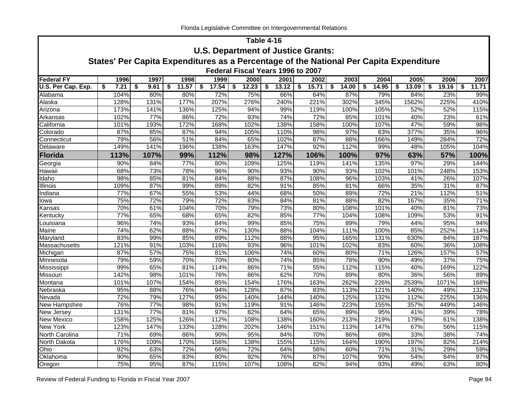|                    |                                                                                                                                                                   |      |    |      |    |                                                                                        |    |       |    | Table 4-16 |    |                                   |                                      |                                           |      |       |             |             |             |    |       |
|--------------------|-------------------------------------------------------------------------------------------------------------------------------------------------------------------|------|----|------|----|----------------------------------------------------------------------------------------|----|-------|----|------------|----|-----------------------------------|--------------------------------------|-------------------------------------------|------|-------|-------------|-------------|-------------|----|-------|
|                    |                                                                                                                                                                   |      |    |      |    |                                                                                        |    |       |    |            |    |                                   |                                      | <b>U.S. Department of Justice Grants:</b> |      |       |             |             |             |    |       |
|                    |                                                                                                                                                                   |      |    |      |    | States' Per Capita Expenditures as a Percentage of the National Per Capita Expenditure |    |       |    |            |    |                                   |                                      |                                           |      |       |             |             |             |    |       |
|                    |                                                                                                                                                                   |      |    |      |    |                                                                                        |    |       |    |            |    | Federal Fiscal Years 1996 to 2007 |                                      |                                           |      |       |             |             |             |    |       |
| <b>Federal FY</b>  |                                                                                                                                                                   | 1996 |    | 1997 |    | 1998                                                                                   |    | 1999  |    | 2000       |    | 2001                              |                                      | 2002                                      |      | 2003  | 2004        | 2005        | 2006        |    | 2007  |
| U.S. Per Cap. Exp. | \$                                                                                                                                                                | 7.21 | \$ | 9.61 | \$ | 11.57                                                                                  | \$ | 17.54 | \$ | 12.23      | \$ | 13.12                             | $\overline{\boldsymbol{\mathsf{s}}}$ | 15.71                                     | \$   | 14.00 | \$<br>14.95 | \$<br>13.09 | \$<br>19.16 | \$ | 11.71 |
| Alabama            |                                                                                                                                                                   | 104% |    | 80%  |    | 80%                                                                                    |    | 72%   |    | 75%        |    | 66%                               |                                      | 64%                                       |      | 87%   | 79%         | 84%         | 23%         |    | 99%   |
| Alaska             |                                                                                                                                                                   | 128% |    | 131% |    | 177%                                                                                   |    | 207%  |    | 276%       |    | 240%                              |                                      | 221%                                      |      | 302%  | 345%        | 1562%       | 225%        |    | 410%  |
| Arizona            |                                                                                                                                                                   | 173% |    | 141% |    | 136%                                                                                   |    | 125%  |    | 94%        |    | 99%                               |                                      | 119%                                      |      | 100%  | 105%        | 52%         | 52%         |    | 115%  |
| Arkansas           |                                                                                                                                                                   | 102% |    | 77%  |    | 86%                                                                                    |    | 72%   |    | 93%        |    | 74%                               |                                      | 72%                                       |      | 85%   | 101%        | 40%         | 23%         |    | 61%   |
| California         |                                                                                                                                                                   | 101% |    | 193% |    | 172%                                                                                   |    | 168%  |    | 102%       |    | 138%                              |                                      | 158%                                      |      | 100%  | 107%        | 47%         | 59%         |    | 98%   |
| Colorado           |                                                                                                                                                                   | 87%  |    | 85%  |    | 87%                                                                                    |    | 94%   |    | 105%       |    | 110%                              |                                      | 98%                                       |      | 97%   | 83%         | 377%        | 35%         |    | 96%   |
| Connecticut        |                                                                                                                                                                   | 79%  |    | 56%  |    | 51%                                                                                    |    | 84%   |    | 65%        |    | 102%                              |                                      | 87%                                       |      | 88%   | 166%        | 149%        | 284%        |    | 72%   |
| Delaware           |                                                                                                                                                                   | 149% |    | 141% |    | 196%                                                                                   |    | 138%  |    | 163%       |    | 147%                              |                                      | 92%                                       |      | 112%  | 99%         | 48%         | 105%        |    | 104%  |
| <b>Florida</b>     | 107%<br>97%<br>113%<br>99%<br>112%<br>98%<br>127%<br>106%<br>100%<br>63%<br>57%<br>90%<br>84%<br>77%<br>80%<br>109%<br>125%<br>119%<br>141%<br>135%<br>97%<br>29% |      |    |      |    |                                                                                        |    |       |    |            |    |                                   |                                      |                                           | 100% |       |             |             |             |    |       |
| Georgia            |                                                                                                                                                                   |      |    |      |    |                                                                                        |    |       |    |            |    |                                   |                                      |                                           |      | 144%  |             |             |             |    |       |
| Hawaii             | 68%<br>73%<br>78%<br>96%<br>90%<br>90%<br>93%<br>102%<br>248%<br>93%<br>101%                                                                                      |      |    |      |    |                                                                                        |    |       |    |            |    |                                   |                                      |                                           |      | 153%  |             |             |             |    |       |
| ldaho              |                                                                                                                                                                   | 98%  |    | 85%  |    | 81%                                                                                    |    | 84%   |    | 88%        |    | 87%                               |                                      | 108%                                      |      | 96%   | 103%        | 41%         | 26%         |    | 107%  |
| <b>Illinois</b>    |                                                                                                                                                                   | 109% |    | 87%  |    | 99%                                                                                    |    | 89%   |    | 82%        |    | 91%                               |                                      | 85%                                       |      | 81%   | 66%         | 35%         | 31%         |    | 87%   |
| Indiana            |                                                                                                                                                                   | 77%  |    | 67%  |    | 55%                                                                                    |    | 53%   |    | 44%        |    | 68%                               |                                      | 50%                                       |      | 89%   | 72%         | 21%         | 112%        |    | 51%   |
| lowa               |                                                                                                                                                                   | 75%  |    | 72%  |    | 79%                                                                                    |    | 72%   |    | 83%        |    | 84%                               |                                      | 81%                                       |      | 88%   | 82%         | 167%        | 35%         |    | 71%   |
| Kansas             |                                                                                                                                                                   | 70%  |    | 61%  |    | 104%                                                                                   |    | 70%   |    | 79%        |    | 73%                               |                                      | 80%                                       |      | 108%  | 101%        | 40%         | 81%         |    | 73%   |
| Kentuckv           |                                                                                                                                                                   | 77%  |    | 65%  |    | 68%                                                                                    |    | 65%   |    | 82%        |    | 85%                               |                                      | 77%                                       |      | 104%  | 108%        | 109%        | 53%         |    | 91%   |
| Louisiana          |                                                                                                                                                                   | 96%  |    | 74%  |    | 93%                                                                                    |    | 84%   |    | 99%        |    | 85%                               |                                      | 75%                                       |      | 89%   | 79%         | 44%         | 95%         |    | 94%   |
| Maine              |                                                                                                                                                                   | 74%  |    | 62%  |    | 88%                                                                                    |    | 87%   |    | 130%       |    | 88%                               |                                      | 104%                                      |      | 111%  | 100%        | 85%         | 252%        |    | 114%  |
| Maryland           |                                                                                                                                                                   | 83%  |    | 99%  |    | 85%                                                                                    |    | 89%   |    | 112%       |    | 88%                               |                                      | 95%                                       |      | 165%  | 131%        | 630%        | 84%         |    | 187%  |
| Massachusetts      |                                                                                                                                                                   | 121% |    | 91%  |    | 103%                                                                                   |    | 116%  |    | 93%        |    | 96%                               |                                      | 101%                                      |      | 102%  | 83%         | 60%         | 36%         |    | 108%  |
| Michigan           |                                                                                                                                                                   | 87%  |    | 57%  |    | 75%                                                                                    |    | 81%   |    | 106%       |    | 74%                               |                                      | 60%                                       |      | 80%   | 71%         | 126%        | 157%        |    | 57%   |
| <b>Minnesota</b>   |                                                                                                                                                                   | 79%  |    | 59%  |    | 70%                                                                                    |    | 70%   |    | 80%        |    | 74%                               |                                      | 85%                                       |      | 78%   | 90%         | 49%         | 37%         |    | 75%   |
| Mississippi        |                                                                                                                                                                   | 99%  |    | 65%  |    | 81%                                                                                    |    | 114%  |    | 86%        |    | 71%                               |                                      | 55%                                       |      | 112%  | 115%        | 40%         | 169%        |    | 122%  |
| Missouri           |                                                                                                                                                                   | 142% |    | 98%  |    | 101%                                                                                   |    | 76%   |    | 86%        |    | 62%                               |                                      | 70%                                       |      | 89%   | 80%         | 36%         | 56%         |    | 89%   |
| Montana            |                                                                                                                                                                   | 101% |    | 107% |    | 154%                                                                                   |    | 85%   |    | 154%       |    | 176%                              |                                      | 163%                                      |      | 262%  | 226%        | 2539%       | 1071%       |    | 168%  |
| Nebraska           |                                                                                                                                                                   | 95%  |    | 88%  |    | 76%                                                                                    |    | 94%   |    | 128%       |    | 87%                               |                                      | 83%                                       |      | 113%  | 121%        | 140%        | 49%         |    | 132%  |
| Nevada             |                                                                                                                                                                   | 72%  |    | 79%  |    | 127%                                                                                   |    | 95%   |    | 140%       |    | 144%                              |                                      | 140%                                      |      | 125%  | 132%        | 112%        | 225%        |    | 136%  |
| New Hampshire      |                                                                                                                                                                   | 76%  |    | 77%  |    | 98%                                                                                    |    | 91%   |    | 119%       |    | 91%                               |                                      | 146%                                      |      | 223%  | 155%        | 357%        | 449%        |    | 146%  |
| New Jersey         |                                                                                                                                                                   | 131% |    | 77%  |    | 81%                                                                                    |    | 97%   |    | 82%        |    | 64%                               |                                      | 65%                                       |      | 89%   | 95%         | 41%         | 39%         |    | 78%   |
| New Mexico         |                                                                                                                                                                   | 158% |    | 125% |    | 126%                                                                                   |    | 112%  |    | 108%       |    | 138%                              |                                      | 160%                                      |      | 213%  | 219%        | 179%        | 61%         |    | 138%  |
| New York           |                                                                                                                                                                   | 123% |    | 147% |    | 133%                                                                                   |    | 128%  |    | 202%       |    | 146%                              |                                      | 151%                                      |      | 113%  | 147%        | 67%         | 56%         |    | 115%  |
| North Carolina     |                                                                                                                                                                   | 71%  |    | 69%  |    | 86%                                                                                    |    | 90%   |    | 95%        |    | 84%                               |                                      | 70%                                       |      | 86%   | 69%         | 33%         | 38%         |    | 74%   |
| North Dakota       |                                                                                                                                                                   | 176% |    | 109% |    | 170%                                                                                   |    | 156%  |    | 138%       |    | 155%                              |                                      | 115%                                      |      | 164%  | 190%        | 197%        | 82%         |    | 214%  |
| Ohio               |                                                                                                                                                                   | 92%  |    | 63%  |    | 72%                                                                                    |    | 66%   |    | 72%        |    | 64%                               |                                      | 56%                                       |      | 60%   | 71%         | 31%         | 29%         |    | 59%   |
| <b>Oklahoma</b>    |                                                                                                                                                                   | 90%  |    | 65%  |    | 83%                                                                                    |    | 80%   |    | 92%        |    | 76%                               |                                      | 87%                                       |      | 107%  | 90%         | 54%         | 84%         |    | 97%   |
| Oregon             |                                                                                                                                                                   | 75%  |    | 95%  |    | 87%                                                                                    |    | 115%  |    | 107%       |    | 108%                              |                                      | 82%                                       |      | 94%   | 93%         | 49%         | 63%         |    | 80%   |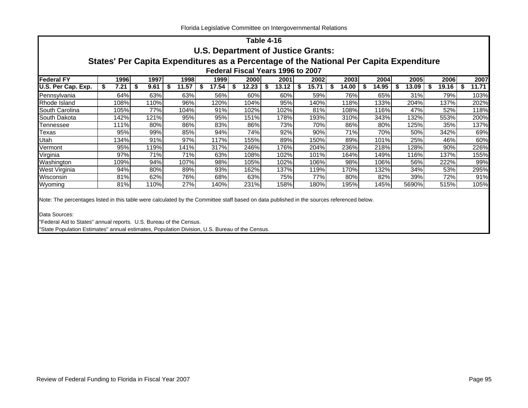|                                                                                                    |                                                                                                                                                                                                  |      |  |      |  |      |  |       |  | Table 4-16                        |  |      |  |                                                                                        |      |       |      |       |      |  |      |
|----------------------------------------------------------------------------------------------------|--------------------------------------------------------------------------------------------------------------------------------------------------------------------------------------------------|------|--|------|--|------|--|-------|--|-----------------------------------|--|------|--|----------------------------------------------------------------------------------------|------|-------|------|-------|------|--|------|
|                                                                                                    |                                                                                                                                                                                                  |      |  |      |  |      |  |       |  |                                   |  |      |  | <b>U.S. Department of Justice Grants:</b>                                              |      |       |      |       |      |  |      |
|                                                                                                    |                                                                                                                                                                                                  |      |  |      |  |      |  |       |  |                                   |  |      |  | States' Per Capita Expenditures as a Percentage of the National Per Capita Expenditure |      |       |      |       |      |  |      |
|                                                                                                    |                                                                                                                                                                                                  |      |  |      |  |      |  |       |  | Federal Fiscal Years 1996 to 2007 |  |      |  |                                                                                        |      |       |      |       |      |  |      |
| <b>Federal FY</b>                                                                                  |                                                                                                                                                                                                  | 1996 |  | 1997 |  | 1998 |  | 19991 |  | 2000l                             |  | 2001 |  | 2002                                                                                   |      | 2003  | 2004 | 2005  | 2006 |  | 2007 |
| U.S. Per Cap. Exp.                                                                                 | 11.57<br>17.54<br>15.71<br>14.95<br>7.21<br>9.61<br>12.23<br>14.00<br>13.09<br>19.16<br>S<br>S.<br>13.12<br>-S<br>S<br>63%<br>63%<br>60%<br>60%<br>59%<br>76%<br>65%<br>31%<br>79%<br>64%<br>56% |      |  |      |  |      |  |       |  |                                   |  |      |  |                                                                                        |      | 11.71 |      |       |      |  |      |
| Pennsylvania                                                                                       |                                                                                                                                                                                                  |      |  |      |  |      |  |       |  |                                   |  |      |  |                                                                                        |      |       |      |       |      |  | 103% |
| Rhode Island<br>110%<br>96%<br>95%<br>137%<br>108%<br>120%<br>104%<br>140%<br>118%<br>133%<br>204% |                                                                                                                                                                                                  |      |  |      |  |      |  |       |  |                                   |  |      |  |                                                                                        | 202% |       |      |       |      |  |      |
| South Carolina                                                                                     | 77%I<br>102%<br>108%<br>116%<br>105%<br>104%<br>91%<br>102%<br>81%<br>47%<br>52%                                                                                                                 |      |  |      |  |      |  |       |  |                                   |  |      |  |                                                                                        |      | 118%  |      |       |      |  |      |
| South Dakota                                                                                       | 121%<br>142%<br>95%<br>95%<br>151%<br>178%<br>193%<br>310%<br>343%<br>132%<br>553%                                                                                                               |      |  |      |  |      |  |       |  |                                   |  |      |  |                                                                                        |      | 200%  |      |       |      |  |      |
| Tennessee                                                                                          |                                                                                                                                                                                                  | 111% |  | 80%  |  | 86%  |  | 83%   |  | 86%                               |  | 73%  |  | 70%                                                                                    |      | 86%   | 80%  | 125%  | 35%  |  | 137% |
| <b>Texas</b>                                                                                       |                                                                                                                                                                                                  | 95%  |  | 99%  |  | 85%  |  | 94%   |  | 74%                               |  | 92%  |  | 90%                                                                                    |      | 71%   | 70%  | 50%   | 342% |  | 69%  |
| Utah                                                                                               |                                                                                                                                                                                                  | 134% |  | 91%  |  | 97%  |  | 117%  |  | 155%                              |  | 89%  |  | 150%                                                                                   |      | 89%   | 101% | 25%   | 46%  |  | 60%  |
| Vermont                                                                                            |                                                                                                                                                                                                  | 95%  |  | 119% |  | 141% |  | 317%  |  | 246%                              |  | 176% |  | 204%                                                                                   |      | 236%  | 218% | 128%  | 90%  |  | 226% |
| Virginia                                                                                           |                                                                                                                                                                                                  | 97%  |  | 71%  |  | 71%  |  | 63%   |  | 108%                              |  | 102% |  | 101%                                                                                   |      | 164%  | 149% | 116%  | 137% |  | 155% |
| Washington                                                                                         |                                                                                                                                                                                                  | 109% |  | 94%  |  | 107% |  | 98%   |  | 105%                              |  | 102% |  | 106%                                                                                   |      | 98%   | 106% | 56%   | 222% |  | 99%  |
| West Virginia                                                                                      |                                                                                                                                                                                                  | 94%  |  | 80%  |  | 89%  |  | 93%   |  | 162%                              |  | 137% |  | 119%                                                                                   |      | 170%  | 132% | 34%   | 53%  |  | 295% |
| Wisconsin                                                                                          |                                                                                                                                                                                                  | 81%  |  | 62%  |  | 76%  |  | 68%   |  | 63%                               |  | 75%  |  | 77%                                                                                    |      | 80%   | 82%  | 39%   | 72%  |  | 91%  |
| Wyoming                                                                                            |                                                                                                                                                                                                  | 81%  |  | 110% |  | 27%  |  | 140%  |  | 231%                              |  | 158% |  | 180%                                                                                   |      | 195%  | 145% | 5690% | 515% |  | 105% |

Data Sources:

"Federal Aid to States" annual reports. U.S. Bureau of the Census.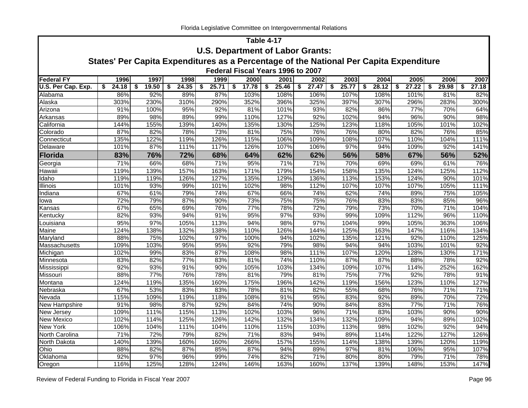|                      |                                                                                                                                                                                              |            |    |            |    |                                                                                        |    |            |    | Table 4-17 |    |                                         |    |       |    |            |                     |             |                     |    |               |
|----------------------|----------------------------------------------------------------------------------------------------------------------------------------------------------------------------------------------|------------|----|------------|----|----------------------------------------------------------------------------------------|----|------------|----|------------|----|-----------------------------------------|----|-------|----|------------|---------------------|-------------|---------------------|----|---------------|
|                      |                                                                                                                                                                                              |            |    |            |    |                                                                                        |    |            |    |            |    | <b>U.S. Department of Labor Grants:</b> |    |       |    |            |                     |             |                     |    |               |
|                      |                                                                                                                                                                                              |            |    |            |    | States' Per Capita Expenditures as a Percentage of the National Per Capita Expenditure |    |            |    |            |    |                                         |    |       |    |            |                     |             |                     |    |               |
|                      |                                                                                                                                                                                              |            |    |            |    |                                                                                        |    |            |    |            |    | Federal Fiscal Years 1996 to 2007       |    |       |    |            |                     |             |                     |    |               |
| <b>Federal FY</b>    |                                                                                                                                                                                              | 1996       |    | 1997       |    | 1998                                                                                   |    | 1999       |    | 2000       |    | 2001                                    |    | 2002  |    | 2003       |                     | 2005        |                     |    |               |
| U.S. Per Cap. Exp.   | \$                                                                                                                                                                                           | 24.18      | \$ | 19.50      | \$ | 24.35                                                                                  | \$ | 25.71      | \$ | 17.78      | \$ | 25.46                                   | \$ | 27.47 | \$ | 25.77      | \$<br>2004<br>28.12 | \$<br>27.22 | \$<br>2006<br>29.98 | \$ | 2007<br>27.18 |
|                      |                                                                                                                                                                                              | 86%        |    | 92%        |    | 89%                                                                                    |    | 87%        |    | 103%       |    | 108%                                    |    | 106%  |    | 107%       | 108%                | 101%        | 81%                 |    | 82%           |
| Alabama<br>Alaska    |                                                                                                                                                                                              | 303%       |    | 230%       |    | 310%                                                                                   |    | 290%       |    | 352%       |    | 396%                                    |    | 325%  |    | 397%       | 307%                | 296%        | 283%                |    | 300%          |
| Arizona              |                                                                                                                                                                                              | 91%        |    | 100%       |    | 95%                                                                                    |    | 92%        |    | 81%        |    | 101%                                    |    | 93%   |    | 82%        | 86%                 | 77%         | 70%                 |    | 64%           |
| Arkansas             |                                                                                                                                                                                              | 89%        |    | 98%        |    | 89%                                                                                    |    | 99%        |    | 110%       |    | 127%                                    |    | 92%   |    | 102%       | 94%                 | 96%         | 90%                 |    | 98%           |
| California           |                                                                                                                                                                                              | 144%       |    | 155%       |    | 139%                                                                                   |    | 140%       |    | 135%       |    | 130%                                    |    | 125%  |    | 123%       | 118%                | 105%        | 101%                |    | 102%          |
| Colorado             |                                                                                                                                                                                              | 87%        |    | 82%        |    | 78%                                                                                    |    | 73%        |    | 81%        |    | 75%                                     |    | 76%   |    | 76%        | 80%                 | 82%         | 76%                 |    | 85%           |
| Connecticut          |                                                                                                                                                                                              | 135%       |    | 122%       |    | 119%                                                                                   |    | 126%       |    | 115%       |    | 106%                                    |    | 109%  |    | 108%       | 107%                | 110%        | 104%                |    | 111%          |
| Delaware             |                                                                                                                                                                                              | 101%       |    |            |    |                                                                                        |    |            |    | 126%       |    |                                         |    | 106%  |    | 97%        |                     | 109%        | 92%                 |    | 141%          |
| <b>Florida</b>       | 87%<br>117%<br>107%<br>94%<br>111%<br>83%<br>76%<br>72%<br>68%<br>64%<br>62%<br>62%<br>56%<br>58%<br>67%<br>56%<br>71%<br>71%<br>70%<br>66%<br>68%<br>95%<br>71%<br>71%<br>69%<br>69%<br>61% |            |    |            |    |                                                                                        |    |            |    |            |    |                                         |    |       |    | 52%        |                     |             |                     |    |               |
| Georgia              |                                                                                                                                                                                              |            |    |            |    |                                                                                        |    |            |    |            |    |                                         |    |       |    | 76%        |                     |             |                     |    |               |
| Hawaii               | 119%<br>125%<br>139%<br>157%<br>163%<br>171%<br>179%<br>154%<br>158%<br>135%<br>124%                                                                                                         |            |    |            |    |                                                                                        |    |            |    |            |    |                                         |    |       |    | 112%       |                     |             |                     |    |               |
| Idaho                | 119%<br>119%<br>127%<br>135%<br>136%<br>113%<br>153%<br>90%<br>126%<br>129%<br>124%                                                                                                          |            |    |            |    |                                                                                        |    |            |    |            |    |                                         |    |       |    | 101%       |                     |             |                     |    |               |
| <b>Illinois</b>      |                                                                                                                                                                                              | 101%       |    | 93%        |    | 99%                                                                                    |    | 101%       |    | 102%       |    | 98%                                     |    | 112%  |    | 107%       | 107%                | 107%        | 105%                |    | 111%          |
| Indiana              |                                                                                                                                                                                              | 67%        |    | 61%        |    | 79%                                                                                    |    | 74%        |    | 67%        |    | 66%                                     |    | 74%   |    | 62%        | 74%                 | 89%         | 75%                 |    | 105%          |
| lowa                 |                                                                                                                                                                                              | 72%        |    | 79%        |    | 87%                                                                                    |    | 90%        |    | 73%        |    | 75%                                     |    | 75%   |    | 76%        | 83%                 | 83%         | 85%                 |    | 96%           |
| Kansas               |                                                                                                                                                                                              | 67%        |    | 65%        |    | 69%                                                                                    |    | 76%        |    | 77%        |    | 78%                                     |    | 72%   |    | 79%        | 73%                 | 70%         | 71%                 |    | 104%          |
| Kentuckv             |                                                                                                                                                                                              | 82%        |    | 93%        |    | 94%                                                                                    |    | 91%        |    | 95%        |    | 97%                                     |    | 93%   |    | 99%        | 109%                | 112%        | 96%                 |    | 110%          |
| Louisiana            |                                                                                                                                                                                              | 95%        |    | 97%        |    | 105%                                                                                   |    | 113%       |    | 94%        |    | 98%                                     |    | 97%   |    | 104%       | 99%                 | 105%        | 363%                |    | 106%          |
| Maine                |                                                                                                                                                                                              | 124%       |    | 138%       |    | 132%                                                                                   |    | 138%       |    | 110%       |    | 126%                                    |    | 144%  |    | 125%       | 163%                | 147%        | 116%                |    | 134%          |
| Maryland             |                                                                                                                                                                                              | 88%        |    | 75%        |    | 102%                                                                                   |    | 97%        |    | 100%       |    | 94%                                     |    | 102%  |    | 135%       | 121%                | 92%         | 110%                |    | 125%          |
| Massachusetts        |                                                                                                                                                                                              | 109%       |    | 103%       |    | 95%                                                                                    |    | 95%        |    | 92%        |    | 79%                                     |    | 98%   |    | 94%        | 94%                 | 103%        | 101%                |    | 92%           |
| Michigan             |                                                                                                                                                                                              | 102%       |    | 99%        |    | 83%                                                                                    |    | 87%        |    | 108%       |    | 98%                                     |    | 111%  |    | 107%       | 120%                | 128%        | 130%                |    | 171%          |
| Minnesota            |                                                                                                                                                                                              | 83%        |    | 82%        |    | 77%                                                                                    |    | 83%        |    | 81%        |    | 74%                                     |    | 110%  |    | 87%        | 87%                 | 88%         | 78%                 |    | 92%           |
| Mississippi          |                                                                                                                                                                                              | 92%        |    | 93%        |    | 91%                                                                                    |    | 90%        |    | 105%       |    | 103%                                    |    | 134%  |    | 109%       | 107%                | 114%        | 252%                |    | 162%          |
| Missouri             |                                                                                                                                                                                              | 88%        |    | 77%        |    | 76%                                                                                    |    | 78%        |    | 81%        |    | 79%                                     |    | 81%   |    | 75%        | 77%                 | 92%         | 78%                 |    | 91%           |
| Montana              |                                                                                                                                                                                              | 124%       |    | 119%       |    | 135%                                                                                   |    | 160%       |    | 175%       |    | 196%                                    |    | 142%  |    | 119%       | 156%                | 123%        | 110%                |    | 127%          |
| Nebraska             |                                                                                                                                                                                              | 67%        |    | 53%        |    | 83%                                                                                    |    | 83%        |    | 78%        |    | 81%                                     |    | 82%   |    | 55%        | 68%                 | 76%         | 71%                 |    | 71%           |
| Nevada               |                                                                                                                                                                                              | 115%       |    | 109%       |    | 119%                                                                                   |    | 118%       |    | 108%       |    | 91%                                     |    | 95%   |    | 83%        | 92%                 | 89%         | 70%                 |    | 72%           |
| <b>New Hampshire</b> |                                                                                                                                                                                              | 91%        |    | 98%        |    | 87%                                                                                    |    | 92%        |    | 84%        |    | 74%                                     |    | 90%   |    | 84%        | 83%                 | 77%         | 71%                 |    | 76%           |
| New Jersev           |                                                                                                                                                                                              | 109%       |    | 111%       |    | 115%                                                                                   |    | 113%       |    | 102%       |    | 103%                                    |    | 96%   |    | 71%        | 83%                 | 103%        | 90%                 |    | 90%           |
| New Mexico           |                                                                                                                                                                                              | 102%       |    | 114%       |    | 125%                                                                                   |    | 126%       |    | 142%       |    | 132%                                    |    | 134%  |    | 132%       | 109%                | 94%         | 89%                 |    | 102%          |
| New York             |                                                                                                                                                                                              | 106%       |    | 104%       |    | 111%                                                                                   |    | 104%       |    | 110%       |    | 115%                                    |    | 103%  |    | 113%       | 98%                 | 102%        | 92%                 |    | 94%           |
| North Carolina       |                                                                                                                                                                                              | 71%        |    | 72%        |    | 79%                                                                                    |    | 82%        |    | 71%        |    | 83%                                     |    | 94%   |    | 89%        | 114%                | 122%        | 127%                |    | 126%          |
| North Dakota         |                                                                                                                                                                                              | 140%       |    | 139%       |    | 160%                                                                                   |    | 160%       |    | 266%       |    | 157%                                    |    | 155%  |    | 114%       | 138%                | 139%        | 120%                |    | 119%          |
| Ohio                 |                                                                                                                                                                                              | 88%<br>92% |    | 82%<br>97% |    | 87%<br>96%                                                                             |    | 85%<br>99% |    | 87%<br>74% |    | 94%<br>82%                              |    | 89%   |    | 97%<br>80% | 81%<br>80%          | 106%<br>79% | 95%<br>71%          |    | 107%          |
| Oklahoma             |                                                                                                                                                                                              |            |    |            |    |                                                                                        |    |            |    |            |    |                                         |    | 71%   |    |            |                     |             |                     |    | 78%           |
| Oregon               |                                                                                                                                                                                              | 116%       |    | 125%       |    | 128%                                                                                   |    | 124%       |    | 146%       |    | 163%                                    |    | 160%  |    | 137%       | 139%                | 148%        | 153%                |    | 147%          |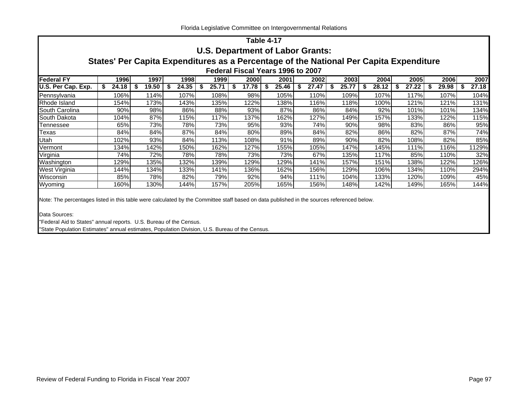|                    |                                                                                                                                                                                                         |      |                                                                                        |      |      | Table 4-17                              |      |      |      |      |      |       |  |  |  |
|--------------------|---------------------------------------------------------------------------------------------------------------------------------------------------------------------------------------------------------|------|----------------------------------------------------------------------------------------|------|------|-----------------------------------------|------|------|------|------|------|-------|--|--|--|
|                    |                                                                                                                                                                                                         |      |                                                                                        |      |      | <b>U.S. Department of Labor Grants:</b> |      |      |      |      |      |       |  |  |  |
|                    |                                                                                                                                                                                                         |      | States' Per Capita Expenditures as a Percentage of the National Per Capita Expenditure |      |      |                                         |      |      |      |      |      |       |  |  |  |
|                    |                                                                                                                                                                                                         |      |                                                                                        |      |      | Federal Fiscal Years 1996 to 2007       |      |      |      |      |      |       |  |  |  |
| <b>Federal FY</b>  | 2003<br>2004<br>2006<br>2007<br>1996<br>1997<br>1998l<br>2005<br>1999<br>2000l<br>2001<br>2002<br>24.18<br>19.50<br>25.71<br>17.78<br>25.46<br>27.47<br>25.77<br>28.12<br>27.22<br>24.35<br>S.<br>29.98 |      |                                                                                        |      |      |                                         |      |      |      |      |      |       |  |  |  |
| U.S. Per Cap. Exp. | 98%<br>107%<br>107%<br>106%<br>114%<br>107%<br>108%<br>105%<br>110%<br>109%<br>117%                                                                                                                     |      |                                                                                        |      |      |                                         |      |      |      |      |      |       |  |  |  |
| Pennsylvania       | 27.18<br>104%<br>154%<br>173%<br>143%<br>122%<br>121%<br>135%<br>138%<br>116%<br>118%<br>100%<br>121%<br>131%                                                                                           |      |                                                                                        |      |      |                                         |      |      |      |      |      |       |  |  |  |
| Rhode Island       |                                                                                                                                                                                                         |      |                                                                                        |      |      |                                         |      |      |      |      |      |       |  |  |  |
| South Carolina     | 90%                                                                                                                                                                                                     | 98%  | 86%                                                                                    | 88%  | 93%  | 87%                                     | 86%  | 84%  | 92%  | 101% | 101% | 134%  |  |  |  |
| South Dakota       | 104%                                                                                                                                                                                                    | 87%  | 115%                                                                                   | 117% | 137% | 162%                                    | 127% | 149% | 157% | 133% | 122% | 115%  |  |  |  |
| Tennessee          | 65%                                                                                                                                                                                                     | 73%  | 78%                                                                                    | 73%  | 95%  | 93%                                     | 74%  | 90%  | 98%  | 83%  | 86%  | 95%   |  |  |  |
| Texas              | 84%                                                                                                                                                                                                     | 84%  | 87%                                                                                    | 84%  | 80%  | 89%                                     | 84%  | 82%  | 86%  | 82%  | 87%  | 74%   |  |  |  |
| Utah               | 102%                                                                                                                                                                                                    | 93%  | 84%                                                                                    | 113% | 108% | 91%                                     | 89%  | 90%  | 82%  | 108% | 82%  | 85%   |  |  |  |
| Vermont            | 134%                                                                                                                                                                                                    | 142% | 150%                                                                                   | 162% | 127% | 155%                                    | 105% | 147% | 145% | 111% | 116% | 1129% |  |  |  |
| Virginia           | 74%                                                                                                                                                                                                     | 72%  | 78%                                                                                    | 78%  | 73%  | 73%                                     | 67%  | 135% | 117% | 85%  | 110% | 32%   |  |  |  |
| Washington         | 129%                                                                                                                                                                                                    | 135% | 132%                                                                                   | 139% | 129% | 129%                                    | 141% | 157% | 151% | 138% | 122% | 126%  |  |  |  |
| West Virginia      | 144%                                                                                                                                                                                                    | 134% | 133%                                                                                   | 141% | 136% | 162%                                    | 156% | 129% | 106% | 134% | 110% | 294%  |  |  |  |
| Wisconsin          | 85%                                                                                                                                                                                                     | 78%  | 82%                                                                                    | 79%  | 92%  | 94%                                     | 111% | 104% | 133% | 120% | 109% | 45%   |  |  |  |
| Wyoming            | 160%                                                                                                                                                                                                    | 130% | 144%                                                                                   | 157% | 205% | 165%                                    | 156% | 148% | 142% | 149% | 165% | 144%  |  |  |  |

Data Sources:

"Federal Aid to States" annual reports. U.S. Bureau of the Census.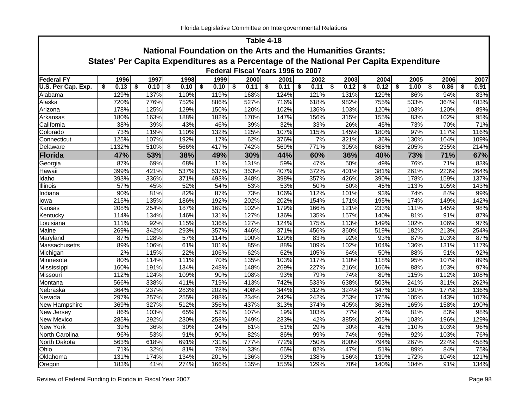|                    |                                                                                                                                                                                                                                                                |      |    |      |     |      |    |      |    | Table 4-18                                                                             |   |            |    |      |    |      |            |             |             |    |      |
|--------------------|----------------------------------------------------------------------------------------------------------------------------------------------------------------------------------------------------------------------------------------------------------------|------|----|------|-----|------|----|------|----|----------------------------------------------------------------------------------------|---|------------|----|------|----|------|------------|-------------|-------------|----|------|
|                    |                                                                                                                                                                                                                                                                |      |    |      |     |      |    |      |    | <b>National Foundation on the Arts and the Humanities Grants:</b>                      |   |            |    |      |    |      |            |             |             |    |      |
|                    |                                                                                                                                                                                                                                                                |      |    |      |     |      |    |      |    | States' Per Capita Expenditures as a Percentage of the National Per Capita Expenditure |   |            |    |      |    |      |            |             |             |    |      |
|                    |                                                                                                                                                                                                                                                                |      |    |      |     |      |    |      |    | Federal Fiscal Years 1996 to 2007                                                      |   |            |    |      |    |      |            |             |             |    |      |
| <b>Federal FY</b>  |                                                                                                                                                                                                                                                                | 1996 |    | 1997 |     | 1998 |    | 1999 |    | 2000                                                                                   |   | 2001       |    | 2002 |    | 2003 | 2004       | 2005        | 2006        |    | 2007 |
| U.S. Per Cap. Exp. | \$                                                                                                                                                                                                                                                             | 0.13 | \$ | 0.10 | -\$ | 0.10 | \$ | 0.10 | \$ | 0.11                                                                                   | S | 0.11       | \$ | 0.11 | \$ | 0.12 | \$<br>0.12 | \$<br>1.00  | \$<br>0.86  | \$ | 0.91 |
| Alabama            |                                                                                                                                                                                                                                                                | 129% |    | 137% |     | 110% |    | 119% |    | 168%                                                                                   |   | 124%       |    | 121% |    | 131% | 129%       | 86%         | 94%         |    | 83%  |
| Alaska             |                                                                                                                                                                                                                                                                | 720% |    | 776% |     | 752% |    | 886% |    | 527%                                                                                   |   | 716%       |    | 618% |    | 982% | 755%       | 533%        | 364%        |    | 483% |
| Arizona            |                                                                                                                                                                                                                                                                | 178% |    | 125% |     | 129% |    | 150% |    | 120%                                                                                   |   | 102%       |    | 136% |    | 103% | 120%       | 103%        | 120%        |    | 89%  |
| Arkansas           |                                                                                                                                                                                                                                                                | 180% |    | 163% |     | 188% |    | 182% |    | 170%                                                                                   |   | 147%       |    | 156% |    | 315% | 155%       | 83%         | 102%        |    | 95%  |
| California         |                                                                                                                                                                                                                                                                | 38%  |    | 39%  |     | 43%  |    | 46%  |    | 39%                                                                                    |   | 32%        |    | 33%  |    | 26%  | 45%        | 73%         | 70%         |    | 71%  |
| Colorado           | 73%<br>119%<br>110%<br>132%<br>125%<br>107%<br>115%<br>145%<br>180%<br>97%<br>117%<br>107%<br>62%<br>36%<br>125%<br>192%<br>17%<br>376%<br>7%<br>321%<br>130%<br>104%<br>1132%<br>417%<br>742%<br>771%<br>395%<br>688%<br>205%<br>510%<br>566%<br>569%<br>235% |      |    |      |     |      |    |      |    |                                                                                        |   |            |    |      |    | 116% |            |             |             |    |      |
| Connecticut        |                                                                                                                                                                                                                                                                |      |    |      |     |      |    |      |    |                                                                                        |   |            |    |      |    |      |            |             |             |    | 109% |
| Delaware           | 71%<br>47%<br>53%<br>30%<br>60%<br>36%<br>73%<br>38%<br>49%<br>44%<br>40%                                                                                                                                                                                      |      |    |      |     |      |    |      |    |                                                                                        |   |            |    |      |    | 214% |            |             |             |    |      |
| <b>Florida</b>     | 71%<br>87%<br>69%<br>11%<br>131%<br>47%<br>50%<br>49%<br>76%<br>68%<br>59%<br>421%<br>537%<br>537%<br>353%<br>407%<br>372%<br>401%<br>223%<br>399%<br>381%<br>261%                                                                                             |      |    |      |     |      |    |      |    |                                                                                        |   |            |    |      |    | 67%  |            |             |             |    |      |
| Georgia            |                                                                                                                                                                                                                                                                |      |    |      |     |      |    |      |    |                                                                                        |   |            |    |      |    |      |            |             |             |    | 83%  |
| Hawaii             |                                                                                                                                                                                                                                                                |      |    |      |     |      |    |      |    |                                                                                        |   |            |    |      |    | 264% |            |             |             |    |      |
| Idaho              |                                                                                                                                                                                                                                                                | 393% |    | 336% |     | 371% |    | 493% |    | 348%                                                                                   |   | 398%       |    | 357% |    | 426% | 390%       | 178%        | 159%        |    | 137% |
| <b>Illinois</b>    |                                                                                                                                                                                                                                                                | 57%  |    | 45%  |     | 52%  |    | 54%  |    | 53%                                                                                    |   | 53%        |    | 50%  |    | 50%  | 45%        | 113%        | 105%        |    | 143% |
| Indiana            |                                                                                                                                                                                                                                                                | 90%  |    | 81%  |     | 82%  |    | 87%  |    | 73%                                                                                    |   | 106%       |    | 112% |    | 101% | 93%        | 74%         | 84%         |    | 99%  |
| lowa               |                                                                                                                                                                                                                                                                | 215% |    | 135% |     | 186% |    | 192% |    | 202%                                                                                   |   | 202%       |    | 154% |    | 171% | 195%       | 174%        | 149%        |    | 142% |
| Kansas             |                                                                                                                                                                                                                                                                | 208% |    | 254% |     | 187% |    | 169% |    | 102%                                                                                   |   | 179%       |    | 166% |    | 121% | 233%       | 111%        | 145%        |    | 98%  |
| Kentuckv           |                                                                                                                                                                                                                                                                | 114% |    | 134% |     | 146% |    | 131% |    | 127%                                                                                   |   | 136%       |    | 135% |    | 157% | 140%       | 81%         | 91%         |    | 87%  |
| _ouisiana          |                                                                                                                                                                                                                                                                | 111% |    | 92%  |     | 115% |    | 136% |    | 127%                                                                                   |   | 124%       |    | 175% |    | 113% | 149%       | 102%        | 106%        |    | 97%  |
| Maine              |                                                                                                                                                                                                                                                                | 269% |    | 342% |     | 293% |    | 357% |    | 446%                                                                                   |   | 371%       |    | 456% |    | 360% | 519%       | 182%        | 213%        |    | 254% |
| Maryland           |                                                                                                                                                                                                                                                                | 87%  |    | 128% |     | 57%  |    | 114% |    | 100%                                                                                   |   | 129%       |    | 83%  |    | 92%  | 93%        | 87%         | 103%        |    | 87%  |
| Massachusetts      |                                                                                                                                                                                                                                                                | 89%  |    | 106% |     | 61%  |    | 101% |    | 85%                                                                                    |   | 88%        |    | 109% |    | 102% | 104%       | 136%        | 131%        |    | 117% |
| Michigan           |                                                                                                                                                                                                                                                                | 2%   |    | 115% |     | 22%  |    | 106% |    | 62%                                                                                    |   | 62%        |    | 105% |    | 64%  | 50%        | 88%         | 91%         |    | 92%  |
| Minnesota          |                                                                                                                                                                                                                                                                | 80%  |    | 114% |     | 111% |    | 70%  |    | 135%                                                                                   |   | 103%       |    | 117% |    | 110% | 118%       | 95%         | 107%        |    | 89%  |
| Mississippi        |                                                                                                                                                                                                                                                                | 160% |    | 191% |     | 134% |    | 248% |    | 148%                                                                                   |   | 269%       |    | 227% |    | 216% | 166%       | 88%         | 103%        |    | 97%  |
| Missouri           |                                                                                                                                                                                                                                                                | 112% |    | 124% |     | 109% |    | 90%  |    | 108%                                                                                   |   | 93%        |    | 79%  |    | 74%  | 89%        | 115%        | 112%        |    | 108% |
| Montana            |                                                                                                                                                                                                                                                                | 566% |    | 338% |     | 411% |    | 719% |    | 413%                                                                                   |   | 742%       |    | 533% |    | 638% | 503%       | 241%        | 311%        |    | 262% |
| Nebraska           |                                                                                                                                                                                                                                                                | 364% |    | 237% |     | 283% |    | 202% |    | 408%                                                                                   |   | 344%       |    | 312% |    | 324% | 347%       | 191%        | 177%        |    | 136% |
| Nevada             |                                                                                                                                                                                                                                                                | 297% |    | 257% |     | 255% |    | 288% |    | 234%                                                                                   |   | 242%       |    | 242% |    | 253% | 175%       | 105%        | 143%        |    | 107% |
| New Hampshire      |                                                                                                                                                                                                                                                                | 369% |    | 327% |     | 512% |    | 356% |    | 437%                                                                                   |   | 313%       |    | 374% |    | 405% | 363%       | 165%        | 158%        |    | 190% |
| New Jersey         |                                                                                                                                                                                                                                                                | 86%  |    | 103% |     | 65%  |    | 52%  |    | 107%                                                                                   |   | 19%        |    | 103% |    | 77%  | 47%        | 81%         | 83%         |    | 98%  |
| New Mexico         |                                                                                                                                                                                                                                                                | 285% |    | 292% |     | 230% |    | 258% |    | 249%                                                                                   |   | 233%       |    | 42%  |    | 385% | 205%       | 103%        | 196%        |    | 129% |
| New York           |                                                                                                                                                                                                                                                                | 39%  |    | 36%  |     | 30%  |    | 24%  |    | 61%                                                                                    |   | 51%        |    | 29%  |    | 30%  | 42%        | 110%        | 103%        |    | 96%  |
| North Carolina     |                                                                                                                                                                                                                                                                | 96%  |    | 53%  |     | 91%  |    | 90%  |    | 82%                                                                                    |   | 86%        |    | 99%  |    | 74%  | 99%        | 92%         | 103%        |    | 76%  |
| North Dakota       |                                                                                                                                                                                                                                                                | 563% |    | 618% |     | 691% |    | 731% |    | 777%                                                                                   |   | 772%       |    | 750% |    | 800% | 794%       | 267%        | 224%        |    | 458% |
| Ohio               |                                                                                                                                                                                                                                                                | 71%  |    | 32%  |     | 81%  |    | 78%  |    | 33%                                                                                    |   | 66%<br>93% |    | 82%  |    | 47%  | 51%        | 89%<br>172% | 84%<br>104% |    | 75%  |
| Oklahoma           |                                                                                                                                                                                                                                                                | 131% |    | 174% |     | 134% |    | 201% |    | 136%                                                                                   |   |            |    | 138% |    | 156% | 139%       |             | 91%         |    | 121% |
| Oregon             |                                                                                                                                                                                                                                                                | 183% |    | 41%  |     | 274% |    | 166% |    | 135%                                                                                   |   | 155%       |    | 129% |    | 70%  | 140%       | 104%        |             |    | 134% |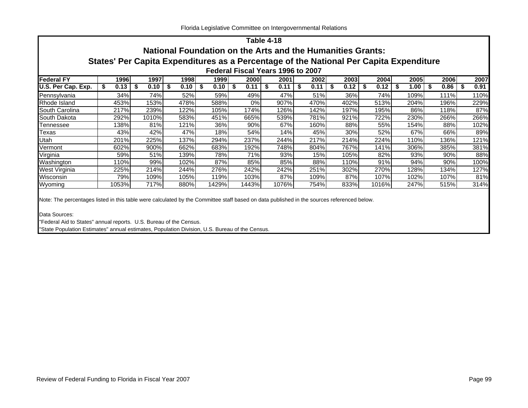|                    |                                                                                                                                                                                                                   |        |  |        |  |      |  |       |  | Table 4-18 |  |                                   |  |                                                                                        |  |      |        |      |      |  |      |
|--------------------|-------------------------------------------------------------------------------------------------------------------------------------------------------------------------------------------------------------------|--------|--|--------|--|------|--|-------|--|------------|--|-----------------------------------|--|----------------------------------------------------------------------------------------|--|------|--------|------|------|--|------|
|                    |                                                                                                                                                                                                                   |        |  |        |  |      |  |       |  |            |  |                                   |  | <b>National Foundation on the Arts and the Humanities Grants:</b>                      |  |      |        |      |      |  |      |
|                    |                                                                                                                                                                                                                   |        |  |        |  |      |  |       |  |            |  |                                   |  |                                                                                        |  |      |        |      |      |  |      |
|                    |                                                                                                                                                                                                                   |        |  |        |  |      |  |       |  |            |  |                                   |  | States' Per Capita Expenditures as a Percentage of the National Per Capita Expenditure |  |      |        |      |      |  |      |
|                    |                                                                                                                                                                                                                   |        |  |        |  |      |  |       |  |            |  | Federal Fiscal Years 1996 to 2007 |  |                                                                                        |  |      |        |      |      |  |      |
| <b>Federal FY</b>  | 2003<br>2005<br>1996<br>1997<br>2004<br>2006<br>1998 <br>19991<br>2000I<br>2002<br>2001<br>0.10<br>0.12<br>0.13<br>0.10<br>0.12<br>1.00<br>0.86<br>S<br>0.10<br>- \$<br>0.11<br>0.11<br>S<br>0.11<br>S.<br>S<br>S |        |  |        |  |      |  |       |  |            |  |                                   |  |                                                                                        |  | 2007 |        |      |      |  |      |
| U.S. Per Cap. Exp. |                                                                                                                                                                                                                   |        |  |        |  |      |  |       |  |            |  |                                   |  |                                                                                        |  |      |        |      |      |  | 0.91 |
| Pennsylvania       |                                                                                                                                                                                                                   | 34%    |  | 74%    |  | 52%  |  | 59%   |  | 49%        |  | 47%                               |  | 51%                                                                                    |  | 36%  | 74%    | 109% | 111% |  | 110% |
| Rhode Island       |                                                                                                                                                                                                                   | 453%   |  | 153%   |  | 478% |  | 588%  |  | $0\%$      |  | 907%                              |  | 470%                                                                                   |  | 402% | 513%   | 204% | 196% |  | 229% |
| South Carolina     |                                                                                                                                                                                                                   | 217%   |  | 239%   |  | 122% |  | 105%  |  | 174%       |  | 126%                              |  | 142%                                                                                   |  | 197% | 195%   | 86%  | 118% |  | 87%  |
| South Dakota       |                                                                                                                                                                                                                   | 292%   |  | 1010%I |  | 583% |  | 451%  |  | 665%       |  | 539%                              |  | 781%                                                                                   |  | 921% | 722%   | 230% | 266% |  | 266% |
| Tennessee          |                                                                                                                                                                                                                   | 138%   |  | 81%    |  | 121% |  | 36%   |  | 90%        |  | 67%                               |  | 160%                                                                                   |  | 88%  | 55%    | 154% | 88%  |  | 102% |
| <b>Texas</b>       |                                                                                                                                                                                                                   | 43%    |  | 42%    |  | 47%  |  | 18%   |  | 54%        |  | 14%                               |  | 45%                                                                                    |  | 30%  | 52%    | 67%  | 66%  |  | 89%  |
| Utah               |                                                                                                                                                                                                                   | 201%   |  | 225%   |  | 137% |  | 294%  |  | 237%       |  | 244%                              |  | 217%                                                                                   |  | 214% | 224%   | 110% | 136% |  | 121% |
| Vermont            |                                                                                                                                                                                                                   | 602%   |  | 900%   |  | 662% |  | 683%  |  | 192%       |  | 748%                              |  | 804%                                                                                   |  | 767% | 141%   | 306% | 385% |  | 381% |
| Virginia           |                                                                                                                                                                                                                   | 59%    |  | 51%    |  | 139% |  | 78%   |  | 71%        |  | 93%                               |  | 15%                                                                                    |  | 105% | 82%    | 93%  | 90%  |  | 88%  |
| Washington         |                                                                                                                                                                                                                   | 110%   |  | 99%    |  | 102% |  | 87%   |  | 85%        |  | 85%                               |  | 88%                                                                                    |  | 110% | 91%    | 94%  | 90%  |  | 100% |
| West Virginia      |                                                                                                                                                                                                                   | 225%   |  | 214%   |  | 244% |  | 276%  |  | 242%       |  | 242%                              |  | 251%                                                                                   |  | 302% | 270%   | 128% | 134% |  | 127% |
| Wisconsin          |                                                                                                                                                                                                                   | 79%    |  | 109%   |  | 105% |  | 119%  |  | 103%       |  | 87%                               |  | 109%                                                                                   |  | 87%  | 107%   | 102% | 107% |  | 81%  |
| Wyoming            |                                                                                                                                                                                                                   | 1053%l |  | 717%   |  | 880% |  | 1429% |  | 1443%      |  | 1076%                             |  | 754%                                                                                   |  | 833% | 1016%l | 247% | 515% |  | 314% |

Data Sources:

"Federal Aid to States" annual reports. U.S. Bureau of the Census.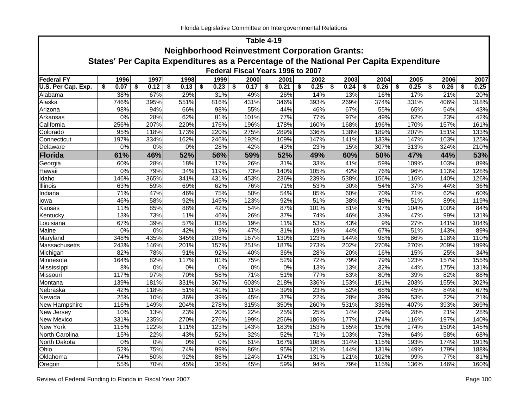|                    |                                                                                                                                                                                                                                                                         |    |      |                                                                                        |            |    | Table 4-19                        |    |      |    |      |    |      |    |      |            |            |      |    |      |
|--------------------|-------------------------------------------------------------------------------------------------------------------------------------------------------------------------------------------------------------------------------------------------------------------------|----|------|----------------------------------------------------------------------------------------|------------|----|-----------------------------------|----|------|----|------|----|------|----|------|------------|------------|------|----|------|
|                    |                                                                                                                                                                                                                                                                         |    |      | <b>Neighborhood Reinvestment Corporation Grants:</b>                                   |            |    |                                   |    |      |    |      |    |      |    |      |            |            |      |    |      |
|                    |                                                                                                                                                                                                                                                                         |    |      | States' Per Capita Expenditures as a Percentage of the National Per Capita Expenditure |            |    |                                   |    |      |    |      |    |      |    |      |            |            |      |    |      |
|                    |                                                                                                                                                                                                                                                                         |    |      |                                                                                        |            |    |                                   |    |      |    |      |    |      |    |      |            |            |      |    |      |
|                    |                                                                                                                                                                                                                                                                         |    |      |                                                                                        |            |    | Federal Fiscal Years 1996 to 2007 |    |      |    |      |    |      |    |      |            |            |      |    |      |
| <b>Federal FY</b>  | 1996                                                                                                                                                                                                                                                                    |    | 1997 | 1998                                                                                   | 1999       |    | 2000                              |    | 2001 |    | 2002 |    | 2003 |    | 2004 | 2005       |            | 2006 |    | 2007 |
| U.S. Per Cap. Exp. | 0.07<br>\$                                                                                                                                                                                                                                                              | \$ | 0.12 | -\$<br>0.13                                                                            | 0.23<br>\$ | \$ | 0.17                              | \$ | 0.21 | \$ | 0.25 | \$ | 0.24 | \$ | 0.26 | \$<br>0.25 | 0.26<br>\$ |      | \$ | 0.25 |
| Alabama            | 38%                                                                                                                                                                                                                                                                     |    | 67%  | 29%                                                                                    | 31%        |    | 49%                               |    | 26%  |    | 14%  |    | 13%  |    | 16%  | 17%        |            | 21%  |    | 20%  |
| Alaska             | 746%                                                                                                                                                                                                                                                                    |    | 395% | 551%                                                                                   | 816%       |    | 431%                              |    | 346% |    | 393% |    | 269% |    | 374% | 331%       | 406%       |      |    | 318% |
| Arizona            | 98%                                                                                                                                                                                                                                                                     |    | 94%  | 66%                                                                                    | 98%        |    | 55%                               |    | 44%  |    | 46%  |    | 67%  |    | 55%  | 65%        |            | 54%  |    | 43%  |
| Arkansas           | 77%<br>97%<br>28%<br>81%<br>77%<br>49%<br>62%<br>23%<br>$0\%$<br>62%<br>101%<br>207%<br>176%<br>196%<br>178%<br>196%<br>157%<br>256%<br>220%<br>160%<br>168%<br>170%<br>275%<br>Colorado<br>95%<br>173%<br>220%<br>289%<br>336%<br>138%<br>189%<br>207%<br>151%<br>118% |    |      |                                                                                        |            |    |                                   |    |      |    |      |    |      |    | 42%  |            |            |      |    |      |
| California         |                                                                                                                                                                                                                                                                         |    |      |                                                                                        |            |    |                                   |    |      |    |      |    |      |    |      |            |            |      |    | 161% |
|                    |                                                                                                                                                                                                                                                                         |    |      |                                                                                        |            |    |                                   |    |      |    |      |    |      |    |      |            |            |      |    | 133% |
| Connecticut        | 197%                                                                                                                                                                                                                                                                    |    | 334% | 162%                                                                                   | 246%       |    | 192%                              |    | 109% |    | 147% |    | 141% |    | 133% | 147%       | 103%       |      |    | 125% |
| Delaware           | $0\%$                                                                                                                                                                                                                                                                   |    | 0%   | 0%                                                                                     | 28%        |    | 42%                               |    | 43%  |    | 23%  |    | 15%  |    | 307% | 313%       | 324%       |      |    | 210% |
| <b>Florida</b>     | 61%                                                                                                                                                                                                                                                                     |    | 46%  | 52%                                                                                    | 56%        |    | 59%                               |    | 52%  |    | 49%  |    | 60%  |    | 50%  | 47%        | 44%        |      |    | 53%  |
| Georgia            | 60%                                                                                                                                                                                                                                                                     |    | 28%  | 18%                                                                                    | 17%        |    | 26%                               |    | 31%  |    | 33%  |    | 41%  |    | 59%  | 109%       | 103%       |      |    | 89%  |
| Hawaii             | 0%                                                                                                                                                                                                                                                                      |    | 79%  | 34%                                                                                    | 119%       |    | 73%                               |    | 140% |    | 105% |    | 42%  |    | 76%  | 96%        | 113%       |      |    | 128% |
| Idaho              | 146%                                                                                                                                                                                                                                                                    |    | 365% | 341%                                                                                   | 431%       |    | 453%                              |    | 236% |    | 239% |    | 538% |    | 156% | 116%       | 140%       |      |    | 126% |
| <b>Illinois</b>    | 63%                                                                                                                                                                                                                                                                     |    | 59%  | 69%                                                                                    | 62%        |    | 76%                               |    | 71%  |    | 53%  |    | 30%  |    | 54%  | 37%        |            | 44%  |    | 36%  |
| Indiana            | 71%                                                                                                                                                                                                                                                                     |    | 47%  | 46%                                                                                    | 75%        |    | 50%                               |    | 54%  |    | 85%  |    | 60%  |    | 70%  | 71%        |            | 62%  |    | 60%  |
| lowa               | 46%                                                                                                                                                                                                                                                                     |    | 58%  | 92%                                                                                    | 145%       |    | 123%                              |    | 92%  |    | 51%  |    | 38%  |    | 49%  | 51%        |            | 89%  |    | 119% |
| Kansas             | 11%                                                                                                                                                                                                                                                                     |    | 85%  | 88%                                                                                    | 42%        |    | 54%                               |    | 87%  |    | 101% |    | 81%  |    | 97%  | 104%       | 100%       |      |    | 84%  |
| Kentuckv           | 13%                                                                                                                                                                                                                                                                     |    | 73%  | 11%                                                                                    | 46%        |    | 26%                               |    | 37%  |    | 74%  |    | 46%  |    | 33%  | 47%        |            | 99%  |    | 131% |
| Louisiana          | 67%                                                                                                                                                                                                                                                                     |    | 39%  | 57%                                                                                    | 83%        |    | 19%                               |    | 11%  |    | 53%  |    | 43%  |    | 9%   | 27%        | 141%       |      |    | 104% |
| Maine              | 0%                                                                                                                                                                                                                                                                      |    | 0%   | 42%                                                                                    | 9%         |    | 47%                               |    | 31%  |    | 19%  |    | 44%  |    | 67%  | 51%        | 143%       |      |    | 89%  |
| Maryland           | 348%                                                                                                                                                                                                                                                                    |    | 435% | 345%                                                                                   | 208%       |    | 167%                              |    | 130% |    | 123% |    | 144% |    | 98%  | 86%        | 118%       |      |    | 110% |
| Massachusetts      | 243%                                                                                                                                                                                                                                                                    |    | 146% | 201%                                                                                   | 157%       |    | 251%                              |    | 187% |    | 273% |    | 202% |    | 270% | 270%       | 209%       |      |    | 199% |
| Michigan           | 82%                                                                                                                                                                                                                                                                     |    | 78%  | 91%                                                                                    | 92%        |    | 40%                               |    | 36%  |    | 28%  |    | 20%  |    | 16%  | 15%        |            | 25%  |    | 34%  |
| Minnesota          | 164%                                                                                                                                                                                                                                                                    |    | 82%  | 117%                                                                                   | 81%        |    | 75%                               |    | 52%  |    | 72%  |    | 79%  |    | 79%  | 123%       | 157%       |      |    | 155% |
| Mississippi        | 8%                                                                                                                                                                                                                                                                      |    | 0%   | $0\%$                                                                                  | 0%         |    | 0%                                |    | 0%   |    | 13%  |    | 13%  |    | 32%  | 44%        | 175%       |      |    | 131% |
| Missouri           | 117%                                                                                                                                                                                                                                                                    |    | 97%  | 70%                                                                                    | 58%        |    | 71%                               |    | 51%  |    | 77%  |    | 53%  |    | 80%  | 39%        |            | 82%  |    | 88%  |
| Montana            | 139%                                                                                                                                                                                                                                                                    |    | 181% | 331%                                                                                   | 367%       |    | 603%                              |    | 218% |    | 336% |    | 153% |    | 151% | 203%       | 155%       |      |    | 302% |
| Nebraska           | 42%                                                                                                                                                                                                                                                                     |    | 118% | 51%                                                                                    | 41%        |    | 11%                               |    | 39%  |    | 23%  |    | 52%  |    | 68%  | 45%        |            | 84%  |    | 67%  |
| Nevada             | 25%                                                                                                                                                                                                                                                                     |    | 10%  | 36%                                                                                    | 39%        |    | 45%                               |    | 37%  |    | 22%  |    | 28%  |    | 39%  | 53%        |            | 22%  |    | 21%  |
| New Hampshire      | 116%                                                                                                                                                                                                                                                                    |    | 149% | 204%                                                                                   | 278%       |    | 315%                              |    | 350% |    | 260% |    | 531% |    | 336% | 407%       | 393%       |      |    | 369% |
| New Jersey         | 10%                                                                                                                                                                                                                                                                     |    | 13%  | 23%                                                                                    | 20%        |    | 22%                               |    | 25%  |    | 25%  |    | 14%  |    | 29%  | 28%        |            | 21%  |    | 28%  |
| New Mexico         | 331%                                                                                                                                                                                                                                                                    |    | 235% | 270%                                                                                   | 276%       |    | 199%                              |    | 256% |    | 186% |    | 177% |    | 174% | 116%       | 197%       |      |    | 140% |
| New York           | 115%                                                                                                                                                                                                                                                                    |    | 122% | 111%                                                                                   | 123%       |    | 143%                              |    | 183% |    | 153% |    | 165% |    | 150% | 174%       | 150%       |      |    | 145% |
| North Carolina     | 15%                                                                                                                                                                                                                                                                     |    | 22%  | 43%                                                                                    | 52%        |    | 32%                               |    | 52%  |    | 71%  |    | 103% |    | 73%  | 64%        |            | 58%  |    | 68%  |
| North Dakota       | 0%                                                                                                                                                                                                                                                                      |    | 0%   | 0%                                                                                     | 0%         |    | 61%                               |    | 167% |    | 108% |    | 314% |    | 115% | 193%       | 174%       |      |    | 191% |
| Ohio               | 52%                                                                                                                                                                                                                                                                     |    | 75%  | 74%                                                                                    | 99%        |    | 86%                               |    | 95%  |    | 121% |    | 144% |    | 131% | 149%       | 179%       |      |    | 188% |
| Oklahoma           | 74%                                                                                                                                                                                                                                                                     |    | 50%  | 92%                                                                                    | 86%        |    | 124%                              |    | 174% |    | 131% |    | 121% |    | 102% | 99%        |            | 77%  |    | 81%  |
| Oregon             | 55%                                                                                                                                                                                                                                                                     |    | 70%  | 45%                                                                                    | 36%        |    | 45%                               |    | 59%  |    | 94%  |    | 79%  |    | 115% | 136%       | 146%       |      |    | 160% |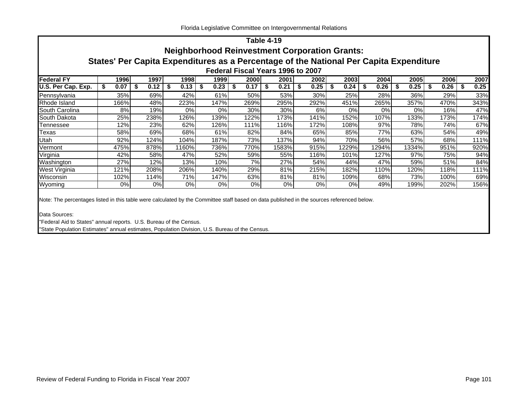|                |                                                                                                                                                |      |  |       |                                                                                        |      |  |       | Table 4-19 |  |       |       |       |       |      |      |      |
|----------------|------------------------------------------------------------------------------------------------------------------------------------------------|------|--|-------|----------------------------------------------------------------------------------------|------|--|-------|------------|--|-------|-------|-------|-------|------|------|------|
|                |                                                                                                                                                |      |  |       | <b>Neighborhood Reinvestment Corporation Grants:</b>                                   |      |  |       |            |  |       |       |       |       |      |      |      |
|                |                                                                                                                                                |      |  |       | States' Per Capita Expenditures as a Percentage of the National Per Capita Expenditure |      |  |       |            |  |       |       |       |       |      |      |      |
|                |                                                                                                                                                |      |  |       |                                                                                        |      |  |       |            |  |       |       |       |       |      |      |      |
|                | Federal Fiscal Years 1996 to 2007<br><b>Federal FY</b><br>2003<br>2004<br>2005<br>2006<br>1996<br>1997<br>1998<br>1999<br>2000<br>2001<br>2002 |      |  |       |                                                                                        |      |  |       |            |  |       |       |       |       |      |      |      |
|                | 2007<br>0.25<br>0.12<br>0.23<br>0.17<br>0.25<br>0.26<br>0.25<br>0.26<br>0.07<br>0.13<br>S<br>0.21<br>S<br>0.24<br>- \$<br>S<br>S<br>ъ          |      |  |       |                                                                                        |      |  |       |            |  |       |       |       |       |      |      |      |
|                | U.S. Per Cap. Exp.<br>35%<br>69%<br>50%<br>53%<br>28%<br>42%<br>61%<br>30%<br>25%<br>36%<br>29%                                                |      |  |       |                                                                                        |      |  |       |            |  |       |       |       |       |      |      |      |
| Pennsylvania   | 166%<br>48%<br>223%<br>147%<br>269%<br>292%<br>451%<br>265%<br>357%<br>295%<br>470%                                                            |      |  |       |                                                                                        |      |  |       |            |  |       |       |       |       |      | 33%  |      |
| Rhode Island   |                                                                                                                                                |      |  |       |                                                                                        |      |  |       |            |  |       |       |       |       |      | 343% |      |
| South Carolina |                                                                                                                                                | 8%   |  | 19%   | 0%                                                                                     | 0%   |  | 30%   | 30%        |  | 6%    | 0%    | 0%    | 0%    | 16%  |      | 47%  |
| South Dakota   |                                                                                                                                                | 25%  |  | 238%  | 126%                                                                                   | 139% |  | 122%  | 173%       |  | 141%  | 152%  | 107%  | 133%  | 173% |      | 174% |
| Tennessee      |                                                                                                                                                | 12%  |  | 23%   | 62%                                                                                    | 126% |  | 111%  | 116%       |  | 172%  | 108%  | 97%   | 78%   | 74%  |      | 67%  |
| <b>Texas</b>   |                                                                                                                                                | 58%  |  | 69%   | 68%                                                                                    | 61%  |  | 82%   | 84%        |  | 65%   | 85%   | 77%   | 63%   | 54%  |      | 49%  |
| <b>Utah</b>    |                                                                                                                                                | 92%  |  | 124%  | 104%                                                                                   | 187% |  | 73%   | 137%       |  | 94%   | 70%   | 56%   | 57%   | 68%  |      | 111% |
| Vermont        |                                                                                                                                                | 475% |  | 878%  | 1160%                                                                                  | 736% |  | 770%  | 1583%      |  | 915%  | 1229% | 1294% | 1334% | 951% |      | 920% |
| Virginia       |                                                                                                                                                | 42%  |  | 58%   | 47%                                                                                    | 52%  |  | 59%   | 55%        |  | 116%  | 101%  | 127%  | 97%   | 75%  |      | 94%  |
| Washington     |                                                                                                                                                | 27%  |  | 12%   | 13%                                                                                    | 10%  |  | 7%    | 27%        |  | 54%   | 44%   | 47%   | 59%   | 51%  |      | 84%  |
| West Virginia  |                                                                                                                                                | 121% |  | 208%  | 206%                                                                                   | 140% |  | 29%   | 81%        |  | 215%  | 182%  | 110%  | 120%  | 118% |      | 111% |
| Wisconsin      |                                                                                                                                                | 102% |  | 114%  | 71%                                                                                    | 147% |  | 63%   | 81%        |  | 81%   | 109%  | 68%   | 73%   | 100% |      | 69%  |
| Wyoming        |                                                                                                                                                | 0%   |  | $0\%$ | 0%                                                                                     | 0%   |  | $0\%$ | $0\%$      |  | $0\%$ | 0%    | 49%   | 199%l | 202% |      | 156% |

Data Sources:

"Federal Aid to States" annual reports. U.S. Bureau of the Census.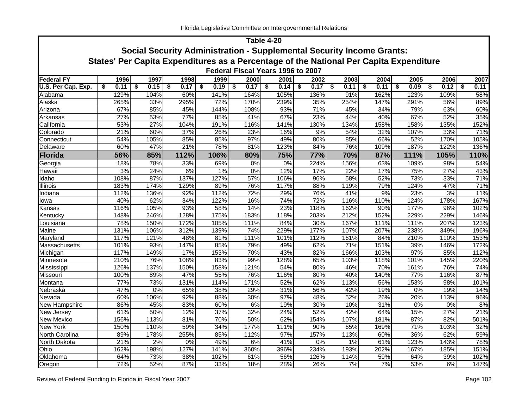|                      |                                                                                                                                                                                                                                                                                                                                                    |              |    |              |    |              |                                                                                        |    | Table 4-20                        |    |              |    |              |    |              |                    |                    |                    |    |              |
|----------------------|----------------------------------------------------------------------------------------------------------------------------------------------------------------------------------------------------------------------------------------------------------------------------------------------------------------------------------------------------|--------------|----|--------------|----|--------------|----------------------------------------------------------------------------------------|----|-----------------------------------|----|--------------|----|--------------|----|--------------|--------------------|--------------------|--------------------|----|--------------|
|                      |                                                                                                                                                                                                                                                                                                                                                    |              |    |              |    |              | <b>Social Security Administration - Supplemental Security Income Grants:</b>           |    |                                   |    |              |    |              |    |              |                    |                    |                    |    |              |
|                      |                                                                                                                                                                                                                                                                                                                                                    |              |    |              |    |              | States' Per Capita Expenditures as a Percentage of the National Per Capita Expenditure |    |                                   |    |              |    |              |    |              |                    |                    |                    |    |              |
|                      |                                                                                                                                                                                                                                                                                                                                                    |              |    |              |    |              |                                                                                        |    | Federal Fiscal Years 1996 to 2007 |    |              |    |              |    |              |                    |                    |                    |    |              |
| <b>Federal FY</b>    |                                                                                                                                                                                                                                                                                                                                                    |              |    |              |    |              |                                                                                        |    | 2000                              |    |              |    |              |    |              |                    |                    |                    |    |              |
| U.S. Per Cap. Exp.   | \$                                                                                                                                                                                                                                                                                                                                                 | 1996<br>0.11 | \$ | 1997<br>0.15 | \$ | 1998<br>0.17 | 1999<br>\$<br>0.19                                                                     | \$ | 0.17                              | \$ | 2001<br>0.14 | \$ | 2002<br>0.17 | \$ | 2003<br>0.11 | \$<br>2004<br>0.11 | \$<br>2005<br>0.09 | 2006<br>0.12<br>\$ | \$ | 2007<br>0.11 |
| Alabama              |                                                                                                                                                                                                                                                                                                                                                    | 129%         |    | 104%         |    | 60%          | 141%                                                                                   |    | 164%                              |    | 105%         |    | 136%         |    | 91%          | 162%               | 123%               | 109%               |    | 58%          |
| Alaska               |                                                                                                                                                                                                                                                                                                                                                    |              |    | 33%          |    | 295%         | 72%                                                                                    |    | 170%                              |    | 239%         |    | 35%          |    | 254%         | 147%               | 291%               | 56%                |    | 89%          |
| Arizona              | 265%<br>67%<br>85%<br>45%<br>144%<br>108%<br>93%<br>71%<br>45%<br>34%<br>79%<br>60%<br>63%<br>27%<br>53%<br>77%<br>85%<br>41%<br>67%<br>23%<br>44%<br>40%<br>67%<br>52%<br>53%<br>27%<br>158%<br>158%<br>104%<br>191%<br>116%<br>141%<br>130%<br>134%<br>135%<br>152%<br>21%<br>60%<br>37%<br>26%<br>23%<br>16%<br>9%<br>54%<br>32%<br>107%<br>33% |              |    |              |    |              |                                                                                        |    |                                   |    |              |    |              |    |              |                    |                    |                    |    |              |
| Arkansas             | $\overline{97\%}$<br>54%<br>105%<br>85%<br>85%<br>49%<br>85%<br>66%<br>52%<br>80%<br>170%                                                                                                                                                                                                                                                          |              |    |              |    |              |                                                                                        |    |                                   |    |              |    |              |    | 35%          |                    |                    |                    |    |              |
| California           |                                                                                                                                                                                                                                                                                                                                                    |              |    |              |    |              |                                                                                        |    |                                   |    |              |    |              |    |              |                    |                    |                    |    |              |
| Colorado             | 47%<br>78%<br>81%<br>123%<br>60%<br>21%<br>84%<br>76%<br>109%<br>187%<br>122%                                                                                                                                                                                                                                                                      |              |    |              |    |              |                                                                                        |    |                                   |    |              |    |              |    |              | 71%                |                    |                    |    |              |
| Connecticut          |                                                                                                                                                                                                                                                                                                                                                    |              |    |              |    |              |                                                                                        |    |                                   |    |              |    |              |    |              | 105%               |                    |                    |    |              |
| Delaware             | 56%<br>85%<br>112%<br>106%<br>80%<br>75%<br>77%<br>70%<br>87%<br>111%<br>105%                                                                                                                                                                                                                                                                      |              |    |              |    |              |                                                                                        |    |                                   |    |              |    |              |    |              | 136%               |                    |                    |    |              |
| Florida              | 78%<br>224%<br>18%<br>33%<br>69%<br>0%<br>0%<br>156%<br>63%<br>109%<br>98%<br>3%<br>24%<br>6%<br>1%<br>$0\%$<br>12%<br>22%<br>17%<br>27%<br>17%<br>75%                                                                                                                                                                                             |              |    |              |    |              |                                                                                        |    |                                   |    |              |    |              |    |              | 110%               |                    |                    |    |              |
| Georgia              |                                                                                                                                                                                                                                                                                                                                                    |              |    |              |    |              |                                                                                        |    |                                   |    |              |    |              |    |              | 54%                |                    |                    |    |              |
| Hawaii               |                                                                                                                                                                                                                                                                                                                                                    |              |    |              |    |              |                                                                                        |    |                                   |    |              |    |              |    |              | 43%                |                    |                    |    |              |
| Idaho                |                                                                                                                                                                                                                                                                                                                                                    | 108%         |    | 87%          |    | 137%         | 127%                                                                                   |    | 57%                               |    | 106%         |    | 96%          |    | 58%          | 52%                | 73%                | 33%                |    | 71%          |
| <b>Illinois</b>      |                                                                                                                                                                                                                                                                                                                                                    | 183%         |    | 174%         |    | 129%         | 89%                                                                                    |    | 76%                               |    | 117%         |    | 88%          |    | 119%         | 79%                | 124%               | 47%                |    | 71%          |
| Indiana              |                                                                                                                                                                                                                                                                                                                                                    | 112%         |    | 136%         |    | 92%          | 112%                                                                                   |    | 72%                               |    | 29%          |    | 76%          |    | 41%          | 9%                 | 23%                | 3%                 |    | 11%          |
| Iowa                 |                                                                                                                                                                                                                                                                                                                                                    | 40%          |    | 62%          |    | 34%          | 122%                                                                                   |    | 16%                               |    | 74%          |    | 72%          |    | 116%         | 110%               | 124%               | 178%               |    | 167%         |
| Kansas               |                                                                                                                                                                                                                                                                                                                                                    | 116%         |    | 105%         |    | 93%          | 58%                                                                                    |    | 14%                               |    | 23%          |    | 118%         |    | 162%         | 90%                | 177%               | 96%                |    | 102%         |
| Kentucky             |                                                                                                                                                                                                                                                                                                                                                    | 148%         |    | 246%         |    | 128%         | 175%                                                                                   |    | 183%                              |    | 118%         |    | 203%         |    | 212%         | 152%               | 229%               | 229%               |    | 146%         |
| Louisiana            |                                                                                                                                                                                                                                                                                                                                                    | 78%          |    | 150%         |    | 172%         | 105%                                                                                   |    | 111%                              |    | 84%          |    | 30%          |    | 167%         | 111%               | 111%               | 207%               |    | 123%         |
| Maine                |                                                                                                                                                                                                                                                                                                                                                    | 131%         |    | 106%         |    | 312%         | 139%                                                                                   |    | 74%                               |    | 229%         |    | 177%         |    | 107%         | 207%               | 238%               | 349%               |    | 196%         |
| <b>Maryland</b>      |                                                                                                                                                                                                                                                                                                                                                    | 117%         |    | 121%         |    | 48%          | 81%                                                                                    |    | 111%                              |    | 101%         |    | 112%         |    | 161%         | 84%                | 210%               | 110%               |    | 153%         |
| <b>Massachusetts</b> |                                                                                                                                                                                                                                                                                                                                                    | 101%         |    | 93%          |    | 147%         | 85%                                                                                    |    | 79%                               |    | 49%          |    | 62%          |    | 71%          | 151%               | 39%                | 146%               |    | 172%         |
| Michigan             |                                                                                                                                                                                                                                                                                                                                                    | 117%         |    | 149%         |    | 17%          | 153%                                                                                   |    | 70%                               |    | 43%          |    | 82%          |    | 166%         | 103%               | 97%                | 85%                |    | 112%         |
| Minnesota            |                                                                                                                                                                                                                                                                                                                                                    | 210%         |    | 76%          |    | 108%         | 83%                                                                                    |    | 99%                               |    | 128%         |    | 65%          |    | 103%         | 118%               | 101%               | 145%               |    | 220%         |
| Mississippi          |                                                                                                                                                                                                                                                                                                                                                    | 126%         |    | 137%         |    | 150%         | 158%                                                                                   |    | 121%                              |    | 54%          |    | 80%          |    | 46%          | 70%                | 161%               | 76%                |    | 74%          |
| Missouri             |                                                                                                                                                                                                                                                                                                                                                    | 100%         |    | 89%          |    | 47%          | 55%                                                                                    |    | 76%                               |    | 116%         |    | 80%          |    | 40%          | 140%               | 77%                | 116%               |    | 87%          |
| Montana              |                                                                                                                                                                                                                                                                                                                                                    | <b>77%</b>   |    | 73%          |    | 131%         | 114%                                                                                   |    | 171%                              |    | 52%          |    | 62%          |    | 113%         | 56%                | 153%               | 98%                |    | 101%         |
| Nebraska             |                                                                                                                                                                                                                                                                                                                                                    | 47%          |    | 0%           |    | 65%          | 38%                                                                                    |    | 29%                               |    | 31%          |    | 56%          |    | 42%          | 19%                | 0%                 | 19%                |    | 14%          |
| Nevada               |                                                                                                                                                                                                                                                                                                                                                    | 60%          |    | 106%         |    | 92%          | 88%                                                                                    |    | 30%                               |    | 97%          |    | 48%          |    | 52%          | 26%                | 20%                | 113%               |    | 96%          |
| <b>New Hampshire</b> |                                                                                                                                                                                                                                                                                                                                                    | 86%          |    | 45%          |    | 83%          | 60%                                                                                    |    | 6%                                |    | 19%          |    | 30%          |    | 10%          | 31%                | 0%                 | 0%                 |    | 8%           |
| New Jersey           |                                                                                                                                                                                                                                                                                                                                                    | 61%          |    | 50%          |    | 12%          | 37%                                                                                    |    | 32%                               |    | 24%          |    | 52%          |    | 42%          | 64%                | 15%                | 27%                |    | 21%          |
| <b>New Mexico</b>    |                                                                                                                                                                                                                                                                                                                                                    | 156%         |    | 113%         |    | 81%          | 70%                                                                                    |    | 50%                               |    | 62%          |    | 154%         |    | 107%         | 181%               | 87%                | 82%                |    | 501%         |
| <b>New York</b>      |                                                                                                                                                                                                                                                                                                                                                    | 150%         |    | 110%         |    | 59%          | 34%                                                                                    |    | 177%                              |    | 111%         |    | 90%          |    | 65%          | 169%               | 71%                | 103%               |    | 32%          |
| North Carolina       |                                                                                                                                                                                                                                                                                                                                                    | 89%          |    | 178%         |    | 255%         | 85%                                                                                    |    | 112%                              |    | 97%          |    | 157%         |    | 113%         | 60%                | 36%                | 62%                |    | 59%          |
| <b>North Dakota</b>  |                                                                                                                                                                                                                                                                                                                                                    | 21%          |    | 2%           |    | 0%           | 49%                                                                                    |    | 6%                                |    | 41%          |    | 0%           |    | 1%           | 61%                | 123%               | 143%               |    | 78%          |
| Ohio                 |                                                                                                                                                                                                                                                                                                                                                    | 162%         |    | 198%         |    | 127%         | 141%                                                                                   |    | 360%                              |    | 396%         |    | 234%         |    | 193%         | 202%               | 167%               | 185%               |    | 151%         |
| Oklahoma             |                                                                                                                                                                                                                                                                                                                                                    | 64%          |    | 73%          |    | 38%          | 102%                                                                                   |    | 61%                               |    | 56%          |    | 126%         |    | 114%         | 59%                | 64%                | 39%                |    | 102%         |
| Oregon               |                                                                                                                                                                                                                                                                                                                                                    | 72%          |    | 52%          |    | 87%          | 33%                                                                                    |    | 18%                               |    | 28%          |    | 26%          |    | 7%           | 7%                 | 53%                | 6%                 |    | 147%         |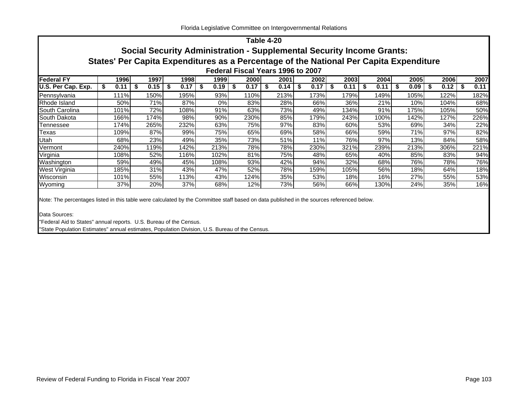|                    |                                                                                                                                    |      |  |      |  |      |  |      |  | Table 4-20 |  |     |  |                                                                                        |  |      |      |      |      |  |      |
|--------------------|------------------------------------------------------------------------------------------------------------------------------------|------|--|------|--|------|--|------|--|------------|--|-----|--|----------------------------------------------------------------------------------------|--|------|------|------|------|--|------|
|                    |                                                                                                                                    |      |  |      |  |      |  |      |  |            |  |     |  | <b>Social Security Administration - Supplemental Security Income Grants:</b>           |  |      |      |      |      |  |      |
|                    |                                                                                                                                    |      |  |      |  |      |  |      |  |            |  |     |  |                                                                                        |  |      |      |      |      |  |      |
|                    |                                                                                                                                    |      |  |      |  |      |  |      |  |            |  |     |  | States' Per Capita Expenditures as a Percentage of the National Per Capita Expenditure |  |      |      |      |      |  |      |
|                    | Federal Fiscal Years 1996 to 2007<br>2003<br>1996<br>1997<br>1998 <br>2004<br>2005<br>2006<br>1999<br><b>2000l</b><br>2001<br>2002 |      |  |      |  |      |  |      |  |            |  |     |  |                                                                                        |  |      |      |      |      |  |      |
| <b>Federal FY</b>  | 0.15<br>0.17<br>0.19<br>\$<br>0.17<br>0.17<br>0.09<br>\$<br>0.11<br>0.14<br>0.11<br>0.11<br>0.12                                   |      |  |      |  |      |  |      |  |            |  |     |  |                                                                                        |  | 2007 |      |      |      |  |      |
| U.S. Per Cap. Exp. | 0.11<br>111%<br>150%<br>93%<br>110%<br>213%<br>173%<br>179%<br>149%<br>195%<br>105%<br>122%                                        |      |  |      |  |      |  |      |  |            |  |     |  |                                                                                        |  |      |      |      |      |  |      |
| Pennsylvania       |                                                                                                                                    |      |  |      |  |      |  |      |  |            |  |     |  |                                                                                        |  |      |      |      |      |  | 182% |
| Rhode Island       |                                                                                                                                    | 50%  |  | 71%  |  | 87%  |  | 0%   |  | 83%        |  | 28% |  | 66%                                                                                    |  | 36%  | 21%  | 10%  | 104% |  | 68%  |
| South Carolina     |                                                                                                                                    | 101% |  | 72%  |  | 108% |  | 91%  |  | 63%        |  | 73% |  | 49%                                                                                    |  | 134% | 91%  | 175% | 105% |  | 50%  |
| South Dakota       |                                                                                                                                    | 166% |  | 174% |  | 98%  |  | 90%  |  | 230%       |  | 85% |  | 179%                                                                                   |  | 243% | 100% | 142% | 127% |  | 226% |
| Tennessee          |                                                                                                                                    | 174% |  | 265% |  | 232% |  | 63%  |  | 75%        |  | 97% |  | 83%                                                                                    |  | 60%  | 53%  | 69%  | 34%  |  | 22%  |
| <b>Texas</b>       |                                                                                                                                    | 109% |  | 87%  |  | 99%  |  | 75%  |  | 65%        |  | 69% |  | 58%                                                                                    |  | 66%  | 59%  | 71%  | 97%  |  | 82%  |
| Utah               |                                                                                                                                    | 68%  |  | 23%  |  | 49%  |  | 35%  |  | 73%        |  | 51% |  | 11%                                                                                    |  | 76%  | 97%  | 13%  | 84%  |  | 58%  |
| Vermont            |                                                                                                                                    | 240% |  | 119% |  | 142% |  | 213% |  | 78%        |  | 78% |  | 230%                                                                                   |  | 321% | 239% | 213% | 306% |  | 221% |
| Virginia           |                                                                                                                                    | 108% |  | 52%  |  | 116% |  | 102% |  | 81%        |  | 75% |  | 48%                                                                                    |  | 65%  | 40%  | 85%  | 83%  |  | 94%  |
| Washington         |                                                                                                                                    | 59%  |  | 49%  |  | 45%  |  | 108% |  | 93%        |  | 42% |  | 94%                                                                                    |  | 32%  | 68%  | 76%  | 78%  |  | 76%  |
| West Virginia      |                                                                                                                                    | 185% |  | 31%  |  | 43%  |  | 47%  |  | 52%        |  | 78% |  | 159%                                                                                   |  | 105% | 56%  | 18%  | 64%  |  | 18%  |
| Wisconsin          |                                                                                                                                    | 101% |  | 55%  |  | 113% |  | 43%  |  | 124%       |  | 35% |  | 53%                                                                                    |  | 18%  | 16%  | 27%  | 55%  |  | 53%  |
| Wyoming            |                                                                                                                                    | 37%  |  | 20%  |  | 37%  |  | 68%  |  | 12%        |  | 73% |  | 56%                                                                                    |  | 66%  | 130% | 24%  | 35%  |  | 16%  |

Data Sources:

"Federal Aid to States" annual reports. U.S. Bureau of the Census.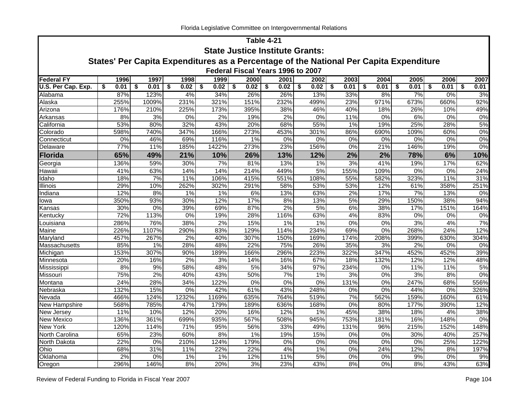|                      |                                                                                                                                                                                                                                                                                                                         |      |    |       |    |       |    |       |    | Table 4-21 |    |      |    |       |    |      |            |            |            |    |       |
|----------------------|-------------------------------------------------------------------------------------------------------------------------------------------------------------------------------------------------------------------------------------------------------------------------------------------------------------------------|------|----|-------|----|-------|----|-------|----|------------|----|------|----|-------|----|------|------------|------------|------------|----|-------|
|                      | <b>State Justice Institute Grants:</b><br>States' Per Capita Expenditures as a Percentage of the National Per Capita Expenditure<br>Federal Fiscal Years 1996 to 2007                                                                                                                                                   |      |    |       |    |       |    |       |    |            |    |      |    |       |    |      |            |            |            |    |       |
|                      |                                                                                                                                                                                                                                                                                                                         |      |    |       |    |       |    |       |    |            |    |      |    |       |    |      |            |            |            |    |       |
|                      |                                                                                                                                                                                                                                                                                                                         |      |    |       |    |       |    |       |    |            |    |      |    |       |    |      |            |            |            |    |       |
|                      |                                                                                                                                                                                                                                                                                                                         |      |    |       |    |       |    |       |    |            |    |      |    |       |    |      |            |            |            |    |       |
| <b>Federal FY</b>    |                                                                                                                                                                                                                                                                                                                         | 1996 |    | 1997  |    | 1998  |    | 1999  |    | 2000       |    | 2001 |    | 2002  |    | 2003 | 2004       | 2005       | 2006       |    | 2007  |
| U.S. Per Cap. Exp.   | \$                                                                                                                                                                                                                                                                                                                      | 0.01 | Ŝ. | 0.01  | \$ | 0.02  | \$ | 0.02  | \$ | 0.02       | \$ | 0.02 | \$ | 0.02  | \$ | 0.01 | \$<br>0.01 | \$<br>0.01 | \$<br>0.01 | -S | 0.01  |
| Alabama              |                                                                                                                                                                                                                                                                                                                         | 87%  |    | 123%  |    | 4%    |    | 34%   |    | 26%        |    | 26%  |    | 13%   |    | 33%  | 8%         | 7%         | 0%         |    | 3%    |
| Alaska               |                                                                                                                                                                                                                                                                                                                         | 255% |    | 1009% |    | 231%  |    | 321%  |    | 151%       |    | 232% |    | 499%  |    | 23%  | 971%       | 673%       | 660%       |    | 92%   |
| Arizona              |                                                                                                                                                                                                                                                                                                                         | 176% |    | 210%  |    | 225%  |    | 173%  |    | 395%       |    | 38%  |    | 46%   |    | 40%  | 18%        | 26%        | 10%        |    | 49%   |
| Arkansas             | 8%<br>3%<br>0%<br>2%<br>19%<br>2%<br>0%<br>11%<br>0%<br>6%<br>0%<br>80%<br>32%<br>43%<br>20%<br>19%<br>25%<br>53%<br>68%<br>55%<br>1%<br>28%<br>598%<br>740%<br>347%<br>166%<br>273%<br>453%<br>301%<br>86%<br>690%<br>109%<br>60%<br>46%<br>69%<br>116%<br>$1\%$<br>0%<br>$0\%$<br>0%<br>$0\%$<br>$0\%$<br>0%<br>$0\%$ |      |    |       |    |       |    |       |    |            |    |      |    |       |    | 0%   |            |            |            |    |       |
| California           | 146%<br>77%<br>11%<br>1422%<br>273%<br>23%<br>156%<br>0%<br>21%<br>19%<br>185%                                                                                                                                                                                                                                          |      |    |       |    |       |    |       |    |            |    |      |    |       |    | 5%   |            |            |            |    |       |
| Colorado             |                                                                                                                                                                                                                                                                                                                         |      |    |       |    |       |    |       |    |            |    |      |    |       |    |      |            |            |            |    | 0%    |
| Connecticut          |                                                                                                                                                                                                                                                                                                                         |      |    |       |    |       |    |       |    |            |    |      |    |       |    |      |            |            |            |    | $0\%$ |
| Delaware             |                                                                                                                                                                                                                                                                                                                         |      |    |       |    |       |    |       |    |            |    |      |    |       |    |      |            |            |            |    | 0%    |
| <b>Florida</b>       |                                                                                                                                                                                                                                                                                                                         | 65%  |    | 49%   |    | 21%   |    | 10%   |    | 26%        |    | 13%  |    | 12%   |    | 2%   | 2%         | 78%        | 6%         |    | 10%   |
| Georgia              |                                                                                                                                                                                                                                                                                                                         | 136% |    | 59%   |    | 30%   |    | 7%    |    | 81%        |    | 13%  |    | 1%    |    | 3%   | 41%        | 19%        | 17%        |    | 62%   |
| Hawaii               |                                                                                                                                                                                                                                                                                                                         | 41%  |    | 63%   |    | 14%   |    | 14%   |    | 214%       |    | 449% |    | 5%    |    | 155% | 109%       | 0%         | 0%         |    | 24%   |
| daho                 |                                                                                                                                                                                                                                                                                                                         | 18%  |    | 7%    |    | 11%   |    | 106%  |    | 415%       |    | 551% |    | 108%  |    | 55%  | 582%       | 323%       | 11%        |    | 31%   |
| <b>Illinois</b>      |                                                                                                                                                                                                                                                                                                                         | 29%  |    | 10%   |    | 262%  |    | 302%  |    | 291%       |    | 58%  |    | 53%   |    | 53%  | 12%        | 61%        | 358%       |    | 251%  |
| Indiana              |                                                                                                                                                                                                                                                                                                                         | 12%  |    | 8%    |    | 1%    |    | 1%    |    | 6%         |    | 13%  |    | 63%   |    | 2%   | 17%        | 7%         | 13%        |    | 0%    |
| owa                  |                                                                                                                                                                                                                                                                                                                         | 350% |    | 93%   |    | 30%   |    | 12%   |    | 17%        |    | 8%   |    | 13%   |    | 5%   | 29%        | 150%       | 38%        |    | 94%   |
| Kansas               |                                                                                                                                                                                                                                                                                                                         | 30%  |    | 0%    |    | 39%   |    | 69%   |    | 87%        |    | 2%   |    | 5%    |    | 6%   | 38%        | 17%        | 151%       |    | 164%  |
| Kentuckv             |                                                                                                                                                                                                                                                                                                                         | 72%  |    | 113%  |    | 0%    |    | 19%   |    | 28%        |    | 116% |    | 63%   |    | 4%   | 83%        | 0%         | 0%         |    | 0%    |
| ouisiana             |                                                                                                                                                                                                                                                                                                                         | 286% |    | 76%   |    | 38%   |    | 2%    |    | 15%        |    | 1%   |    | 1%    |    | 0%   | 0%         | 3%         | 4%         |    | 7%    |
| Maine                |                                                                                                                                                                                                                                                                                                                         | 226% |    | 1107% |    | 290%  |    | 83%   |    | 129%       |    | 114% |    | 234%  |    | 69%  | 0%         | 268%       | 24%        |    | 12%   |
| Maryland             |                                                                                                                                                                                                                                                                                                                         | 457% |    | 267%  |    | 2%    |    | 40%   |    | 307%       |    | 150% |    | 169%  |    | 174% | 208%       | 399%       | 630%       |    | 304%  |
| Massachusetts        |                                                                                                                                                                                                                                                                                                                         | 85%  |    | 1%    |    | 28%   |    | 48%   |    | 22%        |    | 75%  |    | 26%   |    | 35%  | 3%         | 2%         | 0%         |    | 0%    |
| <b>Michigan</b>      |                                                                                                                                                                                                                                                                                                                         | 153% |    | 307%  |    | 90%   |    | 189%  |    | 166%       |    | 296% |    | 223%  |    | 322% | 347%       | 452%       | 452%       |    | 39%   |
| Minnesota            |                                                                                                                                                                                                                                                                                                                         | 20%  |    | 16%   |    | 2%    |    | 3%    |    | 14%        |    | 16%  |    | 67%   |    | 18%  | 132%       | 12%        | 12%        |    | 48%   |
| Mississippi          |                                                                                                                                                                                                                                                                                                                         | 8%   |    | 9%    |    | 58%   |    | 48%   |    | 5%         |    | 34%  |    | 97%   |    | 234% | $0\%$      | 11%        | 11%        |    | 5%    |
| <b>Missouri</b>      |                                                                                                                                                                                                                                                                                                                         | 75%  |    | 2%    |    | 40%   |    | 43%   |    | 50%        |    | 7%   |    | $1\%$ |    | 3%   | 0%         | 3%         | 8%         |    | 0%    |
| Montana              |                                                                                                                                                                                                                                                                                                                         | 24%  |    | 28%   |    | 34%   |    | 122%  |    | 0%         |    | 0%   |    | 0%    |    | 131% | 0%         | 247%       | 68%        |    | 556%  |
| Nebraska             |                                                                                                                                                                                                                                                                                                                         | 132% |    | 15%   |    | 0%    |    | 42%   |    | 61%        |    | 43%  |    | 248%  |    | 0%   | $0\%$      | 44%        | 0%         |    | 326%  |
| Nevada               |                                                                                                                                                                                                                                                                                                                         | 466% |    | 124%  |    | 1232% |    | 1169% |    | 635%       |    | 764% |    | 519%  |    | 7%   | 562%       | 159%       | 160%       |    | 61%   |
| <b>New Hampshire</b> |                                                                                                                                                                                                                                                                                                                         | 568% |    | 785%  |    | 47%   |    | 179%  |    | 189%       |    | 636% |    | 168%  |    | 0%   | 80%        | 177%       | 390%       |    | 12%   |
| New Jersey           |                                                                                                                                                                                                                                                                                                                         | 11%  |    | 10%   |    | 12%   |    | 20%   |    | 16%        |    | 12%  |    | 1%    |    | 45%  | 38%        | 18%        | 4%         |    | 38%   |
| <b>New Mexico</b>    |                                                                                                                                                                                                                                                                                                                         | 136% |    | 361%  |    | 699%  |    | 935%  |    | 567%       |    | 508% |    | 945%  |    | 753% | 181%       | 16%        | 148%       |    | 0%    |
| <b>New York</b>      |                                                                                                                                                                                                                                                                                                                         | 120% |    | 114%  |    | 71%   |    | 95%   |    | 56%        |    | 33%  |    | 49%   |    | 131% | 96%        | 215%       | 152%       |    | 148%  |
| North Carolina       |                                                                                                                                                                                                                                                                                                                         | 65%  |    | 23%   |    | 60%   |    | 8%    |    | 1%         |    | 19%  |    | 15%   |    | 0%   | 0%         | 30%        | 40%        |    | 257%  |
| North Dakota         |                                                                                                                                                                                                                                                                                                                         | 22%  |    | 0%    |    | 210%  |    | 124%  |    | 179%       |    | 0%   |    | 0%    |    | 0%   | 0%         | 0%         | 25%        |    | 122%  |
| Ohio                 |                                                                                                                                                                                                                                                                                                                         | 68%  |    | 31%   |    | 11%   |    | 22%   |    | 22%        |    | 4%   |    | 1%    |    | 0%   | 24%        | 12%        | 8%         |    | 197%  |
| Oklahoma             |                                                                                                                                                                                                                                                                                                                         | 2%   |    | 0%    |    | 1%    |    | 1%    |    | 12%        |    | 11%  |    | 5%    |    | 0%   | 0%         | 9%         | 0%         |    | 9%    |
| Oregon               |                                                                                                                                                                                                                                                                                                                         | 296% |    | 146%  |    | 8%    |    | 20%   |    | 3%         |    | 23%  |    | 43%   |    | 8%   | 0%         | 8%         | 43%        |    | 63%   |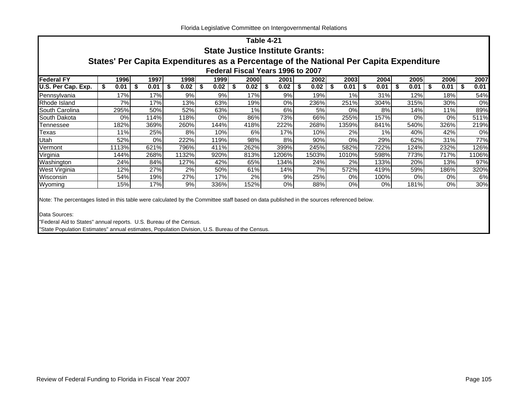|                    |                                                                                                                                                                                                                                                        |      |                                                                                        |      |                                        | Table 4-21 |        |       |       |      |       |       |  |  |  |
|--------------------|--------------------------------------------------------------------------------------------------------------------------------------------------------------------------------------------------------------------------------------------------------|------|----------------------------------------------------------------------------------------|------|----------------------------------------|------------|--------|-------|-------|------|-------|-------|--|--|--|
|                    |                                                                                                                                                                                                                                                        |      |                                                                                        |      | <b>State Justice Institute Grants:</b> |            |        |       |       |      |       |       |  |  |  |
|                    |                                                                                                                                                                                                                                                        |      | States' Per Capita Expenditures as a Percentage of the National Per Capita Expenditure |      |                                        |            |        |       |       |      |       |       |  |  |  |
|                    |                                                                                                                                                                                                                                                        |      |                                                                                        |      |                                        |            |        |       |       |      |       |       |  |  |  |
|                    | Federal Fiscal Years 1996 to 2007<br>2005<br>1996<br>1997<br>2003<br>2006<br>1998 <br>1999<br>2000<br>2002<br>2004<br>2001<br>0.01<br>0.02<br>0.02<br>0.02<br>0.01<br>0.01<br>0.02<br>0.02<br>0.01<br>0.01<br>0.01<br>- \$<br>S<br>S<br>- \$<br>5<br>S |      |                                                                                        |      |                                        |            |        |       |       |      |       |       |  |  |  |
| <b>Federal FY</b>  | 2007<br>0.01                                                                                                                                                                                                                                           |      |                                                                                        |      |                                        |            |        |       |       |      |       |       |  |  |  |
| U.S. Per Cap. Exp. | 54%<br>17%<br>17%<br>9%<br>9%<br>17%<br>9%<br>19%<br>1%<br>31%<br>12%<br>18%<br>0%                                                                                                                                                                     |      |                                                                                        |      |                                        |            |        |       |       |      |       |       |  |  |  |
| Pennsylvania       | 17%<br>13%<br>63%<br>19%<br>$0\%$<br>251%<br>7%<br>236%<br>304%<br>315%<br>30%                                                                                                                                                                         |      |                                                                                        |      |                                        |            |        |       |       |      |       |       |  |  |  |
| Rhode Island       |                                                                                                                                                                                                                                                        |      |                                                                                        |      |                                        |            |        |       |       |      |       |       |  |  |  |
| South Carolina     | 295%<br>50%<br>6%<br>89%<br>52%<br>63%<br>$1\%$<br>5%<br>8%<br>11%<br>$0\%$<br>14%                                                                                                                                                                     |      |                                                                                        |      |                                        |            |        |       |       |      |       |       |  |  |  |
| South Dakota       | $0\%$                                                                                                                                                                                                                                                  | 114% | 118%                                                                                   | 0%   | 86%                                    | 73%        | 66%    | 255%  | 157%  | 0%   | 0%    | 511%  |  |  |  |
| Tennessee          | 182%                                                                                                                                                                                                                                                   | 369% | 260%                                                                                   | 144% | 418%                                   | 222%       | 268%   | 1359% | 841%  | 540% | 326%  | 219%  |  |  |  |
| <b>Texas</b>       | 11%                                                                                                                                                                                                                                                    | 25%  | 8%                                                                                     | 10%  | 6%                                     | 17%        | 10%    | 2%    | 1%    | 40%  | 42%   | 0%    |  |  |  |
| <b>Utah</b>        | 52%                                                                                                                                                                                                                                                    | 0%   | 222%                                                                                   | 119% | 98%                                    | 8%         | 90%    | 0%    | 29%   | 62%  | 31%   | 77%   |  |  |  |
| Vermont            | 1113%                                                                                                                                                                                                                                                  | 621% | 796%                                                                                   | 411% | 262%                                   | 399%       | 245%   | 582%  | 722%  | 124% | 232%  | 126%  |  |  |  |
| Virginia           | 144%                                                                                                                                                                                                                                                   | 268% | 1132%                                                                                  | 920% | 813%                                   | 1206%      | 1503%l | 1010% | 598%  | 773% | 717%  | 1106% |  |  |  |
| Washington         | 24%                                                                                                                                                                                                                                                    | 84%  | 127%                                                                                   | 42%  | 65%                                    | 134%       | 24%    | 2%    | 133%  | 20%  | 13%   | 97%   |  |  |  |
| West Virginia      | 12%                                                                                                                                                                                                                                                    | 27%  | 2%                                                                                     | 50%  | 61%                                    | 14%        | 7%     | 572%  | 419%  | 59%  | 186%  | 320%  |  |  |  |
| Wisconsin          | 54%                                                                                                                                                                                                                                                    | 19%  | 27%                                                                                    | 17%  | 2%                                     | 9%         | 25%    | 0%    | 100%  | 0%   | 0%    | 6%    |  |  |  |
| Wyoming            | 15%                                                                                                                                                                                                                                                    | 17%  | 9%                                                                                     | 336% | 152%                                   | $0\%$      | 88%    | 0%    | $0\%$ | 181% | $0\%$ | 30%   |  |  |  |

Data Sources:

"Federal Aid to States" annual reports. U.S. Bureau of the Census.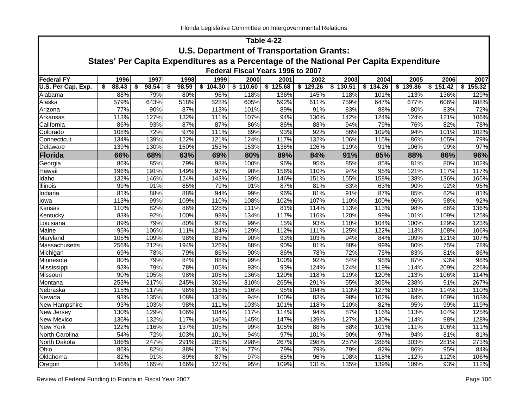|                      |             |             |                                                                                        |          |          | Table 4-22                        |                                                  |          |          |          |          |          |
|----------------------|-------------|-------------|----------------------------------------------------------------------------------------|----------|----------|-----------------------------------|--------------------------------------------------|----------|----------|----------|----------|----------|
|                      |             |             |                                                                                        |          |          |                                   | <b>U.S. Department of Transportation Grants:</b> |          |          |          |          |          |
|                      |             |             | States' Per Capita Expenditures as a Percentage of the National Per Capita Expenditure |          |          |                                   |                                                  |          |          |          |          |          |
|                      |             |             |                                                                                        |          |          | Federal Fiscal Years 1996 to 2007 |                                                  |          |          |          |          |          |
| <b>Federal FY</b>    | 1996        | 1997        | 1998                                                                                   | 1999     | 2000     | 2001                              | 2002                                             | 2003     | 2004     | 2005     | 2006     | 2007     |
| U.S. Per Cap. Exp.   | 88.43<br>\$ | 98.54<br>\$ | 98.59<br>S.                                                                            | \$104.30 | \$110.60 | \$125.68                          | \$129.26                                         | \$130.51 | \$134.26 | \$139.86 | \$151.42 | \$155.32 |
| <b>Alabama</b>       | 88%         | 79%         | 80%                                                                                    | 96%      | 118%     | 136%                              | 145%                                             | 118%     | 101%     | 113%     | 136%     | 129%     |
| Alaska               | 579%        | 643%        | 518%                                                                                   | 528%     | 605%     | 592%                              | 611%                                             | 759%     | 647%     | 677%     | 606%     | 688%     |
| Arizona              | 77%         | 90%         | 87%                                                                                    | 113%     | 101%     | 89%                               | 91%                                              | 83%      | 88%      | 80%      | 83%      | 72%      |
| Arkansas             | 113%        | 127%        | 132%                                                                                   | 111%     | 107%     | 94%                               | 136%                                             | 142%     | 124%     | 124%     | 121%     | 106%     |
| California           | 86%         | 93%         | 87%                                                                                    | 87%      | 86%      | 86%                               | 88%                                              | 94%      | 79%      | 76%      | 82%      | 78%      |
| Colorado             | 108%        | 72%         | 97%                                                                                    | 111%     | 89%      | 93%                               | 92%                                              | 86%      | 109%     | 94%      | 101%     | 102%     |
| Connecticut          | 134%        | 139%        | 122%                                                                                   | 121%     | 124%     | 117%                              | 132%                                             | 106%     | 115%     | 86%      | 105%     | 79%      |
| Delaware             | 139%        | 130%        | 150%                                                                                   | 153%     | 153%     | 136%                              | 126%                                             | 119%     | 91%      | 106%     | 99%      | 97%      |
| <b>Florida</b>       | 66%         | 68%         | 63%                                                                                    | 69%      | 80%      | 89%                               | 84%                                              | 91%      | 85%      | 88%      | 86%      | 96%      |
| Georgia              | 86%         | 85%         | 79%                                                                                    | 98%      | 100%     | 96%                               | 95%                                              | 85%      | 85%      | 81%      | 80%      | 102%     |
| Hawaii               | 196%        | 191%        | 149%                                                                                   | 97%      | 98%      | 156%                              | 110%                                             | 94%      | 95%      | 121%     | 117%     | 117%     |
| ldaho                | 132%        | 146%        | 124%                                                                                   | 143%     | 139%     | 146%                              | 151%                                             | 155%     | 158%     | 138%     | 136%     | 165%     |
| Illinois             | 99%         | 91%         | 85%                                                                                    | 79%      | 91%      | 87%                               | 81%                                              | 83%      | 63%      | 90%      | 92%      | 95%      |
| Indiana              | 81%         | 88%         | 88%                                                                                    | 94%      | 99%      | 96%                               | 81%                                              | 91%      | 87%      | 85%      | 82%      | 81%      |
| lowa                 | 113%        | 99%         | 109%                                                                                   | 110%     | 108%     | 102%                              | 107%                                             | 110%     | 100%     | 96%      | 98%      | 92%      |
| Kansas               | 110%        | 82%         | 86%                                                                                    | 128%     | 111%     | 81%                               | 114%                                             | 113%     | 113%     | 98%      | 86%      | 136%     |
| Kentucky             | 83%         | 92%         | 100%                                                                                   | 98%      | 134%     | 117%                              | 116%                                             | 120%     | 99%      | 101%     | 109%     | 125%     |
| Louisiana            | 89%         | 79%         | 80%                                                                                    | 92%      | 99%      | 15%                               | 93%                                              | 110%     | 104%     | 100%     | 129%     | 123%     |
| Maine                | 95%         | 106%        | 111%                                                                                   | 124%     | 129%     | 112%                              | 111%                                             | 125%     | 122%     | 113%     | 108%     | 106%     |
| Maryland             | 105%        | 109%        | 98%                                                                                    | 83%      | 90%      | 93%                               | 103%                                             | 94%      | 84%      | 109%     | 121%     | 107%     |
| Massachusetts        | 256%        | 212%        | 194%                                                                                   | 126%     | 88%      | 90%                               | 81%                                              | 88%      | 99%      | 80%      | 75%      | 78%      |
| Michigan             | 69%         | 78%         | 79%                                                                                    | 86%      | 90%      | 86%                               | 78%                                              | 72%      | 75%      | 83%      | 81%      | 86%      |
| <b>Minnesota</b>     | 80%         | 79%         | 84%                                                                                    | 88%      | 99%      | 100%                              | 92%                                              | 84%      | 98%      | 87%      | 93%      | 98%      |
| Mississippi          | 93%         | 79%         | 78%                                                                                    | 105%     | 93%      | 93%                               | 124%                                             | 124%     | 119%     | 114%     | 209%     | 226%     |
| <u>Missouri</u>      | 90%         | 105%        | 98%                                                                                    | 105%     | 136%     | 120%                              | 118%                                             | 119%     | 120%     | 113%     | 106%     | 114%     |
| Montana              | 253%        | 217%        | 245%                                                                                   | 302%     | 310%     | 265%                              | 291%                                             | 55%      | 305%     | 238%     | 91%      | 267%     |
| Nebraska             | 115%        | 117%        | 96%                                                                                    | 116%     | 116%     | 95%                               | 104%                                             | 113%     | 127%     | 119%     | 114%     | 110%     |
| Nevada               | 93%         | 135%        | 108%                                                                                   | 135%     | 94%      | 100%                              | 83%                                              | 98%      | 102%     | 84%      | 109%     | 103%     |
| <b>New Hampshire</b> | 93%         | 103%        | 98%                                                                                    | 111%     | 103%     | 101%                              | 118%                                             | 110%     | 82%      | 95%      | 99%      | 119%     |
| New Jersey           | 130%        | 129%        | 106%                                                                                   | 104%     | 117%     | 114%                              | 94%                                              | 87%      | 116%     | 113%     | 104%     | 125%     |
| New Mexico           | 136%        | 132%        | 117%                                                                                   | 146%     | 145%     | 147%                              | 139%                                             | 127%     | 130%     | 114%     | 98%      | 128%     |
| New York             | 122%        | 116%        | 137%                                                                                   | 105%     | 99%      | 105%                              | 88%                                              | 88%      | 101%     | 111%     | 106%     | 111%     |
| North Carolina       | 54%         | 72%         | 103%                                                                                   | 101%     | 94%      | 97%                               | 101%                                             | 90%      | 97%      | 94%      | 81%      | 81%      |
| North Dakota         | 186%        | 247%        | 291%                                                                                   | 285%     | 298%     | 267%                              | 298%                                             | 257%     | 286%     | 303%     | 281%     | 273%     |
| Ohio                 | 86%         | 82%         | 88%                                                                                    | 71%      | 77%      | 79%                               | 79%                                              | 79%      | 82%      | 86%      | 95%      | 84%      |
| Oklahoma             | 82%         | 91%         | 89%                                                                                    | 87%      | 97%      | 85%                               | 96%                                              | 108%     | 118%     | 112%     | 112%     | 106%     |
| Oregon               | 146%        | 165%        | 166%                                                                                   | 127%     | 95%      | 109%                              | 131%                                             | 135%     | 139%     | 109%     | 93%      | 112%     |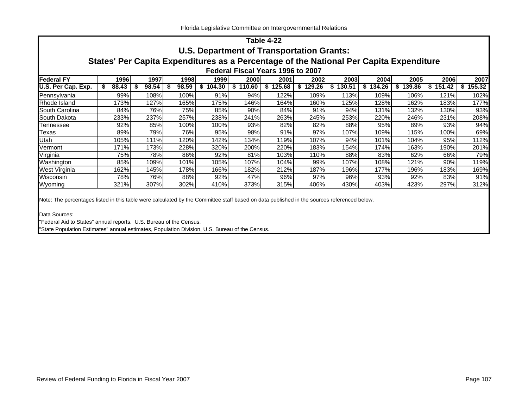|                                                                                                       |                                                                                                                                                                                                                                                                                                                                      |      |                                                                                        |                                                  |                                   | Table 4-22 |      |      |      |      |      |      |  |  |  |
|-------------------------------------------------------------------------------------------------------|--------------------------------------------------------------------------------------------------------------------------------------------------------------------------------------------------------------------------------------------------------------------------------------------------------------------------------------|------|----------------------------------------------------------------------------------------|--------------------------------------------------|-----------------------------------|------------|------|------|------|------|------|------|--|--|--|
|                                                                                                       |                                                                                                                                                                                                                                                                                                                                      |      |                                                                                        | <b>U.S. Department of Transportation Grants:</b> |                                   |            |      |      |      |      |      |      |  |  |  |
|                                                                                                       |                                                                                                                                                                                                                                                                                                                                      |      | States' Per Capita Expenditures as a Percentage of the National Per Capita Expenditure |                                                  |                                   |            |      |      |      |      |      |      |  |  |  |
|                                                                                                       |                                                                                                                                                                                                                                                                                                                                      |      |                                                                                        |                                                  | Federal Fiscal Years 1996 to 2007 |            |      |      |      |      |      |      |  |  |  |
|                                                                                                       |                                                                                                                                                                                                                                                                                                                                      |      |                                                                                        |                                                  |                                   |            |      |      |      |      |      |      |  |  |  |
| <b>Federal FY</b>                                                                                     | 1996                                                                                                                                                                                                                                                                                                                                 | 1997 | 1998                                                                                   | 1999                                             | 2000l                             | 2001       | 2002 | 2003 | 2004 | 2005 | 2006 | 2007 |  |  |  |
|                                                                                                       | U.S. Per Cap. Exp.<br>98.54<br>129.26<br>155.32<br>88.43<br>104.30<br>110.60<br>125.68<br>130.51<br>134.26<br>139.86<br>98.59<br>151.42<br>108%<br>102%<br>99%<br>100%<br>91%<br>94%<br>122%<br>109%<br>113%<br>109%<br>106%<br>121%<br>173%<br>127%<br>175%<br>146%<br>160%<br>125%<br>128%<br>162%<br>183%<br>165%<br>164%<br>177% |      |                                                                                        |                                                  |                                   |            |      |      |      |      |      |      |  |  |  |
| Pennsylvania                                                                                          |                                                                                                                                                                                                                                                                                                                                      |      |                                                                                        |                                                  |                                   |            |      |      |      |      |      |      |  |  |  |
| Rhode Island                                                                                          |                                                                                                                                                                                                                                                                                                                                      |      |                                                                                        |                                                  |                                   |            |      |      |      |      |      |      |  |  |  |
| 76%<br>85%<br>93%<br>84%<br>75%<br>90%<br>84%<br>91%<br>94%<br>131%<br>132%<br>130%<br>South Carolina |                                                                                                                                                                                                                                                                                                                                      |      |                                                                                        |                                                  |                                   |            |      |      |      |      |      |      |  |  |  |
| South Dakota                                                                                          | 233%                                                                                                                                                                                                                                                                                                                                 | 237% | 257%                                                                                   | 238%                                             | 241%                              | 263%       | 245% | 253% | 220% | 246% | 231% | 208% |  |  |  |
| Tennessee                                                                                             | 92%                                                                                                                                                                                                                                                                                                                                  | 85%  | 100%                                                                                   | 100%                                             | 93%                               | 82%        | 82%  | 88%  | 95%  | 89%  | 93%  | 94%  |  |  |  |
| Texas                                                                                                 | 89%                                                                                                                                                                                                                                                                                                                                  | 79%  | 76%                                                                                    | 95%                                              | 98%                               | 91%        | 97%  | 107% | 109% | 115% | 100% | 69%  |  |  |  |
| <b>Utah</b>                                                                                           | 105%                                                                                                                                                                                                                                                                                                                                 | 111% | 120%                                                                                   | 142%                                             | 134%                              | 119%       | 107% | 94%  | 101% | 104% | 95%  | 112% |  |  |  |
| Vermont                                                                                               | 171%                                                                                                                                                                                                                                                                                                                                 | 173% | 228%                                                                                   | 320%                                             | 200%                              | 220%       | 183% | 154% | 174% | 163% | 190% | 201% |  |  |  |
| Virginia                                                                                              | 75%                                                                                                                                                                                                                                                                                                                                  | 78%  | 86%                                                                                    | 92%                                              | 81%                               | 103%       | 110% | 88%  | 83%  | 62%  | 66%  | 79%  |  |  |  |
| Washington                                                                                            | 85%                                                                                                                                                                                                                                                                                                                                  | 109% | 101%                                                                                   | 105%                                             | 107%                              | 104%       | 99%  | 107% | 108% | 121% | 90%  | 119% |  |  |  |
| West Virginia                                                                                         | 162%                                                                                                                                                                                                                                                                                                                                 | 145% | 178%                                                                                   | 166%                                             | 182%                              | 212%       | 187% | 196% | 177% | 196% | 183% | 169% |  |  |  |
| Wisconsin                                                                                             | 78%                                                                                                                                                                                                                                                                                                                                  | 76%  | 88%                                                                                    | 92%                                              | 47%                               | 96%        | 97%  | 96%  | 93%  | 92%  | 83%  | 91%  |  |  |  |
| Wyoming                                                                                               | 321%                                                                                                                                                                                                                                                                                                                                 | 307% | 302%                                                                                   | 410%                                             | 373%                              | 315%       | 406% | 430% | 403% | 423% | 297% | 312% |  |  |  |

Data Sources:

"Federal Aid to States" annual reports. U.S. Bureau of the Census.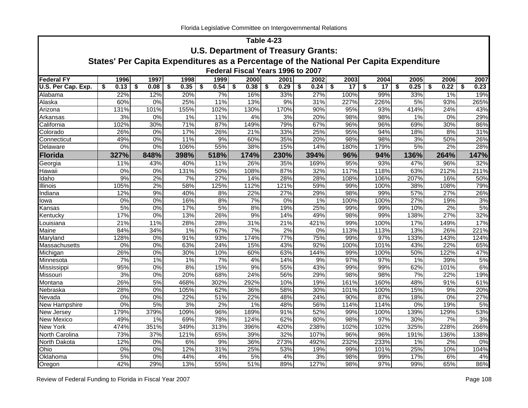|                    |                                                                                                                                                                                                                                                                                                                                                                                                                                                                                                                                                                                                                                                                                                                                                                                                                                                                                                                                                                                                                                                                                                                                           |  |          |            |                                            | Table 4-23                        |  |           |           |                                                                                        |  |             |  |            |                         |  |           |
|--------------------|-------------------------------------------------------------------------------------------------------------------------------------------------------------------------------------------------------------------------------------------------------------------------------------------------------------------------------------------------------------------------------------------------------------------------------------------------------------------------------------------------------------------------------------------------------------------------------------------------------------------------------------------------------------------------------------------------------------------------------------------------------------------------------------------------------------------------------------------------------------------------------------------------------------------------------------------------------------------------------------------------------------------------------------------------------------------------------------------------------------------------------------------|--|----------|------------|--------------------------------------------|-----------------------------------|--|-----------|-----------|----------------------------------------------------------------------------------------|--|-------------|--|------------|-------------------------|--|-----------|
|                    |                                                                                                                                                                                                                                                                                                                                                                                                                                                                                                                                                                                                                                                                                                                                                                                                                                                                                                                                                                                                                                                                                                                                           |  |          |            | <b>U.S. Department of Treasury Grants:</b> |                                   |  |           |           |                                                                                        |  |             |  |            |                         |  |           |
|                    |                                                                                                                                                                                                                                                                                                                                                                                                                                                                                                                                                                                                                                                                                                                                                                                                                                                                                                                                                                                                                                                                                                                                           |  |          |            |                                            |                                   |  |           |           | States' Per Capita Expenditures as a Percentage of the National Per Capita Expenditure |  |             |  |            |                         |  |           |
|                    |                                                                                                                                                                                                                                                                                                                                                                                                                                                                                                                                                                                                                                                                                                                                                                                                                                                                                                                                                                                                                                                                                                                                           |  |          |            |                                            |                                   |  |           |           |                                                                                        |  |             |  |            |                         |  |           |
|                    |                                                                                                                                                                                                                                                                                                                                                                                                                                                                                                                                                                                                                                                                                                                                                                                                                                                                                                                                                                                                                                                                                                                                           |  |          |            |                                            | Federal Fiscal Years 1996 to 2007 |  |           |           |                                                                                        |  |             |  |            |                         |  |           |
| <b>Federal FY</b>  | 1996                                                                                                                                                                                                                                                                                                                                                                                                                                                                                                                                                                                                                                                                                                                                                                                                                                                                                                                                                                                                                                                                                                                                      |  | 1997     | 1998       | 1999                                       | 2000                              |  | 2001      | 2002      | 2003                                                                                   |  | 2004        |  | 2005       | 2006                    |  | 2007      |
| U.S. Per Cap. Exp. |                                                                                                                                                                                                                                                                                                                                                                                                                                                                                                                                                                                                                                                                                                                                                                                                                                                                                                                                                                                                                                                                                                                                           |  |          |            |                                            |                                   |  |           |           |                                                                                        |  |             |  |            |                         |  |           |
| Alabama            | 0.13<br>\$<br>0.08<br>\$<br>0.35<br>\$<br>0.54<br>0.38<br>0.29<br>\$<br>0.24<br>\$<br>17<br>\$<br>17<br>\$<br>0.25<br>0.22<br>0.23<br>\$<br>\$<br>\$<br>\$<br>\$<br>22%<br>12%<br>7%<br>33%<br>19%<br>20%<br>16%<br>27%<br>100%<br>99%<br>33%<br>1%<br>60%<br>25%<br>11%<br>13%<br>9%<br>227%<br>226%<br>93%<br>265%<br>0%<br>31%<br>5%<br>131%<br>101%<br>155%<br>102%<br>130%<br>170%<br>90%<br>95%<br>93%<br>414%<br>24%<br>43%<br>3%<br>0%<br>$1\%$<br>11%<br>4%<br>3%<br>20%<br>98%<br>98%<br>1%<br>0%<br>29%<br>102%<br>30%<br>71%<br>149%<br>79%<br>67%<br>96%<br>30%<br>87%<br>96%<br>69%<br>86%<br>94%<br>26%<br>0%<br>17%<br>26%<br>21%<br>33%<br>25%<br>95%<br>31%<br>18%<br>8%<br>49%<br>0%<br>11%<br>9%<br>60%<br>35%<br>98%<br>98%<br>3%<br>50%<br>26%<br>20%<br>55%<br>38%<br>15%<br>179%<br>5%<br>2%<br>28%<br>0%<br>0%<br>106%<br>14%<br>180%<br>327%<br>147%<br>848%<br>518%<br>174%<br>230%<br>394%<br>96%<br>94%<br>136%<br>264%<br>398%<br>95%<br>93%<br>43%<br>40%<br>11%<br>26%<br>35%<br>169%<br>47%<br>96%<br>32%<br>11%<br>0%<br>131%<br>50%<br>108%<br>87%<br>32%<br>118%<br>63%<br>212%<br>211%<br>0%<br>117% |  |          |            |                                            |                                   |  |           |           |                                                                                        |  |             |  |            |                         |  |           |
| Alaska             |                                                                                                                                                                                                                                                                                                                                                                                                                                                                                                                                                                                                                                                                                                                                                                                                                                                                                                                                                                                                                                                                                                                                           |  |          |            |                                            |                                   |  |           |           |                                                                                        |  |             |  |            |                         |  |           |
|                    |                                                                                                                                                                                                                                                                                                                                                                                                                                                                                                                                                                                                                                                                                                                                                                                                                                                                                                                                                                                                                                                                                                                                           |  |          |            |                                            |                                   |  |           |           |                                                                                        |  |             |  |            |                         |  |           |
|                    | Arizona<br>Arkansas<br>California<br>Colorado<br>Connecticut<br>Delaware<br><b>Florida</b>                                                                                                                                                                                                                                                                                                                                                                                                                                                                                                                                                                                                                                                                                                                                                                                                                                                                                                                                                                                                                                                |  |          |            |                                            |                                   |  |           |           |                                                                                        |  |             |  |            |                         |  |           |
|                    |                                                                                                                                                                                                                                                                                                                                                                                                                                                                                                                                                                                                                                                                                                                                                                                                                                                                                                                                                                                                                                                                                                                                           |  |          |            |                                            |                                   |  |           |           |                                                                                        |  |             |  |            |                         |  |           |
|                    |                                                                                                                                                                                                                                                                                                                                                                                                                                                                                                                                                                                                                                                                                                                                                                                                                                                                                                                                                                                                                                                                                                                                           |  |          |            |                                            |                                   |  |           |           |                                                                                        |  |             |  |            |                         |  |           |
|                    |                                                                                                                                                                                                                                                                                                                                                                                                                                                                                                                                                                                                                                                                                                                                                                                                                                                                                                                                                                                                                                                                                                                                           |  |          |            |                                            |                                   |  |           |           |                                                                                        |  |             |  |            |                         |  |           |
|                    |                                                                                                                                                                                                                                                                                                                                                                                                                                                                                                                                                                                                                                                                                                                                                                                                                                                                                                                                                                                                                                                                                                                                           |  |          |            |                                            |                                   |  |           |           |                                                                                        |  |             |  |            |                         |  |           |
|                    |                                                                                                                                                                                                                                                                                                                                                                                                                                                                                                                                                                                                                                                                                                                                                                                                                                                                                                                                                                                                                                                                                                                                           |  |          |            |                                            |                                   |  |           |           |                                                                                        |  |             |  |            |                         |  |           |
| Georgia            |                                                                                                                                                                                                                                                                                                                                                                                                                                                                                                                                                                                                                                                                                                                                                                                                                                                                                                                                                                                                                                                                                                                                           |  |          |            |                                            |                                   |  |           |           |                                                                                        |  |             |  |            |                         |  |           |
| Hawaii             |                                                                                                                                                                                                                                                                                                                                                                                                                                                                                                                                                                                                                                                                                                                                                                                                                                                                                                                                                                                                                                                                                                                                           |  |          |            |                                            |                                   |  |           |           |                                                                                        |  |             |  |            |                         |  |           |
| ldaho              | 9%                                                                                                                                                                                                                                                                                                                                                                                                                                                                                                                                                                                                                                                                                                                                                                                                                                                                                                                                                                                                                                                                                                                                        |  | 2%<br>2% | 7%<br>58%  | 27%                                        | 14%                               |  | 28%       | 28%       | 108%                                                                                   |  | 106%        |  | 207%       | 16%                     |  | 50%       |
| <b>Illinois</b>    | 105%                                                                                                                                                                                                                                                                                                                                                                                                                                                                                                                                                                                                                                                                                                                                                                                                                                                                                                                                                                                                                                                                                                                                      |  |          |            | 125%                                       | 112%                              |  | 121%      | 59%       | 99%                                                                                    |  | 100%        |  | 38%        | 108%                    |  | 79%       |
| Indiana            | 12%                                                                                                                                                                                                                                                                                                                                                                                                                                                                                                                                                                                                                                                                                                                                                                                                                                                                                                                                                                                                                                                                                                                                       |  | 9%       | 40%        | 8%                                         | 22%                               |  | 27%<br>0% | 29%       | 98%                                                                                    |  | 99%         |  | 57%        | 27%                     |  | 26%       |
| lowa               | 0%<br>5%                                                                                                                                                                                                                                                                                                                                                                                                                                                                                                                                                                                                                                                                                                                                                                                                                                                                                                                                                                                                                                                                                                                                  |  | 0%<br>0% | 16%<br>17% | 8%<br>5%                                   | 7%<br>8%                          |  | 19%       | 1%<br>25% | 100%<br>99%                                                                            |  | 100%<br>99% |  | 27%<br>10% | 19%<br>$\overline{2\%}$ |  | 3%        |
| Kansas             | 17%                                                                                                                                                                                                                                                                                                                                                                                                                                                                                                                                                                                                                                                                                                                                                                                                                                                                                                                                                                                                                                                                                                                                       |  | 0%       | 13%        | 26%                                        | 9%                                |  | 14%       | 49%       | 98%                                                                                    |  | 99%         |  | 138%       | 27%                     |  | 5%<br>32% |
| Kentucky           | 21%                                                                                                                                                                                                                                                                                                                                                                                                                                                                                                                                                                                                                                                                                                                                                                                                                                                                                                                                                                                                                                                                                                                                       |  | 11%      | 28%        | 28%                                        | 31%                               |  | 21%       | 421%      | 99%                                                                                    |  | 100%        |  | 17%        | 149%                    |  | 17%       |
| Louisiana<br>Maine | 84%                                                                                                                                                                                                                                                                                                                                                                                                                                                                                                                                                                                                                                                                                                                                                                                                                                                                                                                                                                                                                                                                                                                                       |  | 34%      | $1\%$      | 67%                                        | 7%                                |  | 2%        | 0%        | 113%                                                                                   |  | 113%        |  | 13%        | 26%                     |  | 221%      |
| Maryland           | 128%                                                                                                                                                                                                                                                                                                                                                                                                                                                                                                                                                                                                                                                                                                                                                                                                                                                                                                                                                                                                                                                                                                                                      |  | 0%       | 91%        | 93%                                        | 174%                              |  | 77%       | 75%       | 99%                                                                                    |  | 97%         |  | 133%       | 143%                    |  | 124%      |
| Massachusetts      | 0%                                                                                                                                                                                                                                                                                                                                                                                                                                                                                                                                                                                                                                                                                                                                                                                                                                                                                                                                                                                                                                                                                                                                        |  | 0%       | 63%        | 24%                                        | 15%                               |  | 43%       | 92%       | 100%                                                                                   |  | 101%        |  | 43%        | 22%                     |  | 65%       |
| Michigan           | 26%                                                                                                                                                                                                                                                                                                                                                                                                                                                                                                                                                                                                                                                                                                                                                                                                                                                                                                                                                                                                                                                                                                                                       |  | 0%       | 30%        | 10%                                        | 60%                               |  | 63%       | 144%      | 99%                                                                                    |  | 100%        |  | 50%        | 122%                    |  | 47%       |
| <b>Minnesota</b>   | 7%                                                                                                                                                                                                                                                                                                                                                                                                                                                                                                                                                                                                                                                                                                                                                                                                                                                                                                                                                                                                                                                                                                                                        |  | 1%       | $1\%$      | 7%                                         | 4%                                |  | 14%       | 9%        | 97%                                                                                    |  | 97%         |  | 1%         | 39%                     |  | 5%        |
| Mississippi        | 95%                                                                                                                                                                                                                                                                                                                                                                                                                                                                                                                                                                                                                                                                                                                                                                                                                                                                                                                                                                                                                                                                                                                                       |  | 0%       | 8%         | 15%                                        | 9%                                |  | 55%       | 43%       | 99%                                                                                    |  | 99%         |  | 62%        | 101%                    |  | 6%        |
| Missouri           | 3%                                                                                                                                                                                                                                                                                                                                                                                                                                                                                                                                                                                                                                                                                                                                                                                                                                                                                                                                                                                                                                                                                                                                        |  | 0%       | 20%        | 68%                                        | 24%                               |  | 56%       | 29%       | 98%                                                                                    |  | 98%         |  | 7%         | 22%                     |  | 19%       |
| Montana            | 26%                                                                                                                                                                                                                                                                                                                                                                                                                                                                                                                                                                                                                                                                                                                                                                                                                                                                                                                                                                                                                                                                                                                                       |  | 5%       | 468%       | 302%                                       | 292%                              |  | 10%       | 19%       | 161%                                                                                   |  | 160%        |  | 48%        | 91%                     |  | 61%       |
| Nebraska           | 28%                                                                                                                                                                                                                                                                                                                                                                                                                                                                                                                                                                                                                                                                                                                                                                                                                                                                                                                                                                                                                                                                                                                                       |  | 0%       | 105%       | 62%                                        | 36%                               |  | 58%       | 30%       | 101%                                                                                   |  | 100%        |  | 15%        | 9%                      |  | 20%       |
| Nevada             | $\overline{0\%}$                                                                                                                                                                                                                                                                                                                                                                                                                                                                                                                                                                                                                                                                                                                                                                                                                                                                                                                                                                                                                                                                                                                          |  | 0%       | 22%        | 51%                                        | 22%                               |  | 48%       | 24%       | 90%                                                                                    |  | 87%         |  | 18%        | 0%                      |  | 27%       |
| New Hampshire      | 0%                                                                                                                                                                                                                                                                                                                                                                                                                                                                                                                                                                                                                                                                                                                                                                                                                                                                                                                                                                                                                                                                                                                                        |  | 5%       | 3%         | 2%                                         | $1\%$                             |  | 48%       | 56%       | 114%                                                                                   |  | 114%        |  | 0%         | 19%                     |  | 5%        |
| New Jersey         | 179%                                                                                                                                                                                                                                                                                                                                                                                                                                                                                                                                                                                                                                                                                                                                                                                                                                                                                                                                                                                                                                                                                                                                      |  | 379%     | 109%       | 96%                                        | 189%                              |  | 91%       | 52%       | 99%                                                                                    |  | 100%        |  | 139%       | 129%                    |  | 53%       |
| New Mexico         | 49%                                                                                                                                                                                                                                                                                                                                                                                                                                                                                                                                                                                                                                                                                                                                                                                                                                                                                                                                                                                                                                                                                                                                       |  | 1%       | 69%        | 78%                                        | 124%                              |  | 62%       | 80%       | 98%                                                                                    |  | 97%         |  | 30%        | 7%                      |  | 3%        |
| New York           | 474%                                                                                                                                                                                                                                                                                                                                                                                                                                                                                                                                                                                                                                                                                                                                                                                                                                                                                                                                                                                                                                                                                                                                      |  | 351%     | 349%       | 313%                                       | 396%                              |  | 420%      | 238%      | 102%                                                                                   |  | 102%        |  | 325%       | 228%                    |  | 266%      |
| North Carolina     | 73%                                                                                                                                                                                                                                                                                                                                                                                                                                                                                                                                                                                                                                                                                                                                                                                                                                                                                                                                                                                                                                                                                                                                       |  | 37%      | 121%       | 65%                                        | 39%                               |  | 32%       | 107%      | 96%                                                                                    |  | 96%         |  | 191%       | 136%                    |  | 138%      |
| North Dakota       | 12%                                                                                                                                                                                                                                                                                                                                                                                                                                                                                                                                                                                                                                                                                                                                                                                                                                                                                                                                                                                                                                                                                                                                       |  | 0%       | 6%         | 9%                                         | 36%                               |  | 273%      | 492%      | 232%                                                                                   |  | 233%        |  | 1%         | 2%                      |  | 0%        |
| Ohio               | 0%                                                                                                                                                                                                                                                                                                                                                                                                                                                                                                                                                                                                                                                                                                                                                                                                                                                                                                                                                                                                                                                                                                                                        |  | 0%       | 12%        | 31%                                        | 25%                               |  | 53%       | 19%       | 99%                                                                                    |  | 101%        |  | 25%        | 10%                     |  | 104%      |
| Oklahoma           | 5%                                                                                                                                                                                                                                                                                                                                                                                                                                                                                                                                                                                                                                                                                                                                                                                                                                                                                                                                                                                                                                                                                                                                        |  | 0%       | 44%        | 4%                                         | 5%                                |  | 4%        | 3%        | 98%                                                                                    |  | 99%         |  | 17%        | 6%                      |  | 4%        |
| Oregon             | 42%                                                                                                                                                                                                                                                                                                                                                                                                                                                                                                                                                                                                                                                                                                                                                                                                                                                                                                                                                                                                                                                                                                                                       |  | 29%      | 13%        | 55%                                        | 51%                               |  | 89%       | 127%      | 98%                                                                                    |  | 97%         |  | 99%        | 65%                     |  | 86%       |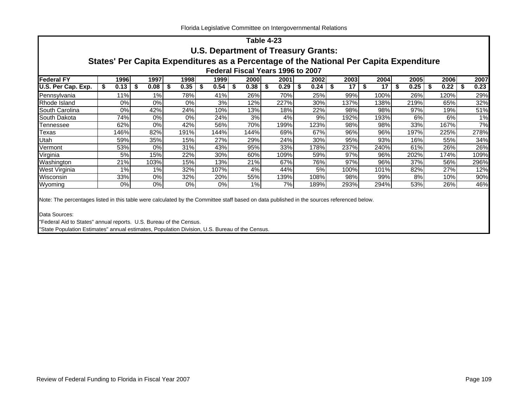|                                                                                        |  |      |           |       |      |              | Table 4-23 |            |          |      |      |      |    |      |
|----------------------------------------------------------------------------------------|--|------|-----------|-------|------|--------------|------------|------------|----------|------|------|------|----|------|
| <b>U.S. Department of Treasury Grants:</b>                                             |  |      |           |       |      |              |            |            |          |      |      |      |    |      |
|                                                                                        |  |      |           |       |      |              |            |            |          |      |      |      |    |      |
| States' Per Capita Expenditures as a Percentage of the National Per Capita Expenditure |  |      |           |       |      |              |            |            |          |      |      |      |    |      |
| Federal Fiscal Years 1996 to 2007                                                      |  |      |           |       |      |              |            |            |          |      |      |      |    |      |
| <b>Federal FY</b>                                                                      |  | 1996 | 1997      | 1998  | 1999 | 2000 l       | 2001       | 2002       | 2003     | 2004 | 2005 | 2006 |    | 2007 |
| U.S. Per Cap. Exp.                                                                     |  | 0.13 | 0.08<br>S | 0.35  | 0.54 | 0.38<br>- \$ | 0.29       | \$<br>0.24 | 17<br>\$ | 17   | 0.25 | 0.22 | \$ | 0.23 |
| Pennsylvania                                                                           |  | 11%  | $1\%$     | 78%   | 41%  | 26%          | 70%        | 25%        | 99%      | 100% | 26%  | 120% |    | 29%  |
| Rhode Island                                                                           |  | 0%   | 0%        | 0%    | 3%   | 12%          | 227%       | 30%        | 137%     | 138% | 219% | 65%  |    | 32%  |
| South Carolina                                                                         |  | 0%   | 42%       | 24%   | 10%  | 13%          | 18%        | 22%        | 98%      | 98%  | 97%  | 19%  |    | 51%  |
| South Dakota                                                                           |  | 74%  | 0%        | $0\%$ | 24%  | 3%           | 4%         | 9%         | 192%     | 193% | 6%   | 6%   |    | 1%   |
| Tennessee                                                                              |  | 62%  | 0%        | 42%   | 56%  | 70%          | 199%       | 123%       | 98%      | 98%  | 33%  | 167% |    | 7%   |
| <b>Texas</b>                                                                           |  | 146% | 82%       | 191%  | 144% | 144%         | 69%        | 67%        | 96%      | 96%  | 197% | 225% |    | 278% |
| <b>Utah</b>                                                                            |  | 59%  | 35%       | 15%   | 27%  | 29%          | 24%        | 30%        | 95%      | 93%  | 16%  | 55%  |    | 34%  |
| Vermont                                                                                |  | 53%  | 0%        | 31%   | 43%  | 95%          | 33%        | 178%       | 237%     | 240% | 61%  | 26%  |    | 26%  |
| Virginia                                                                               |  | 5%   | 15%       | 22%   | 30%  | 60%          | 109%       | 59%        | 97%      | 96%  | 202% | 174% |    | 109% |
| Washington                                                                             |  | 21%  | 103%      | 15%   | 13%  | 21%          | 67%        | 76%        | 97%      | 96%  | 37%  | 56%  |    | 296% |
| West Virginia                                                                          |  | 1%   | $1\%$     | 32%   | 107% | 4%           | 44%        | 5%         | 100%     | 101% | 82%  | 27%  |    | 12%  |
| Wisconsin                                                                              |  | 33%  | 0%        | 32%   | 20%  | 55%          | 139%       | 108%       | 98%      | 99%  | 8%   | 10%  |    | 90%  |
| Wyoming                                                                                |  | 0%   | 0%        | 0%    | 0%   | 1%           | 7%         | 189%       | 293%     | 294% | 53%  | 26%  |    | 46%  |

Data Sources:

"Federal Aid to States" annual reports. U.S. Bureau of the Census.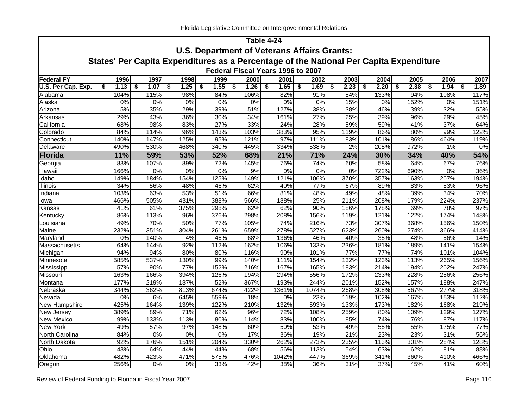| Table 4-24                                                                                                        |    |      |    |      |    |       |    |                  |    |       |    |       |    |       |            |            |            |            |            |
|-------------------------------------------------------------------------------------------------------------------|----|------|----|------|----|-------|----|------------------|----|-------|----|-------|----|-------|------------|------------|------------|------------|------------|
| U.S. Department of Veterans Affairs Grants:                                                                       |    |      |    |      |    |       |    |                  |    |       |    |       |    |       |            |            |            |            |            |
| States' Per Capita Expenditures as a Percentage of the National Per Capita Expenditure                            |    |      |    |      |    |       |    |                  |    |       |    |       |    |       |            |            |            |            |            |
| Federal Fiscal Years 1996 to 2007                                                                                 |    |      |    |      |    |       |    |                  |    |       |    |       |    |       |            |            |            |            |            |
| <b>Federal FY</b><br>1996<br>1997<br>1998<br>1999<br>2000<br>2001<br>2002<br>2003<br>2005<br>2006<br>2004<br>2007 |    |      |    |      |    |       |    |                  |    |       |    |       |    |       |            |            |            |            |            |
| U.S. Per Cap. Exp.                                                                                                | \$ | 1.13 | \$ | 1.07 | \$ | 1.25  | \$ | 1.55             | \$ | 1.26  | \$ | 1.65  | \$ | 1.69  | \$<br>2.23 | \$<br>2.20 | \$<br>2.38 | \$<br>1.94 | \$<br>1.89 |
| Alabama                                                                                                           |    | 104% |    | 115% |    | 98%   |    | 84%              |    | 106%  |    | 82%   |    | 91%   | 84%        | 133%       | 94%        | 108%       | 117%       |
| Alaska                                                                                                            |    | 0%   |    | 0%   |    | $0\%$ |    | $\overline{0\%}$ |    | $0\%$ |    | 0%    |    | 0%    | 15%        | $0\%$      | 152%       | 0%         | 151%       |
| <b>Arizona</b>                                                                                                    |    | 5%   |    | 35%  |    | 29%   |    | 39%              |    | 51%   |    | 127%  |    | 38%   | 38%        | 46%        | 39%        | 32%        | 55%        |
| Arkansas                                                                                                          |    | 29%  |    | 43%  |    | 36%   |    | 30%              |    | 34%   |    | 161%  |    | 27%   | 25%        | 39%        | 96%        | 29%        | 45%        |
| California                                                                                                        |    | 68%  |    | 98%  |    | 83%   |    | 27%              |    | 33%   |    | 24%   |    | 28%   | 59%        | 59%        | 41%        | 37%        | 64%        |
| Colorado                                                                                                          |    | 84%  |    | 114% |    | 96%   |    | 143%             |    | 103%  |    | 383%  |    | 95%   | 119%       | 86%        | 80%        | 99%        | 122%       |
| Connecticut                                                                                                       |    | 140% |    | 147% |    | 125%  |    | 95%              |    | 121%  |    | 97%   |    | 111%  | 83%        | 101%       | 86%        | 464%       | 119%       |
| Delaware                                                                                                          |    | 490% |    | 530% |    | 468%  |    | 340%             |    | 445%  |    | 334%  |    | 538%  | 2%         | 205%       | 972%       | 1%         | 0%         |
| <b>Florida</b>                                                                                                    |    | 11%  |    | 59%  |    | 53%   |    | 52%              |    | 68%   |    | 21%   |    | 71%   | 24%        | 30%        | 34%        | 40%        | 54%        |
| Georgia                                                                                                           |    | 83%  |    | 107% |    | 89%   |    | 72%              |    | 145%  |    | 76%   |    | 74%   | 60%        | 58%        | 64%        | 67%        | 76%        |
| Hawaii                                                                                                            |    | 166% |    | 0%   |    | $0\%$ |    | $\overline{0\%}$ |    | 9%    |    | 0%    |    | 0%    | 0%         | 722%       | 690%       | 0%         | 36%        |
| ldaho                                                                                                             |    | 149% |    | 184% |    | 154%  |    | 125%             |    | 149%  |    | 121%  |    | 106%  | 370%       | 357%       | 163%       | 207%       | 194%       |
| Illinois                                                                                                          |    | 34%  |    | 56%  |    | 48%   |    | 46%              |    | 62%   |    | 40%   |    | 77%   | 67%        | 89%        | 83%        | 83%        | 96%        |
| Indiana                                                                                                           |    | 103% |    | 63%  |    | 53%   |    | 51%              |    | 66%   |    | 81%   |    | 48%   | 49%        | 48%        | 39%        | 34%        | 70%        |
| lowa                                                                                                              |    | 466% |    | 505% |    | 431%  |    | 388%             |    | 566%  |    | 188%  |    | 25%   | 211%       | 208%       | 179%       | 224%       | 237%       |
| Kansas                                                                                                            |    | 41%  |    | 61%  |    | 375%  |    | 298%             |    | 62%   |    | 62%   |    | 90%   | 186%       | 178%       | 69%        | 78%        | 97%        |
| Kentuckv                                                                                                          |    | 86%  |    | 113% |    | 96%   |    | 376%             |    | 298%  |    | 208%  |    | 156%  | 119%       | 121%       | 122%       | 174%       | 148%       |
| Louisiana                                                                                                         |    | 49%  |    | 70%  |    | 50%   |    | 77%              |    | 105%  |    | 74%   |    | 216%  | 73%        | 307%       | 368%       | 156%       | 150%       |
| Maine                                                                                                             |    | 232% |    | 351% |    | 304%  |    | 261%             |    | 659%  |    | 278%  |    | 527%  | 623%       | 260%       | 274%       | 366%       | 414%       |
| Maryland                                                                                                          |    | 0%   |    | 140% |    | 4%    |    | 46%              |    | 68%   |    | 136%  |    | 46%   | 40%        | 35%        | 48%        | 56%        | 14%        |
| Massachusetts                                                                                                     |    | 64%  |    | 144% |    | 92%   |    | 112%             |    | 162%  |    | 106%  |    | 133%  | 236%       | 181%       | 189%       | 141%       | 154%       |
| Michigan                                                                                                          |    | 94%  |    | 94%  |    | 80%   |    | 80%              |    | 116%  |    | 90%   |    | 101%  | 77%        | 77%        | 74%        | 101%       | 104%       |
| <b>Minnesota</b>                                                                                                  |    | 585% |    | 537% |    | 130%  |    | 99%              |    | 140%  |    | 111%  |    | 154%  | 132%       | 123%       | 113%       | 265%       | 156%       |
| Mississippi                                                                                                       |    | 57%  |    | 90%  |    | 77%   |    | 152%             |    | 216%  |    | 167%  |    | 165%  | 183%       | 214%       | 194%       | 202%       | 247%       |
| <u>Missouri</u>                                                                                                   |    | 163% |    | 166% |    | 394%  |    | 126%             |    | 194%  |    | 294%  |    | 556%  | 172%       | 233%       | 228%       | 256%       | 256%       |
| Montana                                                                                                           |    | 177% |    | 219% |    | 187%  |    | 52%              |    | 367%  |    | 193%  |    | 244%  | 201%       | 152%       | 157%       | 188%       | 247%       |
| Nebraska                                                                                                          |    | 344% |    | 362% |    | 813%  |    | 674%             |    | 422%  |    | 1361% |    | 1074% | 268%       | 308%       | 567%       | 277%       | 318%       |
| Nevada                                                                                                            |    | 0%   |    | 6%   |    | 645%  |    | 559%             |    | 18%   |    | 0%    |    | 23%   | 119%       | 102%       | 167%       | 153%       | 112%       |
| New Hampshire                                                                                                     |    | 425% |    | 164% |    | 139%  |    | 122%             |    | 210%  |    | 132%  |    | 593%  | 133%       | 173%       | 182%       | 168%       | 219%       |
| New Jersey                                                                                                        |    | 389% |    | 89%  |    | 71%   |    | 62%              |    | 96%   |    | 72%   |    | 108%  | 259%       | 80%        | 109%       | 129%       | 127%       |
| New Mexico                                                                                                        |    | 99%  |    | 133% |    | 113%  |    | 80%              |    | 114%  |    | 83%   |    | 100%  | 85%        | 74%        | 76%        | 87%        | 117%       |
| New York                                                                                                          |    | 49%  |    | 57%  |    | 97%   |    | 148%             |    | 60%   |    | 50%   |    | 53%   | 49%        | 55%        | 55%        | 175%       | 77%        |
| North Carolina                                                                                                    |    | 84%  |    | 0%   |    | 0%    |    | 0%               |    | 17%   |    | 36%   |    | 19%   | 21%        | 23%        | 23%        | 31%        | 56%        |
| North Dakota                                                                                                      |    | 92%  |    | 176% |    | 151%  |    | 204%             |    | 330%  |    | 262%  |    | 273%  | 235%       | 113%       | 301%       | 284%       | 128%       |
| Ohio                                                                                                              |    | 43%  |    | 64%  |    | 44%   |    | 44%              |    | 68%   |    | 56%   |    | 113%  | 54%        | 63%        | 62%        | 81%        | 88%        |
| <b>Oklahoma</b>                                                                                                   |    | 482% |    | 423% |    | 471%  |    | 575%             |    | 476%  |    | 1042% |    | 447%  | 369%       | 341%       | 360%       | 410%       | 466%       |
| Oregon                                                                                                            |    | 256% |    | 0%   |    | 0%    |    | 33%              |    | 42%   |    | 38%   |    | 36%   | 31%        | 37%        | 45%        | 41%        | 60%        |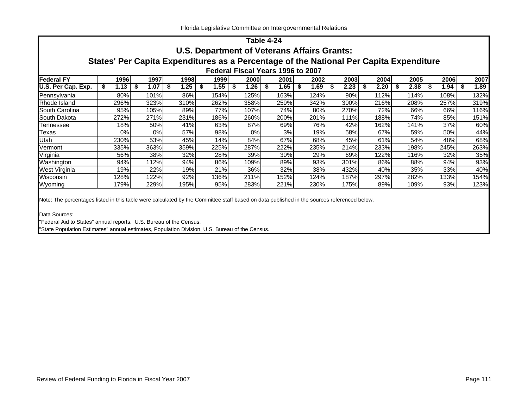| Table 4-24                                                                             |       |   |      |      |      |     |        |  |      |    |      |      |  |      |      |      |            |
|----------------------------------------------------------------------------------------|-------|---|------|------|------|-----|--------|--|------|----|------|------|--|------|------|------|------------|
| <b>U.S. Department of Veterans Affairs Grants:</b>                                     |       |   |      |      |      |     |        |  |      |    |      |      |  |      |      |      |            |
| States' Per Capita Expenditures as a Percentage of the National Per Capita Expenditure |       |   |      |      |      |     |        |  |      |    |      |      |  |      |      |      |            |
|                                                                                        |       |   |      |      |      |     |        |  |      |    |      |      |  |      |      |      |            |
| Federal Fiscal Years 1996 to 2007                                                      |       |   |      |      |      |     |        |  |      |    |      |      |  |      |      |      |            |
| <b>Federal FY</b>                                                                      | 1996  |   | 1997 | 1998 | 1999 |     | 2000 l |  | 2001 |    | 2002 | 2003 |  | 2004 | 2005 | 2006 | 2007       |
| U.S. Per Cap. Exp.                                                                     | 1.13  | S | 1.07 | 1.25 | 1.55 | -\$ | 1.26   |  | 1.65 | \$ | 1.69 | 2.23 |  | 2.20 | 2.38 | 1.94 | \$<br>1.89 |
| Pennsylvania                                                                           | 80%   |   | 101% | 86%  | 154% |     | 125%   |  | 163% |    | 124% | 90%  |  | 112% | 114% | 108% | 132%       |
| Rhode Island                                                                           | 296%  |   | 323% | 310% | 262% |     | 358%   |  | 259% |    | 342% | 300% |  | 216% | 208% | 257% | 319%       |
| South Carolina                                                                         | 95%   |   | 105% | 89%  | 77%  |     | 107%   |  | 74%  |    | 80%  | 270% |  | 72%  | 66%  | 66%  | 116%       |
| South Dakota                                                                           | 272%  |   | 271% | 231% | 186% |     | 260%   |  | 200% |    | 201% | 111% |  | 188% | 74%  | 85%  | 151%       |
| Tennessee                                                                              | 18%   |   | 50%  | 41%  | 63%  |     | 87%    |  | 69%  |    | 76%  | 42%  |  | 162% | 141% | 37%  | 60%        |
| <b>Texas</b>                                                                           | $0\%$ |   | 0%   | 57%  | 98%  |     | $0\%$  |  | 3%   |    | 19%  | 58%  |  | 67%  | 59%  | 50%  | 44%        |
| <b>Utah</b>                                                                            | 230%  |   | 53%  | 45%  | 14%  |     | 84%    |  | 67%  |    | 68%  | 45%  |  | 61%  | 54%  | 48%  | 68%        |
| Vermont                                                                                | 335%  |   | 363% | 359% | 225% |     | 287%   |  | 222% |    | 235% | 214% |  | 233% | 198% | 245% | 263%       |
| Virginia                                                                               | 56%   |   | 38%  | 32%  | 28%  |     | 39%    |  | 30%  |    | 29%  | 69%  |  | 122% | 116% | 32%  | 35%        |
| Washington                                                                             | 94%   |   | 112% | 94%  | 86%  |     | 109%   |  | 89%  |    | 93%  | 301% |  | 86%  | 88%  | 94%  | 93%        |
| West Virginia                                                                          | 19%   |   | 22%  | 19%  | 21%  |     | 36%    |  | 32%  |    | 38%  | 432% |  | 40%  | 35%  | 33%  | 40%        |
| Wisconsin                                                                              | 128%  |   | 122% | 92%  | 136% |     | 211%   |  | 152% |    | 124% | 187% |  | 297% | 282% | 133% | 154%       |
| Wyoming                                                                                | 179%  |   | 229% | 195% | 95%  |     | 283%   |  | 221% |    | 230% | 175% |  | 89%  | 109% | 93%  | 123%       |

Data Sources:

"Federal Aid to States" annual reports. U.S. Bureau of the Census.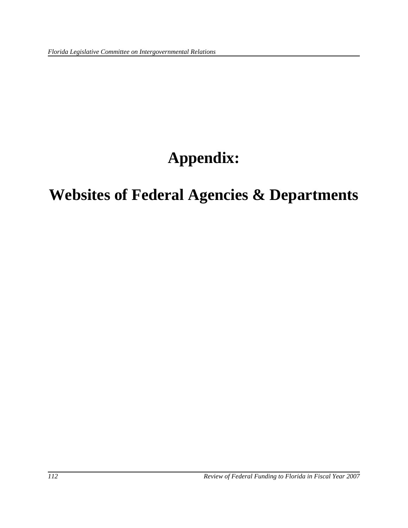## **Appendix:**

## **Websites of Federal Agencies & Departments**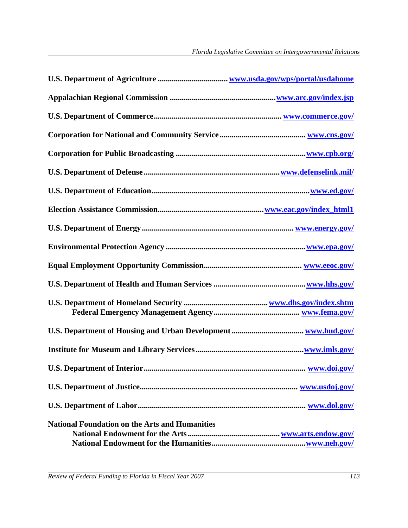| <b>National Foundation on the Arts and Humanities</b> |
|-------------------------------------------------------|